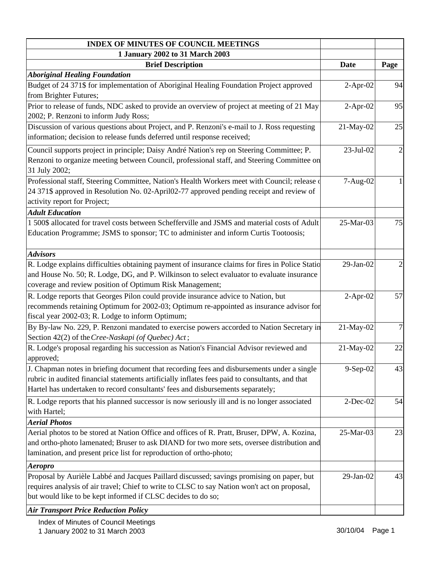| <b>INDEX OF MINUTES OF COUNCIL MEETINGS</b>                                                     |                 |                         |
|-------------------------------------------------------------------------------------------------|-----------------|-------------------------|
| 1 January 2002 to 31 March 2003                                                                 |                 |                         |
| <b>Brief Description</b>                                                                        | <b>Date</b>     | Page                    |
| <b>Aboriginal Healing Foundation</b>                                                            |                 |                         |
| Budget of 24 371\$ for implementation of Aboriginal Healing Foundation Project approved         | $2-Apr-02$      | 94                      |
| from Brighter Futures;                                                                          |                 |                         |
| Prior to release of funds, NDC asked to provide an overview of project at meeting of 21 May     | $2-Apr-02$      | 95                      |
| 2002; P. Renzoni to inform Judy Ross;                                                           |                 |                         |
| Discussion of various questions about Project, and P. Renzoni's e-mail to J. Ross requesting    | 21-May-02       | 25                      |
| information; decision to release funds deferred until response received;                        |                 |                         |
| Council supports project in principle; Daisy André Nation's rep on Steering Committee; P.       | 23-Jul-02       | $\overline{c}$          |
| Renzoni to organize meeting between Council, professional staff, and Steering Committee on      |                 |                         |
| 31 July 2002;                                                                                   |                 |                         |
| Professional staff, Steering Committee, Nation's Health Workers meet with Council; release of   | 7-Aug-02        |                         |
| 24 371\$ approved in Resolution No. 02-April02-77 approved pending receipt and review of        |                 |                         |
| activity report for Project;                                                                    |                 |                         |
| <b>Adult Education</b>                                                                          |                 |                         |
| 1 500\$ allocated for travel costs between Schefferville and JSMS and material costs of Adult   | 25-Mar-03       | 75                      |
| Education Programme; JSMS to sponsor; TC to administer and inform Curtis Tootoosis;             |                 |                         |
|                                                                                                 |                 |                         |
| <b>Advisors</b>                                                                                 |                 |                         |
| R. Lodge explains difficulties obtaining payment of insurance claims for fires in Police Statio | 29-Jan-02       | $\overline{\mathbf{c}}$ |
| and House No. 50; R. Lodge, DG, and P. Wilkinson to select evaluator to evaluate insurance      |                 |                         |
| coverage and review position of Optimum Risk Management;                                        |                 |                         |
| R. Lodge reports that Georges Pilon could provide insurance advice to Nation, but               | $2-Apr-02$      | 57                      |
| recommends retaining Optimum for 2002-03; Optimum re-appointed as insurance advisor for         |                 |                         |
| fiscal year 2002-03; R. Lodge to inform Optimum;                                                |                 |                         |
| By By-law No. 229, P. Renzoni mandated to exercise powers accorded to Nation Secretary in       | 21-May-02       | $\overline{7}$          |
| Section 42(2) of the Cree-Naskapi (of Quebec) Act;                                              |                 |                         |
| R. Lodge's proposal regarding his succession as Nation's Financial Advisor reviewed and         | 21-May-02       | 22                      |
| approved;                                                                                       |                 |                         |
| J. Chapman notes in briefing document that recording fees and disbursements under a single      | 9-Sep-02        | 43                      |
| rubric in audited financial statements artificially inflates fees paid to consultants, and that |                 |                         |
| Hartel has undertaken to record consultants' fees and disbursements separately;                 |                 |                         |
| R. Lodge reports that his planned successor is now seriously ill and is no longer associated    | $2$ -Dec-02     | 54                      |
| with Hartel;                                                                                    |                 |                         |
| <b>Aerial Photos</b>                                                                            |                 |                         |
| Aerial photos to be stored at Nation Office and offices of R. Pratt, Bruser, DPW, A. Kozina,    | 25-Mar-03       | 23                      |
| and ortho-photo lamenated; Bruser to ask DIAND for two more sets, oversee distribution and      |                 |                         |
| lamination, and present price list for reproduction of ortho-photo;                             |                 |                         |
| <i><b>Aeropro</b></i>                                                                           |                 |                         |
| Proposal by Aurièle Labbé and Jacques Paillard discussed; savings promising on paper, but       | $29$ -Jan- $02$ | 43                      |
| requires analysis of air travel; Chief to write to CLSC to say Nation won't act on proposal,    |                 |                         |
| but would like to be kept informed if CLSC decides to do so;                                    |                 |                         |
| <b>Air Transport Price Reduction Policy</b>                                                     |                 |                         |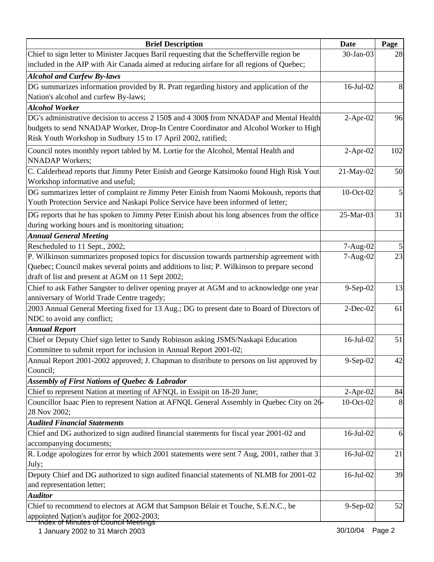| <b>Brief Description</b>                                                                     | <b>Date</b>  | Page |
|----------------------------------------------------------------------------------------------|--------------|------|
| Chief to sign letter to Minister Jacques Baril requesting that the Schefferville region be   | 30-Jan-03    | 28   |
| included in the AIP with Air Canada aimed at reducing airfare for all regions of Quebec;     |              |      |
| <b>Alcohol and Curfew By-laws</b>                                                            |              |      |
| DG summarizes information provided by R. Pratt regarding history and application of the      | $16$ -Jul-02 | 8    |
| Nation's alcohol and curfew By-laws;                                                         |              |      |
| <b>Alcohol Worker</b>                                                                        |              |      |
| DG's administrative decision to access 2 150\$ and 4 300\$ from NNADAP and Mental Health     | $2-Apr-02$   | 96   |
| budgets to send NNADAP Worker, Drop-In Centre Coordinator and Alcohol Worker to High         |              |      |
| Risk Youth Workshop in Sudbury 15 to 17 April 2002, ratified;                                |              |      |
| Council notes monthly report tabled by M. Lortie for the Alcohol, Mental Health and          | $2$ -Apr-02  | 102  |
| <b>NNADAP</b> Workers;                                                                       |              |      |
| C. Calderhead reports that Jimmy Peter Einish and George Katsimoko found High Risk Yout      | 21-May-02    | 50   |
| Workshop informative and useful;                                                             |              |      |
| DG summarizes letter of complaint re Jimmy Peter Einish from Naomi Mokoush, reports that     | 10-Oct-02    | 5    |
| Youth Protection Service and Naskapi Police Service have been informed of letter;            |              |      |
| DG reports that he has spoken to Jimmy Peter Einish about his long absences from the office  | 25-Mar-03    | 31   |
| during working hours and is monitoring situation;                                            |              |      |
| <b>Annual General Meeting</b>                                                                |              |      |
| Rescheduled to 11 Sept., 2002;                                                               | 7-Aug-02     |      |
| P. Wilkinson summarizes proposed topics for discussion towards partnership agreement with    | 7-Aug-02     | 23   |
| Quebec; Council makes several points and additions to list; P. Wilkinson to prepare second   |              |      |
| draft of list and present at AGM on 11 Sept 2002;                                            |              |      |
| Chief to ask Father Sangster to deliver opening prayer at AGM and to acknowledge one year    | 9-Sep-02     | 13   |
| anniversary of World Trade Centre tragedy;                                                   |              |      |
| 2003 Annual General Meeting fixed for 13 Aug.; DG to present date to Board of Directors of   | $2-Dec-02$   | 61   |
| NDC to avoid any conflict;                                                                   |              |      |
| <b>Annual Report</b>                                                                         |              |      |
| Chief or Deputy Chief sign letter to Sandy Robinson asking JSMS/Naskapi Education            | 16-Jul-02    | 51   |
| Committee to submit report for inclusion in Annual Report 2001-02;                           |              |      |
| Annual Report 2001-2002 approved; J. Chapman to distribute to persons on list approved by    | $9-Sep-02$   | 42   |
| Council;                                                                                     |              |      |
| <b>Assembly of First Nations of Quebec &amp; Labrador</b>                                    |              |      |
| Chief to represent Nation at meeting of AFNQL in Essipit on 18-20 June;                      | $2$ -Apr-02  | 84   |
| Councillor Isaac Pien to represent Nation at AFNQL General Assembly in Quebec City on 26-    | 10-Oct-02    | 8    |
| 28 Nov 2002;                                                                                 |              |      |
| <b>Audited Financial Statements</b>                                                          |              |      |
| Chief and DG authorized to sign audited financial statements for fiscal year 2001-02 and     | 16-Jul-02    | 6    |
| accompanying documents;                                                                      |              |      |
| R. Lodge apologizes for error by which 2001 statements were sent 7 Aug, 2001, rather that 3  | 16-Jul-02    | 21   |
| July;                                                                                        |              |      |
| Deputy Chief and DG authorized to sign audited financial statements of NLMB for 2001-02      | 16-Jul-02    | 39   |
| and representation letter;                                                                   |              |      |
| <b>Auditor</b>                                                                               |              |      |
| Chief to recommend to electors at AGM that Sampson Bélair et Touche, S.E.N.C., be            | $9-Sep-02$   | 52   |
| appointed Nation's auditor for 2002-2003;<br><del>Index of Minutes of Council Meetings</del> |              |      |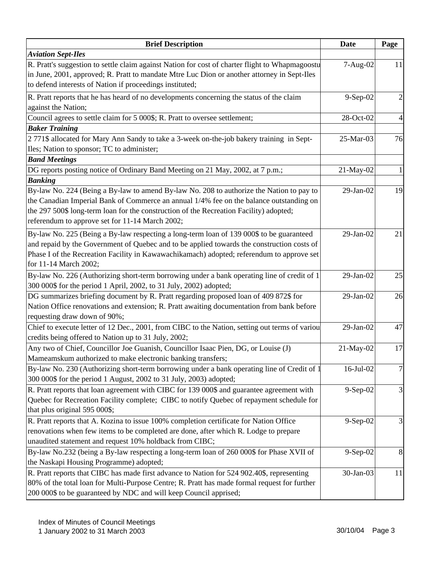| <b>Brief Description</b>                                                                                                                                                                                                                                                                                                         | <b>Date</b> | Page |
|----------------------------------------------------------------------------------------------------------------------------------------------------------------------------------------------------------------------------------------------------------------------------------------------------------------------------------|-------------|------|
| <b>Aviation Sept-Iles</b>                                                                                                                                                                                                                                                                                                        |             |      |
| R. Pratt's suggestion to settle claim against Nation for cost of charter flight to Whapmagoostu<br>in June, 2001, approved; R. Pratt to mandate Mtre Luc Dion or another attorney in Sept-Iles<br>to defend interests of Nation if proceedings instituted;                                                                       | 7-Aug-02    | 11   |
| R. Pratt reports that he has heard of no developments concerning the status of the claim<br>against the Nation;                                                                                                                                                                                                                  | 9-Sep-02    |      |
| Council agrees to settle claim for 5 000\$; R. Pratt to oversee settlement;                                                                                                                                                                                                                                                      | 28-Oct-02   |      |
| <b>Baker Training</b><br>2 771\$ allocated for Mary Ann Sandy to take a 3-week on-the-job bakery training in Sept-<br>Iles; Nation to sponsor; TC to administer;<br><b>Band Meetings</b>                                                                                                                                         | 25-Mar-03   | 76   |
| DG reports posting notice of Ordinary Band Meeting on 21 May, 2002, at 7 p.m.;                                                                                                                                                                                                                                                   | 21-May-02   |      |
| <b>Banking</b>                                                                                                                                                                                                                                                                                                                   |             |      |
| By-law No. 224 (Being a By-law to amend By-law No. 208 to authorize the Nation to pay to<br>the Canadian Imperial Bank of Commerce an annual 1/4% fee on the balance outstanding on<br>the 297 500\$ long-term loan for the construction of the Recreation Facility) adopted;<br>referendum to approve set for 11-14 March 2002; | 29-Jan-02   | 19   |
| By-law No. 225 (Being a By-law respecting a long-term loan of 139 000\$ to be guaranteed<br>and repaid by the Government of Quebec and to be applied towards the construction costs of<br>Phase I of the Recreation Facility in Kawawachikamach) adopted; referendum to approve set<br>for 11-14 March 2002;                     | 29-Jan-02   | 21   |
| By-law No. 226 (Authorizing short-term borrowing under a bank operating line of credit of 1<br>300 000\$ for the period 1 April, 2002, to 31 July, 2002) adopted;                                                                                                                                                                | 29-Jan-02   | 25   |
| DG summarizes briefing document by R. Pratt regarding proposed loan of 409 872\$ for<br>Nation Office renovations and extension; R. Pratt awaiting documentation from bank before<br>requesting draw down of 90%;                                                                                                                | 29-Jan-02   | 26   |
| Chief to execute letter of 12 Dec., 2001, from CIBC to the Nation, setting out terms of variou<br>credits being offered to Nation up to 31 July, 2002;                                                                                                                                                                           | 29-Jan-02   | 47   |
| Any two of Chief, Councillor Joe Guanish, Councillor Isaac Pien, DG, or Louise (J)<br>Mameamskum authorized to make electronic banking transfers;                                                                                                                                                                                | 21-May-02   | 17   |
| By-law No. 230 (Authorizing short-term borrowing under a bank operating line of Credit of 1<br>300 000\$ for the period 1 August, 2002 to 31 July, 2003) adopted;                                                                                                                                                                | 16-Jul-02   | 7    |
| R. Pratt reports that loan agreement with CIBC for 139 000\$ and guarantee agreement with<br>Quebec for Recreation Facility complete; CIBC to notify Quebec of repayment schedule for<br>that plus original 595 000\$;                                                                                                           | $9-Sep-02$  | 3    |
| R. Pratt reports that A. Kozina to issue 100% completion certificate for Nation Office<br>renovations when few items to be completed are done, after which R. Lodge to prepare<br>unaudited statement and request 10% holdback from CIBC;                                                                                        | 9-Sep-02    |      |
| By-law No.232 (being a By-law respecting a long-term loan of 260 000\$ for Phase XVII of<br>the Naskapi Housing Programme) adopted;                                                                                                                                                                                              | 9-Sep-02    | 8    |
| R. Pratt reports that CIBC has made first advance to Nation for 524 902.40\$, representing<br>80% of the total loan for Multi-Purpose Centre; R. Pratt has made formal request for further<br>200 000\$ to be guaranteed by NDC and will keep Council apprised;                                                                  | 30-Jan-03   | 11   |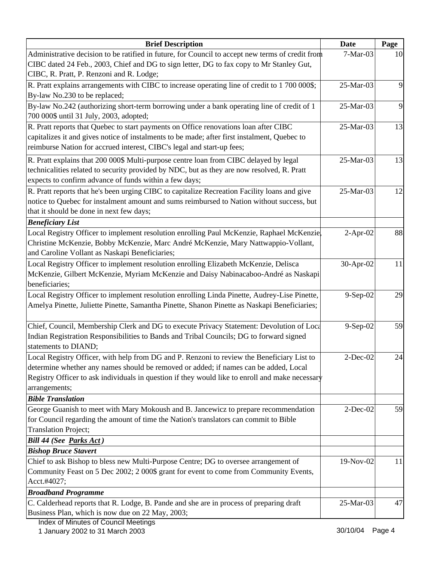| <b>Brief Description</b>                                                                         | <b>Date</b> | Page |
|--------------------------------------------------------------------------------------------------|-------------|------|
| Administrative decision to be ratified in future, for Council to accept new terms of credit from | 7-Mar-03    | 10   |
| CIBC dated 24 Feb., 2003, Chief and DG to sign letter, DG to fax copy to Mr Stanley Gut,         |             |      |
| CIBC, R. Pratt, P. Renzoni and R. Lodge;                                                         |             |      |
| R. Pratt explains arrangements with CIBC to increase operating line of credit to 1 700 000\$;    | 25-Mar-03   | 9    |
| By-law No.230 to be replaced;                                                                    |             |      |
| By-law No.242 (authorizing short-term borrowing under a bank operating line of credit of 1       | 25-Mar-03   | 9    |
| 700 000\$ until 31 July, 2003, adopted;                                                          |             |      |
| R. Pratt reports that Quebec to start payments on Office renovations loan after CIBC             | 25-Mar-03   | 13   |
| capitalizes it and gives notice of instalments to be made; after first instalment, Quebec to     |             |      |
| reimburse Nation for accrued interest, CIBC's legal and start-up fees;                           |             |      |
| R. Pratt explains that 200 000\$ Multi-purpose centre loan from CIBC delayed by legal            | 25-Mar-03   | 13   |
| technicalities related to security provided by NDC, but as they are now resolved, R. Pratt       |             |      |
| expects to confirm advance of funds within a few days;                                           |             |      |
| R. Pratt reports that he's been urging CIBC to capitalize Recreation Facility loans and give     | 25-Mar-03   | 12   |
| notice to Quebec for instalment amount and sums reimbursed to Nation without success, but        |             |      |
| that it should be done in next few days;                                                         |             |      |
| <b>Beneficiary List</b>                                                                          |             |      |
| Local Registry Officer to implement resolution enrolling Paul McKenzie, Raphael McKenzie,        | $2-Apr-02$  | 88   |
| Christine McKenzie, Bobby McKenzie, Marc André McKenzie, Mary Nattwappio-Vollant,                |             |      |
| and Caroline Vollant as Naskapi Beneficiaries;                                                   |             |      |
| Local Registry Officer to implement resolution enrolling Elizabeth McKenzie, Delisca             | 30-Apr-02   | 11   |
| McKenzie, Gilbert McKenzie, Myriam McKenzie and Daisy Nabinacaboo-André as Naskapi               |             |      |
| beneficiaries;                                                                                   |             |      |
| Local Registry Officer to implement resolution enrolling Linda Pinette, Audrey-Lise Pinette,     | 9-Sep-02    | 29   |
| Amelya Pinette, Juliette Pinette, Samantha Pinette, Shanon Pinette as Naskapi Beneficiaries;     |             |      |
|                                                                                                  |             |      |
| Chief, Council, Membership Clerk and DG to execute Privacy Statement: Devolution of Loca         | 9-Sep-02    | 59   |
| Indian Registration Responsibilities to Bands and Tribal Councils; DG to forward signed          |             |      |
| statements to DIAND;                                                                             |             |      |
| Local Registry Officer, with help from DG and P. Renzoni to review the Beneficiary List to       | $2$ -Dec-02 | 24   |
| determine whether any names should be removed or added; if names can be added, Local             |             |      |
| Registry Officer to ask individuals in question if they would like to enroll and make necessary  |             |      |
| arrangements;                                                                                    |             |      |
| <b>Bible Translation</b>                                                                         |             |      |
| George Guanish to meet with Mary Mokoush and B. Jancewicz to prepare recommendation              | $2$ -Dec-02 | 59   |
| for Council regarding the amount of time the Nation's translators can commit to Bible            |             |      |
| <b>Translation Project;</b>                                                                      |             |      |
| Bill 44 (See Parks Act)                                                                          |             |      |
| <b>Bishop Bruce Stavert</b>                                                                      |             |      |
| Chief to ask Bishop to bless new Multi-Purpose Centre; DG to oversee arrangement of              | 19-Nov-02   | 11   |
| Community Feast on 5 Dec 2002; 2 000\$ grant for event to come from Community Events,            |             |      |
| Acct.#4027;                                                                                      |             |      |
| <b>Broadband Programme</b>                                                                       |             |      |
| C. Calderhead reports that R. Lodge, B. Pande and she are in process of preparing draft          | 25-Mar-03   | 47   |
| Business Plan, which is now due on 22 May, 2003;                                                 |             |      |
| <b>Index of Minutes of Council Meetings</b>                                                      |             |      |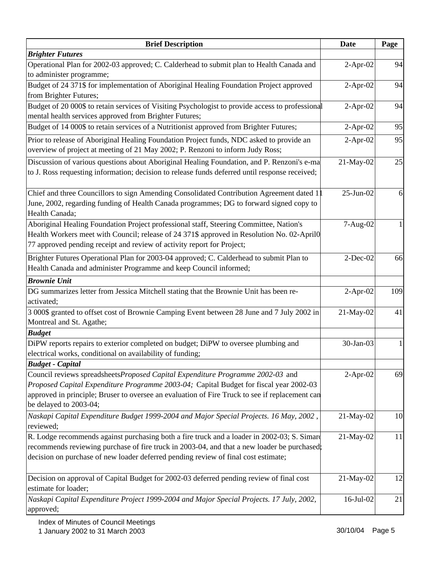| <b>Brief Description</b>                                                                                                                                                                                                                                                                             | <b>Date</b> | Page |
|------------------------------------------------------------------------------------------------------------------------------------------------------------------------------------------------------------------------------------------------------------------------------------------------------|-------------|------|
| <b>Brighter Futures</b>                                                                                                                                                                                                                                                                              |             |      |
| Operational Plan for 2002-03 approved; C. Calderhead to submit plan to Health Canada and<br>to administer programme;                                                                                                                                                                                 | $2-Apr-02$  | 94   |
| Budget of 24 371\$ for implementation of Aboriginal Healing Foundation Project approved                                                                                                                                                                                                              | $2-Apr-02$  | 94   |
| from Brighter Futures;                                                                                                                                                                                                                                                                               |             |      |
| Budget of 20 000\$ to retain services of Visiting Psychologist to provide access to professional                                                                                                                                                                                                     | $2-Apr-02$  | 94   |
| mental health services approved from Brighter Futures;                                                                                                                                                                                                                                               |             |      |
| Budget of 14 000\$ to retain services of a Nutritionist approved from Brighter Futures;                                                                                                                                                                                                              | $2-Apr-02$  | 95   |
| Prior to release of Aboriginal Healing Foundation Project funds, NDC asked to provide an<br>overview of project at meeting of 21 May 2002; P. Renzoni to inform Judy Ross;                                                                                                                           | $2-Apr-02$  | 95   |
| Discussion of various questions about Aboriginal Healing Foundation, and P. Renzoni's e-ma<br>to J. Ross requesting information; decision to release funds deferred until response received;                                                                                                         | 21-May-02   | 25   |
| Chief and three Councillors to sign Amending Consolidated Contribution Agreement dated 1<br>June, 2002, regarding funding of Health Canada programmes; DG to forward signed copy to<br>Health Canada;                                                                                                | 25-Jun-02   | 6    |
| Aboriginal Healing Foundation Project professional staff, Steering Committee, Nation's<br>Health Workers meet with Council; release of 24 371\$ approved in Resolution No. 02-April0<br>77 approved pending receipt and review of activity report for Project;                                       | 7-Aug-02    |      |
| Brighter Futures Operational Plan for 2003-04 approved; C. Calderhead to submit Plan to<br>Health Canada and administer Programme and keep Council informed;                                                                                                                                         | $2$ -Dec-02 | 66   |
| <b>Brownie Unit</b>                                                                                                                                                                                                                                                                                  |             |      |
| DG summarizes letter from Jessica Mitchell stating that the Brownie Unit has been re-<br>activated;                                                                                                                                                                                                  | $2-Apr-02$  | 109  |
| 3 000\$ granted to offset cost of Brownie Camping Event between 28 June and 7 July 2002 in<br>Montreal and St. Agathe;                                                                                                                                                                               | 21-May-02   | 41   |
| <b>Budget</b>                                                                                                                                                                                                                                                                                        |             |      |
| DiPW reports repairs to exterior completed on budget; DiPW to oversee plumbing and<br>electrical works, conditional on availability of funding;                                                                                                                                                      | 30-Jan-03   |      |
| <b>Budget - Capital</b>                                                                                                                                                                                                                                                                              |             |      |
| Council reviews spreadsheetsProposed Capital Expenditure Programme 2002-03 and<br>Proposed Capital Expenditure Programme 2003-04; Capital Budget for fiscal year 2002-03<br>approved in principle; Bruser to oversee an evaluation of Fire Truck to see if replacement can<br>be delayed to 2003-04; | $2-Apr-02$  | 69   |
| , Naskapi Capital Expenditure Budget 1999-2004 and Major Special Projects. 16 May, 2002<br>reviewed;                                                                                                                                                                                                 | 21-May-02   | 10   |
| R. Lodge recommends against purchasing both a fire truck and a loader in 2002-03; S. Simard<br>recommends reviewing purchase of fire truck in 2003-04, and that a new loader be purchased;<br>decision on purchase of new loader deferred pending review of final cost estimate;                     | 21-May-02   | 11   |
| Decision on approval of Capital Budget for 2002-03 deferred pending review of final cost<br>estimate for loader;                                                                                                                                                                                     | 21-May-02   | 12   |
| Naskapi Capital Expenditure Project 1999-2004 and Major Special Projects. 17 July, 2002,<br>approved;                                                                                                                                                                                                | 16-Jul-02   | 21   |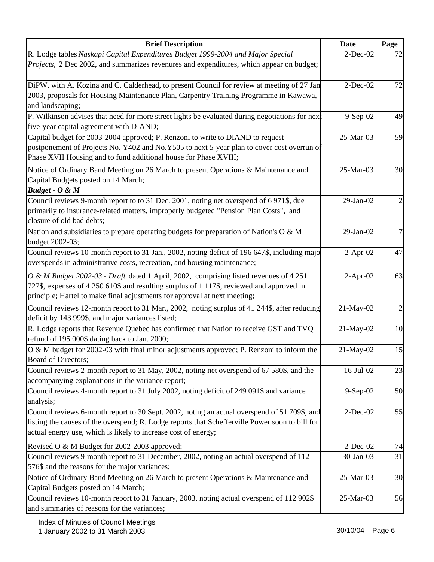| <b>Brief Description</b>                                                                                                                                                  | <b>Date</b>     | Page |
|---------------------------------------------------------------------------------------------------------------------------------------------------------------------------|-----------------|------|
| R. Lodge tables Naskapi Capital Expenditures Budget 1999-2004 and Major Special                                                                                           | $2$ -Dec-02     | 72   |
| <i>Projects</i> , 2 Dec 2002, and summarizes revenures and expenditures, which appear on budget;                                                                          |                 |      |
| DiPW, with A. Kozina and C. Calderhead, to present Council for review at meeting of 27 Jan                                                                                | $2$ -Dec-02     | 72   |
| 2003, proposals for Housing Maintenance Plan, Carpentry Training Programme in Kawawa,                                                                                     |                 |      |
| and landscaping;                                                                                                                                                          |                 |      |
| P. Wilkinson advises that need for more street lights be evaluated during negotiations for next                                                                           | 9-Sep-02        | 49   |
| five-year capital agreement with DIAND;                                                                                                                                   |                 |      |
| Capital budget for 2003-2004 approved; P. Renzoni to write to DIAND to request                                                                                            | 25-Mar-03       | 59   |
| postponement of Projects No. Y402 and No.Y505 to next 5-year plan to cover cost overrun of                                                                                |                 |      |
| Phase XVII Housing and to fund additional house for Phase XVIII;                                                                                                          |                 |      |
| Notice of Ordinary Band Meeting on 26 March to present Operations & Maintenance and                                                                                       | 25-Mar-03       | 30   |
| Capital Budgets posted on 14 March;                                                                                                                                       |                 |      |
| Budget - $O$ & $M$                                                                                                                                                        |                 |      |
| Council reviews 9-month report to to 31 Dec. 2001, noting net overspend of 6971\$, due                                                                                    | 29-Jan-02       |      |
| primarily to insurance-related matters, improperly budgeted "Pension Plan Costs", and                                                                                     |                 |      |
| closure of old bad debts;                                                                                                                                                 |                 |      |
| Nation and subsidiaries to prepare operating budgets for preparation of Nation's $O & M$                                                                                  | $29$ -Jan- $02$ | 7    |
| budget 2002-03;                                                                                                                                                           |                 | 47   |
| Council reviews 10-month report to 31 Jan., 2002, noting deficit of 196 647\$, including majo<br>overspends in administrative costs, recreation, and housing maintenance; | $2-Apr-02$      |      |
|                                                                                                                                                                           |                 |      |
| O & M Budget 2002-03 - Draft dated 1 April, 2002, comprising listed revenues of 4 251                                                                                     | $2-Apr-02$      | 63   |
| 727\$, expenses of 4 250 610\$ and resulting surplus of 1 117\$, reviewed and approved in                                                                                 |                 |      |
| principle; Hartel to make final adjustments for approval at next meeting;                                                                                                 |                 |      |
| Council reviews 12-month report to 31 Mar., 2002, noting surplus of 41 244\$, after reducing<br>deficit by 143 999\$, and major variances listed;                         | 21-May-02       | 2    |
| R. Lodge reports that Revenue Quebec has confirmed that Nation to receive GST and TVQ                                                                                     | 21-May-02       | 10   |
| refund of 195 000\$ dating back to Jan. 2000;                                                                                                                             |                 |      |
| O & M budget for 2002-03 with final minor adjustments approved; P. Renzoni to inform the                                                                                  | 21-May-02       | 15   |
| Board of Directors;                                                                                                                                                       |                 |      |
| Council reviews 2-month report to 31 May, 2002, noting net overspend of 67 580\$, and the                                                                                 | $16$ -Jul-02    | 23   |
| accompanying explanations in the variance report;                                                                                                                         |                 |      |
| Council reviews 4-month report to 31 July 2002, noting deficit of 249 091\$ and variance                                                                                  | $9-Sep-02$      | 50   |
| analysis;                                                                                                                                                                 |                 |      |
| Council reviews 6-month report to 30 Sept. 2002, noting an actual overspend of 51 709\$, and                                                                              | $2$ -Dec-02     | 55   |
| listing the causes of the overspend; R. Lodge reports that Schefferville Power soon to bill for                                                                           |                 |      |
| actual energy use, which is likely to increase cost of energy;                                                                                                            |                 |      |
| Revised O & M Budget for 2002-2003 approved;                                                                                                                              | $2$ -Dec-02     | 74   |
| Council reviews 9-month report to 31 December, 2002, noting an actual overspend of 112                                                                                    | 30-Jan-03       | 31   |
| 576\$ and the reasons for the major variances;                                                                                                                            |                 |      |
| Notice of Ordinary Band Meeting on 26 March to present Operations & Maintenance and                                                                                       | 25-Mar-03       | 30   |
| Capital Budgets posted on 14 March;                                                                                                                                       |                 |      |
| Council reviews 10-month report to 31 January, 2003, noting actual overspend of 112 902\$                                                                                 | 25-Mar-03       | 56   |
| and summaries of reasons for the variances;                                                                                                                               |                 |      |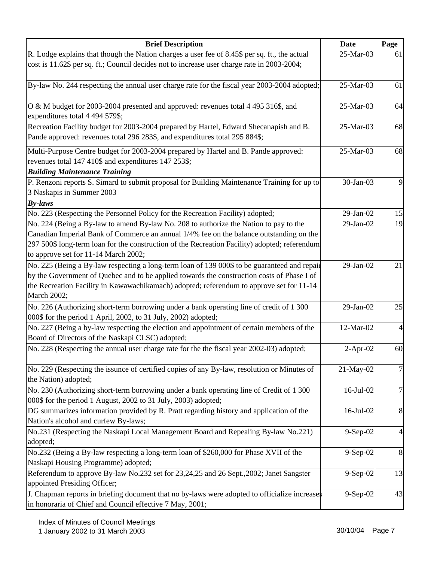| <b>Brief Description</b>                                                                                                                                                                                                                                                                              | <b>Date</b>    | Page           |
|-------------------------------------------------------------------------------------------------------------------------------------------------------------------------------------------------------------------------------------------------------------------------------------------------------|----------------|----------------|
| R. Lodge explains that though the Nation charges a user fee of 8.45\$ per sq. ft., the actual                                                                                                                                                                                                         | 25-Mar-03      | 61             |
| cost is 11.62\$ per sq. ft.; Council decides not to increase user charge rate in 2003-2004;                                                                                                                                                                                                           |                |                |
| By-law No. 244 respecting the annual user charge rate for the fiscal year 2003-2004 adopted;                                                                                                                                                                                                          | 25-Mar-03      | 61             |
| O & M budget for 2003-2004 presented and approved: revenues total 4 495 316\$, and<br>expenditures total 4 494 579\$;                                                                                                                                                                                 | 25-Mar-03      | 64             |
| Recreation Facility budget for 2003-2004 prepared by Hartel, Edward Shecanapish and B.<br>Pande approved: revenues total 296 283\$, and expenditures total 295 884\$;                                                                                                                                 | 25-Mar-03      | 68             |
| Multi-Purpose Centre budget for 2003-2004 prepared by Hartel and B. Pande approved:                                                                                                                                                                                                                   | 25-Mar-03      | 68             |
| revenues total 147 410\$ and expenditures 147 253\$;                                                                                                                                                                                                                                                  |                |                |
| <b>Building Maintenance Training</b><br>P. Renzoni reports S. Simard to submit proposal for Building Maintenance Training for up to<br>3 Naskapis in Summer 2003                                                                                                                                      | 30-Jan-03      | 9              |
| $By-laws$                                                                                                                                                                                                                                                                                             |                |                |
| No. 223 (Respecting the Personnel Policy for the Recreation Facility) adopted;                                                                                                                                                                                                                        | 29-Jan-02      | 15             |
| No. 224 (Being a By-law to amend By-law No. 208 to authorize the Nation to pay to the                                                                                                                                                                                                                 | 29-Jan-02      | 19             |
| Canadian Imperial Bank of Commerce an annual 1/4% fee on the balance outstanding on the<br>297 500\$ long-term loan for the construction of the Recreation Facility) adopted; referendum<br>to approve set for 11-14 March 2002;                                                                      |                |                |
| No. 225 (Being a By-law respecting a long-term loan of 139 000\$ to be guaranteed and repaid<br>by the Government of Quebec and to be applied towards the construction costs of Phase I of<br>the Recreation Facility in Kawawachikamach) adopted; referendum to approve set for 11-14<br>March 2002; | 29-Jan-02      | 21             |
| No. 226 (Authorizing short-term borrowing under a bank operating line of credit of 1 300<br>000\$ for the period 1 April, 2002, to 31 July, 2002) adopted;                                                                                                                                            | 29-Jan-02      | 25             |
| No. 227 (Being a by-law respecting the election and appointment of certain members of the<br>Board of Directors of the Naskapi CLSC) adopted;                                                                                                                                                         | 12-Mar-02      | 4              |
| No. 228 (Respecting the annual user charge rate for the the fiscal year 2002-03) adopted;                                                                                                                                                                                                             | $2-Apr-02$     | 60             |
| No. 229 (Respecting the issunce of certified copies of any By-law, resolution or Minutes of<br>the Nation) adopted;                                                                                                                                                                                   | 21-May-02      | 7              |
| No. 230 (Authorizing short-term borrowing under a bank operating line of Credit of 1 300)<br>000\$ for the period 1 August, 2002 to 31 July, 2003) adopted;                                                                                                                                           | 16-Jul-02      | 7              |
| DG summarizes information provided by R. Pratt regarding history and application of the<br>Nation's alcohol and curfew By-laws;                                                                                                                                                                       | 16-Jul-02      | 8              |
| No.231 (Respecting the Naskapi Local Management Board and Repealing By-law No.221)<br>adopted;                                                                                                                                                                                                        | $9-Sep-02$     | 4              |
| No.232 (Being a By-law respecting a long-term loan of \$260,000 for Phase XVII of the                                                                                                                                                                                                                 | $9-$ Sep $-02$ | $8\phantom{.}$ |
| Naskapi Housing Programme) adopted;<br>Referendum to approve By-law No.232 set for 23,24,25 and 26 Sept.,2002; Janet Sangster                                                                                                                                                                         | $9-Sep-02$     | 13             |
| appointed Presiding Officer;<br>J. Chapman reports in briefing document that no by-laws were adopted to officialize increases<br>in honoraria of Chief and Council effective 7 May, 2001;                                                                                                             | 9-Sep-02       | 43             |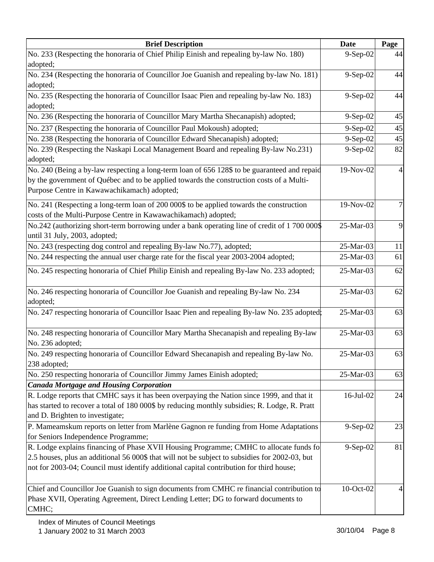| <b>Brief Description</b>                                                                                                                                                                                                                                                            | <b>Date</b> | Page |
|-------------------------------------------------------------------------------------------------------------------------------------------------------------------------------------------------------------------------------------------------------------------------------------|-------------|------|
| No. 233 (Respecting the honoraria of Chief Philip Einish and repealing by-law No. 180)                                                                                                                                                                                              | 9-Sep-02    | 44   |
| adopted;                                                                                                                                                                                                                                                                            |             |      |
| No. 234 (Respecting the honoraria of Councillor Joe Guanish and repealing by-law No. 181)                                                                                                                                                                                           | 9-Sep-02    | 44   |
| adopted;                                                                                                                                                                                                                                                                            |             |      |
| No. 235 (Respecting the honoraria of Councillor Isaac Pien and repealing by-law No. 183)                                                                                                                                                                                            | $9-Sep-02$  | 44   |
| adopted;                                                                                                                                                                                                                                                                            |             |      |
| No. 236 (Respecting the honoraria of Councillor Mary Martha Shecanapish) adopted;                                                                                                                                                                                                   | $9-Sep-02$  | 45   |
| No. 237 (Respecting the honoraria of Councillor Paul Mokoush) adopted;                                                                                                                                                                                                              | $9-Sep-02$  | 45   |
| No. 238 (Respecting the honoraria of Councillor Edward Shecanapish) adopted;                                                                                                                                                                                                        | 9-Sep-02    | 45   |
| No. 239 (Respecting the Naskapi Local Management Board and repealing By-law No.231)<br>adopted;                                                                                                                                                                                     | 9-Sep-02    | 82   |
| No. 240 (Being a by-law respecting a long-term loan of 656 128\$ to be guaranteed and repaid<br>by the government of Québec and to be applied towards the construction costs of a Multi-<br>Purpose Centre in Kawawachikamach) adopted;                                             | 19-Nov-02   |      |
| No. 241 (Respecting a long-term loan of 200 000\$ to be applied towards the construction<br>costs of the Multi-Purpose Centre in Kawawachikamach) adopted;                                                                                                                          | 19-Nov-02   |      |
| No.242 (authorizing short-term borrowing under a bank operating line of credit of 1 700 000\$)<br>until 31 July, 2003, adopted;                                                                                                                                                     | 25-Mar-03   | 9    |
| No. 243 (respecting dog control and repealing By-law No.77), adopted;                                                                                                                                                                                                               | 25-Mar-03   | 11   |
| No. 244 respecting the annual user charge rate for the fiscal year 2003-2004 adopted;                                                                                                                                                                                               | 25-Mar-03   | 61   |
| No. 245 respecting honoraria of Chief Philip Einish and repealing By-law No. 233 adopted;                                                                                                                                                                                           | 25-Mar-03   | 62   |
| No. 246 respecting honoraria of Councillor Joe Guanish and repealing By-law No. 234<br>adopted;                                                                                                                                                                                     | 25-Mar-03   | 62   |
| No. 247 respecting honoraria of Councillor Isaac Pien and repealing By-law No. 235 adopted;                                                                                                                                                                                         | 25-Mar-03   | 63   |
| No. 248 respecting honoraria of Councillor Mary Martha Shecanapish and repealing By-law<br>No. 236 adopted;                                                                                                                                                                         | 25-Mar-03   | 63   |
| No. 249 respecting honoraria of Councillor Edward Shecanapish and repealing By-law No.<br>238 adopted;                                                                                                                                                                              | 25-Mar-03   | 63   |
| No. 250 respecting honoraria of Councillor Jimmy James Einish adopted;                                                                                                                                                                                                              | 25-Mar-03   | 63   |
| <b>Canada Mortgage and Housing Corporation</b>                                                                                                                                                                                                                                      |             |      |
| R. Lodge reports that CMHC says it has been overpaying the Nation since 1999, and that it<br>has started to recover a total of 180 000\$ by reducing monthly subsidies; R. Lodge, R. Pratt<br>and D. Brighten to investigate;                                                       | 16-Jul-02   | 24   |
| P. Mameamskum reports on letter from Marlène Gagnon re funding from Home Adaptations                                                                                                                                                                                                | $9-Sep-02$  | 23   |
| for Seniors Independence Programme;                                                                                                                                                                                                                                                 |             |      |
| R. Lodge explains financing of Phase XVII Housing Programme; CMHC to allocate funds fo<br>2.5 houses, plus an additional 56 000\$ that will not be subject to subsidies for 2002-03, but<br>not for 2003-04; Council must identify additional capital contribution for third house; | $9-Sep-02$  | 81   |
| Chief and Councillor Joe Guanish to sign documents from CMHC re financial contribution to<br>Phase XVII, Operating Agreement, Direct Lending Letter; DG to forward documents to<br>CMHC;                                                                                            | 10-Oct-02   |      |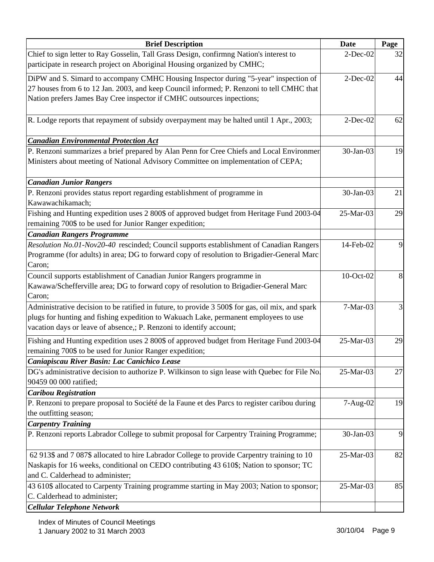| <b>Brief Description</b>                                                                         | <b>Date</b> | Page |
|--------------------------------------------------------------------------------------------------|-------------|------|
| Chief to sign letter to Ray Gosselin, Tall Grass Design, confirmng Nation's interest to          | $2$ -Dec-02 | 32   |
| participate in research project on Aboriginal Housing organized by CMHC;                         |             |      |
| DiPW and S. Simard to accompany CMHC Housing Inspector during "5-year" inspection of             | $2-Dec-02$  | 44   |
| 27 houses from 6 to 12 Jan. 2003, and keep Council informed; P. Renzoni to tell CMHC that        |             |      |
| Nation prefers James Bay Cree inspector if CMHC outsources inpections;                           |             |      |
|                                                                                                  |             |      |
| R. Lodge reports that repayment of subsidy overpayment may be halted until 1 Apr., 2003;         | $2$ -Dec-02 | 62   |
| <b>Canadian Environmental Protection Act</b>                                                     |             |      |
| P. Renzoni summarizes a brief prepared by Alan Penn for Cree Chiefs and Local Environmer         | 30-Jan-03   | 19   |
| Ministers about meeting of National Advisory Committee on implementation of CEPA;                |             |      |
|                                                                                                  |             |      |
| <b>Canadian Junior Rangers</b>                                                                   |             |      |
| P. Renzoni provides status report regarding establishment of programme in                        | 30-Jan-03   | 21   |
| Kawawachikamach;                                                                                 |             |      |
| Fishing and Hunting expedition uses 2 800\$ of approved budget from Heritage Fund 2003-04        | 25-Mar-03   | 29   |
| remaining 700\$ to be used for Junior Ranger expedition;                                         |             |      |
| <b>Canadian Rangers Programme</b>                                                                |             |      |
| Resolution No.01-Nov20-40 rescinded; Council supports establishment of Canadian Rangers          | 14-Feb-02   | 9    |
| Programme (for adults) in area; DG to forward copy of resolution to Brigadier-General Marc       |             |      |
| Caron;                                                                                           |             |      |
| Council supports establishment of Canadian Junior Rangers programme in                           | 10-Oct-02   | 8    |
| Kawawa/Schefferville area; DG to forward copy of resolution to Brigadier-General Marc            |             |      |
| Caron;                                                                                           |             |      |
| Administrative decision to be ratified in future, to provide 3 500\$ for gas, oil mix, and spark | $7-Mar-03$  |      |
| plugs for hunting and fishing expedition to Wakuach Lake, permanent employees to use             |             |      |
| vacation days or leave of absence,; P. Renzoni to identify account;                              |             |      |
| Fishing and Hunting expedition uses 2 800\$ of approved budget from Heritage Fund 2003-04        | 25-Mar-03   | 29   |
| remaining 700\$ to be used for Junior Ranger expedition;                                         |             |      |
| Caniapiscau River Basin: Lac Canichico Lease                                                     |             |      |
| DG's administrative decision to authorize P. Wilkinson to sign lease with Quebec for File No.    | 25-Mar-03   | 27   |
| 90459 00 000 ratified;                                                                           |             |      |
| <b>Caribou Registration</b>                                                                      |             |      |
| P. Renzoni to prepare proposal to Société de la Faune et des Parcs to register caribou during    | 7-Aug-02    | 19   |
| the outfitting season;                                                                           |             |      |
| <b>Carpentry Training</b>                                                                        |             |      |
| P. Renzoni reports Labrador College to submit proposal for Carpentry Training Programme;         | 30-Jan-03   | 9    |
| 62 913\$ and 7 087\$ allocated to hire Labrador College to provide Carpentry training to 10      | 25-Mar-03   | 82   |
| Naskapis for 16 weeks, conditional on CEDO contributing 43 610\$; Nation to sponsor; TC          |             |      |
| and C. Calderhead to administer;                                                                 |             |      |
| 43 610\$ allocated to Carpenty Training programme starting in May 2003; Nation to sponsor;       | 25-Mar-03   | 85   |
| C. Calderhead to administer;                                                                     |             |      |
| <b>Cellular Telephone Network</b>                                                                |             |      |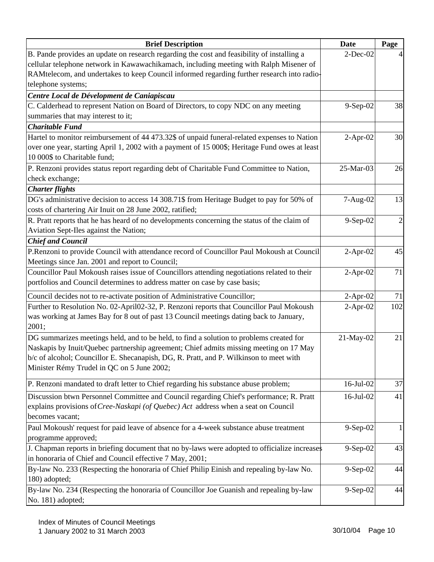| <b>Brief Description</b><br><b>Date</b>                                                       |             | Page           |
|-----------------------------------------------------------------------------------------------|-------------|----------------|
| B. Pande provides an update on research regarding the cost and feasibility of installing a    | $2$ -Dec-02 |                |
| cellular telephone network in Kawawachikamach, including meeting with Ralph Misener of        |             |                |
| RAMtelecom, and undertakes to keep Council informed regarding further research into radio-    |             |                |
| telephone systems;                                                                            |             |                |
| Centre Local de Dévelopment de Caniapiscau                                                    |             |                |
| C. Calderhead to represent Nation on Board of Directors, to copy NDC on any meeting           | $9-Sep-02$  | 38             |
| summaries that may interest to it;                                                            |             |                |
| <b>Charitable Fund</b>                                                                        |             |                |
| Hartel to monitor reimbursement of 44 473.32\$ of unpaid funeral-related expenses to Nation   | $2-Apr-02$  | 30             |
| over one year, starting April 1, 2002 with a payment of 15 000\$; Heritage Fund owes at least |             |                |
| 10 000\$ to Charitable fund;                                                                  |             |                |
| P. Renzoni provides status report regarding debt of Charitable Fund Committee to Nation,      | 25-Mar-03   | 26             |
| check exchange;                                                                               |             |                |
| <b>Charter flights</b>                                                                        |             |                |
| DG's administrative decision to access 14 308.71\$ from Heritage Budget to pay for 50% of     | 7-Aug-02    | 13             |
| costs of chartering Air Inuit on 28 June 2002, ratified;                                      |             |                |
| R. Pratt reports that he has heard of no developments concerning the status of the claim of   | 9-Sep-02    | $\overline{2}$ |
| Aviation Sept-Iles against the Nation;                                                        |             |                |
| <b>Chief and Council</b>                                                                      |             |                |
| P.Renzoni to provide Council with attendance record of Councillor Paul Mokoush at Council     | $2$ -Apr-02 | 45             |
| Meetings since Jan. 2001 and report to Council;                                               |             |                |
| Councillor Paul Mokoush raises issue of Councillors attending negotiations related to their   | $2-Apr-02$  | 71             |
| portfolios and Council determines to address matter on case by case basis;                    |             |                |
| Council decides not to re-activate position of Administrative Councillor;                     | $2-Apr-02$  | 71             |
| Further to Resolution No. 02-April02-32, P. Renzoni reports that Councillor Paul Mokoush      | $2-Apr-02$  | 102            |
| was working at James Bay for 8 out of past 13 Council meetings dating back to January,        |             |                |
| 2001;                                                                                         |             |                |
| DG summarizes meetings held, and to be held, to find a solution to problems created for       | 21-May-02   | 21             |
| Naskapis by Inuit/Quebec partnership agreement; Chief admits missing meeting on 17 May        |             |                |
| b/c of alcohol; Councillor E. Shecanapish, DG, R. Pratt, and P. Wilkinson to meet with        |             |                |
| Minister Rémy Trudel in QC on 5 June 2002;                                                    |             |                |
| P. Renzoni mandated to draft letter to Chief regarding his substance abuse problem;           | 16-Jul-02   | 37             |
| Discussion btwn Personnel Committee and Council regarding Chief's performance; R. Pratt       | 16-Jul-02   | 41             |
| explains provisions of Cree-Naskapi (of Quebec) Act address when a seat on Council            |             |                |
| becomes vacant;                                                                               |             |                |
| Paul Mokoush' request for paid leave of absence for a 4-week substance abuse treatment        | 9-Sep-02    | 1              |
| programme approved;                                                                           |             |                |
| J. Chapman reports in briefing document that no by-laws were adopted to officialize increases | $9-Sep-02$  | 43             |
| in honoraria of Chief and Council effective 7 May, 2001;                                      |             |                |
| By-law No. 233 (Respecting the honoraria of Chief Philip Einish and repealing by-law No.      | $9-Sep-02$  | 44             |
| 180) adopted;                                                                                 |             |                |
| By-law No. 234 (Respecting the honoraria of Councillor Joe Guanish and repealing by-law       | $9-Sep-02$  | 44             |
| No. 181) adopted;                                                                             |             |                |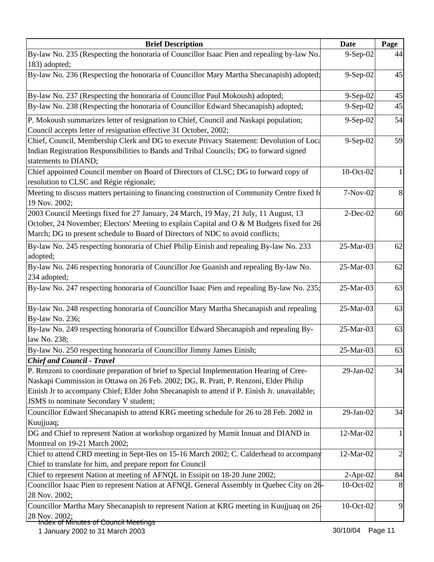| <b>Brief Description</b>                                                                                                                                                                                                                                                                                                  | <b>Date</b> | Page           |
|---------------------------------------------------------------------------------------------------------------------------------------------------------------------------------------------------------------------------------------------------------------------------------------------------------------------------|-------------|----------------|
| By-law No. 235 (Respecting the honoraria of Councillor Isaac Pien and repealing by-law No.                                                                                                                                                                                                                                | 9-Sep-02    | 44             |
| 183) adopted;                                                                                                                                                                                                                                                                                                             |             |                |
| By-law No. 236 (Respecting the honoraria of Councillor Mary Martha Shecanapish) adopted;                                                                                                                                                                                                                                  | 9-Sep-02    | 45             |
| By-law No. 237 (Respecting the honoraria of Councillor Paul Mokoush) adopted;                                                                                                                                                                                                                                             | $9-Sep-02$  | 45             |
| By-law No. 238 (Respecting the honoraria of Councillor Edward Shecanapish) adopted;                                                                                                                                                                                                                                       | 9-Sep-02    | 45             |
| P. Mokoush summarizes letter of resignation to Chief, Council and Naskapi population;<br>Council accepts letter of resignation effective 31 October, 2002;                                                                                                                                                                | $9-Sep-02$  | 54             |
| Chief, Council, Membership Clerk and DG to execute Privacy Statement: Devolution of Loca<br>Indian Registration Responsibilities to Bands and Tribal Councils; DG to forward signed<br>statements to DIAND;                                                                                                               | 9-Sep-02    | 59             |
| Chief appointed Council member on Board of Directors of CLSC; DG to forward copy of<br>resolution to CLSC and Régie régionale;                                                                                                                                                                                            | 10-Oct-02   |                |
| Meeting to discuss matters pertaining to financing construction of Community Centre fixed fo<br>19 Nov. 2002;                                                                                                                                                                                                             | $7-Nov-02$  | 8              |
| 2003 Council Meetings fixed for 27 January, 24 March, 19 May, 21 July, 11 August, 13<br>October, 24 November; Electors' Meeting to explain Capital and O & M Budgets fixed for 26<br>March; DG to present schedule to Board of Directors of NDC to avoid conflicts;                                                       | $2$ -Dec-02 | 60             |
| By-law No. 245 respecting honoraria of Chief Philip Einish and repealing By-law No. 233<br>adopted;                                                                                                                                                                                                                       | 25-Mar-03   | 62             |
| By-law No. 246 respecting honoraria of Councillor Joe Guanish and repealing By-law No.<br>234 adopted;                                                                                                                                                                                                                    | 25-Mar-03   | 62             |
| By-law No. 247 respecting honoraria of Councillor Isaac Pien and repealing By-law No. 235;                                                                                                                                                                                                                                | 25-Mar-03   | 63             |
| By-law No. 248 respecting honoraria of Councillor Mary Martha Shecanapish and repealing<br>By-law No. 236;                                                                                                                                                                                                                | 25-Mar-03   | 63             |
| By-law No. 249 respecting honoraria of Councillor Edward Shecanapish and repealing By-<br>law No. 238;                                                                                                                                                                                                                    | 25-Mar-03   | 63             |
| By-law No. 250 respecting honoraria of Councillor Jimmy James Einish;                                                                                                                                                                                                                                                     | 25-Mar-03   | 63             |
| <b>Chief and Council - Travel</b>                                                                                                                                                                                                                                                                                         |             |                |
| P. Renzoni to coordinate preparation of brief to Special Implementation Hearing of Cree-<br>Naskapi Commission in Ottawa on 26 Feb. 2002; DG, R. Pratt, P. Renzoni, Elder Philip<br>Einish Jr to accompany Chief; Elder John Shecanapish to attend if P. Einish Jr. unavailable;<br>JSMS to nominate Secondary V student; | 29-Jan-02   | 34             |
| Councillor Edward Shecanapish to attend KRG meeting schedule for 26 to 28 Feb. 2002 in<br>Kuujjuaq;                                                                                                                                                                                                                       | 29-Jan-02   | 34             |
| DG and Chief to represent Nation at workshop organized by Mamit Innuat and DIAND in<br>Montreal on 19-21 March 2002;                                                                                                                                                                                                      | 12-Mar-02   |                |
| Chief to attend CRD meeting in Sept-Iles on 15-16 March 2002; C. Calderhead to accompany<br>Chief to translate for him, and prepare report for Council                                                                                                                                                                    | 12-Mar-02   | $\overline{2}$ |
| Chief to represent Nation at meeting of AFNQL in Essipit on 18-20 June 2002;                                                                                                                                                                                                                                              | $2-Apr-02$  | 84             |
| Councillor Isaac Pien to represent Nation at AFNQL General Assembly in Quebec City on 26-<br>28 Nov. 2002;                                                                                                                                                                                                                | 10-Oct-02   | 8              |
| Councillor Martha Mary Shecanapish to represent Nation at KRG meeting in Kuujjuaq on 26<br>28 Nov. 2002;                                                                                                                                                                                                                  | 10-Oct-02   | 9              |
| Index of Minutes of Council Meetings                                                                                                                                                                                                                                                                                      |             |                |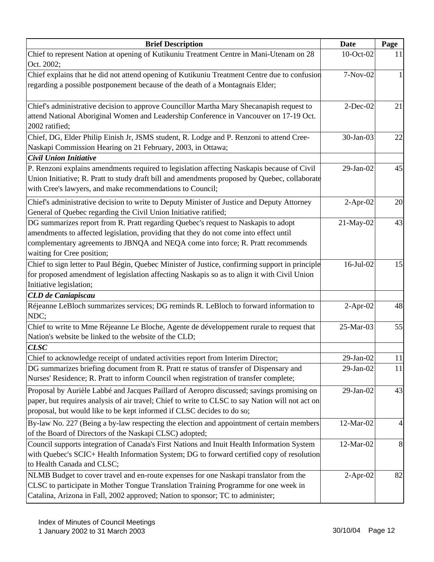| <b>Brief Description</b>                                                                         | <b>Date</b>  | Page |
|--------------------------------------------------------------------------------------------------|--------------|------|
| Chief to represent Nation at opening of Kutikuniu Treatment Centre in Mani-Utenam on 28          | 10-Oct-02    | 11   |
| Oct. 2002;                                                                                       |              |      |
| Chief explains that he did not attend opening of Kutikuniu Treatment Centre due to confusion     | 7-Nov-02     |      |
| regarding a possible postponement because of the death of a Montagnais Elder;                    |              |      |
| Chief's administrative decision to approve Councillor Martha Mary Shecanapish request to         | $2$ -Dec-02  | 21   |
| attend National Aboriginal Women and Leadership Conference in Vancouver on 17-19 Oct.            |              |      |
| 2002 ratified;                                                                                   |              |      |
| Chief, DG, Elder Philip Einish Jr, JSMS student, R. Lodge and P. Renzoni to attend Cree-         | 30-Jan-03    | 22   |
| Naskapi Commission Hearing on 21 February, 2003, in Ottawa;                                      |              |      |
| Civil Union Initiative                                                                           |              |      |
| P. Renzoni explains amendments required to legislation affecting Naskapis because of Civil       | $29$ -Jan-02 | 45   |
| Union Initiative; R. Pratt to study draft bill and amendments proposed by Quebec, collaborate    |              |      |
| with Cree's lawyers, and make recommendations to Council;                                        |              |      |
| Chief's administrative decision to write to Deputy Minister of Justice and Deputy Attorney       | $2-Apr-02$   | 20   |
| General of Quebec regarding the Civil Union Initiative ratified;                                 |              |      |
| DG summarizes report from R. Pratt regarding Quebec's request to Naskapis to adopt               | 21-May-02    | 43   |
| amendments to affected legislation, providing that they do not come into effect until            |              |      |
| complementary agreements to JBNQA and NEQA come into force; R. Pratt recommends                  |              |      |
| waiting for Cree position;                                                                       |              |      |
| Chief to sign letter to Paul Bégin, Quebec Minister of Justice, confirming support in principle  | 16-Jul-02    | 15   |
| for proposed amendment of legislation affecting Naskapis so as to align it with Civil Union      |              |      |
| Initiative legislation;                                                                          |              |      |
| <b>CLD</b> de Caniapiscau                                                                        |              |      |
| Réjeanne LeBloch summarizes services; DG reminds R. LeBloch to forward information to            | $2-Apr-02$   | 48   |
| NDC;                                                                                             |              |      |
| Chief to write to Mme Réjeanne Le Bloche, Agente de développement rurale to request that         | 25-Mar-03    | 55   |
| Nation's website be linked to the website of the CLD;                                            |              |      |
| <b>CLSC</b>                                                                                      |              |      |
| Chief to acknowledge receipt of undated activities report from Interim Director;                 | 29-Jan-02    | 11   |
| DG summarizes briefing document from R. Pratt re status of transfer of Dispensary and            | 29-Jan-02    | 11   |
| Nurses' Residence; R. Pratt to inform Council when registration of transfer complete;            |              |      |
| Proposal by Aurièle Labbé and Jacques Paillard of Aeropro discussed; savings promising on        | $29$ -Jan-02 | 43   |
| paper, but requires analysis of air travel; Chief to write to CLSC to say Nation will not act on |              |      |
| proposal, but would like to be kept informed if CLSC decides to do so;                           |              |      |
| By-law No. 227 (Being a by-law respecting the election and appointment of certain members        | 12-Mar-02    | 4    |
| of the Board of Directors of the Naskapi CLSC) adopted;                                          |              |      |
| Council supports integration of Canada's First Nations and Inuit Health Information System       | 12-Mar-02    | 8    |
| with Quebec's SCIC+ Health Information System; DG to forward certified copy of resolution        |              |      |
| to Health Canada and CLSC;                                                                       |              |      |
| NLMB Budget to cover travel and en-route expenses for one Naskapi translator from the            | $2-Apr-02$   | 82   |
| CLSC to participate in Mother Tongue Translation Training Programme for one week in              |              |      |
| Catalina, Arizona in Fall, 2002 approved; Nation to sponsor; TC to administer;                   |              |      |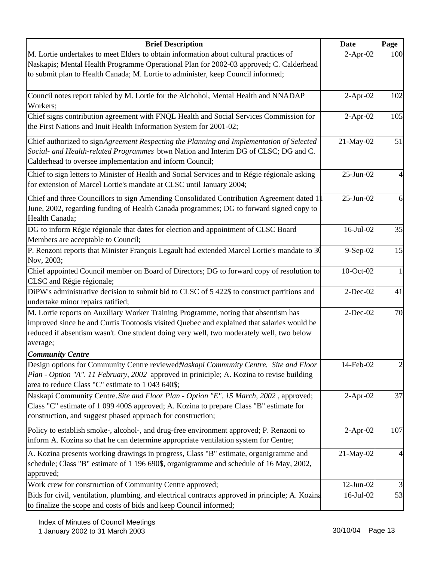| <b>Brief Description</b>                                                                                                                                                                                                                                                                  | Date            | Page |
|-------------------------------------------------------------------------------------------------------------------------------------------------------------------------------------------------------------------------------------------------------------------------------------------|-----------------|------|
| M. Lortie undertakes to meet Elders to obtain information about cultural practices of                                                                                                                                                                                                     | $2-Apr-02$      | 100  |
| Naskapis; Mental Health Programme Operational Plan for 2002-03 approved; C. Calderhead                                                                                                                                                                                                    |                 |      |
| to submit plan to Health Canada; M. Lortie to administer, keep Council informed;                                                                                                                                                                                                          |                 |      |
| Council notes report tabled by M. Lortie for the Alchohol, Mental Health and NNADAP<br>Workers;                                                                                                                                                                                           | $2-Apr-02$      | 102  |
| Chief signs contribution agreement with FNQL Health and Social Services Commission for<br>the First Nations and Inuit Health Information System for 2001-02;                                                                                                                              | $2-Apr-02$      | 105  |
| Chief authorized to signAgreement Respecting the Planning and Implementation of Selected<br>Social- and Health-related Programmes btwn Nation and Interim DG of CLSC; DG and C.<br>Calderhead to oversee implementation and inform Council;                                               | 21-May-02       | 51   |
| Chief to sign letters to Minister of Health and Social Services and to Régie régionale asking<br>for extension of Marcel Lortie's mandate at CLSC until January 2004;                                                                                                                     | $25$ -Jun-02    |      |
| Chief and three Councillors to sign Amending Consolidated Contribution Agreement dated 1<br>June, 2002, regarding funding of Health Canada programmes; DG to forward signed copy to<br>Health Canada;                                                                                     | $25-Jun-02$     | 6    |
| DG to inform Régie régionale that dates for election and appointment of CLSC Board<br>Members are acceptable to Council;                                                                                                                                                                  | $16$ -Jul- $02$ | 35   |
| P. Renzoni reports that Minister François Legault had extended Marcel Lortie's mandate to 30<br>Nov, 2003;                                                                                                                                                                                | 9-Sep-02        | 15   |
| Chief appointed Council member on Board of Directors; DG to forward copy of resolution to<br>CLSC and Régie régionale;                                                                                                                                                                    | 10-Oct-02       |      |
| DiPW's administrative decision to submit bid to CLSC of 5 422\$ to construct partitions and<br>undertake minor repairs ratified;                                                                                                                                                          | $2-Dec-02$      | 41   |
| M. Lortie reports on Auxiliary Worker Training Programme, noting that absentism has<br>improved since he and Curtis Tootoosis visited Quebec and explained that salaries would be<br>reduced if absentism wasn't. One student doing very well, two moderately well, two below<br>average; | $2-Dec-02$      | 70   |
| <b>Community Centre</b>                                                                                                                                                                                                                                                                   |                 |      |
| Design options for Community Centre reviewed Naskapi Community Centre. Site and Floor<br>Plan - Option "A". 11 February, 2002 approved in priniciple; A. Kozina to revise building<br>area to reduce Class "C" estimate to 1 043 640\$;                                                   | 14-Feb-02       |      |
| Naskapi Community Centre. Site and Floor Plan - Option "E". 15 March, 2002, approved;<br>Class "C" estimate of 1 099 400\$ approved; A. Kozina to prepare Class "B" estimate for<br>construction, and suggest phased approach for construction;                                           | $2-Apr-02$      | 37   |
| Policy to establish smoke-, alcohol-, and drug-free environment approved; P. Renzoni to<br>inform A. Kozina so that he can determine appropriate ventilation system for Centre;                                                                                                           | $2$ -Apr-02     | 107  |
| A. Kozina presents working drawings in progress, Class "B" estimate, organigramme and<br>schedule; Class "B" estimate of 1 196 690\$, organigramme and schedule of 16 May, 2002,<br>approved;                                                                                             | 21-May-02       |      |
| Work crew for construction of Community Centre approved;                                                                                                                                                                                                                                  | $12$ -Jun- $02$ |      |
| Bids for civil, ventilation, plumbing, and electrical contracts approved in principle; A. Kozina<br>to finalize the scope and costs of bids and keep Council informed;                                                                                                                    | 16-Jul-02       | 53   |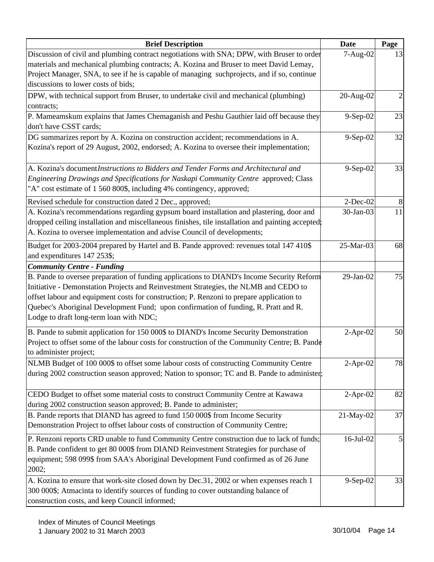| <b>Brief Description</b>                                                                                                                                                                                                                                                                                                                                                                                        | <b>Date</b> | Page |
|-----------------------------------------------------------------------------------------------------------------------------------------------------------------------------------------------------------------------------------------------------------------------------------------------------------------------------------------------------------------------------------------------------------------|-------------|------|
| Discussion of civil and plumbing contract negotiations with SNA; DPW, with Bruser to order                                                                                                                                                                                                                                                                                                                      | 7-Aug-02    | 13   |
| materials and mechanical plumbing contracts; A. Kozina and Bruser to meet David Lemay,                                                                                                                                                                                                                                                                                                                          |             |      |
| Project Manager, SNA, to see if he is capable of managing such projects, and if so, continue                                                                                                                                                                                                                                                                                                                    |             |      |
| discussions to lower costs of bids;                                                                                                                                                                                                                                                                                                                                                                             |             |      |
| DPW, with technical support from Bruser, to undertake civil and mechanical (plumbing)                                                                                                                                                                                                                                                                                                                           | 20-Aug-02   | 2    |
| contracts;                                                                                                                                                                                                                                                                                                                                                                                                      |             |      |
| P. Mameamskum explains that James Chemaganish and Peshu Gauthier laid off because they                                                                                                                                                                                                                                                                                                                          | 9-Sep-02    | 23   |
| don't have CSST cards;                                                                                                                                                                                                                                                                                                                                                                                          |             |      |
| DG summarizes report by A. Kozina on construction accident; recommendations in A.<br>Kozina's report of 29 August, 2002, endorsed; A. Kozina to oversee their implementation;                                                                                                                                                                                                                                   | $9-Sep-02$  | 32   |
| A. Kozina's document <i>Instructions to Bidders and Tender Forms and Architectural and</i><br>Engineering Drawings and Specifications for Naskapi Community Centre approved; Class<br>"A" cost estimate of 1 560 800\$, including 4% contingency, approved;                                                                                                                                                     | 9-Sep-02    | 33   |
| Revised schedule for construction dated 2 Dec., approved;                                                                                                                                                                                                                                                                                                                                                       | $2$ -Dec-02 | 8    |
| A. Kozina's recommendations regarding gypsum board installation and plastering, door and<br>dropped ceiling installation and miscellaneous finishes, tile installation and painting accepted;<br>A. Kozina to oversee implementation and advise Council of developments;                                                                                                                                        | 30-Jan-03   | 11   |
| Budget for 2003-2004 prepared by Hartel and B. Pande approved: revenues total 147 410\$<br>and expenditures 147 253\$;                                                                                                                                                                                                                                                                                          | 25-Mar-03   | 68   |
| <b>Community Centre - Funding</b>                                                                                                                                                                                                                                                                                                                                                                               |             |      |
| B. Pande to oversee preparation of funding applications to DIAND's Income Security Reform<br>Initiative - Demonstation Projects and Reinvestment Strategies, the NLMB and CEDO to<br>offset labour and equipment costs for construction; P. Renzoni to prepare application to<br>Quebec's Aboriginal Development Fund; upon confirmation of funding, R. Pratt and R.<br>Lodge to draft long-term loan with NDC; | 29-Jan-02   | 75   |
| B. Pande to submit application for 150 000\$ to DIAND's Income Security Demonstration<br>Project to offset some of the labour costs for construction of the Community Centre; B. Pande<br>to administer project;                                                                                                                                                                                                | $2-Apr-02$  | 50   |
| NLMB Budget of 100 000\$ to offset some labour costs of constructing Community Centre<br>during 2002 construction season approved; Nation to sponsor; TC and B. Pande to administer;                                                                                                                                                                                                                            | $2-Apr-02$  | 78   |
| CEDO Budget to offset some material costs to construct Community Centre at Kawawa<br>during 2002 construction season approved; B. Pande to administer;                                                                                                                                                                                                                                                          | $2-Apr-02$  | 82   |
| B. Pande reports that DIAND has agreed to fund 150 000\$ from Income Security<br>Demonstration Project to offset labour costs of construction of Community Centre;                                                                                                                                                                                                                                              | 21-May-02   | 37   |
| P. Renzoni reports CRD unable to fund Community Centre construction due to lack of funds;<br>B. Pande confident to get 80 000\$ from DIAND Reinvestment Strategies for purchase of<br>equipment; 598 099\$ from SAA's Aboriginal Development Fund confirmed as of 26 June<br>2002;                                                                                                                              | 16-Jul-02   | 5    |
| A. Kozina to ensure that work-site closed down by Dec.31, 2002 or when expenses reach 1<br>300 000\$; Atmacinta to identify sources of funding to cover outstanding balance of<br>construction costs, and keep Council informed;                                                                                                                                                                                | 9-Sep-02    | 33   |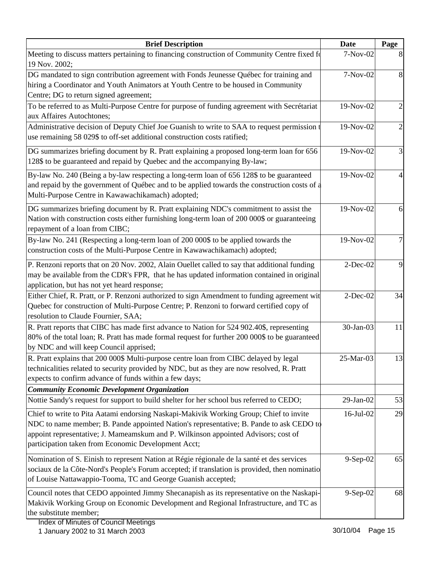| <b>Brief Description</b>                                                                                                                                                                                                                                                                                                       | <b>Date</b>     | Page |
|--------------------------------------------------------------------------------------------------------------------------------------------------------------------------------------------------------------------------------------------------------------------------------------------------------------------------------|-----------------|------|
| Meeting to discuss matters pertaining to financing construction of Community Centre fixed fo<br>19 Nov. 2002;                                                                                                                                                                                                                  | 7-Nov-02        |      |
| DG mandated to sign contribution agreement with Fonds Jeunesse Québec for training and<br>hiring a Coordinator and Youth Animators at Youth Centre to be housed in Community<br>Centre; DG to return signed agreement;                                                                                                         | 7-Nov-02        | 8    |
| To be referred to as Multi-Purpose Centre for purpose of funding agreement with Secrétariat<br>aux Affaires Autochtones;                                                                                                                                                                                                       | 19-Nov-02       |      |
| Administrative decision of Deputy Chief Joe Guanish to write to SAA to request permission t<br>use remaining 58 029\$ to off-set additional construction costs ratified;                                                                                                                                                       | 19-Nov-02       |      |
| DG summarizes briefing document by R. Pratt explaining a proposed long-term loan for 656<br>128\$ to be guaranteed and repaid by Quebec and the accompanying By-law;                                                                                                                                                           | 19-Nov-02       | 3    |
| By-law No. 240 (Being a by-law respecting a long-term loan of 656 128\$ to be guaranteed<br>and repaid by the government of Québec and to be applied towards the construction costs of a<br>Multi-Purpose Centre in Kawawachikamach) adopted;                                                                                  | 19-Nov-02       |      |
| DG summarizes briefing document by R. Pratt explaining NDC's commitment to assist the<br>Nation with construction costs either furnishing long-term loan of 200 000\$ or guaranteeing<br>repayment of a loan from CIBC;                                                                                                        | 19-Nov-02       | 6    |
| By-law No. 241 (Respecting a long-term loan of 200 000\$ to be applied towards the<br>construction costs of the Multi-Purpose Centre in Kawawachikamach) adopted;                                                                                                                                                              | 19-Nov-02       | 7    |
| P. Renzoni reports that on 20 Nov. 2002, Alain Ouellet called to say that additional funding<br>may be available from the CDR's FPR, that he has updated information contained in original<br>application, but has not yet heard response;                                                                                     | $2$ -Dec-02     | 9    |
| Either Chief, R. Pratt, or P. Renzoni authorized to sign Amendment to funding agreement wit<br>Quebec for construction of Multi-Purpose Centre; P. Renzoni to forward certified copy of<br>resolution to Claude Fournier, SAA;                                                                                                 | $2$ -Dec-02     | 34   |
| R. Pratt reports that CIBC has made first advance to Nation for 524 902.40\$, representing<br>80% of the total loan; R. Pratt has made formal request for further 200 000\$ to be guaranteed<br>by NDC and will keep Council apprised;                                                                                         | 30-Jan-03       | 11   |
| R. Pratt explains that 200 000\$ Multi-purpose centre loan from CIBC delayed by legal<br>technicalities related to security provided by NDC, but as they are now resolved, R. Pratt<br>expects to confirm advance of funds within a few days;                                                                                  | 25-Mar-03       | 13   |
| <b>Community Economic Development Organization</b><br>Nottie Sandy's request for support to build shelter for her school bus referred to CEDO;                                                                                                                                                                                 | $29$ -Jan-02    | 53   |
| Chief to write to Pita Aatami endorsing Naskapi-Makivik Working Group; Chief to invite<br>NDC to name member; B. Pande appointed Nation's representative; B. Pande to ask CEDO to<br>appoint representative; J. Mameamskum and P. Wilkinson appointed Advisors; cost of<br>participation taken from Economic Development Acct; | $16$ -Jul- $02$ | 29   |
| Nomination of S. Einish to represent Nation at Régie régionale de la santé et des services<br>sociaux de la Côte-Nord's People's Forum accepted; if translation is provided, then nominatio<br>of Louise Nattawappio-Tooma, TC and George Guanish accepted;                                                                    | 9-Sep-02        | 65   |
| Council notes that CEDO appointed Jimmy Shecanapish as its representative on the Naskapi-<br>Makivik Working Group on Economic Development and Regional Infrastructure, and TC as<br>the substitute member;                                                                                                                    | $9-Sep-02$      | 68   |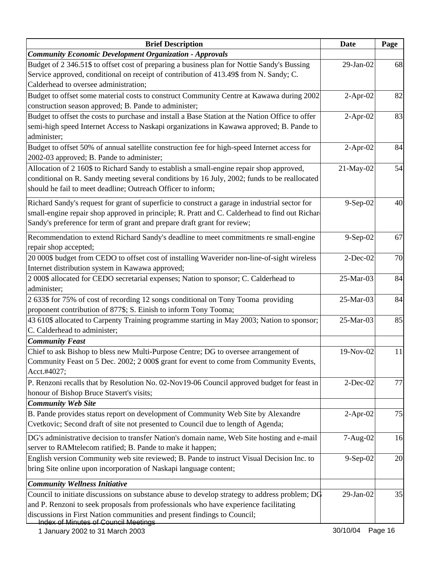| <b>Brief Description</b>                                                                                                                                                                                                                                                     | <b>Date</b> | Page |
|------------------------------------------------------------------------------------------------------------------------------------------------------------------------------------------------------------------------------------------------------------------------------|-------------|------|
| <b>Community Economic Development Organization - Approvals</b>                                                                                                                                                                                                               |             |      |
| Budget of 2 346.51\$ to offset cost of preparing a business plan for Nottie Sandy's Bussing<br>Service approved, conditional on receipt of contribution of 413.49\$ from N. Sandy; C.<br>Calderhead to oversee administration;                                               | 29-Jan-02   | 68   |
| Budget to offset some material costs to construct Community Centre at Kawawa during 2002                                                                                                                                                                                     | $2-Apr-02$  | 82   |
| construction season approved; B. Pande to administer;<br>Budget to offset the costs to purchase and install a Base Station at the Nation Office to offer<br>semi-high speed Internet Access to Naskapi organizations in Kawawa approved; B. Pande to<br>administer;          | $2$ -Apr-02 | 83   |
| Budget to offset 50% of annual satellite construction fee for high-speed Internet access for<br>2002-03 approved; B. Pande to administer;                                                                                                                                    | $2-Apr-02$  | 84   |
| Allocation of 2 160\$ to Richard Sandy to establish a small-engine repair shop approved,<br>conditional on R. Sandy meeting several conditions by 16 July, 2002; funds to be reallocated<br>should he fail to meet deadline; Outreach Officer to inform;                     | 21-May-02   | 54   |
| Richard Sandy's request for grant of superficie to construct a garage in industrial sector for<br>small-engine repair shop approved in principle; R. Pratt and C. Calderhead to find out Richard<br>Sandy's preference for term of grant and prepare draft grant for review; | 9-Sep-02    | 40   |
| Recommendation to extend Richard Sandy's deadline to meet commitments re small-engine<br>repair shop accepted;                                                                                                                                                               | 9-Sep-02    | 67   |
| 20 000\$ budget from CEDO to offset cost of installing Waverider non-line-of-sight wireless<br>Internet distribution system in Kawawa approved;                                                                                                                              | $2-Dec-02$  | 70   |
| 2 000\$ allocated for CEDO secretarial expenses; Nation to sponsor; C. Calderhead to<br>administer;                                                                                                                                                                          | 25-Mar-03   | 84   |
| 2 633\$ for 75% of cost of recording 12 songs conditional on Tony Tooma providing                                                                                                                                                                                            | 25-Mar-03   | 84   |
| proponent contribution of 877\$; S. Einish to inform Tony Tooma;<br>43 610\$ allocated to Carpenty Training programme starting in May 2003; Nation to sponsor;<br>C. Calderhead to administer;                                                                               | 25-Mar-03   | 85   |
| <b>Community Feast</b>                                                                                                                                                                                                                                                       |             |      |
| Chief to ask Bishop to bless new Multi-Purpose Centre; DG to oversee arrangement of<br>Community Feast on 5 Dec. 2002; 2 000\$ grant for event to come from Community Events,<br>Acct.#4027;                                                                                 | 19-Nov-02   | 11   |
| P. Renzoni recalls that by Resolution No. 02-Nov19-06 Council approved budget for feast in<br>honour of Bishop Bruce Stavert's visits;<br><b>Community Web Site</b>                                                                                                          | $2$ -Dec-02 | 77   |
| B. Pande provides status report on development of Community Web Site by Alexandre<br>Cvetkovic; Second draft of site not presented to Council due to length of Agenda;                                                                                                       | $2-Apr-02$  | 75   |
| DG's administrative decision to transfer Nation's domain name, Web Site hosting and e-mail<br>server to RAMtelecom ratified; B. Pande to make it happen;                                                                                                                     | 7-Aug-02    | 16   |
| English version Community web site reviewed; B. Pande to instruct Visual Decision Inc. to<br>bring Site online upon incorporation of Naskapi language content;                                                                                                               | 9-Sep-02    | 20   |
| <b>Community Wellness Initiative</b><br>Council to initiate discussions on substance abuse to develop strategy to address problem; DG                                                                                                                                        | 29-Jan-02   | 35   |
| and P. Renzoni to seek proposals from professionals who have experience facilitating<br>discussions in First Nation communities and present findings to Council;<br><b>Index of Minutes of Council Meetings</b>                                                              |             |      |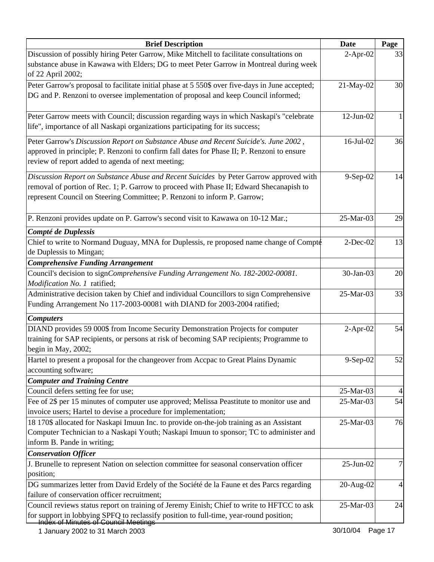| <b>Brief Description</b>                                                                                                                                            | <b>Date</b>     | Page           |
|---------------------------------------------------------------------------------------------------------------------------------------------------------------------|-----------------|----------------|
| Discussion of possibly hiring Peter Garrow, Mike Mitchell to facilitate consultations on                                                                            | $2-Apr-02$      | 33             |
| substance abuse in Kawawa with Elders; DG to meet Peter Garrow in Montreal during week                                                                              |                 |                |
| of 22 April 2002;                                                                                                                                                   |                 |                |
| Peter Garrow's proposal to facilitate initial phase at 5 550\$ over five-days in June accepted;                                                                     | 21-May-02       | 30             |
| DG and P. Renzoni to oversee implementation of proposal and keep Council informed;                                                                                  |                 |                |
| Peter Garrow meets with Council; discussion regarding ways in which Naskapi's "celebrate"                                                                           | $12$ -Jun- $02$ | 1              |
| life", importance of all Naskapi organizations participating for its success;                                                                                       |                 |                |
| Peter Garrow's Discussion Report on Substance Abuse and Recent Suicide's. June 2002,                                                                                | 16-Jul-02       | 36             |
| approved in principle; P. Renzoni to confirm fall dates for Phase II; P. Renzoni to ensure<br>review of report added to agenda of next meeting;                     |                 |                |
| Discussion Report on Substance Abuse and Recent Suicides by Peter Garrow approved with                                                                              | 9-Sep-02        | 14             |
| removal of portion of Rec. 1; P. Garrow to proceed with Phase II; Edward Shecanapish to<br>represent Council on Steering Committee; P. Renzoni to inform P. Garrow; |                 |                |
| P. Renzoni provides update on P. Garrow's second visit to Kawawa on 10-12 Mar.;                                                                                     | 25-Mar-03       | 29             |
| Compté de Duplessis                                                                                                                                                 |                 |                |
| Chief to write to Normand Duguay, MNA for Duplessis, re proposed name change of Compté                                                                              | $2$ -Dec-02     | 13             |
| de Duplessis to Mingan;                                                                                                                                             |                 |                |
| <b>Comprehensive Funding Arrangement</b>                                                                                                                            |                 |                |
| Council's decision to signComprehensive Funding Arrangement No. 182-2002-00081.                                                                                     | 30-Jan-03       | 20             |
| Modification No. 1 ratified;                                                                                                                                        |                 |                |
| Administrative decision taken by Chief and individual Councillors to sign Comprehensive                                                                             | 25-Mar-03       | 33             |
| Funding Arrangement No 117-2003-00081 with DIAND for 2003-2004 ratified;                                                                                            |                 |                |
| <b>Computers</b>                                                                                                                                                    |                 |                |
| DIAND provides 59 000\$ from Income Security Demonstration Projects for computer                                                                                    | $2-Apr-02$      | 54             |
| training for SAP recipients, or persons at risk of becoming SAP recipients; Programme to                                                                            |                 |                |
| begin in May, 2002;                                                                                                                                                 |                 |                |
| Hartel to present a proposal for the changeover from Accpac to Great Plains Dynamic                                                                                 | 9-Sep-02        | 52             |
| accounting software;                                                                                                                                                |                 |                |
| <b>Computer and Training Centre</b>                                                                                                                                 |                 |                |
| Council defers setting fee for use;                                                                                                                                 | 25-Mar-03       | 4              |
| Fee of 2\$ per 15 minutes of computer use approved; Melissa Peastitute to monitor use and                                                                           | 25-Mar-03       | 54             |
| invoice users; Hartel to devise a procedure for implementation;                                                                                                     |                 |                |
| 18 170\$ allocated for Naskapi Imuun Inc. to provide on-the-job training as an Assistant                                                                            | 25-Mar-03       | 76             |
| Computer Technician to a Naskapi Youth; Naskapi Imuun to sponsor; TC to administer and                                                                              |                 |                |
| inform B. Pande in writing;                                                                                                                                         |                 |                |
| <b>Conservation Officer</b>                                                                                                                                         |                 |                |
| J. Brunelle to represent Nation on selection committee for seasonal conservation officer                                                                            | 25-Jun-02       | 7              |
| position;                                                                                                                                                           |                 |                |
| DG summarizes letter from David Erdely of the Société de la Faune et des Parcs regarding                                                                            | $20-Aug-02$     | $\overline{4}$ |
| failure of conservation officer recruitment;                                                                                                                        |                 |                |
| Council reviews status report on training of Jeremy Einish; Chief to write to HFTCC to ask                                                                          | 25-Mar-03       | 24             |
| for support in lobbying SPFQ to reclassify position to full-time, year-round position;<br>Index of Minutes of Council Meetings                                      |                 |                |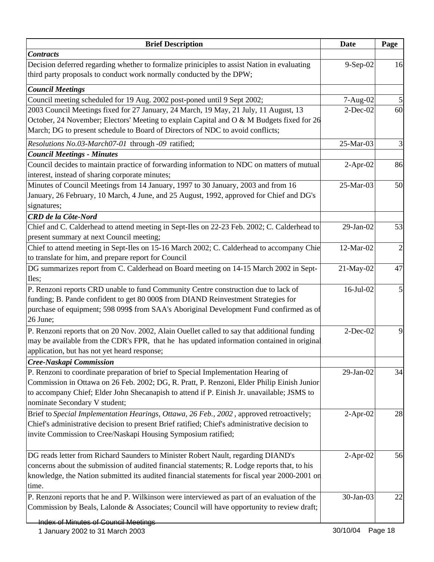| <b>Brief Description</b>                                                                                                                                                          | <b>Date</b>     | Page           |
|-----------------------------------------------------------------------------------------------------------------------------------------------------------------------------------|-----------------|----------------|
| <b>Contracts</b>                                                                                                                                                                  |                 |                |
| Decision deferred regarding whether to formalize priniciples to assist Nation in evaluating                                                                                       | 9-Sep-02        | 16             |
| third party proposals to conduct work normally conducted by the DPW;                                                                                                              |                 |                |
| <b>Council Meetings</b>                                                                                                                                                           |                 |                |
| Council meeting scheduled for 19 Aug. 2002 post-poned until 9 Sept 2002;                                                                                                          | 7-Aug-02        |                |
| 2003 Council Meetings fixed for 27 January, 24 March, 19 May, 21 July, 11 August, 13                                                                                              | $2$ -Dec-02     | 60             |
| October, 24 November; Electors' Meeting to explain Capital and O & M Budgets fixed for 26                                                                                         |                 |                |
| March; DG to present schedule to Board of Directors of NDC to avoid conflicts;                                                                                                    |                 |                |
| Resolutions No.03-March07-01 through -09 ratified;                                                                                                                                | 25-Mar-03       | 3              |
| <b>Council Meetings - Minutes</b>                                                                                                                                                 |                 |                |
| Council decides to maintain practice of forwarding information to NDC on matters of mutual                                                                                        | $2-Apr-02$      | 86             |
| interest, instead of sharing corporate minutes;                                                                                                                                   |                 |                |
| Minutes of Council Meetings from 14 January, 1997 to 30 January, 2003 and from 16                                                                                                 | 25-Mar-03       | 50             |
| January, 26 February, 10 March, 4 June, and 25 August, 1992, approved for Chief and DG's                                                                                          |                 |                |
| signatures;                                                                                                                                                                       |                 |                |
| <b>CRD</b> de la Côte-Nord                                                                                                                                                        |                 |                |
| Chief and C. Calderhead to attend meeting in Sept-Iles on 22-23 Feb. 2002; C. Calderhead to                                                                                       | $29$ -Jan- $02$ | 53             |
| present summary at next Council meeting;                                                                                                                                          |                 |                |
| Chief to attend meeting in Sept-Iles on 15-16 March 2002; C. Calderhead to accompany Chie                                                                                         | 12-Mar-02       | $\overline{2}$ |
| to translate for him, and prepare report for Council                                                                                                                              |                 |                |
| DG summarizes report from C. Calderhead on Board meeting on 14-15 March 2002 in Sept-                                                                                             | 21-May-02       | 47             |
| Iles;                                                                                                                                                                             |                 |                |
| P. Renzoni reports CRD unable to fund Community Centre construction due to lack of                                                                                                | $16$ -Jul- $02$ | 5              |
| funding; B. Pande confident to get 80 000\$ from DIAND Reinvestment Strategies for                                                                                                |                 |                |
| purchase of equipment; 598 099\$ from SAA's Aboriginal Development Fund confirmed as of                                                                                           |                 |                |
| 26 June;                                                                                                                                                                          |                 |                |
| P. Renzoni reports that on 20 Nov. 2002, Alain Ouellet called to say that additional funding                                                                                      | $2-Dec-02$      | 9              |
| may be available from the CDR's FPR, that he has updated information contained in original                                                                                        |                 |                |
| application, but has not yet heard response;                                                                                                                                      |                 |                |
| Cree-Naskapi Commission                                                                                                                                                           |                 |                |
| P. Renzoni to coordinate preparation of brief to Special Implementation Hearing of                                                                                                | 29-Jan-02       | 34             |
| Commission in Ottawa on 26 Feb. 2002; DG, R. Pratt, P. Renzoni, Elder Philip Einish Junior                                                                                        |                 |                |
| to accompany Chief; Elder John Shecanapish to attend if P. Einish Jr. unavailable; JSMS to                                                                                        |                 |                |
| nominate Secondary V student;                                                                                                                                                     |                 |                |
| Brief to Special Implementation Hearings, Ottawa, 26 Feb., 2002, approved retroactively;                                                                                          | $2-Apr-02$      | 28             |
| Chief's administrative decision to present Brief ratified; Chief's administrative decision to                                                                                     |                 |                |
| invite Commission to Cree/Naskapi Housing Symposium ratified;                                                                                                                     |                 |                |
|                                                                                                                                                                                   |                 |                |
| DG reads letter from Richard Saunders to Minister Robert Nault, regarding DIAND's<br>concerns about the submission of audited financial statements; R. Lodge reports that, to his | $2-Apr-02$      | 56             |
| knowledge, the Nation submitted its audited financial statements for fiscal year 2000-2001 on                                                                                     |                 |                |
| time.                                                                                                                                                                             |                 |                |
| P. Renzoni reports that he and P. Wilkinson were interviewed as part of an evaluation of the                                                                                      | 30-Jan-03       | 22             |
| Commission by Beals, Lalonde & Associates; Council will have opportunity to review draft;                                                                                         |                 |                |
|                                                                                                                                                                                   |                 |                |
| <b>Index of Minutes of Council Meetings</b>                                                                                                                                       |                 |                |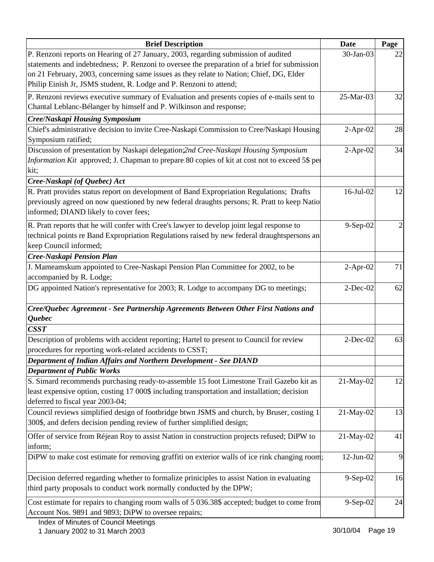| <b>Brief Description</b>                                                                                                                                                                | <b>Date</b>     | Page |
|-----------------------------------------------------------------------------------------------------------------------------------------------------------------------------------------|-----------------|------|
| P. Renzoni reports on Hearing of 27 January, 2003, regarding submission of audited                                                                                                      | 30-Jan-03       | 22   |
| statements and indebtedness; P. Renzoni to oversee the preparation of a brief for submission                                                                                            |                 |      |
| on 21 February, 2003, concerning same issues as they relate to Nation; Chief, DG, Elder                                                                                                 |                 |      |
| Philip Einish Jr, JSMS student, R. Lodge and P. Renzoni to attend;                                                                                                                      |                 |      |
| P. Renzoni reviews executive summary of Evaluation and presents copies of e-mails sent to                                                                                               | 25-Mar-03       | 32   |
| Chantal Leblanc-Bélanger by himself and P. Wilkinson and response;                                                                                                                      |                 |      |
| Cree/Naskapi Housing Symposium                                                                                                                                                          |                 |      |
| Chief's administrative decision to invite Cree-Naskapi Commission to Cree/Naskapi Housing                                                                                               | $2$ -Apr-02     | 28   |
| Symposium ratified;                                                                                                                                                                     |                 |      |
| Discussion of presentation by Naskapi delegation;2nd Cree-Naskapi Housing Symposium                                                                                                     | $2-Apr-02$      | 34   |
| Information Kit approved; J. Chapman to prepare 80 copies of kit at cost not to exceed 5\$ per                                                                                          |                 |      |
| kit;                                                                                                                                                                                    |                 |      |
| Cree-Naskapi (of Quebec) Act                                                                                                                                                            |                 |      |
| R. Pratt provides status report on development of Band Expropriation Regulations; Drafts<br>previously agreed on now questioned by new federal draughts persons; R. Pratt to keep Natio | 16-Jul-02       | 12   |
| informed; DIAND likely to cover fees;                                                                                                                                                   |                 |      |
|                                                                                                                                                                                         |                 |      |
| R. Pratt reports that he will confer with Cree's lawyer to develop joint legal response to                                                                                              | 9-Sep-02        |      |
| technical points re Band Expropriation Regulations raised by new federal draughtspersons an                                                                                             |                 |      |
| keep Council informed;                                                                                                                                                                  |                 |      |
| Cree-Naskapi Pension Plan                                                                                                                                                               |                 | 71   |
| J. Mameamskum appointed to Cree-Naskapi Pension Plan Committee for 2002, to be<br>accompanied by R. Lodge;                                                                              | $2-Apr-02$      |      |
| DG appointed Nation's representative for 2003; R. Lodge to accompany DG to meetings;                                                                                                    | $2$ -Dec-02     | 62   |
|                                                                                                                                                                                         |                 |      |
| Cree/Quebec Agreement - See Partnership Agreements Between Other First Nations and                                                                                                      |                 |      |
| Quebec                                                                                                                                                                                  |                 |      |
| C SST                                                                                                                                                                                   |                 |      |
| Description of problems with accident reporting; Hartel to present to Council for review                                                                                                | $2$ -Dec-02     | 63   |
| procedures for reporting work-related accidents to CSST;                                                                                                                                |                 |      |
| Department of Indian Affairs and Northern Development - See DIAND                                                                                                                       |                 |      |
| <b>Department of Public Works</b>                                                                                                                                                       |                 |      |
| S. Simard recommends purchasing ready-to-assemble 15 foot Limestone Trail Gazebo kit as                                                                                                 | 21-May-02       | 12   |
| least expensive option, costing 17 000\$ including transportation and installation; decision                                                                                            |                 |      |
| deferred to fiscal year 2003-04;                                                                                                                                                        |                 |      |
| Council reviews simplified design of footbridge btwn JSMS and church, by Bruser, costing 1                                                                                              | 21-May-02       | 13   |
| 300\$, and defers decision pending review of further simplified design;                                                                                                                 |                 |      |
| Offer of service from Réjean Roy to assist Nation in construction projects refused; DiPW to                                                                                             | 21-May-02       | 41   |
| inform;                                                                                                                                                                                 |                 |      |
| DiPW to make cost estimate for removing graffiti on exterior walls of ice rink changing room;                                                                                           | $12$ -Jun- $02$ | 9    |
| Decision deferred regarding whether to formalize priniciples to assist Nation in evaluating                                                                                             | $9-Sep-02$      | 16   |
| third party proposals to conduct work normally conducted by the DPW;                                                                                                                    |                 |      |
| Cost estimate for repairs to changing room walls of 5 036.38\$ accepted; budget to come from                                                                                            | 9-Sep-02        | 24   |
| Account Nos. 9891 and 9893; DiPW to oversee repairs;                                                                                                                                    |                 |      |
|                                                                                                                                                                                         |                 |      |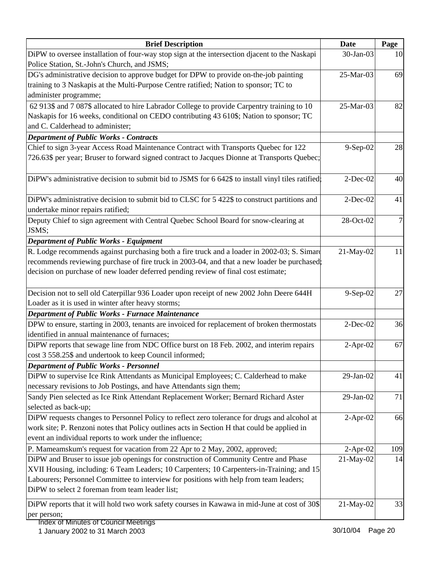| <b>Brief Description</b>                                                                          | <b>Date</b> | Page |
|---------------------------------------------------------------------------------------------------|-------------|------|
| DiPW to oversee installation of four-way stop sign at the intersection djacent to the Naskapi     | 30-Jan-03   | 10   |
| Police Station, St.-John's Church, and JSMS;                                                      |             |      |
| DG's administrative decision to approve budget for DPW to provide on-the-job painting             | 25-Mar-03   | 69   |
| training to 3 Naskapis at the Multi-Purpose Centre ratified; Nation to sponsor; TC to             |             |      |
| administer programme;                                                                             |             |      |
| 62 913\$ and 7 087\$ allocated to hire Labrador College to provide Carpentry training to 10       | 25-Mar-03   | 82   |
| Naskapis for 16 weeks, conditional on CEDO contributing 43 610\$; Nation to sponsor; TC           |             |      |
| and C. Calderhead to administer;                                                                  |             |      |
| <b>Department of Public Works - Contracts</b>                                                     |             |      |
| Chief to sign 3-year Access Road Maintenance Contract with Transports Quebec for 122              | $9-Sep-02$  | 28   |
| 726.63\$ per year; Bruser to forward signed contract to Jacques Dionne at Transports Quebec;      |             |      |
| DiPW's administrative decision to submit bid to JSMS for 6 642\$ to install vinyl tiles ratified; | $2$ -Dec-02 | 40   |
|                                                                                                   |             |      |
| DiPW's administrative decision to submit bid to CLSC for 5 422\$ to construct partitions and      | $2$ -Dec-02 | 41   |
| undertake minor repairs ratified;                                                                 |             |      |
| Deputy Chief to sign agreement with Central Quebec School Board for snow-clearing at              | 28-Oct-02   |      |
| JSMS;                                                                                             |             |      |
| <b>Department of Public Works - Equipment</b>                                                     |             |      |
| R. Lodge recommends against purchasing both a fire truck and a loader in 2002-03; S. Simard       | 21-May-02   | 11   |
| recommends reviewing purchase of fire truck in 2003-04, and that a new loader be purchased;       |             |      |
| decision on purchase of new loader deferred pending review of final cost estimate;                |             |      |
| Decision not to sell old Caterpillar 936 Loader upon receipt of new 2002 John Deere 644H          | 9-Sep-02    | 27   |
| Loader as it is used in winter after heavy storms;                                                |             |      |
| Department of Public Works - Furnace Maintenance                                                  |             |      |
| DPW to ensure, starting in 2003, tenants are invoiced for replacement of broken thermostats       | $2$ -Dec-02 | 36   |
| identified in annual maintenance of furnaces;                                                     |             |      |
| DiPW reports that sewage line from NDC Office burst on 18 Feb. 2002, and interim repairs          | $2$ -Apr-02 | 67   |
| cost 3 558.25\$ and undertook to keep Council informed;                                           |             |      |
| <b>Department of Public Works - Personnel</b>                                                     |             |      |
| DiPW to supervise Ice Rink Attendants as Municipal Employees; C. Calderhead to make               | 29-Jan-02   | 41   |
| necessary revisions to Job Postings, and have Attendants sign them;                               |             |      |
| Sandy Pien selected as Ice Rink Attendant Replacement Worker; Bernard Richard Aster               | 29-Jan-02   | 71   |
| selected as back-up;                                                                              |             |      |
| DiPW requests changes to Personnel Policy to reflect zero tolerance for drugs and alcohol at      | $2-Apr-02$  | 66   |
| work site; P. Renzoni notes that Policy outlines acts in Section H that could be applied in       |             |      |
| event an individual reports to work under the influence;                                          |             |      |
| P. Mameamskum's request for vacation from 22 Apr to 2 May, 2002, approved;                        | $2-Apr-02$  | 109  |
| DiPW and Bruser to issue job openings for construction of Community Centre and Phase              | 21-May-02   | 14   |
| XVII Housing, including: 6 Team Leaders; 10 Carpenters; 10 Carpenters-in-Training; and 15         |             |      |
| Labourers; Personnel Committee to interview for positions with help from team leaders;            |             |      |
| DiPW to select 2 foreman from team leader list;                                                   |             |      |
|                                                                                                   |             |      |
| DiPW reports that it will hold two work safety courses in Kawawa in mid-June at cost of 30\$      | 21-May-02   | 33   |
| per person;                                                                                       |             |      |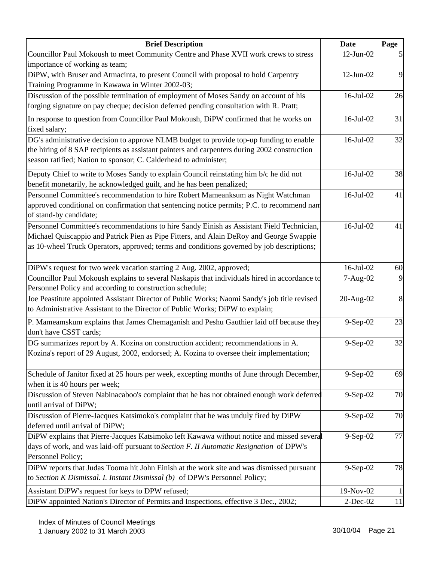| <b>Brief Description</b>                                                                                                                                                                                                                                                          | <b>Date</b>     | Page   |
|-----------------------------------------------------------------------------------------------------------------------------------------------------------------------------------------------------------------------------------------------------------------------------------|-----------------|--------|
| Councillor Paul Mokoush to meet Community Centre and Phase XVII work crews to stress                                                                                                                                                                                              | $12$ -Jun- $02$ |        |
| importance of working as team;                                                                                                                                                                                                                                                    |                 |        |
| DiPW, with Bruser and Atmacinta, to present Council with proposal to hold Carpentry<br>Training Programme in Kawawa in Winter 2002-03;                                                                                                                                            | $12$ -Jun-02    | 9      |
| Discussion of the possible termination of employment of Moses Sandy on account of his<br>forging signature on pay cheque; decision deferred pending consultation with R. Pratt;                                                                                                   | $16$ -Jul- $02$ | 26     |
| In response to question from Councillor Paul Mokoush, DiPW confirmed that he works on<br>fixed salary;                                                                                                                                                                            | $16$ -Jul- $02$ | 31     |
| DG's administrative decision to approve NLMB budget to provide top-up funding to enable<br>the hiring of 8 SAP recipients as assistant painters and carpenters during 2002 construction<br>season ratified; Nation to sponsor; C. Calderhead to administer;                       | $16$ -Jul- $02$ | 32     |
| Deputy Chief to write to Moses Sandy to explain Council reinstating him b/c he did not<br>benefit monetarily, he acknowledged guilt, and he has been penalized;                                                                                                                   | 16-Jul-02       | 38     |
| Personnel Committee's recommendation to hire Robert Mameanksum as Night Watchman<br>approved conditional on confirmation that sentencing notice permits; P.C. to recommend nan<br>of stand-by candidate;                                                                          | $16$ -Jul- $02$ | 41     |
| Personnel Committee's recommendations to hire Sandy Einish as Assistant Field Technician,<br>Michael Quiscappio and Patrick Pien as Pipe Fitters, and Alain DeRoy and George Swappie<br>as 10-wheel Truck Operators, approved; terms and conditions governed by job descriptions; | 16-Jul-02       | 41     |
| DiPW's request for two week vacation starting 2 Aug. 2002, approved;                                                                                                                                                                                                              | $16$ -Jul- $02$ | 60     |
| Councillor Paul Mokoush explains to several Naskapis that individuals hired in accordance to<br>Personnel Policy and according to construction schedule;                                                                                                                          | 7-Aug-02        | 9      |
| Joe Peastitute appointed Assistant Director of Public Works; Naomi Sandy's job title revised<br>to Administrative Assistant to the Director of Public Works; DiPW to explain;                                                                                                     | 20-Aug-02       | 8      |
| P. Mameamskum explains that James Chemaganish and Peshu Gauthier laid off because they<br>don't have CSST cards;                                                                                                                                                                  | 9-Sep-02        | 23     |
| DG summarizes report by A. Kozina on construction accident; recommendations in A.<br>Kozina's report of 29 August, 2002, endorsed; A. Kozina to oversee their implementation;                                                                                                     | 9-Sep-02        | 32     |
| Schedule of Janitor fixed at 25 hours per week, excepting months of June through December,<br>when it is 40 hours per week;                                                                                                                                                       | $9-Sep-02$      | 69     |
| Discussion of Steven Nabinacaboo's complaint that he has not obtained enough work deferred<br>until arrival of DiPW;                                                                                                                                                              | 9-Sep-02        | 70     |
| Discussion of Pierre-Jacques Katsimoko's complaint that he was unduly fired by DiPW<br>deferred until arrival of DiPW;                                                                                                                                                            | $9-Sep-02$      | 70     |
| DiPW explains that Pierre-Jacques Katsimoko left Kawawa without notice and missed several<br>days of work, and was laid-off pursuant to Section F. II Automatic Resignation of DPW's<br>Personnel Policy;                                                                         | 9-Sep-02        | 77     |
| DiPW reports that Judas Tooma hit John Einish at the work site and was dismissed pursuant<br>to Section K Dismissal. I. Instant Dismissal (b) of DPW's Personnel Policy;                                                                                                          | 9-Sep-02        | 78     |
| Assistant DiPW's request for keys to DPW refused;                                                                                                                                                                                                                                 | 19-Nov-02       | 1      |
| DiPW appointed Nation's Director of Permits and Inspections, effective 3 Dec., 2002;                                                                                                                                                                                              | $2$ -Dec-02     | $11\,$ |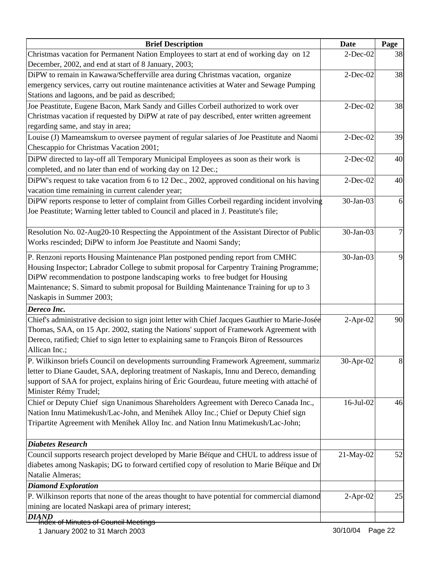| <b>Brief Description</b>                                                                        | <b>Date</b> | Page |
|-------------------------------------------------------------------------------------------------|-------------|------|
| Christmas vacation for Permanent Nation Employees to start at end of working day on 12          | $2$ -Dec-02 | 38   |
| December, 2002, and end at start of 8 January, 2003;                                            |             |      |
| DiPW to remain in Kawawa/Schefferville area during Christmas vacation, organize                 | $2$ -Dec-02 | 38   |
| emergency services, carry out routine maintenance activities at Water and Sewage Pumping        |             |      |
| Stations and lagoons, and be paid as described;                                                 |             |      |
| Joe Peastitute, Eugene Bacon, Mark Sandy and Gilles Corbeil authorized to work over             | $2$ -Dec-02 | 38   |
| Christmas vacation if requested by DiPW at rate of pay described, enter written agreement       |             |      |
| regarding same, and stay in area;                                                               |             |      |
| Louise (J) Mameamskum to oversee payment of regular salaries of Joe Peastitute and Naomi        | $2$ -Dec-02 | 39   |
| Chescappio for Christmas Vacation 2001;                                                         |             |      |
| DiPW directed to lay-off all Temporary Municipal Employees as soon as their work is             | $2$ -Dec-02 | 40   |
| completed, and no later than end of working day on 12 Dec.;                                     |             |      |
| DiPW's request to take vacation from 6 to 12 Dec., 2002, approved conditional on his having     | $2$ -Dec-02 | 40   |
| vacation time remaining in current calender year;                                               |             |      |
| DiPW reports response to letter of complaint from Gilles Corbeil regarding incident involving   | 30-Jan-03   | 6    |
| Joe Peastitute; Warning letter tabled to Council and placed in J. Peastitute's file;            |             |      |
|                                                                                                 |             |      |
| Resolution No. 02-Aug20-10 Respecting the Appointment of the Assistant Director of Public       | 30-Jan-03   | 7    |
| Works rescinded; DiPW to inform Joe Peastitute and Naomi Sandy;                                 |             |      |
| P. Renzoni reports Housing Maintenance Plan postponed pending report from CMHC                  | 30-Jan-03   | 9    |
| Housing Inspector; Labrador College to submit proposal for Carpentry Training Programme;        |             |      |
| DiPW recommendation to postpone landscaping works to free budget for Housing                    |             |      |
| Maintenance; S. Simard to submit proposal for Building Maintenance Training for up to 3         |             |      |
| Naskapis in Summer 2003;                                                                        |             |      |
| Dereco Inc.                                                                                     |             |      |
| Chief's administrative decision to sign joint letter with Chief Jacques Gauthier to Marie-Josée | $2-Apr-02$  | 90   |
| Thomas, SAA, on 15 Apr. 2002, stating the Nations' support of Framework Agreement with          |             |      |
| Dereco, ratified; Chief to sign letter to explaining same to François Biron of Ressources       |             |      |
| Allican Inc.;                                                                                   |             |      |
| P. Wilkinson briefs Council on developments surrounding Framework Agreement, summariz           | 30-Apr-02   | 8    |
| letter to Diane Gaudet, SAA, deploring treatment of Naskapis, Innu and Dereco, demanding        |             |      |
| support of SAA for project, explains hiring of Éric Gourdeau, future meeting with attaché of    |             |      |
| Minister Rémy Trudel;                                                                           |             |      |
| Chief or Deputy Chief sign Unanimous Shareholders Agreement with Dereco Canada Inc.,            | 16-Jul-02   | 46   |
| Nation Innu Matimekush/Lac-John, and Menihek Alloy Inc.; Chief or Deputy Chief sign             |             |      |
| Tripartite Agreement with Menihek Alloy Inc. and Nation Innu Matimekush/Lac-John;               |             |      |
|                                                                                                 |             |      |
| <b>Diabetes Research</b>                                                                        |             |      |
| Council supports research project developed by Marie Béïque and CHUL to address issue of        | 21-May-02   | 52   |
| diabetes among Naskapis; DG to forward certified copy of resolution to Marie Béïque and Dr      |             |      |
| Natalie Almeras;                                                                                |             |      |
| <b>Diamond Exploration</b>                                                                      |             |      |
| P. Wilkinson reports that none of the areas thought to have potential for commercial diamond    | $2-Apr-02$  | 25   |
| mining are located Naskapi area of primary interest;                                            |             |      |
| DIAND                                                                                           |             |      |
| <del>fridex of Minutes of Council Meetings</del>                                                |             |      |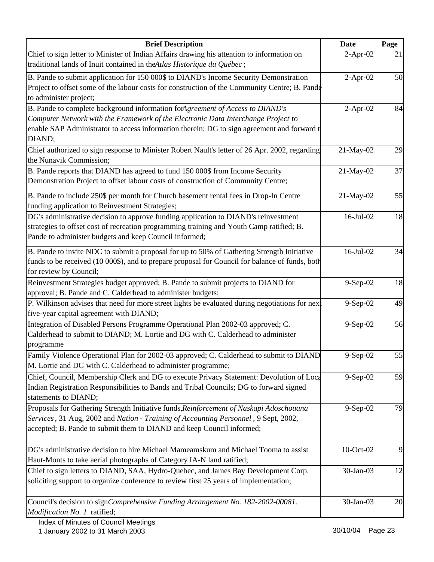| <b>Brief Description</b>                                                                        | <b>Date</b>     | Page |
|-------------------------------------------------------------------------------------------------|-----------------|------|
| Chief to sign letter to Minister of Indian Affairs drawing his attention to information on      | $2$ -Apr-02     | 21   |
| traditional lands of Inuit contained in the Atlas Historique du Québec;                         |                 |      |
| B. Pande to submit application for 150 000\$ to DIAND's Income Security Demonstration           | $2-Apr-02$      | 50   |
| Project to offset some of the labour costs for construction of the Community Centre; B. Pande   |                 |      |
| to administer project;                                                                          |                 |      |
| B. Pande to complete background information forAgreement of Access to DIAND's                   | $2-Apr-02$      | 84   |
| Computer Network with the Framework of the Electronic Data Interchange Project to               |                 |      |
| enable SAP Administrator to access information therein; DG to sign agreement and forward t      |                 |      |
| DIAND;                                                                                          |                 |      |
| Chief authorized to sign response to Minister Robert Nault's letter of 26 Apr. 2002, regarding  | 21-May-02       | 29   |
| the Nunavik Commission;                                                                         |                 |      |
| B. Pande reports that DIAND has agreed to fund 150 000\$ from Income Security                   | 21-May-02       | 37   |
| Demonstration Project to offset labour costs of construction of Community Centre;               |                 |      |
| B. Pande to include 250\$ per month for Church basement rental fees in Drop-In Centre           | 21-May-02       | 55   |
| funding application to Reinvestment Strategies;                                                 |                 |      |
| DG's administrative decision to approve funding application to DIAND's reinvestment             | $16$ -Jul- $02$ | 18   |
| strategies to offset cost of recreation programming training and Youth Camp ratified; B.        |                 |      |
| Pande to administer budgets and keep Council informed;                                          |                 |      |
| B. Pande to invite NDC to submit a proposal for up to 50% of Gathering Strength Initiative      | 16-Jul-02       | 34   |
| funds to be received (10 000\$), and to prepare proposal for Council for balance of funds, both |                 |      |
| for review by Council;                                                                          |                 |      |
| Reinvestment Strategies budget approved; B. Pande to submit projects to DIAND for               | 9-Sep-02        | 18   |
| approval; B. Pande and C. Calderhead to administer budgets;                                     |                 |      |
| P. Wilkinson advises that need for more street lights be evaluated during negotiations for next | 9-Sep-02        | 49   |
| five-year capital agreement with DIAND;                                                         |                 |      |
| Integration of Disabled Persons Programme Operational Plan 2002-03 approved; C.                 | 9-Sep-02        | 56   |
| Calderhead to submit to DIAND; M. Lortie and DG with C. Calderhead to administer                |                 |      |
| programme                                                                                       |                 |      |
| Family Violence Operational Plan for 2002-03 approved; C. Calderhead to submit to DIAND         | 9-Sep-02        | 55   |
| M. Lortie and DG with C. Calderhead to administer programme;                                    |                 |      |
| Chief, Council, Membership Clerk and DG to execute Privacy Statement: Devolution of Loca        | 9-Sep-02        | 59   |
| Indian Registration Responsibilities to Bands and Tribal Councils; DG to forward signed         |                 |      |
| statements to DIAND;                                                                            |                 |      |
| Proposals for Gathering Strength Initiative funds, Reinforcement of Naskapi Adoschouana         | $9-Sep-02$      | 79   |
| Services, 31 Aug, 2002 and Nation - Training of Accounting Personnel, 9 Sept, 2002,             |                 |      |
| accepted; B. Pande to submit them to DIAND and keep Council informed;                           |                 |      |
|                                                                                                 |                 |      |
| DG's administrative decision to hire Michael Mameamskum and Michael Tooma to assist             | 10-Oct-02       | 9    |
| Haut-Monts to take aerial photographs of Category IA-N land ratified;                           |                 |      |
| Chief to sign letters to DIAND, SAA, Hydro-Quebec, and James Bay Development Corp.              | 30-Jan-03       | 12   |
| soliciting support to organize conference to review first 25 years of implementation;           |                 |      |
|                                                                                                 |                 |      |
| Council's decision to signComprehensive Funding Arrangement No. 182-2002-00081.                 | 30-Jan-03       | 20   |
| Modification No. 1 ratified;                                                                    |                 |      |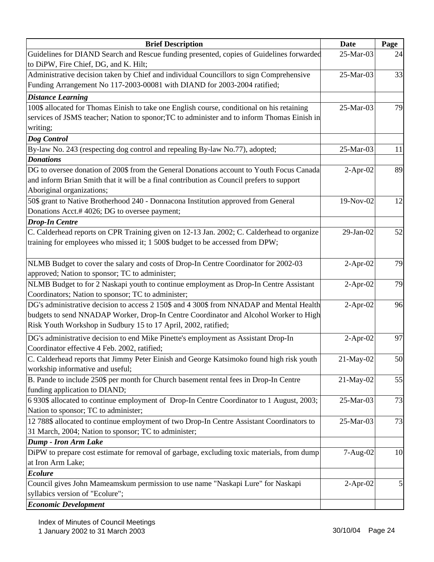| <b>Brief Description</b>                                                                    | Date        | Page |
|---------------------------------------------------------------------------------------------|-------------|------|
| Guidelines for DIAND Search and Rescue funding presented, copies of Guidelines forwarded    | 25-Mar-03   | 24   |
| to DiPW, Fire Chief, DG, and K. Hilt;                                                       |             |      |
| Administrative decision taken by Chief and individual Councillors to sign Comprehensive     | 25-Mar-03   | 33   |
| Funding Arrangement No 117-2003-00081 with DIAND for 2003-2004 ratified;                    |             |      |
| <b>Distance Learning</b>                                                                    |             |      |
| 100\$ allocated for Thomas Einish to take one English course, conditional on his retaining  | 25-Mar-03   | 79   |
| services of JSMS teacher; Nation to sponor; TC to administer and to inform Thomas Einish in |             |      |
| writing;                                                                                    |             |      |
| Dog Control                                                                                 |             |      |
| By-law No. 243 (respecting dog control and repealing By-law No.77), adopted;                | 25-Mar-03   | 11   |
| <b>Donations</b>                                                                            |             |      |
| DG to oversee donation of 200\$ from the General Donations account to Youth Focus Canada    | $2-Apr-02$  | 89   |
| and inform Brian Smith that it will be a final contribution as Council prefers to support   |             |      |
| Aboriginal organizations;                                                                   |             |      |
| 50\$ grant to Native Brotherhood 240 - Donnacona Institution approved from General          | 19-Nov-02   | 12   |
| Donations Acct.# 4026; DG to oversee payment;                                               |             |      |
| <b>Drop-In Centre</b>                                                                       |             |      |
| C. Calderhead reports on CPR Training given on 12-13 Jan. 2002; C. Calderhead to organize   | 29-Jan-02   | 52   |
| training for employees who missed it; 1 500\$ budget to be accessed from DPW;               |             |      |
|                                                                                             |             |      |
| NLMB Budget to cover the salary and costs of Drop-In Centre Coordinator for 2002-03         | $2-Apr-02$  | 79   |
| approved; Nation to sponsor; TC to administer;                                              |             |      |
| NLMB Budget to for 2 Naskapi youth to continue employment as Drop-In Centre Assistant       | $2-Apr-02$  | 79   |
| Coordinators; Nation to sponsor; TC to administer;                                          |             |      |
| DG's administrative decision to access 2 150\$ and 4 300\$ from NNADAP and Mental Health    | $2-Apr-02$  | 96   |
| budgets to send NNADAP Worker, Drop-In Centre Coordinator and Alcohol Worker to High        |             |      |
| Risk Youth Workshop in Sudbury 15 to 17 April, 2002, ratified;                              |             |      |
| DG's administrative decision to end Mike Pinette's employment as Assistant Drop-In          | $2-Apr-02$  | 97   |
| Coordinator effective 4 Feb. 2002, ratified;                                                |             |      |
| C. Calderhead reports that Jimmy Peter Einish and George Katsimoko found high risk youth    | 21-May-02   | 50   |
| workship informative and useful;                                                            |             |      |
| B. Pande to include 250\$ per month for Church basement rental fees in Drop-In Centre       | 21-May-02   | 55   |
| funding application to DIAND;                                                               |             |      |
| 6 930\$ allocated to continue employment of Drop-In Centre Coordinator to 1 August, 2003;   | 25-Mar-03   | 73   |
| Nation to sponsor; TC to administer;                                                        |             |      |
| 12 788\$ allocated to continue employment of two Drop-In Centre Assistant Coordinators to   | 25-Mar-03   | 73   |
| 31 March, 2004; Nation to sponsor; TC to administer;                                        |             |      |
| Dump - Iron Arm Lake                                                                        |             |      |
| DiPW to prepare cost estimate for removal of garbage, excluding toxic materials, from dump  | 7-Aug-02    | 10   |
| at Iron Arm Lake;                                                                           |             |      |
| <b>Ecolure</b>                                                                              |             |      |
| Council gives John Mameamskum permission to use name "Naskapi Lure" for Naskapi             | $2$ -Apr-02 |      |
| syllabics version of "Ecolure";                                                             |             |      |
| <b>Economic Development</b>                                                                 |             |      |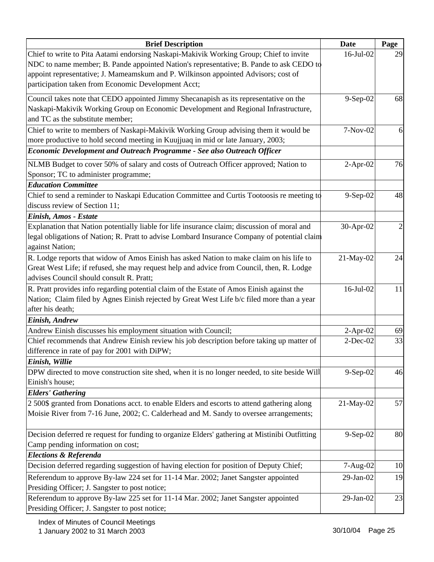| <b>Brief Description</b>                                                                       | Date           | Page           |
|------------------------------------------------------------------------------------------------|----------------|----------------|
| Chief to write to Pita Aatami endorsing Naskapi-Makivik Working Group; Chief to invite         | 16-Jul-02      | 29             |
| NDC to name member; B. Pande appointed Nation's representative; B. Pande to ask CEDO to        |                |                |
| appoint representative; J. Mameamskum and P. Wilkinson appointed Advisors; cost of             |                |                |
| participation taken from Economic Development Acct;                                            |                |                |
| Council takes note that CEDO appointed Jimmy Shecanapish as its representative on the          | $9-$ Sep $-02$ | 68             |
| Naskapi-Makivik Working Group on Economic Development and Regional Infrastructure,             |                |                |
| and TC as the substitute member;                                                               |                |                |
| Chief to write to members of Naskapi-Makivik Working Group advising them it would be           | 7-Nov-02       | 6              |
| more productive to hold second meeting in Kuujjuaq in mid or late January, 2003;               |                |                |
| <b>Economic Development and Outreach Programme - See also Outreach Officer</b>                 |                |                |
| NLMB Budget to cover 50% of salary and costs of Outreach Officer approved; Nation to           | $2-Apr-02$     | 76             |
| Sponsor; TC to administer programme;                                                           |                |                |
| <b>Education Committee</b>                                                                     |                |                |
| Chief to send a reminder to Naskapi Education Committee and Curtis Tootoosis re meeting to     | 9-Sep-02       | 48             |
| discuss review of Section 11;                                                                  |                |                |
| Einish, Amos - Estate                                                                          |                |                |
| Explanation that Nation potentially liable for life insurance claim; discussion of moral and   | 30-Apr-02      | $\overline{c}$ |
| legal obligations of Nation; R. Pratt to advise Lombard Insurance Company of potential claim   |                |                |
| against Nation;                                                                                |                |                |
| R. Lodge reports that widow of Amos Einish has asked Nation to make claim on his life to       | 21-May-02      | 24             |
| Great West Life; if refused, she may request help and advice from Council, then, R. Lodge      |                |                |
| advises Council should consult R. Pratt;                                                       |                |                |
| R. Pratt provides info regarding potential claim of the Estate of Amos Einish against the      | 16-Jul-02      | 11             |
| Nation; Claim filed by Agnes Einish rejected by Great West Life b/c filed more than a year     |                |                |
| after his death;                                                                               |                |                |
| Einish, Andrew                                                                                 |                |                |
| Andrew Einish discusses his employment situation with Council;                                 | $2-Apr-02$     | 69             |
| Chief recommends that Andrew Einish review his job description before taking up matter of      | $2$ -Dec-02    | 33             |
| difference in rate of pay for 2001 with DiPW;                                                  |                |                |
| Einish, Willie                                                                                 |                |                |
| DPW directed to move construction site shed, when it is no longer needed, to site beside Will  | 9-Sep-02       | 46             |
| Einish's house;                                                                                |                |                |
| <b>Elders' Gathering</b>                                                                       |                |                |
| 2 500\$ granted from Donations acct. to enable Elders and escorts to attend gathering along    | 21-May-02      | 57             |
| Moisie River from 7-16 June, 2002; C. Calderhead and M. Sandy to oversee arrangements;         |                |                |
|                                                                                                |                |                |
| Decision deferred re request for funding to organize Elders' gathering at Mistinibi Outfitting | $9-Sep-02$     | 80             |
| Camp pending information on cost;                                                              |                |                |
| <b>Elections &amp; Referenda</b>                                                               |                |                |
| Decision deferred regarding suggestion of having election for position of Deputy Chief;        | 7-Aug-02       | 10             |
| Referendum to approve By-law 224 set for 11-14 Mar. 2002; Janet Sangster appointed             | 29-Jan-02      | 19             |
| Presiding Officer; J. Sangster to post notice;                                                 |                |                |
| Referendum to approve By-law 225 set for 11-14 Mar. 2002; Janet Sangster appointed             | 29-Jan-02      | 23             |
| Presiding Officer; J. Sangster to post notice;                                                 |                |                |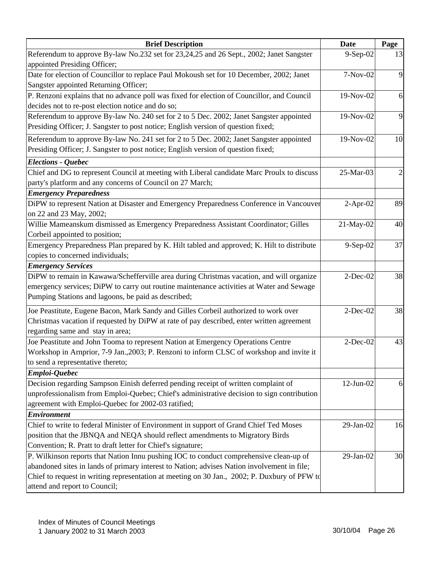| <b>Brief Description</b>                                                                     | Date            | Page |
|----------------------------------------------------------------------------------------------|-----------------|------|
| Referendum to approve By-law No.232 set for 23,24,25 and 26 Sept., 2002; Janet Sangster      | 9-Sep-02        | 13   |
| appointed Presiding Officer;                                                                 |                 |      |
| Date for election of Councillor to replace Paul Mokoush set for 10 December, 2002; Janet     | 7-Nov-02        | 9    |
| Sangster appointed Returning Officer;                                                        |                 |      |
| P. Renzoni explains that no advance poll was fixed for election of Councillor, and Council   | 19-Nov-02       | 6    |
| decides not to re-post election notice and do so;                                            |                 |      |
| Referendum to approve By-law No. 240 set for 2 to 5 Dec. 2002; Janet Sangster appointed      | 19-Nov-02       | 9    |
| Presiding Officer; J. Sangster to post notice; English version of question fixed;            |                 |      |
| Referendum to approve By-law No. 241 set for 2 to 5 Dec. 2002; Janet Sangster appointed      | 19-Nov-02       | 10   |
| Presiding Officer; J. Sangster to post notice; English version of question fixed;            |                 |      |
| <b>Elections - Quebec</b>                                                                    |                 |      |
| Chief and DG to represent Council at meeting with Liberal candidate Marc Proulx to discuss   | 25-Mar-03       | 2    |
| party's platform and any concerns of Council on 27 March;                                    |                 |      |
| <b>Emergency Preparedness</b>                                                                |                 |      |
| DiPW to represent Nation at Disaster and Emergency Preparedness Conference in Vancouver      | $2-Apr-02$      | 89   |
| on 22 and 23 May, 2002;                                                                      |                 |      |
| Willie Mameanskum dismissed as Emergency Preparedness Assistant Coordinator; Gilles          | 21-May-02       | 40   |
| Corbeil appointed to position;                                                               |                 |      |
| Emergency Preparedness Plan prepared by K. Hilt tabled and approved; K. Hilt to distribute   | 9-Sep-02        | 37   |
| copies to concerned individuals;                                                             |                 |      |
| <b>Emergency Services</b>                                                                    |                 |      |
| DiPW to remain in Kawawa/Schefferville area during Christmas vacation, and will organize     | $2$ -Dec-02     | 38   |
| emergency services; DiPW to carry out routine maintenance activities at Water and Sewage     |                 |      |
| Pumping Stations and lagoons, be paid as described;                                          |                 |      |
| Joe Peastitute, Eugene Bacon, Mark Sandy and Gilles Corbeil authorized to work over          | $2$ -Dec-02     | 38   |
| Christmas vacation if requested by DiPW at rate of pay described, enter written agreement    |                 |      |
| regarding same and stay in area;                                                             |                 |      |
| Joe Peastitute and John Tooma to represent Nation at Emergency Operations Centre             | $2$ -Dec-02     | 43   |
| Workshop in Arnprior, 7-9 Jan., 2003; P. Renzoni to inform CLSC of workshop and invite it    |                 |      |
| to send a representative thereto;                                                            |                 |      |
| Emploi-Quebec                                                                                |                 |      |
| Decision regarding Sampson Einish deferred pending receipt of written complaint of           | $12$ -Jun- $02$ | 6    |
| unprofessionalism from Emploi-Quebec; Chief's administrative decision to sign contribution   |                 |      |
| agreement with Emploi-Quebec for 2002-03 ratified;                                           |                 |      |
| <b>Environment</b>                                                                           |                 |      |
| Chief to write to federal Minister of Environment in support of Grand Chief Ted Moses        | 29-Jan-02       | 16   |
| position that the JBNQA and NEQA should reflect amendments to Migratory Birds                |                 |      |
| Convention; R. Pratt to draft letter for Chief's signature;                                  |                 |      |
| P. Wilkinson reports that Nation Innu pushing IOC to conduct comprehensive clean-up of       | 29-Jan-02       | 30   |
| abandoned sites in lands of primary interest to Nation; advises Nation involvement in file;  |                 |      |
| Chief to request in writing representation at meeting on 30 Jan., 2002; P. Duxbury of PFW to |                 |      |
| attend and report to Council;                                                                |                 |      |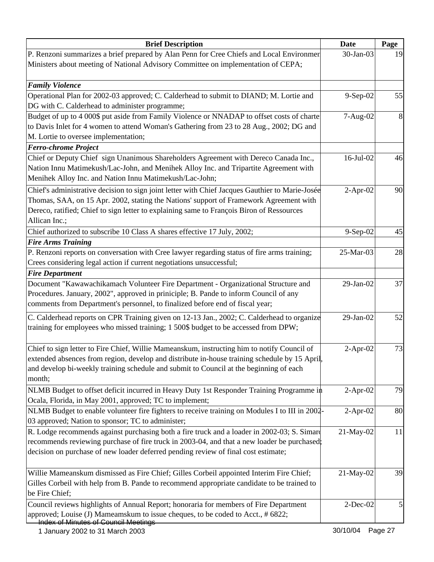| <b>Brief Description</b>                                                                                                                                                                                                                                                                                | <b>Date</b> | Page |
|---------------------------------------------------------------------------------------------------------------------------------------------------------------------------------------------------------------------------------------------------------------------------------------------------------|-------------|------|
| P. Renzoni summarizes a brief prepared by Alan Penn for Cree Chiefs and Local Environmer<br>Ministers about meeting of National Advisory Committee on implementation of CEPA;                                                                                                                           | 30-Jan-03   | 19   |
| <b>Family Violence</b>                                                                                                                                                                                                                                                                                  |             |      |
| Operational Plan for 2002-03 approved; C. Calderhead to submit to DIAND; M. Lortie and                                                                                                                                                                                                                  | $9-Sep-02$  | 55   |
| DG with C. Calderhead to administer programme;                                                                                                                                                                                                                                                          |             |      |
| Budget of up to 4 000\$ put aside from Family Violence or NNADAP to offset costs of charte<br>to Davis Inlet for 4 women to attend Woman's Gathering from 23 to 28 Aug., 2002; DG and<br>M. Lortie to oversee implementation;                                                                           | 7-Aug-02    | 8    |
| <b>Ferro-chrome Project</b>                                                                                                                                                                                                                                                                             |             |      |
| Chief or Deputy Chief sign Unanimous Shareholders Agreement with Dereco Canada Inc.,<br>Nation Innu Matimekush/Lac-John, and Menihek Alloy Inc. and Tripartite Agreement with<br>Menihek Alloy Inc. and Nation Innu Matimekush/Lac-John;                                                                | 16-Jul-02   | 46   |
| Chief's administrative decision to sign joint letter with Chief Jacques Gauthier to Marie-Josée<br>Thomas, SAA, on 15 Apr. 2002, stating the Nations' support of Framework Agreement with<br>Dereco, ratified; Chief to sign letter to explaining same to François Biron of Ressources<br>Allican Inc.; | $2-Apr-02$  | 90   |
| Chief authorized to subscribe 10 Class A shares effective 17 July, 2002;                                                                                                                                                                                                                                | $9-Sep-02$  | 45   |
| <b>Fire Arms Training</b>                                                                                                                                                                                                                                                                               |             |      |
| P. Renzoni reports on conversation with Cree lawyer regarding status of fire arms training;<br>Crees considering legal action if current negotiations unsuccessful;                                                                                                                                     | 25-Mar-03   | 28   |
| <b>Fire Department</b>                                                                                                                                                                                                                                                                                  |             |      |
| Document "Kawawachikamach Volunteer Fire Department - Organizational Structure and<br>Procedures. January, 2002", approved in priniciple; B. Pande to inform Council of any<br>comments from Department's personnel, to finalized before end of fiscal year;                                            | 29-Jan-02   | 37   |
| C. Calderhead reports on CPR Training given on 12-13 Jan., 2002; C. Calderhead to organize<br>training for employees who missed training; 1 500\$ budget to be accessed from DPW;                                                                                                                       | 29-Jan-02   | 52   |
| Chief to sign letter to Fire Chief, Willie Mameanskum, instructing him to notify Council of<br>extended absences from region, develop and distribute in-house training schedule by 15 April,<br>and develop bi-weekly training schedule and submit to Council at the beginning of each<br>month;        | $2$ -Apr-02 | 73   |
| NLMB Budget to offset deficit incurred in Heavy Duty 1st Responder Training Programme in<br>Ocala, Florida, in May 2001, approved; TC to implement;                                                                                                                                                     | $2-Apr-02$  | 79   |
| NLMB Budget to enable volunteer fire fighters to receive training on Modules I to III in 2002-<br>03 approved; Nation to sponsor; TC to administer;                                                                                                                                                     | $2$ -Apr-02 | 80   |
| R. Lodge recommends against purchasing both a fire truck and a loader in 2002-03; S. Simar<br>recommends reviewing purchase of fire truck in 2003-04, and that a new loader be purchased;<br>decision on purchase of new loader deferred pending review of final cost estimate;                         | 21-May-02   | 11   |
| Willie Mameanskum dismissed as Fire Chief; Gilles Corbeil appointed Interim Fire Chief;<br>Gilles Corbeil with help from B. Pande to recommend appropriate candidate to be trained to<br>be Fire Chief;                                                                                                 | 21-May-02   | 39   |
| Council reviews highlights of Annual Report; honoraria for members of Fire Department<br>approved; Louise (J) Mameamskum to issue cheques, to be coded to Acct., # 6822;<br><b>Index of Minutes of Council Meetings</b>                                                                                 | $2$ -Dec-02 |      |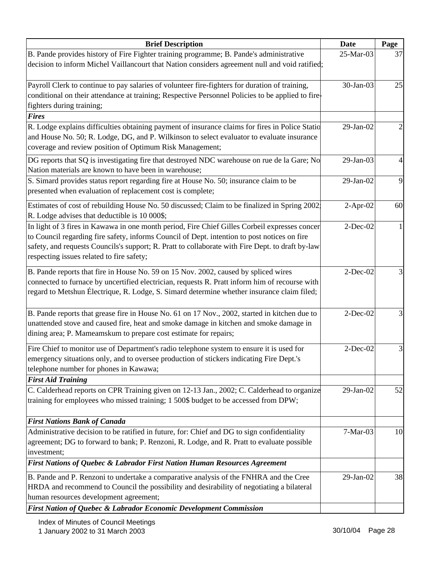| <b>Brief Description</b>                                                                                                                                                                     | Date        | Page |
|----------------------------------------------------------------------------------------------------------------------------------------------------------------------------------------------|-------------|------|
| B. Pande provides history of Fire Fighter training programme; B. Pande's administrative                                                                                                      | 25-Mar-03   | 37   |
| decision to inform Michel Vaillancourt that Nation considers agreement null and void ratified;                                                                                               |             |      |
| Payroll Clerk to continue to pay salaries of volunteer fire-fighters for duration of training,                                                                                               | 30-Jan-03   |      |
| conditional on their attendance at training; Respective Personnel Policies to be applied to fire-                                                                                            |             | 25   |
|                                                                                                                                                                                              |             |      |
| fighters during training;<br><b>Fires</b>                                                                                                                                                    |             |      |
| R. Lodge explains difficulties obtaining payment of insurance claims for fires in Police Statio                                                                                              | 29-Jan-02   |      |
| and House No. 50; R. Lodge, DG, and P. Wilkinson to select evaluator to evaluate insurance                                                                                                   |             |      |
|                                                                                                                                                                                              |             |      |
| coverage and review position of Optimum Risk Management;                                                                                                                                     |             |      |
| DG reports that SQ is investigating fire that destroyed NDC warehouse on rue de la Gare; No                                                                                                  | 29-Jan-03   |      |
| Nation materials are known to have been in warehouse;                                                                                                                                        |             |      |
| S. Simard provides status report regarding fire at House No. 50; insurance claim to be                                                                                                       | 29-Jan-02   | 9    |
| presented when evaluation of replacement cost is complete;                                                                                                                                   |             |      |
| Estimates of cost of rebuilding House No. 50 discussed; Claim to be finalized in Spring 2002.                                                                                                | $2-Apr-02$  | 60   |
| R. Lodge advises that deductible is 10 000\$;                                                                                                                                                |             |      |
| In light of 3 fires in Kawawa in one month period, Fire Chief Gilles Corbeil expresses concer                                                                                                | $2-Dec-02$  |      |
| to Council regarding fire safety, informs Council of Dept. intention to post notices on fire                                                                                                 |             |      |
| safety, and requests Councils's support; R. Pratt to collaborate with Fire Dept. to draft by-law                                                                                             |             |      |
| respecting issues related to fire safety;                                                                                                                                                    |             |      |
|                                                                                                                                                                                              | $2-Dec-02$  |      |
| B. Pande reports that fire in House No. 59 on 15 Nov. 2002, caused by spliced wires                                                                                                          |             |      |
| connected to furnace by uncertified electrician, requests R. Pratt inform him of recourse with<br>regard to Metshun Électrique, R. Lodge, S. Simard determine whether insurance claim filed; |             |      |
|                                                                                                                                                                                              |             |      |
| B. Pande reports that grease fire in House No. 61 on 17 Nov., 2002, started in kitchen due to                                                                                                | $2$ -Dec-02 |      |
| unattended stove and caused fire, heat and smoke damage in kitchen and smoke damage in                                                                                                       |             |      |
| dining area; P. Mameamskum to prepare cost estimate for repairs;                                                                                                                             |             |      |
| Fire Chief to monitor use of Department's radio telephone system to ensure it is used for                                                                                                    | $2$ -Dec-02 |      |
| emergency situations only, and to oversee production of stickers indicating Fire Dept.'s                                                                                                     |             |      |
| telephone number for phones in Kawawa;                                                                                                                                                       |             |      |
| <b>First Aid Training</b>                                                                                                                                                                    |             |      |
| C. Calderhead reports on CPR Training given on 12-13 Jan., 2002; C. Calderhead to organize                                                                                                   | 29-Jan-02   | 52   |
| training for employees who missed training; 1 500\$ budget to be accessed from DPW;                                                                                                          |             |      |
|                                                                                                                                                                                              |             |      |
| <b>First Nations Bank of Canada</b>                                                                                                                                                          |             |      |
| Administrative decision to be ratified in future, for: Chief and DG to sign confidentiality                                                                                                  | $7-Mar-03$  | 10   |
| agreement; DG to forward to bank; P. Renzoni, R. Lodge, and R. Pratt to evaluate possible                                                                                                    |             |      |
| investment;                                                                                                                                                                                  |             |      |
| <b>First Nations of Quebec &amp; Labrador First Nation Human Resources Agreement</b>                                                                                                         |             |      |
| B. Pande and P. Renzoni to undertake a comparative analysis of the FNHRA and the Cree                                                                                                        | 29-Jan-02   | 38   |
| HRDA and recommend to Council the possibility and desirability of negotiating a bilateral                                                                                                    |             |      |
| human resources development agreement;                                                                                                                                                       |             |      |
| First Nation of Quebec & Labrador Economic Development Commission                                                                                                                            |             |      |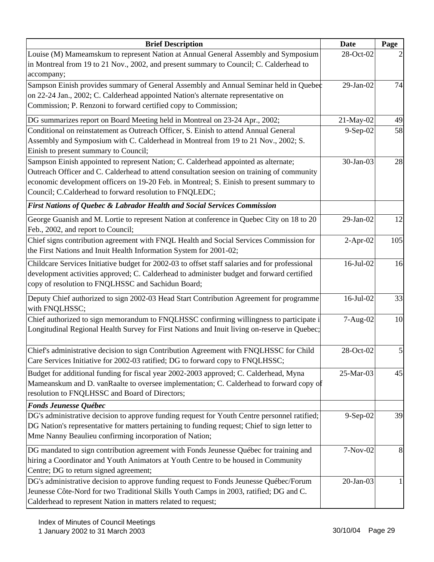| <b>Brief Description</b>                                                                                                        | <b>Date</b>     | Page           |
|---------------------------------------------------------------------------------------------------------------------------------|-----------------|----------------|
| Louise (M) Mameamskum to represent Nation at Annual General Assembly and Symposium                                              | 28-Oct-02       |                |
| in Montreal from 19 to 21 Nov., 2002, and present summary to Council; C. Calderhead to                                          |                 |                |
| accompany;                                                                                                                      |                 |                |
| Sampson Einish provides summary of General Assembly and Annual Seminar held in Quebec                                           | 29-Jan-02       | 74             |
| on 22-24 Jan., 2002; C. Calderhead appointed Nation's alternate representative on                                               |                 |                |
| Commission; P. Renzoni to forward certified copy to Commission;                                                                 |                 |                |
| DG summarizes report on Board Meeting held in Montreal on 23-24 Apr., 2002;                                                     | 21-May-02       | 49             |
| Conditional on reinstatement as Outreach Officer, S. Einish to attend Annual General                                            | 9-Sep-02        | 58             |
| Assembly and Symposium with C. Calderhead in Montreal from 19 to 21 Nov., 2002; S.                                              |                 |                |
| Einish to present summary to Council;                                                                                           |                 |                |
| Sampson Einish appointed to represent Nation; C. Calderhead appointed as alternate;                                             | 30-Jan-03       | 28             |
| Outreach Officer and C. Calderhead to attend consultation seesion on training of community                                      |                 |                |
| economic development officers on 19-20 Feb. in Montreal; S. Einish to present summary to                                        |                 |                |
| Council; C.Calderhead to forward resolution to FNQLEDC;                                                                         |                 |                |
| First Nations of Quebec & Labrador Health and Social Services Commission                                                        |                 |                |
| George Guanish and M. Lortie to represent Nation at conference in Quebec City on 18 to 20<br>Feb., 2002, and report to Council; | 29-Jan-02       | 12             |
| Chief signs contribution agreement with FNQL Health and Social Services Commission for                                          | $2-Apr-02$      | 105            |
| the First Nations and Inuit Health Information System for 2001-02;                                                              |                 |                |
| Childcare Services Initiative budget for 2002-03 to offset staff salaries and for professional                                  | $16$ -Jul- $02$ | 16             |
| development activities approved; C. Calderhead to administer budget and forward certified                                       |                 |                |
| copy of resolution to FNQLHSSC and Sachidun Board;                                                                              |                 |                |
| Deputy Chief authorized to sign 2002-03 Head Start Contribution Agreement for programme                                         | 16-Jul-02       | 33             |
| with FNQLHSSC;                                                                                                                  |                 |                |
| Chief authorized to sign memorandum to FNQLHSSC confirming willingness to participate i                                         | 7-Aug-02        | 10             |
| Longitudinal Regional Health Survey for First Nations and Inuit living on-reserve in Quebec;                                    |                 |                |
|                                                                                                                                 |                 |                |
| Chief's administrative decision to sign Contribution Agreement with FNQLHSSC for Child                                          | 28-Oct-02       | $\mathfrak{S}$ |
| Care Services Initiative for 2002-03 ratified; DG to forward copy to FNQLHSSC;                                                  |                 |                |
| Budget for additional funding for fiscal year 2002-2003 approved; C. Calderhead, Myna                                           | 25-Mar-03       | 45             |
| Mameanskum and D. vanRaalte to oversee implementation; C. Calderhead to forward copy of                                         |                 |                |
| resolution to FNQLHSSC and Board of Directors;                                                                                  |                 |                |
| <b>Fonds Jeunesse Québec</b>                                                                                                    |                 |                |
| DG's administrative decision to approve funding request for Youth Centre personnel ratified;                                    | 9-Sep-02        | 39             |
| DG Nation's representative for matters pertaining to funding request; Chief to sign letter to                                   |                 |                |
| Mme Nanny Beaulieu confirming incorporation of Nation;                                                                          |                 |                |
| DG mandated to sign contribution agreement with Fonds Jeunesse Québec for training and                                          | 7-Nov-02        | 8              |
| hiring a Coordinator and Youth Animators at Youth Centre to be housed in Community                                              |                 |                |
| Centre; DG to return signed agreement;                                                                                          |                 |                |
| DG's administrative decision to approve funding request to Fonds Jeunesse Québec/Forum                                          | $20$ -Jan-03    |                |
| Jeunesse Côte-Nord for two Traditional Skills Youth Camps in 2003, ratified; DG and C.                                          |                 |                |
| Calderhead to represent Nation in matters related to request;                                                                   |                 |                |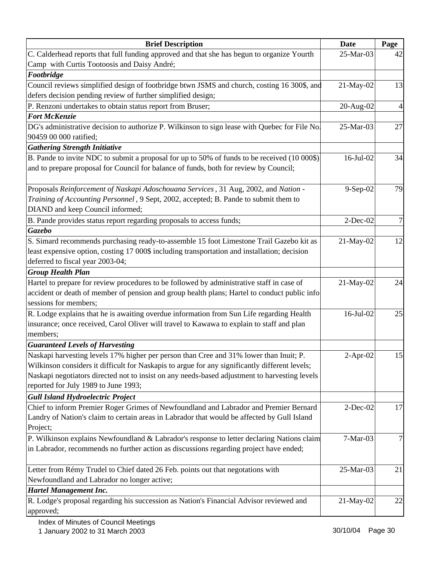| <b>Brief Description</b>                                                                       | <b>Date</b> | Page |
|------------------------------------------------------------------------------------------------|-------------|------|
| C. Calderhead reports that full funding approved and that she has begun to organize Yourth     | 25-Mar-03   | 42   |
| Camp with Curtis Tootoosis and Daisy André;                                                    |             |      |
| Footbridge                                                                                     |             |      |
| Council reviews simplified design of footbridge btwn JSMS and church, costing 16 300\$, and    | 21-May-02   | 13   |
| defers decision pending review of further simplified design;                                   |             |      |
| P. Renzoni undertakes to obtain status report from Bruser;                                     | 20-Aug-02   | 4    |
| <b>Fort McKenzie</b>                                                                           |             |      |
| DG's administrative decision to authorize P. Wilkinson to sign lease with Quebec for File No.  | 25-Mar-03   | 27   |
| 90459 00 000 ratified;                                                                         |             |      |
| <b>Gathering Strength Initiative</b>                                                           |             |      |
| B. Pande to invite NDC to submit a proposal for up to 50% of funds to be received (10 000\$).  | 16-Jul-02   | 34   |
| and to prepare proposal for Council for balance of funds, both for review by Council;          |             |      |
| Proposals Reinforcement of Naskapi Adoschouana Services, 31 Aug, 2002, and Nation -            |             | 79   |
| Training of Accounting Personnel, 9 Sept, 2002, accepted; B. Pande to submit them to           | 9-Sep-02    |      |
| DIAND and keep Council informed;                                                               |             |      |
| B. Pande provides status report regarding proposals to access funds;                           | $2$ -Dec-02 |      |
| Gazebo                                                                                         |             |      |
| S. Simard recommends purchasing ready-to-assemble 15 foot Limestone Trail Gazebo kit as        | 21-May-02   | 12   |
| least expensive option, costing 17 000\$ including transportation and installation; decision   |             |      |
| deferred to fiscal year 2003-04;                                                               |             |      |
| <b>Group Health Plan</b>                                                                       |             |      |
| Hartel to prepare for review procedures to be followed by administrative staff in case of      | 21-May-02   | 24   |
| accident or death of member of pension and group health plans; Hartel to conduct public info   |             |      |
| sessions for members;                                                                          |             |      |
| R. Lodge explains that he is awaiting overdue information from Sun Life regarding Health       | 16-Jul-02   | 25   |
| insurance; once received, Carol Oliver will travel to Kawawa to explain to staff and plan      |             |      |
| members;                                                                                       |             |      |
| <b>Guaranteed Levels of Harvesting</b>                                                         |             |      |
| Naskapi harvesting levels 17% higher per person than Cree and 31% lower than Inuit; P.         | $2-Apr-02$  | 15   |
| Wilkinson considers it difficult for Naskapis to argue for any significantly different levels; |             |      |
| Naskapi negotiators directed not to insist on any needs-based adjustment to harvesting levels  |             |      |
| reported for July 1989 to June 1993;                                                           |             |      |
| <b>Gull Island Hydroelectric Project</b>                                                       |             |      |
| Chief to inform Premier Roger Grimes of Newfoundland and Labrador and Premier Bernard          | $2$ -Dec-02 | 17   |
| Landry of Nation's claim to certain areas in Labrador that would be affected by Gull Island    |             |      |
| Project;                                                                                       |             |      |
| P. Wilkinson explains Newfoundland & Labrador's response to letter declaring Nations claim     | $7-Mar-03$  | 7    |
| in Labrador, recommends no further action as discussions regarding project have ended;         |             |      |
|                                                                                                |             |      |
| Letter from Rémy Trudel to Chief dated 26 Feb. points out that negotations with                | 25-Mar-03   | 21   |
| Newfoundland and Labrador no longer active;                                                    |             |      |
| <b>Hartel Management Inc.</b>                                                                  |             |      |
| R. Lodge's proposal regarding his succession as Nation's Financial Advisor reviewed and        | 21-May-02   | 22   |
| approved;                                                                                      |             |      |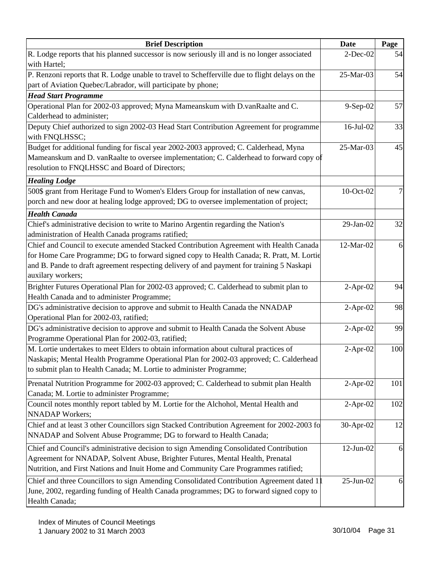| <b>Brief Description</b>                                                                                                                                                                                                                                                                             | <b>Date</b>     | Page |
|------------------------------------------------------------------------------------------------------------------------------------------------------------------------------------------------------------------------------------------------------------------------------------------------------|-----------------|------|
| R. Lodge reports that his planned successor is now seriously ill and is no longer associated<br>with Hartel;                                                                                                                                                                                         | $2$ -Dec-02     | 54   |
| P. Renzoni reports that R. Lodge unable to travel to Schefferville due to flight delays on the<br>part of Aviation Quebec/Labrador, will participate by phone;<br><b>Head Start Programme</b>                                                                                                        | 25-Mar-03       | 54   |
| Operational Plan for 2002-03 approved; Myna Mameanskum with D.vanRaalte and C.<br>Calderhead to administer;                                                                                                                                                                                          | $9-Sep-02$      | 57   |
| Deputy Chief authorized to sign 2002-03 Head Start Contribution Agreement for programme<br>with FNQLHSSC;                                                                                                                                                                                            | $16$ -Jul- $02$ | 33   |
| Budget for additional funding for fiscal year 2002-2003 approved; C. Calderhead, Myna<br>Mameanskum and D. vanRaalte to oversee implementation; C. Calderhead to forward copy of<br>resolution to FNQLHSSC and Board of Directors;                                                                   | 25-Mar-03       | 45   |
| <b>Healing Lodge</b>                                                                                                                                                                                                                                                                                 |                 |      |
| 500\$ grant from Heritage Fund to Women's Elders Group for installation of new canvas,<br>porch and new door at healing lodge approved; DG to oversee implementation of project;                                                                                                                     | 10-Oct-02       |      |
| <b>Health Canada</b>                                                                                                                                                                                                                                                                                 |                 |      |
| Chief's administrative decision to write to Marino Argentin regarding the Nation's<br>administration of Health Canada programs ratified;                                                                                                                                                             | $29$ -Jan- $02$ | 32   |
| Chief and Council to execute amended Stacked Contribution Agreement with Health Canada<br>for Home Care Programme; DG to forward signed copy to Health Canada; R. Pratt, M. Lortie<br>and B. Pande to draft agreement respecting delivery of and payment for training 5 Naskapi<br>auxilary workers; | 12-Mar-02       | 6    |
| Brighter Futures Operational Plan for 2002-03 approved; C. Calderhead to submit plan to<br>Health Canada and to administer Programme;                                                                                                                                                                | $2-Apr-02$      | 94   |
| DG's administrative decision to approve and submit to Health Canada the NNADAP<br>Operational Plan for 2002-03, ratified;                                                                                                                                                                            | $2-Apr-02$      | 98   |
| DG's administrative decision to approve and submit to Health Canada the Solvent Abuse<br>Programme Operational Plan for 2002-03, ratified;                                                                                                                                                           | $2$ -Apr-02     | 99   |
| M. Lortie undertakes to meet Elders to obtain information about cultural practices of<br>Naskapis; Mental Health Programme Operational Plan for 2002-03 approved; C. Calderhead<br>to submit plan to Health Canada; M. Lortie to administer Programme;                                               | $2-Apr-02$      | 100  |
| Prenatal Nutrition Programme for 2002-03 approved; C. Calderhead to submit plan Health<br>Canada; M. Lortie to administer Programme;                                                                                                                                                                 | $2-Apr-02$      | 101  |
| Council notes monthly report tabled by M. Lortie for the Alchohol, Mental Health and<br><b>NNADAP</b> Workers;                                                                                                                                                                                       | $2-Apr-02$      | 102  |
| Chief and at least 3 other Councillors sign Stacked Contribution Agreement for 2002-2003 fo<br>NNADAP and Solvent Abuse Programme; DG to forward to Health Canada;                                                                                                                                   | 30-Apr-02       | 12   |
| Chief and Council's administrative decision to sign Amending Consolidated Contribution<br>Agreement for NNADAP, Solvent Abuse, Brighter Futures, Mental Health, Prenatal<br>Nutrition, and First Nations and Inuit Home and Community Care Programmes ratified;                                      | $12$ -Jun- $02$ | 6    |
| Chief and three Councillors to sign Amending Consolidated Contribution Agreement dated $1$<br>June, 2002, regarding funding of Health Canada programmes; DG to forward signed copy to<br>Health Canada;                                                                                              | $25$ -Jun-02    | 6    |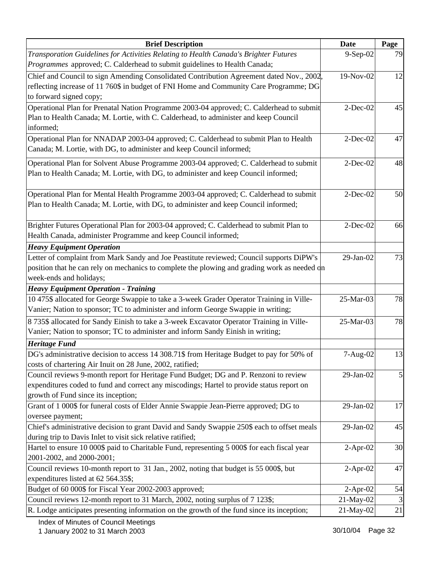| <b>Brief Description</b>                                                                     | <b>Date</b> | Page |
|----------------------------------------------------------------------------------------------|-------------|------|
| Transporation Guidelines for Activities Relating to Health Canada's Brighter Futures         | 9-Sep-02    | 79   |
| Programmes approved; C. Calderhead to submit guidelines to Health Canada;                    |             |      |
| Chief and Council to sign Amending Consolidated Contribution Agreement dated Nov., 2002,     | 19-Nov-02   | 12   |
| reflecting increase of 11 760\$ in budget of FNI Home and Community Care Programme; DG       |             |      |
| to forward signed copy;                                                                      |             |      |
| Operational Plan for Prenatal Nation Programme 2003-04 approved; C. Calderhead to submit     | $2$ -Dec-02 | 45   |
| Plan to Health Canada; M. Lortie, with C. Calderhead, to administer and keep Council         |             |      |
| informed;                                                                                    |             |      |
| Operational Plan for NNADAP 2003-04 approved; C. Calderhead to submit Plan to Health         | $2$ -Dec-02 | 47   |
| Canada; M. Lortie, with DG, to administer and keep Council informed;                         |             |      |
| Operational Plan for Solvent Abuse Programme 2003-04 approved; C. Calderhead to submit       | $2$ -Dec-02 | 48   |
| Plan to Health Canada; M. Lortie, with DG, to administer and keep Council informed;          |             |      |
|                                                                                              |             |      |
| Operational Plan for Mental Health Programme 2003-04 approved; C. Calderhead to submit       | $2$ -Dec-02 | 50   |
| Plan to Health Canada; M. Lortie, with DG, to administer and keep Council informed;          |             |      |
|                                                                                              |             |      |
| Brighter Futures Operational Plan for 2003-04 approved; C. Calderhead to submit Plan to      | $2$ -Dec-02 | 66   |
| Health Canada, administer Programme and keep Council informed;                               |             |      |
| <b>Heavy Equipment Operation</b>                                                             |             |      |
| Letter of complaint from Mark Sandy and Joe Peastitute reviewed; Council supports DiPW's     | 29-Jan-02   | 73   |
| position that he can rely on mechanics to complete the plowing and grading work as needed on |             |      |
| week-ends and holidays;                                                                      |             |      |
| <b>Heavy Equipment Operation - Training</b>                                                  |             |      |
| 10 475\$ allocated for George Swappie to take a 3-week Grader Operator Training in Ville-    | 25-Mar-03   | 78   |
| Vanier; Nation to sponsor; TC to administer and inform George Swappie in writing;            |             |      |
| 8 735\$ allocated for Sandy Einish to take a 3-week Excavator Operator Training in Ville-    | 25-Mar-03   | 78   |
| Vanier; Nation to sponsor; TC to administer and inform Sandy Einish in writing;              |             |      |
| <b>Heritage Fund</b>                                                                         |             |      |
| DG's administrative decision to access 14 308.71\$ from Heritage Budget to pay for 50% of    | 7-Aug-02    | 13   |
| costs of chartering Air Inuit on 28 June, 2002, ratified;                                    |             |      |
| Council reviews 9-month report for Heritage Fund Budget; DG and P. Renzoni to review         | 29-Jan-02   | 5    |
| expenditures coded to fund and correct any miscodings; Hartel to provide status report on    |             |      |
| growth of Fund since its inception;                                                          |             |      |
| Grant of 1 000\$ for funeral costs of Elder Annie Swappie Jean-Pierre approved; DG to        | 29-Jan-02   | 17   |
| oversee payment;                                                                             |             |      |
| Chief's administrative decision to grant David and Sandy Swappie 250\$ each to offset meals  | 29-Jan-02   | 45   |
| during trip to Davis Inlet to visit sick relative ratified;                                  |             |      |
| Hartel to ensure 10 000\$ paid to Charitable Fund, representing 5 000\$ for each fiscal year | $2-Apr-02$  | 30   |
| 2001-2002, and 2000-2001;                                                                    |             |      |
| Council reviews 10-month report to 31 Jan., 2002, noting that budget is 55 000\$, but        | $2-Apr-02$  | 47   |
| expenditures listed at 62 564.35\$;                                                          |             |      |
| Budget of 60 000\$ for Fiscal Year 2002-2003 approved;                                       | $2-Apr-02$  | 54   |
| Council reviews 12-month report to 31 March, 2002, noting surplus of 7 123\$;                | 21-May-02   |      |
| R. Lodge anticipates presenting information on the growth of the fund since its inception;   | 21-May-02   | 21   |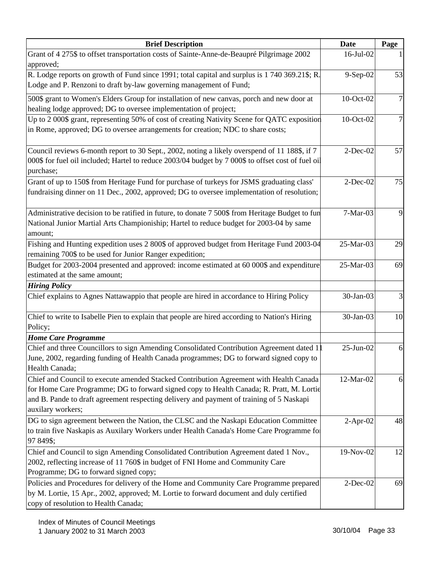| <b>Brief Description</b>                                                                                                                                                                                                                                                                            | <b>Date</b>  | Page           |
|-----------------------------------------------------------------------------------------------------------------------------------------------------------------------------------------------------------------------------------------------------------------------------------------------------|--------------|----------------|
| Grant of 4 275\$ to offset transportation costs of Sainte-Anne-de-Beaupré Pilgrimage 2002                                                                                                                                                                                                           | 16-Jul-02    |                |
| approved;                                                                                                                                                                                                                                                                                           |              |                |
| R. Lodge reports on growth of Fund since 1991; total capital and surplus is 1 740 369.21\$; R.<br>Lodge and P. Renzoni to draft by-law governing management of Fund;                                                                                                                                | 9-Sep-02     | 53             |
| 500\$ grant to Women's Elders Group for installation of new canvas, porch and new door at<br>healing lodge approved; DG to oversee implementation of project;                                                                                                                                       | 10-Oct-02    | $\overline{7}$ |
| Up to 2 000\$ grant, representing 50% of cost of creating Nativity Scene for QATC exposition<br>in Rome, approved; DG to oversee arrangements for creation; NDC to share costs;                                                                                                                     | 10-Oct-02    | 7              |
| Council reviews 6-month report to 30 Sept., 2002, noting a likely overspend of 11 188\$, if 7<br>000\$ for fuel oil included; Hartel to reduce 2003/04 budget by 7 000\$ to offset cost of fuel oil<br>purchase;                                                                                    | $2$ -Dec-02  | 57             |
| Grant of up to 150\$ from Heritage Fund for purchase of turkeys for JSMS graduating class'<br>fundraising dinner on 11 Dec., 2002, approved; DG to oversee implementation of resolution;                                                                                                            | $2-Dec-02$   | 75             |
| Administrative decision to be ratified in future, to donate 7 500\$ from Heritage Budget to fun<br>National Junior Martial Arts Championiship; Hartel to reduce budget for 2003-04 by same<br>amount;                                                                                               | 7-Mar-03     | 9              |
| Fishing and Hunting expedition uses 2 800\$ of approved budget from Heritage Fund 2003-04<br>remaining 700\$ to be used for Junior Ranger expedition;                                                                                                                                               | 25-Mar-03    | 29             |
| Budget for 2003-2004 presented and approved: income estimated at 60 000\$ and expenditure<br>estimated at the same amount;                                                                                                                                                                          | 25-Mar-03    | 69             |
| <b>Hiring Policy</b>                                                                                                                                                                                                                                                                                |              |                |
| Chief explains to Agnes Nattawappio that people are hired in accordance to Hiring Policy                                                                                                                                                                                                            | 30-Jan-03    | $\overline{3}$ |
| Chief to write to Isabelle Pien to explain that people are hired according to Nation's Hiring<br>Policy;                                                                                                                                                                                            | 30-Jan-03    | 10             |
| <b>Home Care Programme</b>                                                                                                                                                                                                                                                                          |              |                |
| Chief and three Councillors to sign Amending Consolidated Contribution Agreement dated 1<br>June, 2002, regarding funding of Health Canada programmes; DG to forward signed copy to<br>Health Canada;                                                                                               | $25$ -Jun-02 | 6              |
| Chief and Council to execute amended Stacked Contribution Agreement with Health Canada<br>for Home Care Programme; DG to forward signed copy to Health Canada; R. Pratt, M. Lortie<br>and B. Pande to draft agreement respecting delivery and payment of training of 5 Naskapi<br>auxilary workers; | 12-Mar-02    | 6              |
| DG to sign agreement between the Nation, the CLSC and the Naskapi Education Committee<br>to train five Naskapis as Auxilary Workers under Health Canada's Home Care Programme fo<br>97 849\$;                                                                                                       | $2-Apr-02$   | 48             |
| Chief and Council to sign Amending Consolidated Contribution Agreement dated 1 Nov.,<br>2002, reflecting increase of 11 760\$ in budget of FNI Home and Community Care<br>Programme; DG to forward signed copy;                                                                                     | 19-Nov-02    | 12             |
| Policies and Procedures for delivery of the Home and Community Care Programme prepared<br>by M. Lortie, 15 Apr., 2002, approved; M. Lortie to forward document and duly certified<br>copy of resolution to Health Canada;                                                                           | $2$ -Dec-02  | 69             |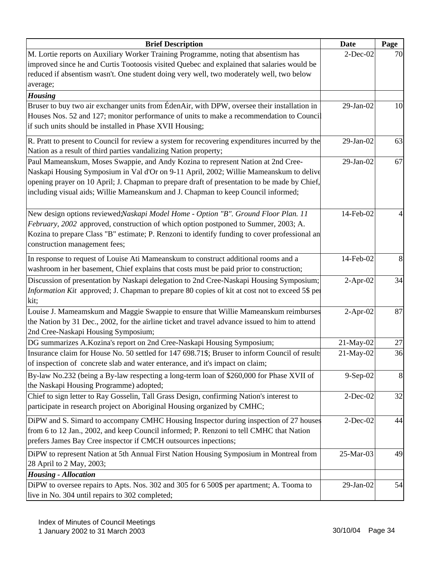| <b>Brief Description</b>                                                                                                                                                                                                                                                                                                                                        | <b>Date</b> | Page   |
|-----------------------------------------------------------------------------------------------------------------------------------------------------------------------------------------------------------------------------------------------------------------------------------------------------------------------------------------------------------------|-------------|--------|
| M. Lortie reports on Auxiliary Worker Training Programme, noting that absentism has<br>improved since he and Curtis Tootoosis visited Quebec and explained that salaries would be<br>reduced if absentism wasn't. One student doing very well, two moderately well, two below<br>average;                                                                       | $2$ -Dec-02 | 70     |
| <b>Housing</b>                                                                                                                                                                                                                                                                                                                                                  |             |        |
| Bruser to buy two air exchanger units from ÉdenAir, with DPW, oversee their installation in<br>Houses Nos. 52 and 127; monitor performance of units to make a recommendation to Council<br>if such units should be installed in Phase XVII Housing;                                                                                                             | 29-Jan-02   | 10     |
| R. Pratt to present to Council for review a system for recovering expenditures incurred by the<br>Nation as a result of third parties vandalizing Nation property;                                                                                                                                                                                              | 29-Jan-02   | 63     |
| Paul Mameanskum, Moses Swappie, and Andy Kozina to represent Nation at 2nd Cree-<br>Naskapi Housing Symposium in Val d'Or on 9-11 April, 2002; Willie Mameanskum to delive<br>opening prayer on 10 April; J. Chapman to prepare draft of presentation to be made by Chief,<br>including visual aids; Willie Mameanskum and J. Chapman to keep Council informed; | 29-Jan-02   | 67     |
| New design options reviewed: Naskapi Model Home - Option "B". Ground Floor Plan. 11<br>February, 2002 approved, construction of which option postponed to Summer, 2003; A.<br>Kozina to prepare Class "B" estimate; P. Renzoni to identify funding to cover professional an<br>construction management fees;                                                    | 14-Feb-02   |        |
| In response to request of Louise Ati Mameanskum to construct additional rooms and a<br>washroom in her basement, Chief explains that costs must be paid prior to construction;                                                                                                                                                                                  | 14-Feb-02   | 8      |
| Discussion of presentation by Naskapi delegation to 2nd Cree-Naskapi Housing Symposium;<br>Information Kit approved; J. Chapman to prepare 80 copies of kit at cost not to exceed 5\$ per<br>kit;                                                                                                                                                               | $2-Apr-02$  | 34     |
| Louise J. Mameamskum and Maggie Swappie to ensure that Willie Mameanskum reimburses<br>the Nation by 31 Dec., 2002, for the airline ticket and travel advance issued to him to attend<br>2nd Cree-Naskapi Housing Symposium;                                                                                                                                    | $2-Apr-02$  | 87     |
| DG summarizes A.Kozina's report on 2nd Cree-Naskapi Housing Symposium;                                                                                                                                                                                                                                                                                          | 21-May-02   | $27\,$ |
| Insurance claim for House No. 50 settled for 147 698.71\$; Bruser to inform Council of result<br>of inspection of concrete slab and water enterance, and it's impact on claim;                                                                                                                                                                                  | 21-May-02   | 36     |
| By-law No.232 (being a By-law respecting a long-term loan of \$260,000 for Phase XVII of<br>the Naskapi Housing Programme) adopted;                                                                                                                                                                                                                             | $9-Sep-02$  | 8      |
| Chief to sign letter to Ray Gosselin, Tall Grass Design, confirming Nation's interest to<br>participate in research project on Aboriginal Housing organized by CMHC;                                                                                                                                                                                            | $2$ -Dec-02 | 32     |
| DiPW and S. Simard to accompany CMHC Housing Inspector during inspection of 27 houses<br>from 6 to 12 Jan., 2002, and keep Council informed; P. Renzoni to tell CMHC that Nation<br>prefers James Bay Cree inspector if CMCH outsources inpections;                                                                                                             | $2$ -Dec-02 | 44     |
| DiPW to represent Nation at 5th Annual First Nation Housing Symposium in Montreal from<br>28 April to 2 May, 2003;<br><b>Housing - Allocation</b>                                                                                                                                                                                                               | 25-Mar-03   | 49     |
| DiPW to oversee repairs to Apts. Nos. 302 and 305 for 6 500\$ per apartment; A. Tooma to                                                                                                                                                                                                                                                                        | 29-Jan-02   | 54     |
| live in No. 304 until repairs to 302 completed;                                                                                                                                                                                                                                                                                                                 |             |        |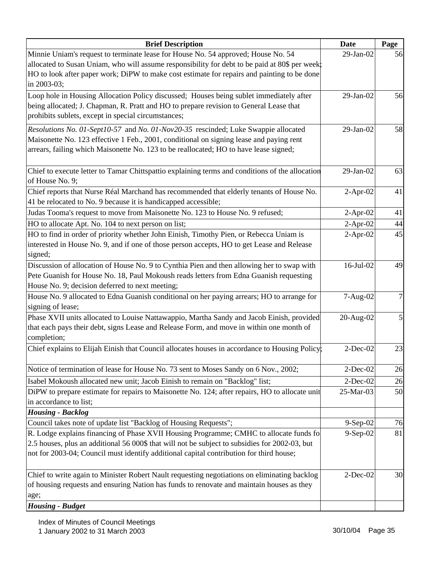| <b>Brief Description</b>                                                                                   | <b>Date</b> | Page |
|------------------------------------------------------------------------------------------------------------|-------------|------|
| Minnie Uniam's request to terminate lease for House No. 54 approved; House No. 54                          | 29-Jan-02   | 56   |
| allocated to Susan Uniam, who will assume responsibility for debt to be paid at 80\$ per week;             |             |      |
| HO to look after paper work; DiPW to make cost estimate for repairs and painting to be done<br>in 2003-03; |             |      |
| Loop hole in Housing Allocation Policy discussed; Houses being sublet immediately after                    | 29-Jan-02   | 56   |
| being allocated; J. Chapman, R. Pratt and HO to prepare revision to General Lease that                     |             |      |
| prohibits sublets, except in special circumstances;                                                        |             |      |
| Resolutions No. 01-Sept10-57 and No. 01-Nov20-35 rescinded; Luke Swappie allocated                         | 29-Jan-02   | 58   |
| Maisonette No. 123 effective 1 Feb., 2001, conditional on signing lease and paying rent                    |             |      |
| arrears, failing which Maisonette No. 123 to be reallocated; HO to have lease signed;                      |             |      |
| Chief to execute letter to Tamar Chittspattio explaining terms and conditions of the allocation            | 29-Jan-02   | 63   |
| of House No. 9;                                                                                            |             |      |
| Chief reports that Nurse Réal Marchand has recommended that elderly tenants of House No.                   | $2-Apr-02$  | 41   |
| 41 be relocated to No. 9 because it is handicapped accessible;                                             |             |      |
| Judas Tooma's request to move from Maisonette No. 123 to House No. 9 refused;                              | $2-Apr-02$  | 41   |
| HO to allocate Apt. No. 104 to next person on list;                                                        | $2-Apr-02$  | 44   |
| HO to find in order of priority whether John Einish, Timothy Pien, or Rebecca Uniam is                     | $2-Apr-02$  | 45   |
| interested in House No. 9, and if one of those person accepts, HO to get Lease and Release<br>signed;      |             |      |
| Discussion of allocation of House No. 9 to Cynthia Pien and then allowing her to swap with                 | 16-Jul-02   | 49   |
| Pete Guanish for House No. 18, Paul Mokoush reads letters from Edna Guanish requesting                     |             |      |
| House No. 9; decision deferred to next meeting;                                                            |             |      |
| House No. 9 allocated to Edna Guanish conditional on her paying arrears; HO to arrange for                 | 7-Aug-02    | 7    |
| signing of lease;                                                                                          |             |      |
| Phase XVII units allocated to Louise Nattawappio, Martha Sandy and Jacob Einish, provided                  | 20-Aug-02   | 5    |
| that each pays their debt, signs Lease and Release Form, and move in within one month of<br>completion;    |             |      |
| Chief explains to Elijah Einish that Council allocates houses in accordance to Housing Policy;             | $2$ -Dec-02 | 23   |
| Notice of termination of lease for House No. 73 sent to Moses Sandy on 6 Nov., 2002;                       | $2$ -Dec-02 | 26   |
| Isabel Mokoush allocated new unit; Jacob Einish to remain on "Backlog" list;                               | $2$ -Dec-02 | 26   |
| DiPW to prepare estimate for repairs to Maisonette No. 124; after repairs, HO to allocate unit             | 25-Mar-03   | 50   |
| in accordance to list;                                                                                     |             |      |
| <b>Housing - Backlog</b>                                                                                   |             |      |
| Council takes note of update list "Backlog of Housing Requests";                                           | $9-Sep-02$  | 76   |
| R. Lodge explains financing of Phase XVII Housing Programme; CMHC to allocate funds fo                     | $9-Sep-02$  | 81   |
| 2.5 houses, plus an additional 56 000\$ that will not be subject to subsidies for 2002-03, but             |             |      |
| not for 2003-04; Council must identify additional capital contribution for third house;                    |             |      |
| Chief to write again to Minister Robert Nault requesting negotiations on eliminating backlog               | $2$ -Dec-02 | 30   |
| of housing requests and ensuring Nation has funds to renovate and maintain houses as they                  |             |      |
| age;                                                                                                       |             |      |
| <b>Housing - Budget</b>                                                                                    |             |      |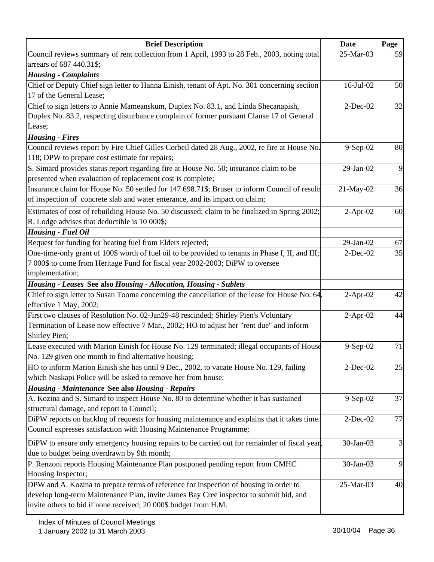| <b>Brief Description</b>                                                                                                                        | <b>Date</b>     | Page |
|-------------------------------------------------------------------------------------------------------------------------------------------------|-----------------|------|
| Council reviews summary of rent collection from 1 April, 1993 to 28 Feb., 2003, noting total                                                    | 25-Mar-03       | 59   |
| arrears of 687 440.31\$;                                                                                                                        |                 |      |
| <b>Housing - Complaints</b>                                                                                                                     |                 |      |
| Chief or Deputy Chief sign letter to Hanna Einish, tenant of Apt. No. 301 concerning section                                                    | 16-Jul-02       | 50   |
| 17 of the General Lease;                                                                                                                        |                 |      |
| Chief to sign letters to Annie Mameanskum, Duplex No. 83.1, and Linda Shecanapish,                                                              | $2$ -Dec-02     | 32   |
| Duplex No. 83.2, respecting disturbance complain of former pursuant Clause 17 of General                                                        |                 |      |
| Lease;                                                                                                                                          |                 |      |
| <b>Housing - Fires</b>                                                                                                                          |                 |      |
| Council reviews report by Fire Chief Gilles Corbeil dated 28 Aug., 2002, re fire at House No.<br>118; DPW to prepare cost estimate for repairs; | 9-Sep-02        | 80   |
| S. Simard provides status report regarding fire at House No. 50; insurance claim to be                                                          | 29-Jan-02       | 9    |
| presented when evaluation of replacement cost is complete;                                                                                      |                 |      |
| Insurance claim for House No. 50 settled for 147 698.71\$; Bruser to inform Council of result                                                   | 21-May-02       | 36   |
| of inspection of concrete slab and water enterance, and its impact on claim;                                                                    |                 |      |
| Estimates of cost of rebuilding House No. 50 discussed; claim to be finalized in Spring 2002;                                                   | $2-Apr-02$      | 60   |
| R. Lodge advises that deductible is 10 000\$;                                                                                                   |                 |      |
| <b>Housing - Fuel Oil</b>                                                                                                                       |                 |      |
| Request for funding for heating fuel from Elders rejected;                                                                                      | $29$ -Jan- $02$ | 67   |
| One-time-only grant of 100\$ worth of fuel oil to be provided to tenants in Phase I, II, and III;                                               | $2$ -Dec-02     | 35   |
| 7 000\$ to come from Heritage Fund for fiscal year 2002-2003; DiPW to oversee                                                                   |                 |      |
| implementation;                                                                                                                                 |                 |      |
| Housing - Leases See also Housing - Allocation, Housing - Sublets                                                                               |                 |      |
| Chief to sign letter to Susan Tooma concerning the cancellation of the lease for House No. 64,                                                  | $2-Apr-02$      | 42   |
| effective 1 May, 2002;                                                                                                                          |                 |      |
| First two clauses of Resolution No. 02-Jan29-48 rescinded; Shirley Pien's Voluntary                                                             | $2-Apr-02$      | 44   |
| Termination of Lease now effective 7 Mar., 2002; HO to adjust her "rent due" and inform<br>Shirley Pien;                                        |                 |      |
| Lease executed with Marion Einish for House No. 129 terminated; illegal occupants of House                                                      | $9-Sep-02$      | 71   |
| No. 129 given one month to find alternative housing;                                                                                            |                 |      |
| HO to inform Marion Einish she has until 9 Dec., 2002, to vacate House No. 129, failing                                                         | $2-Dec-02$      | 25   |
| which Naskapi Police will be asked to remove her from house;                                                                                    |                 |      |
| <b>Housing - Maintenance See also Housing - Repairs</b>                                                                                         |                 |      |
| A. Kozina and S. Simard to inspect House No. 80 to determine whether it has sustained                                                           | $9-Sep-02$      | 37   |
| structural damage, and report to Council;                                                                                                       |                 |      |
| DiPW reports on backlog of requests for housing maintenance and explains that it takes time.                                                    | $2$ -Dec-02     | 77   |
| Council expresses satisfaction with Housing Maintenance Programme;                                                                              |                 |      |
| DiPW to ensure only emergency housing repairs to be carried out for remainder of fiscal year,                                                   | 30-Jan-03       | 3    |
| due to budget being overdrawn by 9th month;                                                                                                     |                 |      |
| P. Renzoni reports Housing Maintenance Plan postponed pending report from CMHC<br>Housing Inspector;                                            | 30-Jan-03       | 9    |
| DPW and A. Kozina to prepare terms of reference for inspection of housing in order to                                                           | 25-Mar-03       | 40   |
| develop long-term Maintenance Plan, invite James Bay Cree inspector to submit bid, and                                                          |                 |      |
| invite others to bid if none received; 20 000\$ budget from H.M.                                                                                |                 |      |
|                                                                                                                                                 |                 |      |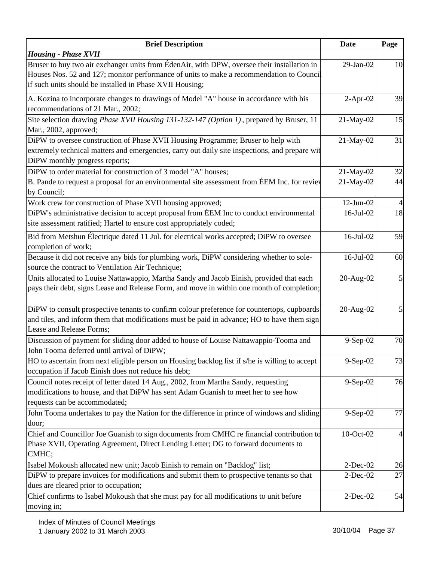| <b>Brief Description</b>                                                                                                  | <b>Date</b>  | Page |
|---------------------------------------------------------------------------------------------------------------------------|--------------|------|
| <b>Housing - Phase XVII</b>                                                                                               |              |      |
| Bruser to buy two air exchanger units from ÉdenAir, with DPW, oversee their installation in                               | 29-Jan-02    | 10   |
| Houses Nos. 52 and 127; monitor performance of units to make a recommendation to Council                                  |              |      |
| if such units should be installed in Phase XVII Housing;                                                                  |              |      |
| A. Kozina to incorporate changes to drawings of Model "A" house in accordance with his                                    | $2$ -Apr-02  | 39   |
| recommendations of 21 Mar., 2002;                                                                                         |              |      |
| Site selection drawing <i>Phase XVII Housing 131-132-147 (Option 1)</i> , prepared by Bruser, 11<br>Mar., 2002, approved; | 21-May-02    | 15   |
| DiPW to oversee construction of Phase XVII Housing Programme; Bruser to help with                                         | 21-May-02    | 31   |
| extremely technical matters and emergencies, carry out daily site inspections, and prepare wit                            |              |      |
| DiPW monthly progress reports;                                                                                            |              |      |
| DiPW to order material for construction of 3 model "A" houses;                                                            | 21-May-02    | 32   |
| B. Pande to request a proposal for an environmental site assessment from ÉEM Inc. for reviev                              | 21-May-02    | 44   |
| by Council;                                                                                                               |              |      |
| Work crew for construction of Phase XVII housing approved;                                                                | $12$ -Jun-02 |      |
| DiPW's administrative decision to accept proposal from ÉEM Inc to conduct environmental                                   | 16-Jul-02    | 18   |
| site assessment ratified; Hartel to ensure cost appropriately coded;                                                      |              |      |
| Bid from Metshun Électrique dated 11 Jul. for electrical works accepted; DiPW to oversee                                  | 16-Jul-02    | 59   |
| completion of work;                                                                                                       |              |      |
| Because it did not receive any bids for plumbing work, DiPW considering whether to sole-                                  | 16-Jul-02    | 60   |
| source the contract to Ventilation Air Technique;                                                                         |              |      |
| Units allocated to Louise Nattawappio, Martha Sandy and Jacob Einish, provided that each                                  | 20-Aug-02    | 5    |
| pays their debt, signs Lease and Release Form, and move in within one month of completion;                                |              |      |
|                                                                                                                           |              |      |
| DiPW to consult prospective tenants to confirm colour preference for countertops, cupboards                               | 20-Aug-02    | 5    |
| and tiles, and inform them that modifications must be paid in advance; HO to have them sign                               |              |      |
| Lease and Release Forms;                                                                                                  |              |      |
| Discussion of payment for sliding door added to house of Louise Nattawappio-Tooma and                                     | 9-Sep-02     | 70   |
| John Tooma deferred until arrival of DiPW;                                                                                |              |      |
| HO to ascertain from next eligible person on Housing backlog list if s/he is willing to accept                            | $9-Sep-02$   | 73   |
| occupation if Jacob Einish does not reduce his debt;                                                                      |              |      |
| Council notes receipt of letter dated 14 Aug., 2002, from Martha Sandy, requesting                                        | 9-Sep-02     | 76   |
| modifications to house, and that DiPW has sent Adam Guanish to meet her to see how                                        |              |      |
| requests can be accommodated;                                                                                             |              |      |
| John Tooma undertakes to pay the Nation for the difference in prince of windows and sliding                               | 9-Sep-02     | 77   |
| door;                                                                                                                     |              |      |
| Chief and Councillor Joe Guanish to sign documents from CMHC re financial contribution to                                 | 10-Oct-02    | 4    |
| Phase XVII, Operating Agreement, Direct Lending Letter; DG to forward documents to                                        |              |      |
| CMHC;                                                                                                                     |              |      |
| Isabel Mokoush allocated new unit; Jacob Einish to remain on "Backlog" list;                                              | $2$ -Dec-02  | 26   |
| DiPW to prepare invoices for modifications and submit them to prospective tenants so that                                 | $2$ -Dec-02  | 27   |
| dues are cleared prior to occupation;                                                                                     |              |      |
| Chief confirms to Isabel Mokoush that she must pay for all modifications to unit before                                   | $2$ -Dec-02  | 54   |
| moving in;                                                                                                                |              |      |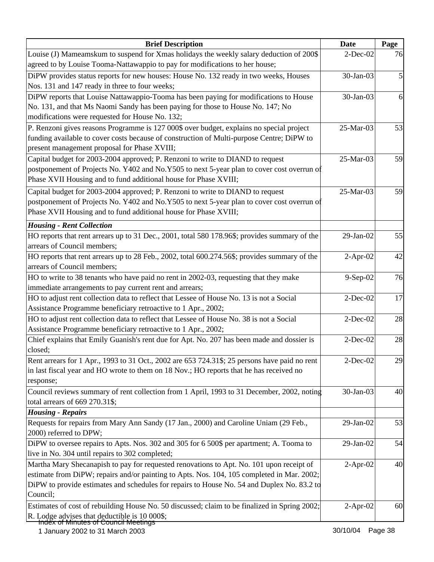| <b>Brief Description</b>                                                                      | <b>Date</b>     | Page |
|-----------------------------------------------------------------------------------------------|-----------------|------|
| Louise (J) Mameamskum to suspend for Xmas holidays the weekly salary deduction of 200\$       | $2$ -Dec-02     | 76   |
| agreed to by Louise Tooma-Nattawappio to pay for modifications to her house;                  |                 |      |
| DiPW provides status reports for new houses: House No. 132 ready in two weeks, Houses         | 30-Jan-03       |      |
| Nos. 131 and 147 ready in three to four weeks;                                                |                 |      |
| DiPW reports that Louise Nattawappio-Tooma has been paying for modifications to House         | 30-Jan-03       | 6    |
| No. 131, and that Ms Naomi Sandy has been paying for those to House No. 147; No               |                 |      |
| modifications were requested for House No. 132;                                               |                 |      |
| P. Renzoni gives reasons Programme is 127 000\$ over budget, explains no special project      | 25-Mar-03       | 53   |
| funding available to cover costs because of construction of Multi-purpose Centre; DiPW to     |                 |      |
| present management proposal for Phase XVIII;                                                  |                 |      |
| Capital budget for 2003-2004 approved; P. Renzoni to write to DIAND to request                | 25-Mar-03       | 59   |
| postponement of Projects No. Y402 and No.Y505 to next 5-year plan to cover cost overrun of    |                 |      |
| Phase XVII Housing and to fund additional house for Phase XVIII;                              |                 |      |
| Capital budget for 2003-2004 approved; P. Renzoni to write to DIAND to request                | 25-Mar-03       | 59   |
| postponement of Projects No. Y402 and No.Y505 to next 5-year plan to cover cost overrun of    |                 |      |
| Phase XVII Housing and to fund additional house for Phase XVIII;                              |                 |      |
|                                                                                               |                 |      |
| <b>Housing - Rent Collection</b>                                                              |                 |      |
| HO reports that rent arrears up to 31 Dec., 2001, total 580 178.96\$; provides summary of the | 29-Jan-02       | 55   |
| arrears of Council members;                                                                   |                 |      |
| HO reports that rent arrears up to 28 Feb., 2002, total 600.274.56\$; provides summary of the | $2-Apr-02$      | 42   |
| arrears of Council members;                                                                   |                 |      |
| HO to write to 38 tenants who have paid no rent in 2002-03, requesting that they make         | 9-Sep-02        | 76   |
| immediate arrangements to pay current rent and arrears;                                       |                 |      |
| HO to adjust rent collection data to reflect that Lessee of House No. 13 is not a Social      | $2$ -Dec-02     | 17   |
| Assistance Programme beneficiary retroactive to 1 Apr., 2002;                                 |                 |      |
| HO to adjust rent collection data to reflect that Lessee of House No. 38 is not a Social      | $2$ -Dec-02     | 28   |
| Assistance Programme beneficiary retroactive to 1 Apr., 2002;                                 |                 |      |
| Chief explains that Emily Guanish's rent due for Apt. No. 207 has been made and dossier is    | $2$ -Dec-02     | 28   |
| closed;                                                                                       |                 |      |
| Rent arrears for 1 Apr., 1993 to 31 Oct., 2002 are 653 724.31\$; 25 persons have paid no rent | $2$ -Dec-02     | 29   |
| in last fiscal year and HO wrote to them on 18 Nov.; HO reports that he has received no       |                 |      |
| response;                                                                                     |                 |      |
| Council reviews summary of rent collection from 1 April, 1993 to 31 December, 2002, noting    | 30-Jan-03       | 40   |
| total arrears of 669 270.31\$;                                                                |                 |      |
| <b>Housing - Repairs</b>                                                                      |                 |      |
| Requests for repairs from Mary Ann Sandy (17 Jan., 2000) and Caroline Uniam (29 Feb.,         | $29$ -Jan- $02$ | 53   |
| 2000) referred to DPW;                                                                        |                 |      |
| DiPW to oversee repairs to Apts. Nos. 302 and 305 for 6 500\$ per apartment; A. Tooma to      | $29$ -Jan- $02$ | 54   |
| live in No. 304 until repairs to 302 completed;                                               |                 |      |
| Martha Mary Shecanapish to pay for requested renovations to Apt. No. 101 upon receipt of      | $2-Apr-02$      | 40   |
| estimate from DiPW; repairs and/or painting to Apts. Nos. 104, 105 completed in Mar. 2002;    |                 |      |
| DiPW to provide estimates and schedules for repairs to House No. 54 and Duplex No. 83.2 to    |                 |      |
| Council;                                                                                      |                 |      |
| Estimates of cost of rebuilding House No. 50 discussed; claim to be finalized in Spring 2002; | $2-Apr-02$      | 60   |
| R. Lodge advises that deductible is 10 000\$;                                                 |                 |      |
| Index of Minutes of Council Meetings                                                          |                 |      |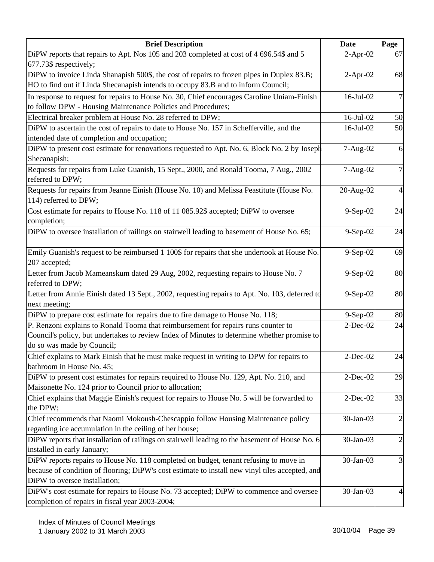| <b>Brief Description</b>                                                                        | <b>Date</b> | Page           |
|-------------------------------------------------------------------------------------------------|-------------|----------------|
| DiPW reports that repairs to Apt. Nos 105 and 203 completed at cost of 4 696.54\$ and 5         | $2-Apr-02$  | 67             |
| 677.73\$ respectively;                                                                          |             |                |
| DiPW to invoice Linda Shanapish 500\$, the cost of repairs to frozen pipes in Duplex 83.B;      | $2-Apr-02$  | 68             |
| HO to find out if Linda Shecanapish intends to occupy 83.B and to inform Council;               |             |                |
| In response to request for repairs to House No. 30, Chief encourages Caroline Uniam-Einish      | 16-Jul-02   | $\overline{7}$ |
| to follow DPW - Housing Maintenance Policies and Procedures;                                    |             |                |
| Electrical breaker problem at House No. 28 referred to DPW;                                     | 16-Jul-02   | 50             |
| DiPW to ascertain the cost of repairs to date to House No. 157 in Schefferville, and the        | 16-Jul-02   | 50             |
| intended date of completion and occupation;                                                     |             |                |
| DiPW to present cost estimate for renovations requested to Apt. No. 6, Block No. 2 by Joseph    | 7-Aug-02    | 6              |
| Shecanapish;                                                                                    |             |                |
| Requests for repairs from Luke Guanish, 15 Sept., 2000, and Ronald Tooma, 7 Aug., 2002          | 7-Aug-02    | 7              |
| referred to DPW;                                                                                |             |                |
| Requests for repairs from Jeanne Einish (House No. 10) and Melissa Peastitute (House No.        | 20-Aug-02   | $\overline{4}$ |
| 114) referred to DPW;                                                                           |             |                |
| Cost estimate for repairs to House No. 118 of 11 085.92\$ accepted; DiPW to oversee             | 9-Sep-02    | 24             |
| completion;                                                                                     |             |                |
| DiPW to oversee installation of railings on stairwell leading to basement of House No. 65;      | $9-Sep-02$  | 24             |
|                                                                                                 |             |                |
| Emily Guanish's request to be reimbursed 1 100\$ for repairs that she undertook at House No.    | 9-Sep-02    | 69             |
| 207 accepted;                                                                                   |             |                |
| Letter from Jacob Mameanskum dated 29 Aug, 2002, requesting repairs to House No. 7              | 9-Sep-02    | 80             |
| referred to DPW;                                                                                |             |                |
| Letter from Annie Einish dated 13 Sept., 2002, requesting repairs to Apt. No. 103, deferred to  | 9-Sep-02    | 80             |
| next meeting;                                                                                   |             |                |
| DiPW to prepare cost estimate for repairs due to fire damage to House No. 118;                  | 9-Sep-02    | 80             |
| P. Renzoni explains to Ronald Tooma that reimbursement for repairs runs counter to              | $2$ -Dec-02 | 24             |
| Council's policy, but undertakes to review Index of Minutes to determine whether promise to     |             |                |
| do so was made by Council;                                                                      |             |                |
| Chief explains to Mark Einish that he must make request in writing to DPW for repairs to        | 2-Dec-02    | 24             |
| bathroom in House No. 45;                                                                       |             |                |
| DiPW to present cost estimates for repairs required to House No. 129, Apt. No. 210, and         | $2$ -Dec-02 | 29             |
| Maisonette No. 124 prior to Council prior to allocation;                                        |             |                |
| Chief explains that Maggie Einish's request for repairs to House No. 5 will be forwarded to     | $2$ -Dec-02 | 33             |
| the DPW;                                                                                        |             |                |
| Chief recommends that Naomi Mokoush-Chescappio follow Housing Maintenance policy                | 30-Jan-03   | $\overline{2}$ |
| regarding ice accumulation in the ceiling of her house;                                         |             |                |
| DiPW reports that installation of railings on stairwell leading to the basement of House No. 6  | 30-Jan-03   | $\overline{2}$ |
| installed in early January;                                                                     |             |                |
| DiPW reports repairs to House No. 118 completed on budget, tenant refusing to move in           | 30-Jan-03   | 3              |
| because of condition of flooring; DiPW's cost estimate to install new vinyl tiles accepted, and |             |                |
| DiPW to oversee installation;                                                                   |             |                |
| DiPW's cost estimate for repairs to House No. 73 accepted; DiPW to commence and oversee         | 30-Jan-03   | 4              |
| completion of repairs in fiscal year 2003-2004;                                                 |             |                |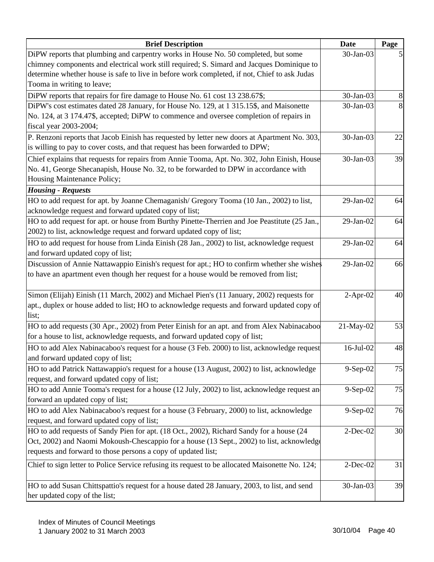| <b>Brief Description</b>                                                                        | <b>Date</b> | Page |
|-------------------------------------------------------------------------------------------------|-------------|------|
| DiPW reports that plumbing and carpentry works in House No. 50 completed, but some              | 30-Jan-03   |      |
| chimney components and electrical work still required; S. Simard and Jacques Dominique to       |             |      |
| determine whether house is safe to live in before work completed, if not, Chief to ask Judas    |             |      |
| Tooma in writing to leave;                                                                      |             |      |
| DiPW reports that repairs for fire damage to House No. 61 cost 13 238.67\$;                     | 30-Jan-03   | 8    |
| DiPW's cost estimates dated 28 January, for House No. 129, at 1 315.15\$, and Maisonette        | 30-Jan-03   | 8    |
| No. 124, at 3 174.47\$, accepted; DiPW to commence and oversee completion of repairs in         |             |      |
| fiscal year 2003-2004;                                                                          |             |      |
| P. Renzoni reports that Jacob Einish has requested by letter new doors at Apartment No. 303,    | 30-Jan-03   | 22   |
| is willing to pay to cover costs, and that request has been forwarded to DPW;                   |             |      |
| Chief explains that requests for repairs from Annie Tooma, Apt. No. 302, John Einish, House     | 30-Jan-03   | 39   |
| No. 41, George Shecanapish, House No. 32, to be forwarded to DPW in accordance with             |             |      |
| Housing Maintenance Policy;                                                                     |             |      |
| <b>Housing - Requests</b>                                                                       |             |      |
| HO to add request for apt. by Joanne Chemaganish/Gregory Tooma (10 Jan., 2002) to list,         | 29-Jan-02   | 64   |
| acknowledge request and forward updated copy of list;                                           |             |      |
| HO to add request for apt. or house from Burthy Pinette-Therrien and Joe Peastitute (25 Jan.,   | 29-Jan-02   | 64   |
| 2002) to list, acknowledge request and forward updated copy of list;                            |             |      |
| HO to add request for house from Linda Einish (28 Jan., 2002) to list, acknowledge request      | 29-Jan-02   | 64   |
| and forward updated copy of list;                                                               |             |      |
| Discussion of Annie Nattawappio Einish's request for apt.; HO to confirm whether she wishes     | 29-Jan-02   | 66   |
| to have an apartment even though her request for a house would be removed from list;            |             |      |
|                                                                                                 |             |      |
| Simon (Elijah) Einish (11 March, 2002) and Michael Pien's (11 January, 2002) requests for       | $2-Apr-02$  | 40   |
| apt., duplex or house added to list; HO to acknowledge requests and forward updated copy of     |             |      |
| list;                                                                                           |             |      |
| HO to add requests (30 Apr., 2002) from Peter Einish for an apt. and from Alex Nabinacaboo      | 21-May-02   | 53   |
| for a house to list, acknowledge requests, and forward updated copy of list;                    |             |      |
| HO to add Alex Nabinacaboo's request for a house (3 Feb. 2000) to list, acknowledge request     | 16-Jul-02   | 48   |
| and forward updated copy of list;                                                               |             |      |
| HO to add Patrick Nattawappio's request for a house (13 August, 2002) to list, acknowledge      | $9-Sep-02$  | 75   |
| request, and forward updated copy of list;                                                      |             |      |
| HO to add Annie Tooma's request for a house (12 July, 2002) to list, acknowledge request an     | $9-Sep-02$  | 75   |
| forward an updated copy of list;                                                                |             |      |
| HO to add Alex Nabinacaboo's request for a house (3 February, 2000) to list, acknowledge        | 9-Sep-02    | 76   |
| request, and forward updated copy of list;                                                      |             |      |
| HO to add requests of Sandy Pien for apt. (18 Oct., 2002), Richard Sandy for a house (24        | $2$ -Dec-02 | 30   |
| Oct, 2002) and Naomi Mokoush-Chescappio for a house (13 Sept., 2002) to list, acknowledge       |             |      |
| requests and forward to those persons a copy of updated list;                                   |             |      |
| Chief to sign letter to Police Service refusing its request to be allocated Maisonette No. 124; | $2$ -Dec-02 | 31   |
|                                                                                                 |             |      |
| HO to add Susan Chittspattio's request for a house dated 28 January, 2003, to list, and send    | 30-Jan-03   | 39   |
| her updated copy of the list;                                                                   |             |      |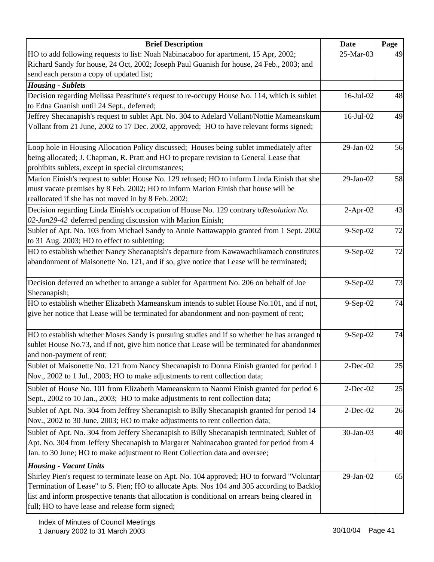| <b>Brief Description</b>                                                                                                                                                           | <b>Date</b>     | Page |
|------------------------------------------------------------------------------------------------------------------------------------------------------------------------------------|-----------------|------|
| HO to add following requests to list: Noah Nabinacaboo for apartment, 15 Apr, 2002;                                                                                                | 25-Mar-03       | 49   |
| Richard Sandy for house, 24 Oct, 2002; Joseph Paul Guanish for house, 24 Feb., 2003; and                                                                                           |                 |      |
| send each person a copy of updated list;                                                                                                                                           |                 |      |
| <b>Housing - Sublets</b>                                                                                                                                                           |                 |      |
| Decision regarding Melissa Peastitute's request to re-occupy House No. 114, which is sublet                                                                                        | $16$ -Jul- $02$ | 48   |
| to Edna Guanish until 24 Sept., deferred;                                                                                                                                          |                 |      |
| Jeffrey Shecanapish's request to sublet Apt. No. 304 to Adelard Vollant/Nottie Mameanskum                                                                                          | 16-Jul-02       | 49   |
| Vollant from 21 June, 2002 to 17 Dec. 2002, approved; HO to have relevant forms signed;                                                                                            |                 |      |
| Loop hole in Housing Allocation Policy discussed; Houses being sublet immediately after                                                                                            | 29-Jan-02       | 56   |
| being allocated; J. Chapman, R. Pratt and HO to prepare revision to General Lease that                                                                                             |                 |      |
| prohibits sublets, except in special circumstances;                                                                                                                                |                 |      |
| Marion Einish's request to sublet House No. 129 refused; HO to inform Linda Einish that she                                                                                        | 29-Jan-02       | 58   |
| must vacate premises by 8 Feb. 2002; HO to inform Marion Einish that house will be                                                                                                 |                 |      |
| reallocated if she has not moved in by 8 Feb. 2002;                                                                                                                                |                 |      |
| Decision regarding Linda Einish's occupation of House No. 129 contrary to Resolution No.                                                                                           | $2-Apr-02$      | 43   |
| 02-Jan29-42 deferred pending discussion with Marion Einish;                                                                                                                        |                 |      |
| Sublet of Apt. No. 103 from Michael Sandy to Annie Nattawappio granted from 1 Sept. 2002                                                                                           | $9-Sep-02$      | 72   |
| to 31 Aug. 2003; HO to effect to subletting;                                                                                                                                       |                 |      |
| HO to establish whether Nancy Shecanapish's departure from Kawawachikamach constitutes<br>abandonment of Maisonette No. 121, and if so, give notice that Lease will be terminated; | $9-Sep-02$      | 72   |
|                                                                                                                                                                                    |                 |      |
| Decision deferred on whether to arrange a sublet for Apartment No. 206 on behalf of Joe                                                                                            | 9-Sep-02        | 73   |
| Shecanapish;                                                                                                                                                                       |                 |      |
| HO to establish whether Elizabeth Mameanskum intends to sublet House No.101, and if not,                                                                                           | 9-Sep-02        | 74   |
| give her notice that Lease will be terminated for abandonment and non-payment of rent;                                                                                             |                 |      |
|                                                                                                                                                                                    |                 |      |
| HO to establish whether Moses Sandy is pursuing studies and if so whether he has arranged to                                                                                       | 9-Sep-02        | 74   |
| sublet House No.73, and if not, give him notice that Lease will be terminated for abandonmer                                                                                       |                 |      |
| and non-payment of rent;                                                                                                                                                           |                 |      |
| Sublet of Maisonette No. 121 from Nancy Shecanapish to Donna Einish granted for period 1                                                                                           | $2$ -Dec-02     | 25   |
| Nov., 2002 to 1 Jul., 2003; HO to make adjustments to rent collection data;                                                                                                        |                 |      |
| Sublet of House No. 101 from Elizabeth Mameanskum to Naomi Einish granted for period 6                                                                                             | $2$ -Dec-02     | 25   |
| Sept., 2002 to 10 Jan., 2003; HO to make adjustments to rent collection data;                                                                                                      |                 |      |
| Sublet of Apt. No. 304 from Jeffrey Shecanapish to Billy Shecanapish granted for period 14                                                                                         | $2$ -Dec-02     | 26   |
| Nov., 2002 to 30 June, 2003; HO to make adjustments to rent collection data;                                                                                                       |                 |      |
| Sublet of Apt. No. 304 from Jeffery Shecanapish to Billy Shecanapish terminated; Sublet of                                                                                         | 30-Jan-03       | 40   |
| Apt. No. 304 from Jeffery Shecanapish to Margaret Nabinacaboo granted for period from 4                                                                                            |                 |      |
| Jan. to 30 June; HO to make adjustment to Rent Collection data and oversee;                                                                                                        |                 |      |
| <b>Housing - Vacant Units</b>                                                                                                                                                      |                 |      |
| Shirley Pien's request to terminate lease on Apt. No. 104 approved; HO to forward "Voluntar"                                                                                       | $29$ -Jan- $02$ | 65   |
| Termination of Lease" to S. Pien; HO to allocate Apts. Nos 104 and 305 according to Backlo                                                                                         |                 |      |
| list and inform prospective tenants that allocation is conditional on arrears being cleared in<br>full; HO to have lease and release form signed;                                  |                 |      |
|                                                                                                                                                                                    |                 |      |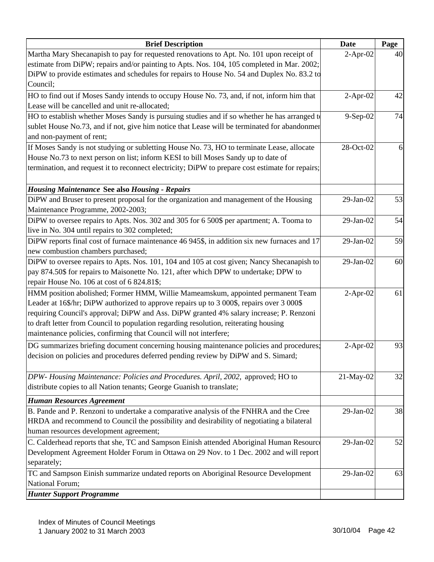| <b>Brief Description</b>                                                                         | <b>Date</b>     | Page |
|--------------------------------------------------------------------------------------------------|-----------------|------|
| Martha Mary Shecanapish to pay for requested renovations to Apt. No. 101 upon receipt of         | $2-Apr-02$      | 40   |
| estimate from DiPW; repairs and/or painting to Apts. Nos. 104, 105 completed in Mar. 2002;       |                 |      |
| DiPW to provide estimates and schedules for repairs to House No. 54 and Duplex No. 83.2 to       |                 |      |
| Council;                                                                                         |                 |      |
| HO to find out if Moses Sandy intends to occupy House No. 73, and, if not, inform him that       | $2-Apr-02$      | 42   |
| Lease will be cancelled and unit re-allocated;                                                   |                 |      |
| HO to establish whether Moses Sandy is pursuing studies and if so whether he has arranged to     | 9-Sep-02        | 74   |
| sublet House No.73, and if not, give him notice that Lease will be terminated for abandonmer     |                 |      |
| and non-payment of rent;                                                                         |                 |      |
| If Moses Sandy is not studying or subletting House No. 73, HO to terminate Lease, allocate       | 28-Oct-02       | 6    |
| House No.73 to next person on list; inform KESI to bill Moses Sandy up to date of                |                 |      |
| termination, and request it to reconnect electricity; DiPW to prepare cost estimate for repairs; |                 |      |
| <b>Housing Maintenance See also Housing - Repairs</b>                                            |                 |      |
| DiPW and Bruser to present proposal for the organization and management of the Housing           | 29-Jan-02       | 53   |
| Maintenance Programme, 2002-2003;                                                                |                 |      |
| DiPW to oversee repairs to Apts. Nos. 302 and 305 for 6 500\$ per apartment; A. Tooma to         | 29-Jan-02       | 54   |
| live in No. 304 until repairs to 302 completed;                                                  |                 |      |
| DiPW reports final cost of furnace maintenance 46 945\$, in addition six new furnaces and 17     | 29-Jan-02       | 59   |
| new combustion chambers purchased;                                                               |                 |      |
| DiPW to oversee repairs to Apts. Nos. 101, 104 and 105 at cost given; Nancy Shecanapish to       | 29-Jan-02       | 60   |
| pay 874.50\$ for repairs to Maisonette No. 121, after which DPW to undertake; DPW to             |                 |      |
| repair House No. 106 at cost of 6 824.81\$;                                                      |                 |      |
| HMM position abolished; Former HMM, Willie Mameamskum, appointed permanent Team                  | $2-Apr-02$      | 61   |
| Leader at 16\$/hr; DiPW authorized to approve repairs up to 3 000\$, repairs over 3 000\$        |                 |      |
| requiring Council's approval; DiPW and Ass. DiPW granted 4% salary increase; P. Renzoni          |                 |      |
| to draft letter from Council to population regarding resolution, reiterating housing             |                 |      |
| maintenance policies, confirming that Council will not interfere;                                |                 |      |
| DG summarizes briefing document concerning housing maintenance policies and procedures;          | $2-Apr-02$      | 93   |
| decision on policies and procedures deferred pending review by DiPW and S. Simard;               |                 |      |
|                                                                                                  |                 |      |
| DPW-Housing Maintenance: Policies and Procedures. April, 2002, approved; HO to                   | 21-May-02       | 32   |
| distribute copies to all Nation tenants; George Guanish to translate;                            |                 |      |
| <b>Human Resources Agreement</b>                                                                 |                 |      |
| B. Pande and P. Renzoni to undertake a comparative analysis of the FNHRA and the Cree            | 29-Jan-02       | 38   |
| HRDA and recommend to Council the possibility and desirability of negotiating a bilateral        |                 |      |
| human resources development agreement;                                                           |                 |      |
| C. Calderhead reports that she, TC and Sampson Einish attended Aboriginal Human Resource         | $29$ -Jan- $02$ | 52   |
| Development Agreement Holder Forum in Ottawa on 29 Nov. to 1 Dec. 2002 and will report           |                 |      |
| separately;                                                                                      |                 |      |
| TC and Sampson Einish summarize undated reports on Aboriginal Resource Development               | $29$ -Jan- $02$ | 63   |
| National Forum;                                                                                  |                 |      |
| <b>Hunter Support Programme</b>                                                                  |                 |      |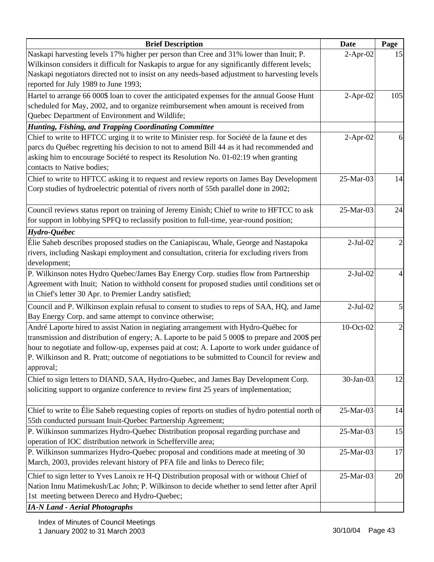| <b>Brief Description</b>                                                                         | <b>Date</b> | Page |
|--------------------------------------------------------------------------------------------------|-------------|------|
| Naskapi harvesting levels 17% higher per person than Cree and 31% lower than Inuit; P.           | $2$ -Apr-02 | 15   |
| Wilkinson considers it difficult for Naskapis to argue for any significantly different levels;   |             |      |
| Naskapi negotiators directed not to insist on any needs-based adjustment to harvesting levels    |             |      |
| reported for July 1989 to June 1993;                                                             |             |      |
| Hartel to arrange 66 000\$ loan to cover the anticipated expenses for the annual Goose Hunt      | $2-Apr-02$  | 105  |
| scheduled for May, 2002, and to organize reimbursement when amount is received from              |             |      |
| Quebec Department of Environment and Wildlife;                                                   |             |      |
| Hunting, Fishing, and Trapping Coordinating Committee                                            |             |      |
| Chief to write to HFTCC urging it to write to Minister resp. for Société de la faune et des      | $2-Apr-02$  | 6    |
| parcs du Québec regretting his decision to not to amend Bill 44 as it had recommended and        |             |      |
| asking him to encourage Société to respect its Resolution No. 01-02:19 when granting             |             |      |
| contacts to Native bodies;                                                                       |             |      |
| Chief to write to HFTCC asking it to request and review reports on James Bay Development         | 25-Mar-03   | 14   |
| Corp studies of hydroelectric potential of rivers north of 55th parallel done in 2002;           |             |      |
| Council reviews status report on training of Jeremy Einish; Chief to write to HFTCC to ask       | 25-Mar-03   | 24   |
| for support in lobbying SPFQ to reclassify position to full-time, year-round position;           |             |      |
| Hydro-Québec                                                                                     |             |      |
| Elie Saheb describes proposed studies on the Caniapiscau, Whale, George and Nastapoka            | $2-Jul-02$  |      |
| rivers, including Naskapi employment and consultation, criteria for excluding rivers from        |             |      |
| development;                                                                                     |             |      |
| P. Wilkinson notes Hydro Quebec/James Bay Energy Corp. studies flow from Partnership             | $2-Jul-02$  |      |
| Agreement with Inuit; Nation to withhold consent for proposed studies until conditions set of    |             |      |
| in Chief's letter 30 Apr. to Premier Landry satisfied;                                           |             |      |
| Council and P. Wilkinson explain refusal to consent to studies to reps of SAA, HQ, and Jame      | $2-Jul-02$  | 5    |
| Bay Energy Corp. and same attempt to convince otherwise;                                         |             |      |
| André Laporte hired to assist Nation in negiating arrangement with Hydro-Québec for              | 10-Oct-02   | 2    |
| transmission and distribution of engery; A. Laporte to be paid 5 000\$ to prepare and 200\$ per  |             |      |
| hour to negotiate and follow-up, expenses paid at cost; A. Laporte to work under guidance of     |             |      |
| P. Wilkinson and R. Pratt; outcome of negotiations to be submitted to Council for review and     |             |      |
| approval;                                                                                        |             |      |
| Chief to sign letters to DIAND, SAA, Hydro-Quebec, and James Bay Development Corp.               | 30-Jan-03   | 12   |
| soliciting support to organize conference to review first 25 years of implementation;            |             |      |
| Chief to write to Élie Saheb requesting copies of reports on studies of hydro potential north of | 25-Mar-03   | 14   |
| 55th conducted pursuant Inuit-Quebec Partnership Agreement;                                      |             |      |
| P. Wilkinson summarizes Hydro-Quebec Distribution proposal regarding purchase and                | 25-Mar-03   | 15   |
| operation of IOC distribution network in Schefferville area;                                     |             |      |
| P. Wilkinson summarizes Hydro-Quebec proposal and conditions made at meeting of 30               | 25-Mar-03   | 17   |
| March, 2003, provides relevant history of PFA file and links to Dereco file;                     |             |      |
| Chief to sign letter to Yves Lanoix re H-Q Distribution proposal with or without Chief of        | 25-Mar-03   | 20   |
| Nation Innu Matimekush/Lac John; P. Wilkinson to decide whether to send letter after April       |             |      |
| 1st meeting between Dereco and Hydro-Quebec;                                                     |             |      |
| <b>IA-N Land - Aerial Photographs</b>                                                            |             |      |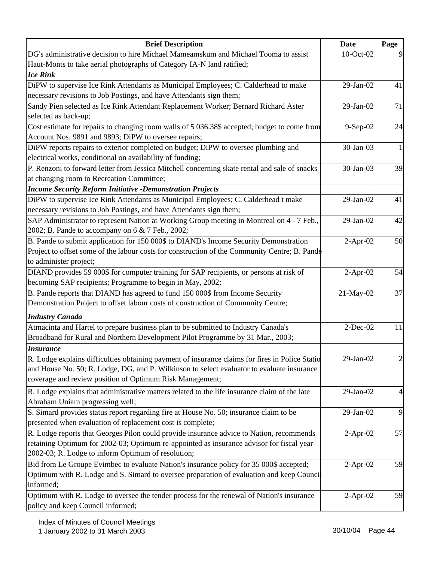| <b>Brief Description</b>                                                                                                                                                             | Date            | Page         |
|--------------------------------------------------------------------------------------------------------------------------------------------------------------------------------------|-----------------|--------------|
| DG's administrative decision to hire Michael Mameamskum and Michael Tooma to assist                                                                                                  | 10-Oct-02       |              |
| Haut-Monts to take aerial photographs of Category IA-N land ratified;                                                                                                                |                 |              |
| <b>Ice Rink</b>                                                                                                                                                                      |                 |              |
| DiPW to supervise Ice Rink Attendants as Municipal Employees; C. Calderhead to make                                                                                                  | 29-Jan-02       | 41           |
| necessary revisions to Job Postings, and have Attendants sign them;                                                                                                                  |                 |              |
| Sandy Pien selected as Ice Rink Attendant Replacement Worker; Bernard Richard Aster                                                                                                  | 29-Jan-02       | 71           |
| selected as back-up;                                                                                                                                                                 |                 |              |
| Cost estimate for repairs to changing room walls of 5 036.38\$ accepted; budget to come from<br>Account Nos. 9891 and 9893; DiPW to oversee repairs;                                 | 9-Sep-02        | 24           |
| DiPW reports repairs to exterior completed on budget; DiPW to oversee plumbing and<br>electrical works, conditional on availability of funding;                                      | 30-Jan-03       | $\mathbf{1}$ |
| P. Renzoni to forward letter from Jessica Mitchell concerning skate rental and sale of snacks<br>at changing room to Recreation Committee;                                           | 30-Jan-03       | 39           |
| <b>Income Security Reform Initiative -Demonstration Projects</b>                                                                                                                     |                 |              |
| DiPW to supervise Ice Rink Attendants as Municipal Employees; C. Calderhead t make                                                                                                   | 29-Jan-02       | 41           |
| necessary revisions to Job Postings, and have Attendants sign them;                                                                                                                  |                 |              |
| SAP Administrator to represent Nation at Working Group meeting in Montreal on 4 - 7 Feb.,                                                                                            | 29-Jan-02       | 42           |
| 2002; B. Pande to accompany on 6 & 7 Feb., 2002;                                                                                                                                     |                 |              |
| B. Pande to submit application for 150 000\$ to DIAND's Income Security Demonstration                                                                                                | $2-Apr-02$      | 50           |
| Project to offset some of the labour costs for construction of the Community Centre; B. Pande                                                                                        |                 |              |
| to administer project;                                                                                                                                                               |                 |              |
| DIAND provides 59 000\$ for computer training for SAP recipients, or persons at risk of                                                                                              | $2-Apr-02$      | 54           |
| becoming SAP recipients; Programme to begin in May, 2002;                                                                                                                            |                 |              |
| B. Pande reports that DIAND has agreed to fund 150 000\$ from Income Security                                                                                                        | 21-May-02       | 37           |
| Demonstration Project to offset labour costs of construction of Community Centre;                                                                                                    |                 |              |
| <b>Industry Canada</b>                                                                                                                                                               |                 |              |
| Atmacinta and Hartel to prepare business plan to be submitted to Industry Canada's                                                                                                   | $2$ -Dec-02     | 11           |
| Broadband for Rural and Northern Development Pilot Programme by 31 Mar., 2003;                                                                                                       |                 |              |
| <b>Insurance</b>                                                                                                                                                                     |                 |              |
| R. Lodge explains difficulties obtaining payment of insurance claims for fires in Police Statio                                                                                      | $29$ -Jan- $02$ | 2            |
| and House No. 50; R. Lodge, DG, and P. Wilkinson to select evaluator to evaluate insurance                                                                                           |                 |              |
| coverage and review position of Optimum Risk Management;                                                                                                                             |                 |              |
| R. Lodge explains that administrative matters related to the life insurance claim of the late                                                                                        | 29-Jan-02       | 4            |
| Abraham Uniam progressing well;                                                                                                                                                      |                 |              |
| S. Simard provides status report regarding fire at House No. 50; insurance claim to be                                                                                               | $29$ -Jan- $02$ | 9            |
| presented when evaluation of replacement cost is complete;                                                                                                                           |                 |              |
| R. Lodge reports that Georges Pilon could provide insurance advice to Nation, recommends                                                                                             | $2-Apr-02$      | 57           |
| retaining Optimum for 2002-03; Optimum re-appointed as insurance advisor for fiscal year<br>2002-03; R. Lodge to inform Optimum of resolution;                                       |                 |              |
|                                                                                                                                                                                      |                 |              |
| Bid from Le Groupe Evimbec to evaluate Nation's insurance policy for 35 000\$ accepted;<br>Optimum with R. Lodge and S. Simard to oversee preparation of evaluation and keep Council | $2$ -Apr-02     | 59           |
| informed;                                                                                                                                                                            |                 |              |
| Optimum with R. Lodge to oversee the tender process for the renewal of Nation's insurance                                                                                            | $2$ -Apr-02     | 59           |
| policy and keep Council informed;                                                                                                                                                    |                 |              |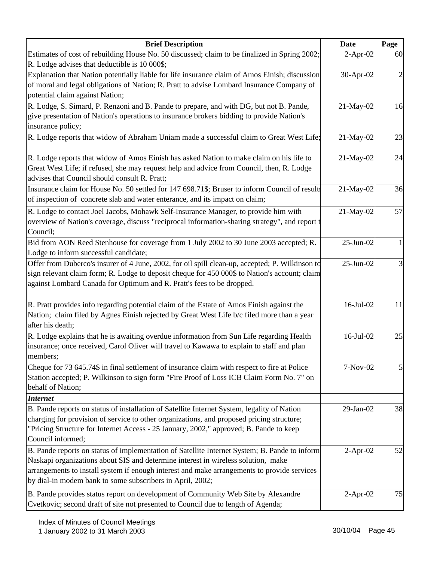| <b>Brief Description</b>                                                                                                                                                                                                                                                                                                                       | Date            | Page           |
|------------------------------------------------------------------------------------------------------------------------------------------------------------------------------------------------------------------------------------------------------------------------------------------------------------------------------------------------|-----------------|----------------|
| Estimates of cost of rebuilding House No. 50 discussed; claim to be finalized in Spring 2002;<br>R. Lodge advises that deductible is 10 000\$;                                                                                                                                                                                                 | $2-Apr-02$      | 60             |
| Explanation that Nation potentially liable for life insurance claim of Amos Einish; discussion<br>of moral and legal obligations of Nation; R. Pratt to advise Lombard Insurance Company of<br>potential claim against Nation;                                                                                                                 | 30-Apr-02       | $\overline{2}$ |
| R. Lodge, S. Simard, P. Renzoni and B. Pande to prepare, and with DG, but not B. Pande,<br>give presentation of Nation's operations to insurance brokers bidding to provide Nation's<br>insurance policy;                                                                                                                                      | 21-May-02       | 16             |
| R. Lodge reports that widow of Abraham Uniam made a successful claim to Great West Life;                                                                                                                                                                                                                                                       | 21-May-02       | 23             |
| R. Lodge reports that widow of Amos Einish has asked Nation to make claim on his life to<br>Great West Life; if refused, she may request help and advice from Council, then, R. Lodge<br>advises that Council should consult R. Pratt;                                                                                                         | 21-May-02       | 24             |
| Insurance claim for House No. 50 settled for 147 698.71\$; Bruser to inform Council of result<br>of inspection of concrete slab and water enterance, and its impact on claim;                                                                                                                                                                  | 21-May-02       | 36             |
| R. Lodge to contact Joel Jacobs, Mohawk Self-Insurance Manager, to provide him with<br>overview of Nation's coverage, discuss "reciprocal information-sharing strategy", and report t<br>Council;                                                                                                                                              | 21-May-02       | 57             |
| Bid from AON Reed Stenhouse for coverage from 1 July 2002 to 30 June 2003 accepted; R.<br>Lodge to inform successful candidate;                                                                                                                                                                                                                | 25-Jun-02       | $\mathbf{1}$   |
| Offer from Duberco's insurer of 4 June, 2002, for oil spill clean-up, accepted; P. Wilkinson to<br>sign relevant claim form; R. Lodge to deposit cheque for 450 000\$ to Nation's account; claim<br>against Lombard Canada for Optimum and R. Pratt's fees to be dropped.                                                                      | $25$ -Jun-02    | 3              |
| R. Pratt provides info regarding potential claim of the Estate of Amos Einish against the<br>Nation; claim filed by Agnes Einish rejected by Great West Life b/c filed more than a year<br>after his death;                                                                                                                                    | 16-Jul-02       | 11             |
| R. Lodge explains that he is awaiting overdue information from Sun Life regarding Health<br>insurance; once received, Carol Oliver will travel to Kawawa to explain to staff and plan<br>members;                                                                                                                                              | 16-Jul-02       | 25             |
| Cheque for 73 645.74\$ in final settlement of insurance claim with respect to fire at Police<br>Station accepted; P. Wilkinson to sign form "Fire Proof of Loss ICB Claim Form No. 7" on<br>behalf of Nation;                                                                                                                                  | 7-Nov-02        | $\mathsf{S}$   |
| <b>Internet</b><br>B. Pande reports on status of installation of Satellite Internet System, legality of Nation<br>charging for provision of service to other organizations, and proposed pricing structure;<br>"Pricing Structure for Internet Access - 25 January, 2002," approved; B. Pande to keep<br>Council informed;                     | $29$ -Jan- $02$ | 38             |
| B. Pande reports on status of implementation of Satellite Internet System; B. Pande to inform<br>Naskapi organizations about SIS and determine interest in wireless solution, make<br>arrangements to install system if enough interest and make arrangements to provide services<br>by dial-in modem bank to some subscribers in April, 2002; | $2-Apr-02$      | 52             |
| B. Pande provides status report on development of Community Web Site by Alexandre<br>Cvetkovic; second draft of site not presented to Council due to length of Agenda;                                                                                                                                                                         | $2$ -Apr-02     | 75             |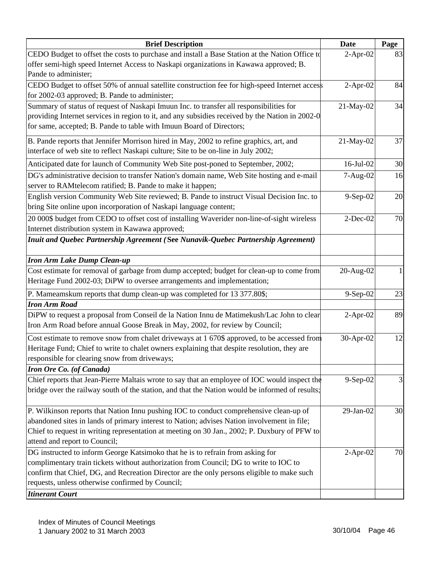| <b>Brief Description</b>                                                                        | Date            | Page |
|-------------------------------------------------------------------------------------------------|-----------------|------|
| CEDO Budget to offset the costs to purchase and install a Base Station at the Nation Office to  | $2-Apr-02$      | 83   |
| offer semi-high speed Internet Access to Naskapi organizations in Kawawa approved; B.           |                 |      |
| Pande to administer;                                                                            |                 |      |
| CEDO Budget to offset 50% of annual satellite construction fee for high-speed Internet access   | $2-Apr-02$      | 84   |
| for 2002-03 approved; B. Pande to administer;                                                   |                 |      |
| Summary of status of request of Naskapi Imuun Inc. to transfer all responsibilities for         | 21-May-02       | 34   |
| providing Internet services in region to it, and any subsidies received by the Nation in 2002-0 |                 |      |
| for same, accepted; B. Pande to table with Imuun Board of Directors;                            |                 |      |
| B. Pande reports that Jennifer Morrison hired in May, 2002 to refine graphics, art, and         | 21-May-02       | 37   |
| interface of web site to reflect Naskapi culture; Site to be on-line in July 2002;              |                 |      |
| Anticipated date for launch of Community Web Site post-poned to September, 2002;                | $16$ -Jul- $02$ | 30   |
| DG's administrative decision to transfer Nation's domain name, Web Site hosting and e-mail      | 7-Aug-02        | 16   |
| server to RAMtelecom ratified; B. Pande to make it happen;                                      |                 |      |
| English version Community Web Site reviewed; B. Pande to instruct Visual Decision Inc. to       | $9-Sep-02$      | 20   |
| bring Site online upon incorporation of Naskapi language content;                               |                 |      |
| 20 000\$ budget from CEDO to offset cost of installing Waverider non-line-of-sight wireless     | $2-Dec-02$      | 70   |
| Internet distribution system in Kawawa approved;                                                |                 |      |
| Inuit and Quebec Partnership Agreement (See Nunavik-Quebec Partnership Agreement)               |                 |      |
|                                                                                                 |                 |      |
| <b>Iron Arm Lake Dump Clean-up</b>                                                              |                 |      |
| Cost estimate for removal of garbage from dump accepted; budget for clean-up to come from       | 20-Aug-02       |      |
| Heritage Fund 2002-03; DiPW to oversee arrangements and implementation;                         |                 |      |
| P. Mameamskum reports that dump clean-up was completed for 13 377.80\$;                         | 9-Sep-02        | 23   |
| <b>Iron Arm Road</b>                                                                            |                 |      |
| DiPW to request a proposal from Conseil de la Nation Innu de Matimekush/Lac John to clear       | $2-Apr-02$      | 89   |
| Iron Arm Road before annual Goose Break in May, 2002, for review by Council;                    |                 |      |
| Cost estimate to remove snow from chalet driveways at 1 670\$ approved, to be accessed from     | 30-Apr-02       | 12   |
| Heritage Fund; Chief to write to chalet owners explaining that despite resolution, they are     |                 |      |
| responsible for clearing snow from driveways;                                                   |                 |      |
| <b>Iron Ore Co.</b> (of Canada)                                                                 |                 |      |
| Chief reports that Jean-Pierre Maltais wrote to say that an employee of IOC would inspect the   | $9-Sep-02$      | 3    |
| bridge over the railway south of the station, and that the Nation would be informed of results; |                 |      |
|                                                                                                 |                 |      |
| P. Wilkinson reports that Nation Innu pushing IOC to conduct comprehensive clean-up of          | 29-Jan-02       | 30   |
| abandoned sites in lands of primary interest to Nation; advises Nation involvement in file;     |                 |      |
| Chief to request in writing representation at meeting on 30 Jan., 2002; P. Duxbury of PFW to    |                 |      |
| attend and report to Council;                                                                   |                 |      |
| DG instructed to inform George Katsimoko that he is to refrain from asking for                  | $2-Apr-02$      | 70   |
| complimentary train tickets without authorization from Council; DG to write to IOC to           |                 |      |
| confirm that Chief, DG, and Recreation Director are the only persons eligible to make such      |                 |      |
| requests, unless otherwise confirmed by Council;                                                |                 |      |
| <b>Itinerant Court</b>                                                                          |                 |      |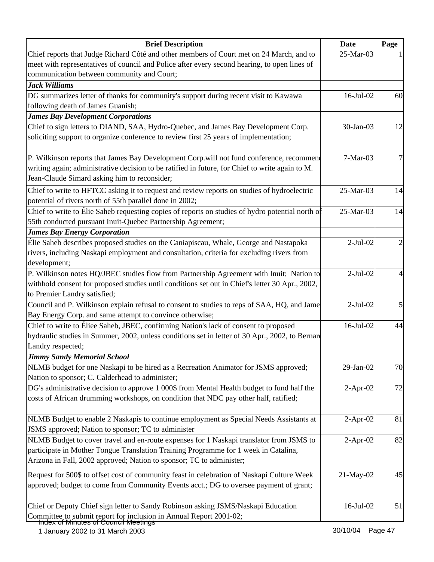| <b>Brief Description</b>                                                                                   | <b>Date</b>     | Page |
|------------------------------------------------------------------------------------------------------------|-----------------|------|
| Chief reports that Judge Richard Côté and other members of Court met on 24 March, and to                   | 25-Mar-03       |      |
| meet with representatives of council and Police after every second hearing, to open lines of               |                 |      |
| communication between community and Court;                                                                 |                 |      |
| <b>Jack Williams</b>                                                                                       |                 |      |
| DG summarizes letter of thanks for community's support during recent visit to Kawawa                       | 16-Jul-02       | 60   |
| following death of James Guanish;                                                                          |                 |      |
| <b>James Bay Development Corporations</b>                                                                  |                 |      |
| Chief to sign letters to DIAND, SAA, Hydro-Quebec, and James Bay Development Corp.                         | 30-Jan-03       | 12   |
| soliciting support to organize conference to review first 25 years of implementation;                      |                 |      |
| P. Wilkinson reports that James Bay Development Corp.will not fund conference, recommend                   | 7-Mar-03        |      |
| writing again; administrative decision to be ratified in future, for Chief to write again to M.            |                 |      |
| Jean-Claude Simard asking him to reconsider;                                                               |                 |      |
| Chief to write to HFTCC asking it to request and review reports on studies of hydroelectric                | 25-Mar-03       | 14   |
| potential of rivers north of 55th parallel done in 2002;                                                   |                 |      |
| Chief to write to Élie Saheb requesting copies of reports on studies of hydro potential north of           | 25-Mar-03       | 14   |
| 55th conducted pursuant Inuit-Quebec Partnership Agreement;                                                |                 |      |
| <b>James Bay Energy Corporation</b>                                                                        |                 |      |
| Elie Saheb describes proposed studies on the Caniapiscau, Whale, George and Nastapoka                      | $2-Jul-02$      |      |
| rivers, including Naskapi employment and consultation, criteria for excluding rivers from                  |                 |      |
| development;                                                                                               |                 |      |
| P. Wilkinson notes HQ/JBEC studies flow from Partnership Agreement with Inuit; Nation to                   | $2-Jul-02$      |      |
| withhold consent for proposed studies until conditions set out in Chief's letter 30 Apr., 2002,            |                 |      |
| to Premier Landry satisfied;                                                                               |                 |      |
| Council and P. Wilkinson explain refusal to consent to studies to reps of SAA, HQ, and Jame                | $2-Jul-02$      |      |
| Bay Energy Corp. and same attempt to convince otherwise;                                                   |                 |      |
| Chief to write to Éliee Saheb, JBEC, confirming Nation's lack of consent to proposed                       | $16$ -Jul- $02$ | 44   |
| hydraulic studies in Summer, 2002, unless conditions set in letter of 30 Apr., 2002, to Bernard            |                 |      |
| Landry respected;                                                                                          |                 |      |
| <b>Jimmy Sandy Memorial School</b>                                                                         |                 |      |
| NLMB budget for one Naskapi to be hired as a Recreation Animator for JSMS approved;                        | 29-Jan-02       | 70   |
| Nation to sponsor; C. Calderhead to administer;                                                            |                 |      |
| DG's administrative decision to approve 1 000\$ from Mental Health budget to fund half the                 | $2$ -Apr-02     | 72   |
| costs of African drumming workshops, on condition that NDC pay other half, ratified;                       |                 |      |
| NLMB Budget to enable 2 Naskapis to continue employment as Special Needs Assistants at                     | $2$ -Apr-02     | 81   |
| JSMS approved; Nation to sponsor; TC to administer                                                         |                 |      |
| NLMB Budget to cover travel and en-route expenses for 1 Naskapi translator from JSMS to                    | $2-Apr-02$      | 82   |
| participate in Mother Tongue Translation Training Programme for 1 week in Catalina,                        |                 |      |
| Arizona in Fall, 2002 approved; Nation to sponsor; TC to administer;                                       |                 |      |
| Request for 500\$ to offset cost of community feast in celebration of Naskapi Culture Week                 | 21-May-02       | 45   |
| approved; budget to come from Community Events acct.; DG to oversee payment of grant;                      |                 |      |
|                                                                                                            |                 |      |
| Chief or Deputy Chief sign letter to Sandy Robinson asking JSMS/Naskapi Education                          | 16-Jul-02       | 51   |
| Committee to submit report for inclusion in Annual Report 2001-02;<br>Index of Minutes of Council Meetings |                 |      |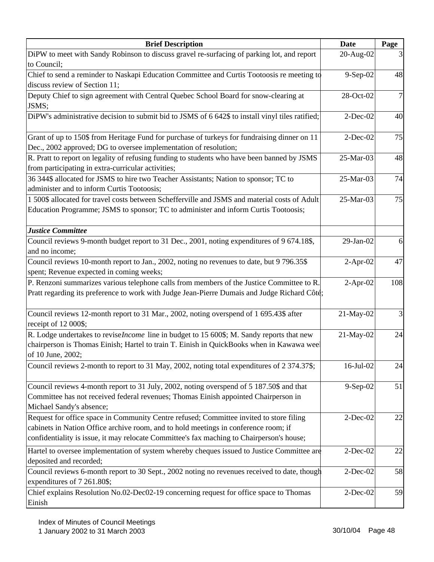| <b>Brief Description</b>                                                                                                                                                                                                                                                    | <b>Date</b> | Page           |
|-----------------------------------------------------------------------------------------------------------------------------------------------------------------------------------------------------------------------------------------------------------------------------|-------------|----------------|
| DiPW to meet with Sandy Robinson to discuss gravel re-surfacing of parking lot, and report<br>to Council;                                                                                                                                                                   | 20-Aug-02   |                |
| Chief to send a reminder to Naskapi Education Committee and Curtis Tootoosis re meeting to<br>discuss review of Section 11;                                                                                                                                                 | 9-Sep-02    | 48             |
| Deputy Chief to sign agreement with Central Quebec School Board for snow-clearing at<br>JSMS;                                                                                                                                                                               | 28-Oct-02   | $\overline{7}$ |
| DiPW's administrative decision to submit bid to JSMS of 6 642\$ to install vinyl tiles ratified;                                                                                                                                                                            | $2$ -Dec-02 | 40             |
| Grant of up to 150\$ from Heritage Fund for purchase of turkeys for fundraising dinner on 11<br>Dec., 2002 approved; DG to oversee implementation of resolution;                                                                                                            | $2$ -Dec-02 | 75             |
| R. Pratt to report on legality of refusing funding to students who have been banned by JSMS<br>from participating in extra-curricular activities;                                                                                                                           | 25-Mar-03   | 48             |
| 36 344\$ allocated for JSMS to hire two Teacher Assistants; Nation to sponsor; TC to<br>administer and to inform Curtis Tootoosis;                                                                                                                                          | 25-Mar-03   | 74             |
| 1 500\$ allocated for travel costs between Schefferville and JSMS and material costs of Adult<br>Education Programme; JSMS to sponsor; TC to administer and inform Curtis Tootoosis;                                                                                        | 25-Mar-03   | 75             |
| <b>Justice Committee</b><br>Council reviews 9-month budget report to 31 Dec., 2001, noting expenditures of 9 674.18\$,<br>and no income;                                                                                                                                    | 29-Jan-02   | 6              |
| Council reviews 10-month report to Jan., 2002, noting no revenues to date, but 9 796.35\$<br>spent; Revenue expected in coming weeks;                                                                                                                                       | $2-Apr-02$  | 47             |
| P. Renzoni summarizes various telephone calls from members of the Justice Committee to R.<br>Pratt regarding its preference to work with Judge Jean-Pierre Dumais and Judge Richard Côté;                                                                                   | $2-Apr-02$  | 108            |
| Council reviews 12-month report to 31 Mar., 2002, noting overspend of 1 695.43\$ after<br>receipt of 12 000\$;                                                                                                                                                              | 21-May-02   | 3              |
| R. Lodge undertakes to revise <i>Income</i> line in budget to 15 600\$; M. Sandy reports that new<br>chairperson is Thomas Einish; Hartel to train T. Einish in QuickBooks when in Kawawa weel<br>of 10 June, 2002;                                                         | 21-May-02   | 24             |
| Council reviews 2-month to report to 31 May, 2002, noting total expenditures of 2 374.37\$;                                                                                                                                                                                 | 16-Jul-02   | 24             |
| Council reviews 4-month report to 31 July, 2002, noting overspend of 5 187.50\$ and that<br>Committee has not received federal revenues; Thomas Einish appointed Chairperson in<br>Michael Sandy's absence;                                                                 | $9-Sep-02$  | 51             |
| Request for office space in Community Centre refused; Committee invited to store filing<br>cabinets in Nation Office archive room, and to hold meetings in conference room; if<br>confidentiality is issue, it may relocate Committee's fax maching to Chairperson's house; | $2$ -Dec-02 | 22             |
| Hartel to oversee implementation of system whereby cheques issued to Justice Committee are<br>deposited and recorded;                                                                                                                                                       | $2$ -Dec-02 | 22             |
| Council reviews 6-month report to 30 Sept., 2002 noting no revenues received to date, though<br>expenditures of 7 261.80\$;                                                                                                                                                 | $2$ -Dec-02 | 58             |
| Chief explains Resolution No.02-Dec02-19 concerning request for office space to Thomas<br>Einish                                                                                                                                                                            | $2$ -Dec-02 | 59             |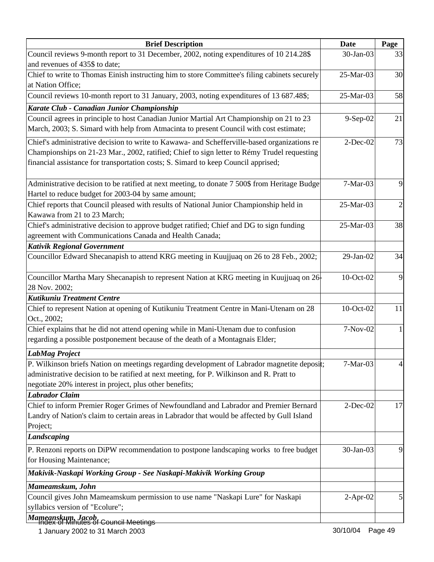| <b>Brief Description</b>                                                                                                                                                                                                                                                          | <b>Date</b> | Page           |
|-----------------------------------------------------------------------------------------------------------------------------------------------------------------------------------------------------------------------------------------------------------------------------------|-------------|----------------|
| Council reviews 9-month report to 31 December, 2002, noting expenditures of 10 214.28\$<br>and revenues of 435\$ to date;                                                                                                                                                         | 30-Jan-03   | 33             |
| Chief to write to Thomas Einish instructing him to store Committee's filing cabinets securely<br>at Nation Office;                                                                                                                                                                | 25-Mar-03   | 30             |
| Council reviews 10-month report to 31 January, 2003, noting expenditures of 13 687.48\$;                                                                                                                                                                                          | 25-Mar-03   | 58             |
| Karate Club - Canadian Junior Championship                                                                                                                                                                                                                                        |             |                |
| Council agrees in principle to host Canadian Junior Martial Art Championship on 21 to 23<br>March, 2003; S. Simard with help from Atmacinta to present Council with cost estimate;                                                                                                | 9-Sep-02    | 21             |
| Chief's administrative decision to write to Kawawa- and Schefferville-based organizations re<br>Championships on 21-23 Mar., 2002, ratified; Chief to sign letter to Rémy Trudel requesting<br>financial assistance for transportation costs; S. Simard to keep Council apprised; | $2-Dec-02$  | 73             |
| Administrative decision to be ratified at next meeting, to donate 7 500\$ from Heritage Budge<br>Hartel to reduce budget for 2003-04 by same amount;                                                                                                                              | 7-Mar-03    | 9              |
| Chief reports that Council pleased with results of National Junior Championship held in<br>Kawawa from 21 to 23 March;                                                                                                                                                            | 25-Mar-03   | $\overline{c}$ |
| Chief's administrative decision to approve budget ratified; Chief and DG to sign funding<br>agreement with Communications Canada and Health Canada;                                                                                                                               | 25-Mar-03   | 38             |
| <b>Kativik Regional Government</b>                                                                                                                                                                                                                                                |             |                |
| Councillor Edward Shecanapish to attend KRG meeting in Kuujjuaq on 26 to 28 Feb., 2002;                                                                                                                                                                                           | 29-Jan-02   | 34             |
| Councillor Martha Mary Shecanapish to represent Nation at KRG meeting in Kuujjuaq on 26<br>28 Nov. 2002;                                                                                                                                                                          | 10-Oct-02   | 9              |
| Kutikuniu Treatment Centre                                                                                                                                                                                                                                                        |             |                |
| Chief to represent Nation at opening of Kutikuniu Treatment Centre in Mani-Utenam on 28<br>Oct., 2002;                                                                                                                                                                            | 10-Oct-02   | 11             |
| Chief explains that he did not attend opening while in Mani-Utenam due to confusion<br>regarding a possible postponement because of the death of a Montagnais Elder;                                                                                                              | 7-Nov-02    | 1              |
| <b>LabMag Project</b>                                                                                                                                                                                                                                                             |             |                |
| P. Wilkinson briefs Nation on meetings regarding development of Labrador magnetite deposit;<br>administrative decision to be ratified at next meeting, for P. Wilkinson and R. Pratt to<br>negotiate 20% interest in project, plus other benefits;<br><b>Labrador Claim</b>       | $7-Mar-03$  | 4              |
| Chief to inform Premier Roger Grimes of Newfoundland and Labrador and Premier Bernard                                                                                                                                                                                             | $2$ -Dec-02 | 17             |
| Landry of Nation's claim to certain areas in Labrador that would be affected by Gull Island<br>Project;                                                                                                                                                                           |             |                |
| Landscaping                                                                                                                                                                                                                                                                       |             |                |
| P. Renzoni reports on DiPW recommendation to postpone landscaping works to free budget<br>for Housing Maintenance;                                                                                                                                                                | 30-Jan-03   | 9              |
| Makivik-Naskapi Working Group - See Naskapi-Makivik Working Group                                                                                                                                                                                                                 |             |                |
| Mameamskum, John                                                                                                                                                                                                                                                                  |             |                |
| Council gives John Mameamskum permission to use name "Naskapi Lure" for Naskapi<br>syllabics version of "Ecolure";                                                                                                                                                                | $2$ -Apr-02 |                |
| Mameanskum, Jacob,<br><del>Council Meetings</del>                                                                                                                                                                                                                                 |             |                |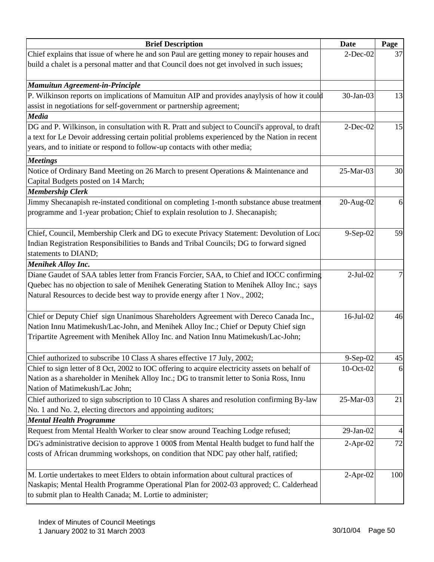| <b>Brief Description</b>                                                                                                                                                        | Date         | Page |
|---------------------------------------------------------------------------------------------------------------------------------------------------------------------------------|--------------|------|
| Chief explains that issue of where he and son Paul are getting money to repair houses and                                                                                       | $2$ -Dec-02  | 37   |
| build a chalet is a personal matter and that Council does not get involved in such issues;                                                                                      |              |      |
|                                                                                                                                                                                 |              |      |
| <b>Mamuitun Agreement-in-Principle</b>                                                                                                                                          | 30-Jan-03    | 13   |
| P. Wilkinson reports on implications of Mamuitun AIP and provides anaylysis of how it could<br>assist in negotiations for self-government or partnership agreement;             |              |      |
| <b>Media</b>                                                                                                                                                                    |              |      |
| DG and P. Wilkinson, in consultation with R. Pratt and subject to Council's approval, to draft                                                                                  | $2$ -Dec-02  | 15   |
| a text for Le Devoir addressing certain politial problems experienced by the Nation in recent                                                                                   |              |      |
| years, and to initiate or respond to follow-up contacts with other media;                                                                                                       |              |      |
| <b>Meetings</b>                                                                                                                                                                 |              |      |
| Notice of Ordinary Band Meeting on 26 March to present Operations & Maintenance and                                                                                             | 25-Mar-03    | 30   |
| Capital Budgets posted on 14 March;                                                                                                                                             |              |      |
| <b>Membership Clerk</b>                                                                                                                                                         |              |      |
| Jimmy Shecanapish re-instated conditional on completing 1-month substance abuse treatment                                                                                       | 20-Aug-02    | 6    |
| programme and 1-year probation; Chief to explain resolution to J. Shecanapish;                                                                                                  |              |      |
|                                                                                                                                                                                 |              |      |
| Chief, Council, Membership Clerk and DG to execute Privacy Statement: Devolution of Loca                                                                                        | 9-Sep-02     | 59   |
| Indian Registration Responsibilities to Bands and Tribal Councils; DG to forward signed                                                                                         |              |      |
| statements to DIAND;                                                                                                                                                            |              |      |
| <b>Menihek Alloy Inc.</b>                                                                                                                                                       |              |      |
| Diane Gaudet of SAA tables letter from Francis Forcier, SAA, to Chief and IOCC confirming                                                                                       | $2-Jul-02$   | 7    |
| Quebec has no objection to sale of Menihek Generating Station to Menihek Alloy Inc.; says                                                                                       |              |      |
| Natural Resources to decide best way to provide energy after 1 Nov., 2002;                                                                                                      |              |      |
|                                                                                                                                                                                 |              |      |
| Chief or Deputy Chief sign Unanimous Shareholders Agreement with Dereco Canada Inc.,                                                                                            | $16$ -Jul-02 | 46   |
| Nation Innu Matimekush/Lac-John, and Menihek Alloy Inc.; Chief or Deputy Chief sign                                                                                             |              |      |
| Tripartite Agreement with Menihek Alloy Inc. and Nation Innu Matimekush/Lac-John;                                                                                               |              |      |
|                                                                                                                                                                                 |              |      |
| Chief authorized to subscribe 10 Class A shares effective 17 July, 2002;                                                                                                        | $9-Sep-02$   | 45   |
| Chief to sign letter of 8 Oct, 2002 to IOC offering to acquire electricity assets on behalf of                                                                                  | 10-Oct-02    | 6    |
| Nation as a shareholder in Menihek Alloy Inc.; DG to transmit letter to Sonia Ross, Innu                                                                                        |              |      |
| Nation of Matimekush/Lac John;                                                                                                                                                  |              |      |
| Chief authorized to sign subscription to 10 Class A shares and resolution confirming By-law                                                                                     | 25-Mar-03    | 21   |
| No. 1 and No. 2, electing directors and appointing auditors;                                                                                                                    |              |      |
| <b>Mental Health Programme</b>                                                                                                                                                  |              |      |
| Request from Mental Health Worker to clear snow around Teaching Lodge refused;                                                                                                  | 29-Jan-02    |      |
| DG's administrative decision to approve 1 000\$ from Mental Health budget to fund half the                                                                                      | $2$ -Apr-02  | 72   |
| costs of African drumming workshops, on condition that NDC pay other half, ratified;                                                                                            |              |      |
|                                                                                                                                                                                 |              | 100  |
| M. Lortie undertakes to meet Elders to obtain information about cultural practices of<br>Naskapis; Mental Health Programme Operational Plan for 2002-03 approved; C. Calderhead | $2$ -Apr-02  |      |
| to submit plan to Health Canada; M. Lortie to administer;                                                                                                                       |              |      |
|                                                                                                                                                                                 |              |      |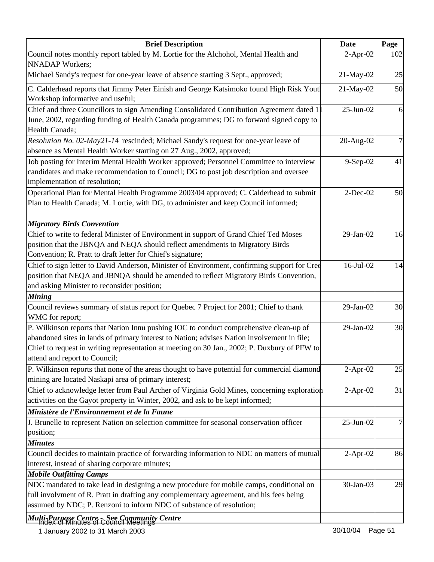| <b>Brief Description</b>                                                                                                                                                                                                                                                                                               | <b>Date</b>  | Page |
|------------------------------------------------------------------------------------------------------------------------------------------------------------------------------------------------------------------------------------------------------------------------------------------------------------------------|--------------|------|
| Council notes monthly report tabled by M. Lortie for the Alchohol, Mental Health and<br><b>NNADAP</b> Workers;                                                                                                                                                                                                         | $2-Apr-02$   | 102  |
| Michael Sandy's request for one-year leave of absence starting 3 Sept., approved;                                                                                                                                                                                                                                      | 21-May-02    | 25   |
| C. Calderhead reports that Jimmy Peter Einish and George Katsimoko found High Risk Yout<br>Workshop informative and useful;                                                                                                                                                                                            | 21-May-02    | 50   |
| Chief and three Councillors to sign Amending Consolidated Contribution Agreement dated 1<br>June, 2002, regarding funding of Health Canada programmes; DG to forward signed copy to<br>Health Canada;                                                                                                                  | $25$ -Jun-02 | 6    |
| Resolution No. 02-May21-14 rescinded; Michael Sandy's request for one-year leave of<br>absence as Mental Health Worker starting on 27 Aug., 2002, approved;                                                                                                                                                            | 20-Aug-02    | 7    |
| Job posting for Interim Mental Health Worker approved; Personnel Committee to interview<br>candidates and make recommendation to Council; DG to post job description and oversee<br>implementation of resolution;                                                                                                      | 9-Sep-02     | 41   |
| Operational Plan for Mental Health Programme 2003/04 approved; C. Calderhead to submit<br>Plan to Health Canada; M. Lortie, with DG, to administer and keep Council informed;                                                                                                                                          | $2$ -Dec-02  | 50   |
| <b>Migratory Birds Convention</b>                                                                                                                                                                                                                                                                                      |              |      |
| Chief to write to federal Minister of Environment in support of Grand Chief Ted Moses<br>position that the JBNQA and NEQA should reflect amendments to Migratory Birds<br>Convention; R. Pratt to draft letter for Chief's signature;                                                                                  | 29-Jan-02    | 16   |
| Chief to sign letter to David Anderson, Minister of Environment, confirming support for Cree<br>position that NEQA and JBNQA should be amended to reflect Migratory Birds Convention,<br>and asking Minister to reconsider position;                                                                                   | 16-Jul-02    | 14   |
| <b>Mining</b>                                                                                                                                                                                                                                                                                                          |              |      |
| Council reviews summary of status report for Quebec 7 Project for 2001; Chief to thank<br>WMC for report;                                                                                                                                                                                                              | 29-Jan-02    | 30   |
| P. Wilkinson reports that Nation Innu pushing IOC to conduct comprehensive clean-up of<br>abandoned sites in lands of primary interest to Nation; advises Nation involvement in file;<br>Chief to request in writing representation at meeting on 30 Jan., 2002; P. Duxbury of PFW to<br>attend and report to Council; | 29-Jan-02    | 30   |
| P. Wilkinson reports that none of the areas thought to have potential for commercial diamond<br>mining are located Naskapi area of primary interest;                                                                                                                                                                   | $2-Apr-02$   | 25   |
| Chief to acknowledge letter from Paul Archer of Virginia Gold Mines, concerning exploration<br>activities on the Gayot property in Winter, 2002, and ask to be kept informed;                                                                                                                                          | $2-Apr-02$   | 31   |
| Ministère de l'Environnement et de la Faune                                                                                                                                                                                                                                                                            |              |      |
| J. Brunelle to represent Nation on selection committee for seasonal conservation officer<br>position;                                                                                                                                                                                                                  | 25-Jun-02    | 7    |
| <b>Minutes</b>                                                                                                                                                                                                                                                                                                         |              |      |
| Council decides to maintain practice of forwarding information to NDC on matters of mutual<br>interest, instead of sharing corporate minutes;                                                                                                                                                                          | $2-Apr-02$   | 86   |
| <b>Mobile Outfitting Camps</b><br>NDC mandated to take lead in designing a new procedure for mobile camps, conditional on                                                                                                                                                                                              | 30-Jan-03    | 29   |
| full involvment of R. Pratt in drafting any complementary agreement, and his fees being<br>assumed by NDC; P. Renzoni to inform NDC of substance of resolution;                                                                                                                                                        |              |      |
| Multi-Purpose Centre - See Community Centre                                                                                                                                                                                                                                                                            |              |      |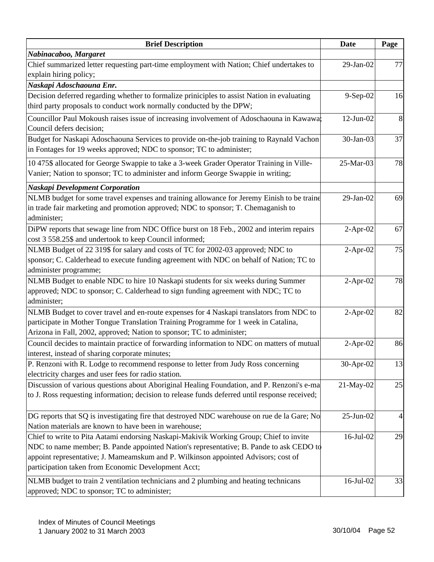| <b>Brief Description</b>                                                                                                                                                                                                                                                                                                       | <b>Date</b>     | Page |
|--------------------------------------------------------------------------------------------------------------------------------------------------------------------------------------------------------------------------------------------------------------------------------------------------------------------------------|-----------------|------|
| Nabinacaboo, Margaret                                                                                                                                                                                                                                                                                                          |                 |      |
| Chief summarized letter requesting part-time employment with Nation; Chief undertakes to                                                                                                                                                                                                                                       | 29-Jan-02       | 77   |
| explain hiring policy;                                                                                                                                                                                                                                                                                                         |                 |      |
| Naskapi Adoschaouna Enr.                                                                                                                                                                                                                                                                                                       |                 |      |
| Decision deferred regarding whether to formalize priniciples to assist Nation in evaluating<br>third party proposals to conduct work normally conducted by the DPW;                                                                                                                                                            | 9-Sep-02        | 16   |
| Councillor Paul Mokoush raises issue of increasing involvement of Adoschaouna in Kawawa;<br>Council defers decision;                                                                                                                                                                                                           | $12$ -Jun- $02$ | 8    |
| Budget for Naskapi Adoschaouna Services to provide on-the-job training to Raynald Vachon<br>in Fontages for 19 weeks approved; NDC to sponsor; TC to administer;                                                                                                                                                               | 30-Jan-03       | 37   |
| 10 475\$ allocated for George Swappie to take a 3-week Grader Operator Training in Ville-<br>Vanier; Nation to sponsor; TC to administer and inform George Swappie in writing;                                                                                                                                                 | 25-Mar-03       | 78   |
| <b>Naskapi Development Corporation</b>                                                                                                                                                                                                                                                                                         |                 |      |
| NLMB budget for some travel expenses and training allowance for Jeremy Einish to be traine<br>in trade fair marketing and promotion approved; NDC to sponsor; T. Chemaganish to<br>administer;                                                                                                                                 | 29-Jan-02       | 69   |
| DiPW reports that sewage line from NDC Office burst on 18 Feb., 2002 and interim repairs<br>cost 3 558.25\$ and undertook to keep Council informed;                                                                                                                                                                            | $2-Apr-02$      | 67   |
| NLMB Budget of 22 319\$ for salary and costs of TC for 2002-03 approved; NDC to<br>sponsor; C. Calderhead to execute funding agreement with NDC on behalf of Nation; TC to<br>administer programme;                                                                                                                            | $2-Apr-02$      | 75   |
| NLMB Budget to enable NDC to hire 10 Naskapi students for six weeks during Summer<br>approved; NDC to sponsor; C. Calderhead to sign funding agreement with NDC; TC to<br>administer;                                                                                                                                          | $2-Apr-02$      | 78   |
| NLMB Budget to cover travel and en-route expenses for 4 Naskapi translators from NDC to<br>participate in Mother Tongue Translation Training Programme for 1 week in Catalina,<br>Arizona in Fall, 2002, approved; Nation to sponsor; TC to administer;                                                                        | $2-Apr-02$      | 82   |
| Council decides to maintain practice of forwarding information to NDC on matters of mutual<br>interest, instead of sharing corporate minutes;                                                                                                                                                                                  | $2-Apr-02$      | 86   |
| P. Renzoni with R. Lodge to recommend response to letter from Judy Ross concerning<br>electricity charges and user fees for radio station.                                                                                                                                                                                     | 30-Apr-02       | 13   |
| Discussion of various questions about Aboriginal Healing Foundation, and P. Renzoni's e-ma<br>to J. Ross requesting information; decision to release funds deferred until response received;                                                                                                                                   | 21-May-02       | 25   |
| DG reports that SQ is investigating fire that destroyed NDC warehouse on rue de la Gare; No<br>Nation materials are known to have been in warehouse;                                                                                                                                                                           | 25-Jun-02       |      |
| Chief to write to Pita Aatami endorsing Naskapi-Makivik Working Group; Chief to invite<br>NDC to name member; B. Pande appointed Nation's representative; B. Pande to ask CEDO to<br>appoint representative; J. Mameamskum and P. Wilkinson appointed Advisors; cost of<br>participation taken from Economic Development Acct; | 16-Jul-02       | 29   |
| NLMB budget to train 2 ventilation technicians and 2 plumbing and heating technicans<br>approved; NDC to sponsor; TC to administer;                                                                                                                                                                                            | 16-Jul-02       | 33   |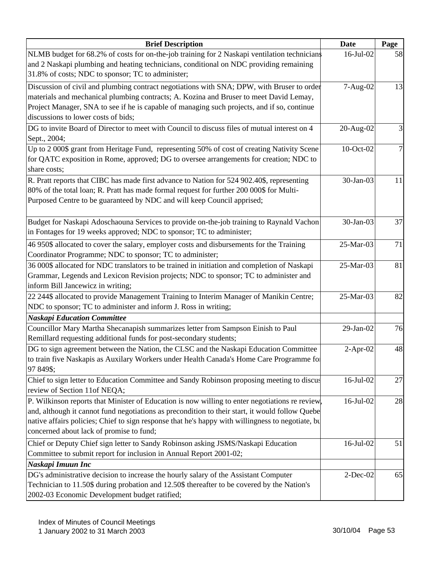| <b>Brief Description</b>                                                                          | <b>Date</b> | Page         |
|---------------------------------------------------------------------------------------------------|-------------|--------------|
| NLMB budget for 68.2% of costs for on-the-job training for 2 Naskapi ventilation technicians      | 16-Jul-02   | 58           |
| and 2 Naskapi plumbing and heating technicians, conditional on NDC providing remaining            |             |              |
| 31.8% of costs; NDC to sponsor; TC to administer;                                                 |             |              |
| Discussion of civil and plumbing contract negotiations with SNA; DPW, with Bruser to order        | 7-Aug-02    | 13           |
| materials and mechanical plumbing contracts; A. Kozina and Bruser to meet David Lemay,            |             |              |
| Project Manager, SNA to see if he is capable of managing such projects, and if so, continue       |             |              |
| discussions to lower costs of bids;                                                               |             |              |
| DG to invite Board of Director to meet with Council to discuss files of mutual interest on 4      | 20-Aug-02   | $\mathbf{E}$ |
| Sept., 2004;                                                                                      |             |              |
| Up to 2 000\$ grant from Heritage Fund, representing 50% of cost of creating Nativity Scene       | 10-Oct-02   | 7            |
| for QATC exposition in Rome, approved; DG to oversee arrangements for creation; NDC to            |             |              |
| share costs;                                                                                      |             |              |
| R. Pratt reports that CIBC has made first advance to Nation for 524 902.40\$, representing        | 30-Jan-03   | 11           |
| 80% of the total loan; R. Pratt has made formal request for further 200 000\$ for Multi-          |             |              |
| Purposed Centre to be guaranteed by NDC and will keep Council apprised;                           |             |              |
|                                                                                                   |             |              |
| Budget for Naskapi Adoschaouna Services to provide on-the-job training to Raynald Vachon          | 30-Jan-03   | 37           |
| in Fontages for 19 weeks approved; NDC to sponsor; TC to administer;                              |             |              |
| 46 950\$ allocated to cover the salary, employer costs and disbursements for the Training         | 25-Mar-03   | 71           |
| Coordinator Programme; NDC to sponsor; TC to administer;                                          |             |              |
| 36 000\$ allocated for NDC translators to be trained in initiation and completion of Naskapi      | 25-Mar-03   | 81           |
| Grammar, Legends and Lexicon Revision projects; NDC to sponsor; TC to administer and              |             |              |
| inform Bill Jancewicz in writing;                                                                 |             |              |
| 22 244\$ allocated to provide Management Training to Interim Manager of Manikin Centre;           | 25-Mar-03   | 82           |
| NDC to sponsor; TC to administer and inform J. Ross in writing;                                   |             |              |
| <b>Naskapi Education Committee</b>                                                                |             |              |
| Councillor Mary Martha Shecanapish summarizes letter from Sampson Einish to Paul                  | 29-Jan-02   | 76           |
| Remillard requesting additional funds for post-secondary students;                                |             |              |
| DG to sign agreement between the Nation, the CLSC and the Naskapi Education Committee             | $2-Apr-02$  | 48           |
| to train five Naskapis as Auxilary Workers under Health Canada's Home Care Programme fo           |             |              |
| 97 849\$;                                                                                         |             |              |
| Chief to sign letter to Education Committee and Sandy Robinson proposing meeting to discus        | 16-Jul-02   | 27           |
| review of Section 11of NEQA;                                                                      |             |              |
| P. Wilkinson reports that Minister of Education is now willing to enter negotiations re review,   | 16-Jul-02   | 28           |
| and, although it cannot fund negotiations as precondition to their start, it would follow Quebe   |             |              |
| native affairs policies; Chief to sign response that he's happy with willingness to negotiate, bu |             |              |
| concerned about lack of promise to fund;                                                          |             |              |
| Chief or Deputy Chief sign letter to Sandy Robinson asking JSMS/Naskapi Education                 | 16-Jul-02   | 51           |
| Committee to submit report for inclusion in Annual Report 2001-02;                                |             |              |
| Naskapi Imuun Inc                                                                                 |             |              |
| DG's administrative decision to increase the hourly salary of the Assistant Computer              | $2$ -Dec-02 | 65           |
| Technician to 11.50\$ during probation and 12.50\$ thereafter to be covered by the Nation's       |             |              |
| 2002-03 Economic Development budget ratified;                                                     |             |              |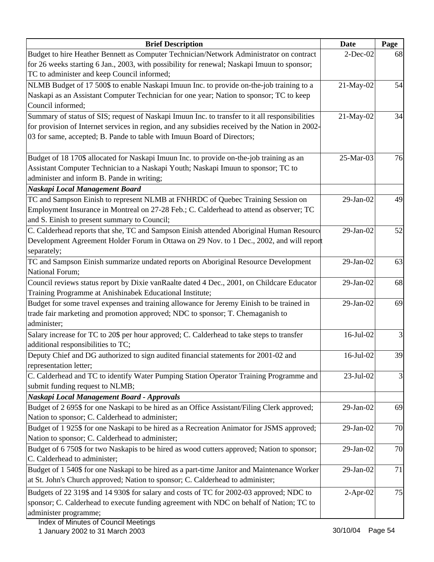| <b>Brief Description</b>                                                                        | <b>Date</b>     | Page |
|-------------------------------------------------------------------------------------------------|-----------------|------|
| Budget to hire Heather Bennett as Computer Technician/Network Administrator on contract         | $2$ -Dec-02     | 68   |
| for 26 weeks starting 6 Jan., 2003, with possibility for renewal; Naskapi Imuun to sponsor;     |                 |      |
| TC to administer and keep Council informed;                                                     |                 |      |
| NLMB Budget of 17 500\$ to enable Naskapi Imuun Inc. to provide on-the-job training to a        | 21-May-02       | 54   |
| Naskapi as an Assistant Computer Technician for one year; Nation to sponsor; TC to keep         |                 |      |
| Council informed;                                                                               |                 |      |
| Summary of status of SIS; request of Naskapi Imuun Inc. to transfer to it all responsibilities  | 21-May-02       | 34   |
| for provision of Internet services in region, and any subsidies received by the Nation in 2002- |                 |      |
| 03 for same, accepted; B. Pande to table with Imuun Board of Directors;                         |                 |      |
|                                                                                                 |                 |      |
| Budget of 18 170\$ allocated for Naskapi Imuun Inc. to provide on-the-job training as an        | 25-Mar-03       | 76   |
| Assistant Computer Technician to a Naskapi Youth; Naskapi Imuun to sponsor; TC to               |                 |      |
| administer and inform B. Pande in writing;                                                      |                 |      |
| Naskapi Local Management Board                                                                  |                 |      |
| TC and Sampson Einish to represent NLMB at FNHRDC of Quebec Training Session on                 | 29-Jan-02       | 49   |
| Employment Insurance in Montreal on 27-28 Feb.; C. Calderhead to attend as observer; TC         |                 |      |
| and S. Einish to present summary to Council;                                                    |                 |      |
| C. Calderhead reports that she, TC and Sampson Einish attended Aboriginal Human Resource        | 29-Jan-02       | 52   |
| Development Agreement Holder Forum in Ottawa on 29 Nov. to 1 Dec., 2002, and will report        |                 |      |
| separately;                                                                                     |                 |      |
| TC and Sampson Einish summarize undated reports on Aboriginal Resource Development              | 29-Jan-02       | 63   |
| National Forum;                                                                                 |                 |      |
| Council reviews status report by Dixie vanRaalte dated 4 Dec., 2001, on Childcare Educator      | 29-Jan-02       | 68   |
| Training Programme at Anishinabek Educational Institute;                                        |                 |      |
| Budget for some travel expenses and training allowance for Jeremy Einish to be trained in       | 29-Jan-02       | 69   |
| trade fair marketing and promotion approved; NDC to sponsor; T. Chemaganish to                  |                 |      |
| administer;                                                                                     |                 |      |
| Salary increase for TC to 20\$ per hour approved; C. Calderhead to take steps to transfer       | 16-Jul-02       | 3    |
| additional responsibilities to TC;                                                              |                 |      |
| Deputy Chief and DG authorized to sign audited financial statements for 2001-02 and             | $16$ -Jul- $02$ | 39   |
| representation letter;                                                                          |                 |      |
| C. Calderhead and TC to identify Water Pumping Station Operator Training Programme and          | 23-Jul-02       | 3    |
| submit funding request to NLMB;                                                                 |                 |      |
| Naskapi Local Management Board - Approvals                                                      |                 |      |
| Budget of 2 695\$ for one Naskapi to be hired as an Office Assistant/Filing Clerk approved;     | 29-Jan-02       | 69   |
| Nation to sponsor; C. Calderhead to administer;                                                 |                 |      |
| Budget of 1 925\$ for one Naskapi to be hired as a Recreation Animator for JSMS approved;       | 29-Jan-02       | 70   |
| Nation to sponsor; C. Calderhead to administer;                                                 |                 |      |
| Budget of 6 750\$ for two Naskapis to be hired as wood cutters approved; Nation to sponsor;     | 29-Jan-02       | 70   |
| C. Calderhead to administer;                                                                    |                 |      |
| Budget of 1 540\$ for one Naskapi to be hired as a part-time Janitor and Maintenance Worker     | $29$ -Jan- $02$ | 71   |
| at St. John's Church approved; Nation to sponsor; C. Calderhead to administer;                  |                 |      |
| Budgets of 22 319\$ and 14 930\$ for salary and costs of TC for 2002-03 approved; NDC to        | $2-Apr-02$      | 75   |
| sponsor; C. Calderhead to execute funding agreement with NDC on behalf of Nation; TC to         |                 |      |
| administer programme;                                                                           |                 |      |
|                                                                                                 |                 |      |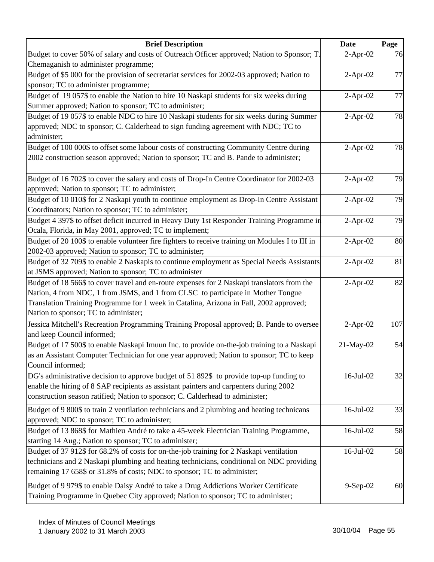| <b>Brief Description</b>                                                                        | <b>Date</b>     | Page |
|-------------------------------------------------------------------------------------------------|-----------------|------|
| Budget to cover 50% of salary and costs of Outreach Officer approved; Nation to Sponsor; T.     | $2-Apr-02$      | 76   |
| Chemaganish to administer programme;                                                            |                 |      |
| Budget of \$5 000 for the provision of secretariat services for 2002-03 approved; Nation to     | $2-Apr-02$      | 77   |
| sponsor; TC to administer programme;                                                            |                 |      |
| Budget of 19 057\$ to enable the Nation to hire 10 Naskapi students for six weeks during        | $2-Apr-02$      | 77   |
| Summer approved; Nation to sponsor; TC to administer;                                           |                 |      |
| Budget of 19 057\$ to enable NDC to hire 10 Naskapi students for six weeks during Summer        | $2-Apr-02$      | 78   |
| approved; NDC to sponsor; C. Calderhead to sign funding agreement with NDC; TC to               |                 |      |
| administer;                                                                                     |                 |      |
| Budget of 100 000\$ to offset some labour costs of constructing Community Centre during         | $2-Apr-02$      | 78   |
| 2002 construction season approved; Nation to sponsor; TC and B. Pande to administer;            |                 |      |
|                                                                                                 |                 |      |
| Budget of 16 702\$ to cover the salary and costs of Drop-In Centre Coordinator for 2002-03      | $2-Apr-02$      | 79   |
| approved; Nation to sponsor; TC to administer;                                                  |                 |      |
| Budget of 10 010\$ for 2 Naskapi youth to continue employment as Drop-In Centre Assistant       | $2-Apr-02$      | 79   |
| Coordinators; Nation to sponsor; TC to administer;                                              |                 |      |
| Budget 4 397\$ to offset deficit incurred in Heavy Duty 1st Responder Training Programme in     | $2-Apr-02$      | 79   |
| Ocala, Florida, in May 2001, approved; TC to implement;                                         |                 |      |
| Budget of 20 100\$ to enable volunteer fire fighters to receive training on Modules I to III in | $2-Apr-02$      | 80   |
| 2002-03 approved; Nation to sponsor; TC to administer;                                          |                 |      |
| Budget of 32 709\$ to enable 2 Naskapis to continue employment as Special Needs Assistants      | $2-Apr-02$      | 81   |
| at JSMS approved; Nation to sponsor; TC to administer                                           |                 |      |
| Budget of 18 566\$ to cover travel and en-route expenses for 2 Naskapi translators from the     | $2-Apr-02$      | 82   |
| Nation, 4 from NDC, 1 from JSMS, and 1 from CLSC to participate in Mother Tongue                |                 |      |
| Translation Training Programme for 1 week in Catalina, Arizona in Fall, 2002 approved;          |                 |      |
| Nation to sponsor; TC to administer;                                                            |                 |      |
| Jessica Mitchell's Recreation Programming Training Proposal approved; B. Pande to oversee       | $2-Apr-02$      | 107  |
| and keep Council informed;                                                                      |                 |      |
| Budget of 17 500\$ to enable Naskapi Imuun Inc. to provide on-the-job training to a Naskapi     | 21-May-02       | 54   |
| as an Assistant Computer Technician for one year approved; Nation to sponsor; TC to keep        |                 |      |
| Council informed;                                                                               |                 |      |
| DG's administrative decision to approve budget of 51 892\$ to provide top-up funding to         | $16$ -Jul-02    | 32   |
| enable the hiring of 8 SAP recipients as assistant painters and carpenters during 2002          |                 |      |
| construction season ratified; Nation to sponsor; C. Calderhead to administer;                   |                 |      |
| Budget of 9 800\$ to train 2 ventilation technicians and 2 plumbing and heating technicans      | $16$ -Jul- $02$ | 33   |
| approved; NDC to sponsor; TC to administer;                                                     |                 |      |
| Budget of 13 868\$ for Mathieu André to take a 45-week Electrician Training Programme,          | 16-Jul-02       | 58   |
| starting 14 Aug.; Nation to sponsor; TC to administer;                                          |                 |      |
| Budget of 37 912\$ for 68.2% of costs for on-the-job training for 2 Naskapi ventilation         | 16-Jul-02       | 58   |
| technicians and 2 Naskapi plumbing and heating technicians, conditional on NDC providing        |                 |      |
| remaining 17 658\$ or 31.8% of costs; NDC to sponsor; TC to administer;                         |                 |      |
| Budget of 9 979\$ to enable Daisy André to take a Drug Addictions Worker Certificate            | $9-Sep-02$      | 60   |
| Training Programme in Quebec City approved; Nation to sponsor; TC to administer;                |                 |      |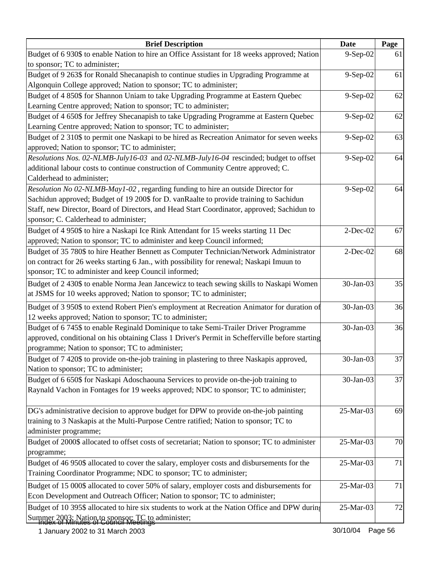| <b>Brief Description</b>                                                                        | <b>Date</b> | Page |
|-------------------------------------------------------------------------------------------------|-------------|------|
| Budget of 6 930\$ to enable Nation to hire an Office Assistant for 18 weeks approved; Nation    | 9-Sep-02    | 61   |
| to sponsor; TC to administer;                                                                   |             |      |
| Budget of 9 263\$ for Ronald Shecanapish to continue studies in Upgrading Programme at          | 9-Sep-02    | 61   |
| Algonquin College approved; Nation to sponsor; TC to administer;                                |             |      |
| Budget of 4 850\$ for Shannon Uniam to take Upgrading Programme at Eastern Quebec               | 9-Sep-02    | 62   |
| Learning Centre approved; Nation to sponsor; TC to administer;                                  |             |      |
| Budget of 4 650\$ for Jeffrey Shecanapish to take Upgrading Programme at Eastern Quebec         | 9-Sep-02    | 62   |
| Learning Centre approved; Nation to sponsor; TC to administer;                                  |             |      |
| Budget of 2 310\$ to permit one Naskapi to be hired as Recreation Animator for seven weeks      | 9-Sep-02    | 63   |
| approved; Nation to sponsor; TC to administer;                                                  |             |      |
| <i>Resolutions Nos. 02-NLMB-July16-03</i> and 02-NLMB-July16-04 rescinded; budget to offset     | 9-Sep-02    | 64   |
| additional labour costs to continue construction of Community Centre approved; C.               |             |      |
| Calderhead to administer;                                                                       |             |      |
| Resolution No 02-NLMB-May1-02, regarding funding to hire an outside Director for                | 9-Sep-02    | 64   |
| Sachidun approved; Budget of 19 200\$ for D. vanRaalte to provide training to Sachidun          |             |      |
| Staff, new Director, Board of Directors, and Head Start Coordinator, approved; Sachidun to      |             |      |
| sponsor; C. Calderhead to administer;                                                           |             |      |
| Budget of 4 950\$ to hire a Naskapi Ice Rink Attendant for 15 weeks starting 11 Dec             | $2$ -Dec-02 | 67   |
| approved; Nation to sponsor; TC to administer and keep Council informed;                        |             |      |
| Budget of 35 780\$ to hire Heather Bennett as Computer Technician/Network Administrator         | $2$ -Dec-02 | 68   |
| on contract for 26 weeks starting 6 Jan., with possibility for renewal; Naskapi Imuun to        |             |      |
| sponsor; TC to administer and keep Council informed;                                            |             |      |
| Budget of 2 430\$ to enable Norma Jean Jancewicz to teach sewing skills to Naskapi Women        | 30-Jan-03   | 35   |
| at JSMS for 10 weeks approved; Nation to sponsor; TC to administer;                             |             |      |
| Budget of 3 950\$ to extend Robert Pien's employment at Recreation Animator for duration of     | 30-Jan-03   | 36   |
| 12 weeks approved; Nation to sponsor; TC to administer;                                         |             |      |
| Budget of 6 745\$ to enable Reginald Dominique to take Semi-Trailer Driver Programme            | 30-Jan-03   | 36   |
| approved, conditional on his obtaining Class 1 Driver's Permit in Schefferville before starting |             |      |
| programme; Nation to sponsor; TC to administer;                                                 |             |      |
| Budget of 7 420\$ to provide on-the-job training in plastering to three Naskapis approved,      | 30-Jan-03   | 37   |
| Nation to sponsor; TC to administer;                                                            |             |      |
| Budget of 6 650\$ for Naskapi Adoschaouna Services to provide on-the-job training to            | 30-Jan-03   | 37   |
| Raynald Vachon in Fontages for 19 weeks approved; NDC to sponsor; TC to administer;             |             |      |
|                                                                                                 |             |      |
| DG's administrative decision to approve budget for DPW to provide on-the-job painting           | 25-Mar-03   | 69   |
| training to 3 Naskapis at the Multi-Purpose Centre ratified; Nation to sponsor; TC to           |             |      |
| administer programme;                                                                           |             |      |
| Budget of 2000\$ allocated to offset costs of secretariat; Nation to sponsor; TC to administer  | 25-Mar-03   | 70   |
| programme;                                                                                      |             |      |
| Budget of 46 950\$ allocated to cover the salary, employer costs and disbursements for the      | 25-Mar-03   | 71   |
| Training Coordinator Programme; NDC to sponsor; TC to administer;                               |             |      |
| Budget of 15 000\$ allocated to cover 50% of salary, employer costs and disbursements for       | 25-Mar-03   | 71   |
| Econ Development and Outreach Officer; Nation to sponsor; TC to administer;                     |             |      |
|                                                                                                 |             |      |
| Budget of 10 395\$ allocated to hire six students to work at the Nation Office and DPW during   | 25-Mar-03   | 72   |
| Summer 2003; Nation to sponsor; TC to administer;                                               |             |      |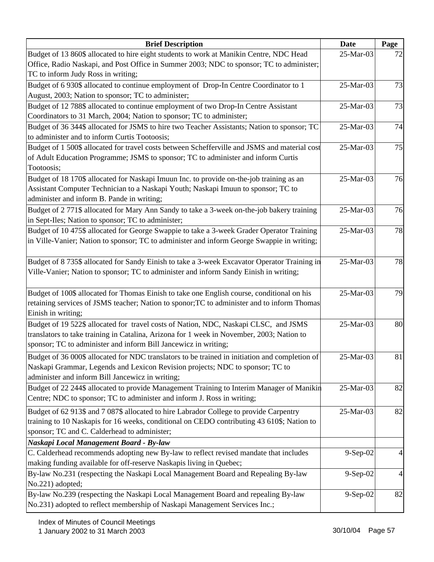| <b>Brief Description</b>                                                                       | <b>Date</b> | Page |
|------------------------------------------------------------------------------------------------|-------------|------|
| Budget of 13 860\$ allocated to hire eight students to work at Manikin Centre, NDC Head        | 25-Mar-03   | 72   |
| Office, Radio Naskapi, and Post Office in Summer 2003; NDC to sponsor; TC to administer;       |             |      |
| TC to inform Judy Ross in writing;                                                             |             |      |
| Budget of 6 930\$ allocated to continue employment of Drop-In Centre Coordinator to 1          | 25-Mar-03   | 73   |
| August, 2003; Nation to sponsor; TC to administer;                                             |             |      |
| Budget of 12 788\$ allocated to continue employment of two Drop-In Centre Assistant            | 25-Mar-03   | 73   |
| Coordinators to 31 March, 2004; Nation to sponsor; TC to administer;                           |             |      |
| Budget of 36 344\$ allocated for JSMS to hire two Teacher Assistants; Nation to sponsor; TC    | 25-Mar-03   | 74   |
| to administer and to inform Curtis Tootoosis;                                                  |             |      |
| Budget of 1 500\$ allocated for travel costs between Schefferville and JSMS and material cost  | 25-Mar-03   | 75   |
| of Adult Education Programme; JSMS to sponsor; TC to administer and inform Curtis              |             |      |
| Tootoosis;                                                                                     |             |      |
| Budget of 18 170\$ allocated for Naskapi Imuun Inc. to provide on-the-job training as an       | 25-Mar-03   | 76   |
| Assistant Computer Technician to a Naskapi Youth; Naskapi Imuun to sponsor; TC to              |             |      |
| administer and inform B. Pande in writing;                                                     |             |      |
| Budget of 2 771\$ allocated for Mary Ann Sandy to take a 3-week on-the-job bakery training     | 25-Mar-03   | 76   |
| in Sept-Iles; Nation to sponsor; TC to administer;                                             |             |      |
| Budget of 10 475\$ allocated for George Swappie to take a 3-week Grader Operator Training      | 25-Mar-03   | 78   |
| in Ville-Vanier; Nation to sponsor; TC to administer and inform George Swappie in writing;     |             |      |
|                                                                                                |             |      |
| Budget of 8 735\$ allocated for Sandy Einish to take a 3-week Excavator Operator Training in   | 25-Mar-03   | 78   |
| Ville-Vanier; Nation to sponsor; TC to administer and inform Sandy Einish in writing;          |             |      |
|                                                                                                |             |      |
| Budget of 100\$ allocated for Thomas Einish to take one English course, conditional on his     | 25-Mar-03   | 79   |
| retaining services of JSMS teacher; Nation to sponor; TC to administer and to inform Thomas    |             |      |
| Einish in writing;                                                                             |             |      |
| Budget of 19 522\$ allocated for travel costs of Nation, NDC, Naskapi CLSC, and JSMS           | 25-Mar-03   | 80   |
| translators to take training in Catalina, Arizona for 1 week in November, 2003; Nation to      |             |      |
| sponsor; TC to administer and inform Bill Jancewicz in writing;                                |             |      |
| Budget of 36 000\$ allocated for NDC translators to be trained in initiation and completion of | 25-Mar-03   | 81   |
| Naskapi Grammar, Legends and Lexicon Revision projects; NDC to sponsor; TC to                  |             |      |
| administer and inform Bill Jancewicz in writing;                                               |             |      |
| Budget of 22 244\$ allocated to provide Management Training to Interim Manager of Manikin      | 25-Mar-03   | 82   |
| Centre; NDC to sponsor; TC to administer and inform J. Ross in writing;                        |             |      |
| Budget of 62 913\$ and 7 087\$ allocated to hire Labrador College to provide Carpentry         | 25-Mar-03   | 82   |
| training to 10 Naskapis for 16 weeks, conditional on CEDO contributing 43 610\$; Nation to     |             |      |
| sponsor; TC and C. Calderhead to administer;                                                   |             |      |
| Naskapi Local Management Board - By-law                                                        |             |      |
| C. Calderhead recommends adopting new By-law to reflect revised mandate that includes          | 9-Sep-02    | 4    |
| making funding available for off-reserve Naskapis living in Quebec;                            |             |      |
| By-law No.231 (respecting the Naskapi Local Management Board and Repealing By-law              | $9-Sep-02$  | 4    |
| No.221) adopted;                                                                               |             |      |
| By-law No.239 (respecting the Naskapi Local Management Board and repealing By-law              | $9-Sep-02$  | 82   |
| No.231) adopted to reflect membership of Naskapi Management Services Inc.;                     |             |      |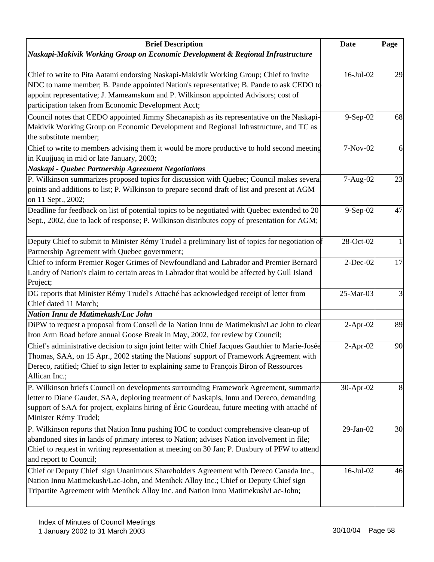| <b>Brief Description</b>                                                                                                                                                                                                                                                                                        | <b>Date</b>  | Page |
|-----------------------------------------------------------------------------------------------------------------------------------------------------------------------------------------------------------------------------------------------------------------------------------------------------------------|--------------|------|
| Naskapi-Makivik Working Group on Economic Development & Regional Infrastructure                                                                                                                                                                                                                                 |              |      |
| Chief to write to Pita Aatami endorsing Naskapi-Makivik Working Group; Chief to invite                                                                                                                                                                                                                          | $16$ -Jul-02 | 29   |
| NDC to name member; B. Pande appointed Nation's representative; B. Pande to ask CEDO to<br>appoint representative; J. Mameamskum and P. Wilkinson appointed Advisors; cost of<br>participation taken from Economic Development Acct;                                                                            |              |      |
| Council notes that CEDO appointed Jimmy Shecanapish as its representative on the Naskapi-<br>Makivik Working Group on Economic Development and Regional Infrastructure, and TC as<br>the substitute member;                                                                                                     | 9-Sep-02     | 68   |
| Chief to write to members advising them it would be more productive to hold second meeting<br>in Kuujjuaq in mid or late January, 2003;                                                                                                                                                                         | 7-Nov-02     | 6    |
| Naskapi - Quebec Partnership Agreement Negotiations                                                                                                                                                                                                                                                             |              |      |
| P. Wilkinson summarizes proposed topics for discussion with Quebec; Council makes several<br>points and additions to list; P. Wilkinson to prepare second draft of list and present at AGM<br>on 11 Sept., 2002;                                                                                                | 7-Aug-02     | 23   |
| Deadline for feedback on list of potential topics to be negotiated with Quebec extended to 20<br>Sept., 2002, due to lack of response; P. Wilkinson distributes copy of presentation for AGM;                                                                                                                   | 9-Sep-02     | 47   |
| Deputy Chief to submit to Minister Rémy Trudel a preliminary list of topics for negotiation of<br>Partnership Agreement with Quebec government;                                                                                                                                                                 | 28-Oct-02    |      |
| Chief to inform Premier Roger Grimes of Newfoundland and Labrador and Premier Bernard<br>Landry of Nation's claim to certain areas in Labrador that would be affected by Gull Island<br>Project;                                                                                                                | $2$ -Dec-02  | 17   |
| DG reports that Minister Rémy Trudel's Attaché has acknowledged receipt of letter from<br>Chief dated 11 March;                                                                                                                                                                                                 | 25-Mar-03    | 3    |
| Nation Innu de Matimekush/Lac John                                                                                                                                                                                                                                                                              |              |      |
| DiPW to request a proposal from Conseil de la Nation Innu de Matimekush/Lac John to clear<br>Iron Arm Road before annual Goose Break in May, 2002, for review by Council;                                                                                                                                       | $2-Apr-02$   | 89   |
| Chief's administrative decision to sign joint letter with Chief Jacques Gauthier to Marie-Josée<br>Thomas, SAA, on 15 Apr., 2002 stating the Nations' support of Framework Agreement with<br>Dereco, ratified; Chief to sign letter to explaining same to François Biron of Ressources<br>Allican Inc.;         | $2$ -Apr-02  | 90   |
| P. Wilkinson briefs Council on developments surrounding Framework Agreement, summariz<br>letter to Diane Gaudet, SAA, deploring treatment of Naskapis, Innu and Dereco, demanding<br>support of SAA for project, explains hiring of Éric Gourdeau, future meeting with attaché of<br>Minister Rémy Trudel;      | 30-Apr-02    | 8    |
| P. Wilkinson reports that Nation Innu pushing IOC to conduct comprehensive clean-up of<br>abandoned sites in lands of primary interest to Nation; advises Nation involvement in file;<br>Chief to request in writing representation at meeting on 30 Jan; P. Duxbury of PFW to attend<br>and report to Council; | 29-Jan-02    | 30   |
| Chief or Deputy Chief sign Unanimous Shareholders Agreement with Dereco Canada Inc.,<br>Nation Innu Matimekush/Lac-John, and Menihek Alloy Inc.; Chief or Deputy Chief sign<br>Tripartite Agreement with Menihek Alloy Inc. and Nation Innu Matimekush/Lac-John;                                                | 16-Jul-02    | 46   |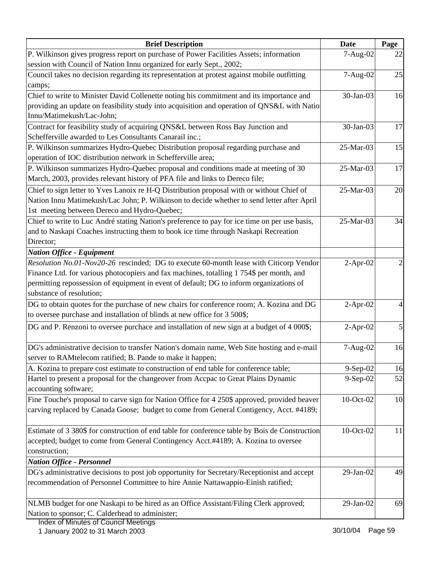| <b>Brief Description</b>                                                                                                                                                                                                                                                                                 | <b>Date</b> | Page |
|----------------------------------------------------------------------------------------------------------------------------------------------------------------------------------------------------------------------------------------------------------------------------------------------------------|-------------|------|
| P. Wilkinson gives progress report on purchase of Power Facilities Assets; information                                                                                                                                                                                                                   | 7-Aug-02    | 22   |
| session with Council of Nation Innu organized for early Sept., 2002;                                                                                                                                                                                                                                     |             |      |
| Council takes no decision regarding its representation at protest against mobile outfitting<br>camps;                                                                                                                                                                                                    | 7-Aug-02    | 25   |
| Chief to write to Minister David Collenette noting his commitment and its importance and                                                                                                                                                                                                                 | 30-Jan-03   | 16   |
| providing an update on feasibility study into acquisition and operation of QNS&L with Natio                                                                                                                                                                                                              |             |      |
| Innu/Matimekush/Lac-John;                                                                                                                                                                                                                                                                                |             |      |
| Contract for feasibility study of acquiring QNS&L between Ross Bay Junction and<br>Schefferville awarded to Les Consultants Canarail inc.;                                                                                                                                                               | 30-Jan-03   | 17   |
| P. Wilkinson summarizes Hydro-Quebec Distribution proposal regarding purchase and                                                                                                                                                                                                                        | 25-Mar-03   | 15   |
| operation of IOC distribution network in Schefferville area;                                                                                                                                                                                                                                             |             |      |
| P. Wilkinson summarizes Hydro-Quebec proposal and conditions made at meeting of 30<br>March, 2003, provides relevant history of PFA file and links to Dereco file;                                                                                                                                       | 25-Mar-03   | 17   |
| Chief to sign letter to Yves Lanoix re H-Q Distribution proposal with or without Chief of<br>Nation Innu Matimekush/Lac John; P. Wilkinson to decide whether to send letter after April<br>1st meeting between Dereco and Hydro-Quebec;                                                                  | 25-Mar-03   | 20   |
| Chief to write to Luc André stating Nation's preference to pay for ice time on per use basis,<br>and to Naskapi Coaches instructing them to book ice time through Naskapi Recreation<br>Director;                                                                                                        | 25-Mar-03   | 34   |
| <b>Nation Office - Equipment</b>                                                                                                                                                                                                                                                                         |             |      |
| Resolution No.01-Nov20-26 rescinded; DG to execute 60-month lease with Citicorp Vendor<br>Finance Ltd. for various photocopiers and fax machines, totalling 1754\$ per month, and<br>permitting repossession of equipment in event of default; DG to inform organizations of<br>substance of resolution; | $2-Apr-02$  |      |
| DG to obtain quotes for the purchase of new chairs for conference room; A. Kozina and DG                                                                                                                                                                                                                 | $2-Apr-02$  |      |
| to oversee purchase and installation of blinds at new office for 3 500\$;                                                                                                                                                                                                                                |             |      |
| DG and P. Renzoni to oversee purchace and installation of new sign at a budget of 4 000\$;                                                                                                                                                                                                               | $2-Apr-02$  | 5    |
| DG's administrative decision to transfer Nation's domain name, Web Site hosting and e-mail                                                                                                                                                                                                               | 7-Aug-02    | 16   |
| server to RAMtelecom ratified; B. Pande to make it happen;                                                                                                                                                                                                                                               |             |      |
| A. Kozina to prepare cost estimate to construction of end table for conference table;                                                                                                                                                                                                                    | $9-Sep-02$  | 16   |
| Hartel to present a proposal for the changeover from Accpac to Great Plains Dynamic<br>accounting software;                                                                                                                                                                                              | $9-Sep-02$  | 52   |
| Fine Touche's proposal to carve sign for Nation Office for 4 250\$ approved, provided beaver                                                                                                                                                                                                             | 10-Oct-02   | 10   |
| carving replaced by Canada Goose; budget to come from General Contigency, Acct. #4189;                                                                                                                                                                                                                   |             |      |
| Estimate of 3 380\$ for construction of end table for conference table by Bois de Construction                                                                                                                                                                                                           | 10-Oct-02   | 11   |
| accepted; budget to come from General Contingency Acct.#4189; A. Kozina to oversee                                                                                                                                                                                                                       |             |      |
| construction;                                                                                                                                                                                                                                                                                            |             |      |
| <b>Nation Office - Personnel</b>                                                                                                                                                                                                                                                                         |             |      |
| DG's administrative decisions to post job opportunity for Secretary/Receptionist and accept<br>recommendation of Personnel Committee to hire Annie Nattawappio-Einish ratified;                                                                                                                          | 29-Jan-02   | 49   |
| NLMB budget for one Naskapi to be hired as an Office Assistant/Filing Clerk approved;<br>Nation to sponsor; C. Calderhead to administer;                                                                                                                                                                 | 29-Jan-02   | 69   |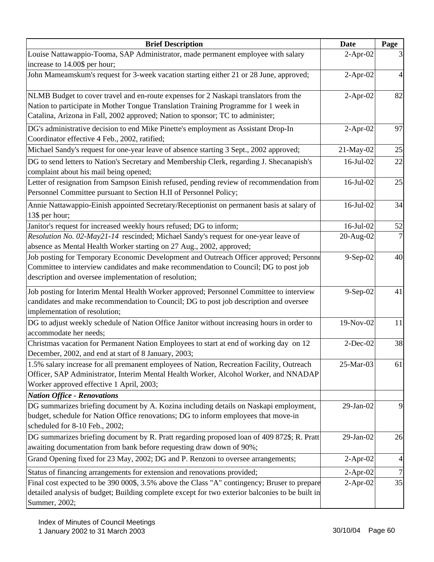| <b>Brief Description</b>                                                                                                                                                                                                                                      | <b>Date</b> | Page           |
|---------------------------------------------------------------------------------------------------------------------------------------------------------------------------------------------------------------------------------------------------------------|-------------|----------------|
| Louise Nattawappio-Tooma, SAP Administrator, made permanent employee with salary<br>increase to 14.00\$ per hour;                                                                                                                                             | $2-Apr-02$  | 3              |
| John Mameamskum's request for 3-week vacation starting either 21 or 28 June, approved;                                                                                                                                                                        | $2-Apr-02$  | $\overline{4}$ |
| NLMB Budget to cover travel and en-route expenses for 2 Naskapi translators from the<br>Nation to participate in Mother Tongue Translation Training Programme for 1 week in<br>Catalina, Arizona in Fall, 2002 approved; Nation to sponsor; TC to administer; | $2-Apr-02$  | 82             |
| DG's administrative decision to end Mike Pinette's employment as Assistant Drop-In<br>Coordinator effective 4 Feb., 2002, ratified;                                                                                                                           | $2-Apr-02$  | 97             |
| Michael Sandy's request for one-year leave of absence starting 3 Sept., 2002 approved;                                                                                                                                                                        | 21-May-02   | 25             |
| DG to send letters to Nation's Secretary and Membership Clerk, regarding J. Shecanapish's<br>complaint about his mail being opened;                                                                                                                           | 16-Jul-02   | 22             |
| Letter of resignation from Sampson Einish refused, pending review of recommendation from<br>Personnel Committee pursuant to Section H.II of Personnel Policy;                                                                                                 | 16-Jul-02   | 25             |
| Annie Nattawappio-Einish appointed Secretary/Receptionist on permanent basis at salary of<br>13\$ per hour;                                                                                                                                                   | 16-Jul-02   | 34             |
| Janitor's request for increased weekly hours refused; DG to inform;                                                                                                                                                                                           | 16-Jul-02   | 52             |
| Resolution No. 02-May21-14 rescinded; Michael Sandy's request for one-year leave of<br>absence as Mental Health Worker starting on 27 Aug., 2002, approved;                                                                                                   | 20-Aug-02   | 7              |
| Job posting for Temporary Economic Development and Outreach Officer approved; Personne<br>Committee to interview candidates and make recommendation to Council; DG to post job<br>description and oversee implementation of resolution;                       | 9-Sep-02    | 40             |
| Job posting for Interim Mental Health Worker approved; Personnel Committee to interview<br>candidates and make recommendation to Council; DG to post job description and oversee<br>implementation of resolution;                                             | 9-Sep-02    | 41             |
| DG to adjust weekly schedule of Nation Office Janitor without increasing hours in order to<br>accommodate her needs;                                                                                                                                          | 19-Nov-02   | 11             |
| Christmas vacation for Permanent Nation Employees to start at end of working day on 12<br>December, 2002, and end at start of 8 January, 2003;                                                                                                                | $2-Dec-02$  | 38             |
| 1.5% salary increase for all premanent employees of Nation, Recreation Facility, Outreach<br>Officer, SAP Administrator, Interim Mental Health Worker, Alcohol Worker, and NNADAP<br>Worker approved effective 1 April, 2003;                                 | 25-Mar-03   | 61             |
| <b>Nation Office - Renovations</b>                                                                                                                                                                                                                            |             |                |
| DG summarizes briefing document by A. Kozina including details on Naskapi employment,<br>budget, schedule for Nation Office renovations; DG to inform employees that move-in<br>scheduled for 8-10 Feb., 2002;                                                | 29-Jan-02   | 9              |
| DG summarizes briefing document by R. Pratt regarding proposed loan of 409 872\$; R. Pratt<br>awaiting documentation from bank before requesting draw down of 90%;                                                                                            | 29-Jan-02   | 26             |
| Grand Opening fixed for 23 May, 2002; DG and P. Renzoni to oversee arrangements;                                                                                                                                                                              | $2-Apr-02$  | $\overline{4}$ |
| Status of financing arrangements for extension and renovations provided;                                                                                                                                                                                      | $2-Apr-02$  | $\sqrt{ }$     |
| Final cost expected to be 390 000\$, 3.5% above the Class "A" contingency; Bruser to prepare<br>detailed analysis of budget; Building complete except for two exterior balconies to be built in<br>Summer, 2002;                                              | $2-Apr-02$  | 35             |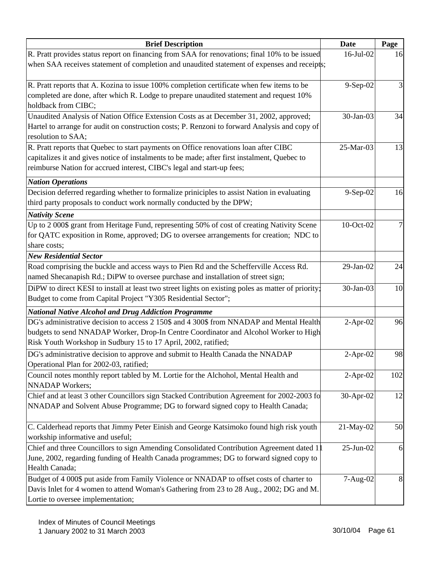| <b>Brief Description</b>                                                                                                        | <b>Date</b> | Page |
|---------------------------------------------------------------------------------------------------------------------------------|-------------|------|
| R. Pratt provides status report on financing from SAA for renovations; final 10% to be issued                                   | 16-Jul-02   | 16   |
| when SAA receives statement of completion and unaudited statement of expenses and receipts;                                     |             |      |
| R. Pratt reports that A. Kozina to issue 100% completion certificate when few items to be                                       | 9-Sep-02    |      |
| completed are done, after which R. Lodge to prepare unaudited statement and request 10%                                         |             |      |
| holdback from CIBC;                                                                                                             |             |      |
| Unaudited Analysis of Nation Office Extension Costs as at December 31, 2002, approved;                                          | 30-Jan-03   | 34   |
| Hartel to arrange for audit on construction costs; P. Renzoni to forward Analysis and copy of                                   |             |      |
| resolution to SAA;                                                                                                              |             |      |
| R. Pratt reports that Quebec to start payments on Office renovations loan after CIBC                                            | 25-Mar-03   | 13   |
| capitalizes it and gives notice of instalments to be made; after first instalment, Quebec to                                    |             |      |
| reimburse Nation for accrued interest, CIBC's legal and start-up fees;                                                          |             |      |
| <b>Nation Operations</b>                                                                                                        |             |      |
| Decision deferred regarding whether to formalize priniciples to assist Nation in evaluating                                     | 9-Sep-02    | 16   |
| third party proposals to conduct work normally conducted by the DPW;                                                            |             |      |
| <b>Nativity Scene</b>                                                                                                           |             |      |
| Up to 2 000\$ grant from Heritage Fund, representing 50% of cost of creating Nativity Scene                                     | 10-Oct-02   |      |
| for QATC exposition in Rome, approved; DG to oversee arrangements for creation; NDC to                                          |             |      |
| share costs;                                                                                                                    |             |      |
| <b>New Residential Sector</b>                                                                                                   |             |      |
| Road comprising the buckle and access ways to Pien Rd and the Schefferville Access Rd.                                          | 29-Jan-02   | 24   |
| named Shecanapish Rd.; DiPW to oversee purchase and installation of street sign;                                                |             |      |
| DiPW to direct KESI to install at least two street lights on existing poles as matter of priority;                              | 30-Jan-03   | 10   |
| Budget to come from Capital Project "Y305 Residential Sector";                                                                  |             |      |
| <b>National Native Alcohol and Drug Addiction Programme</b>                                                                     |             |      |
| DG's administrative decision to access 2 150\$ and 4 300\$ from NNADAP and Mental Health                                        | $2-Apr-02$  | 96   |
| budgets to send NNADAP Worker, Drop-In Centre Coordinator and Alcohol Worker to High                                            |             |      |
| Risk Youth Workshop in Sudbury 15 to 17 April, 2002, ratified;                                                                  |             |      |
| DG's administrative decision to approve and submit to Health Canada the NNADAP                                                  | $2-Apr-02$  | 98   |
| Operational Plan for 2002-03, ratified;<br>Council notes monthly report tabled by M. Lortie for the Alchohol, Mental Health and | $2-Apr-02$  | 102  |
| <b>NNADAP</b> Workers;                                                                                                          |             |      |
| Chief and at least 3 other Councillors sign Stacked Contribution Agreement for 2002-2003 fo                                     | 30-Apr-02   | 12   |
| NNADAP and Solvent Abuse Programme; DG to forward signed copy to Health Canada;                                                 |             |      |
|                                                                                                                                 |             |      |
| C. Calderhead reports that Jimmy Peter Einish and George Katsimoko found high risk youth                                        | 21-May-02   | 50   |
| workship informative and useful;                                                                                                |             |      |
| Chief and three Councillors to sign Amending Consolidated Contribution Agreement dated 1                                        | 25-Jun-02   | 6    |
| June, 2002, regarding funding of Health Canada programmes; DG to forward signed copy to                                         |             |      |
| Health Canada;                                                                                                                  |             |      |
| Budget of 4 000\$ put aside from Family Violence or NNADAP to offset costs of charter to                                        | 7-Aug-02    | 8    |
| Davis Inlet for 4 women to attend Woman's Gathering from 23 to 28 Aug., 2002; DG and M.                                         |             |      |
| Lortie to oversee implementation;                                                                                               |             |      |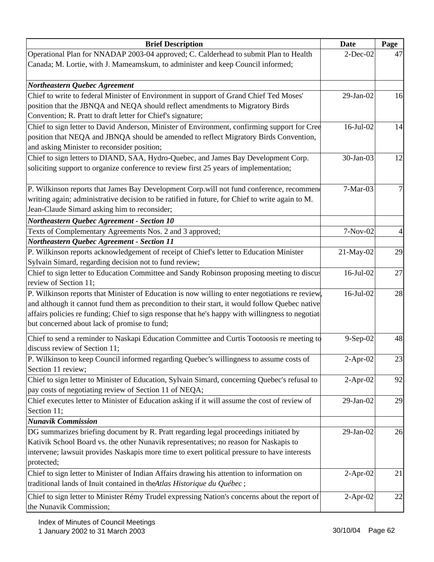| $2$ -Dec-02<br>47<br>Chief to write to federal Minister of Environment in support of Grand Chief Ted Moses'<br>29-Jan-02<br>16<br>position that the JBNQA and NEQA should reflect amendments to Migratory Birds<br>Convention; R. Pratt to draft letter for Chief's signature;<br>Chief to sign letter to David Anderson, Minister of Environment, confirming support for Cree<br>16-Jul-02<br>14<br>position that NEQA and JBNQA should be amended to reflect Migratory Birds Convention,<br>and asking Minister to reconsider position;<br>Chief to sign letters to DIAND, SAA, Hydro-Quebec, and James Bay Development Corp.<br>30-Jan-03<br>12<br>soliciting support to organize conference to review first 25 years of implementation;<br>P. Wilkinson reports that James Bay Development Corp.will not fund conference, recommen<br>7-Mar-03<br>7<br>$7-Nov-02$<br>4<br>29<br>21-May-02<br>16-Jul-02<br>27<br>28<br>16-Jul-02<br>but concerned about lack of promise to fund;<br>Chief to send a reminder to Naskapi Education Committee and Curtis Tootoosis re meeting to<br>$9-$ Sep $-02$<br>48<br>$2$ -Apr-02<br>92<br>$2$ -Apr-02<br>29<br>$29$ -Jan- $02$<br>29-Jan-02<br>26<br>$2-Apr-02$<br>21<br>$2-Apr-02$<br>22 | <b>Brief Description</b>                                                                         | Date | Page |
|-----------------------------------------------------------------------------------------------------------------------------------------------------------------------------------------------------------------------------------------------------------------------------------------------------------------------------------------------------------------------------------------------------------------------------------------------------------------------------------------------------------------------------------------------------------------------------------------------------------------------------------------------------------------------------------------------------------------------------------------------------------------------------------------------------------------------------------------------------------------------------------------------------------------------------------------------------------------------------------------------------------------------------------------------------------------------------------------------------------------------------------------------------------------------------------------------------------------------------------|--------------------------------------------------------------------------------------------------|------|------|
|                                                                                                                                                                                                                                                                                                                                                                                                                                                                                                                                                                                                                                                                                                                                                                                                                                                                                                                                                                                                                                                                                                                                                                                                                                   | Operational Plan for NNADAP 2003-04 approved; C. Calderhead to submit Plan to Health             |      |      |
|                                                                                                                                                                                                                                                                                                                                                                                                                                                                                                                                                                                                                                                                                                                                                                                                                                                                                                                                                                                                                                                                                                                                                                                                                                   | Canada; M. Lortie, with J. Mameamskum, to administer and keep Council informed;                  |      |      |
|                                                                                                                                                                                                                                                                                                                                                                                                                                                                                                                                                                                                                                                                                                                                                                                                                                                                                                                                                                                                                                                                                                                                                                                                                                   |                                                                                                  |      |      |
|                                                                                                                                                                                                                                                                                                                                                                                                                                                                                                                                                                                                                                                                                                                                                                                                                                                                                                                                                                                                                                                                                                                                                                                                                                   | <b>Northeastern Quebec Agreement</b>                                                             |      |      |
|                                                                                                                                                                                                                                                                                                                                                                                                                                                                                                                                                                                                                                                                                                                                                                                                                                                                                                                                                                                                                                                                                                                                                                                                                                   |                                                                                                  |      |      |
| 23                                                                                                                                                                                                                                                                                                                                                                                                                                                                                                                                                                                                                                                                                                                                                                                                                                                                                                                                                                                                                                                                                                                                                                                                                                |                                                                                                  |      |      |
|                                                                                                                                                                                                                                                                                                                                                                                                                                                                                                                                                                                                                                                                                                                                                                                                                                                                                                                                                                                                                                                                                                                                                                                                                                   |                                                                                                  |      |      |
|                                                                                                                                                                                                                                                                                                                                                                                                                                                                                                                                                                                                                                                                                                                                                                                                                                                                                                                                                                                                                                                                                                                                                                                                                                   |                                                                                                  |      |      |
|                                                                                                                                                                                                                                                                                                                                                                                                                                                                                                                                                                                                                                                                                                                                                                                                                                                                                                                                                                                                                                                                                                                                                                                                                                   |                                                                                                  |      |      |
|                                                                                                                                                                                                                                                                                                                                                                                                                                                                                                                                                                                                                                                                                                                                                                                                                                                                                                                                                                                                                                                                                                                                                                                                                                   |                                                                                                  |      |      |
|                                                                                                                                                                                                                                                                                                                                                                                                                                                                                                                                                                                                                                                                                                                                                                                                                                                                                                                                                                                                                                                                                                                                                                                                                                   |                                                                                                  |      |      |
|                                                                                                                                                                                                                                                                                                                                                                                                                                                                                                                                                                                                                                                                                                                                                                                                                                                                                                                                                                                                                                                                                                                                                                                                                                   |                                                                                                  |      |      |
|                                                                                                                                                                                                                                                                                                                                                                                                                                                                                                                                                                                                                                                                                                                                                                                                                                                                                                                                                                                                                                                                                                                                                                                                                                   |                                                                                                  |      |      |
|                                                                                                                                                                                                                                                                                                                                                                                                                                                                                                                                                                                                                                                                                                                                                                                                                                                                                                                                                                                                                                                                                                                                                                                                                                   | writing again; administrative decision to be ratified in future, for Chief to write again to M.  |      |      |
|                                                                                                                                                                                                                                                                                                                                                                                                                                                                                                                                                                                                                                                                                                                                                                                                                                                                                                                                                                                                                                                                                                                                                                                                                                   | Jean-Claude Simard asking him to reconsider;                                                     |      |      |
|                                                                                                                                                                                                                                                                                                                                                                                                                                                                                                                                                                                                                                                                                                                                                                                                                                                                                                                                                                                                                                                                                                                                                                                                                                   | <b>Northeastern Quebec Agreement - Section 10</b>                                                |      |      |
|                                                                                                                                                                                                                                                                                                                                                                                                                                                                                                                                                                                                                                                                                                                                                                                                                                                                                                                                                                                                                                                                                                                                                                                                                                   | Texts of Complementary Agreements Nos. 2 and 3 approved;                                         |      |      |
|                                                                                                                                                                                                                                                                                                                                                                                                                                                                                                                                                                                                                                                                                                                                                                                                                                                                                                                                                                                                                                                                                                                                                                                                                                   | Northeastern Quebec Agreement - Section 11                                                       |      |      |
|                                                                                                                                                                                                                                                                                                                                                                                                                                                                                                                                                                                                                                                                                                                                                                                                                                                                                                                                                                                                                                                                                                                                                                                                                                   | P. Wilkinson reports acknowledgement of receipt of Chief's letter to Education Minister          |      |      |
|                                                                                                                                                                                                                                                                                                                                                                                                                                                                                                                                                                                                                                                                                                                                                                                                                                                                                                                                                                                                                                                                                                                                                                                                                                   | Sylvain Simard, regarding decision not to fund review;                                           |      |      |
|                                                                                                                                                                                                                                                                                                                                                                                                                                                                                                                                                                                                                                                                                                                                                                                                                                                                                                                                                                                                                                                                                                                                                                                                                                   | Chief to sign letter to Education Committee and Sandy Robinson proposing meeting to discus       |      |      |
|                                                                                                                                                                                                                                                                                                                                                                                                                                                                                                                                                                                                                                                                                                                                                                                                                                                                                                                                                                                                                                                                                                                                                                                                                                   | review of Section 11;                                                                            |      |      |
|                                                                                                                                                                                                                                                                                                                                                                                                                                                                                                                                                                                                                                                                                                                                                                                                                                                                                                                                                                                                                                                                                                                                                                                                                                   | P. Wilkinson reports that Minister of Education is now willing to enter negotiations re review,  |      |      |
|                                                                                                                                                                                                                                                                                                                                                                                                                                                                                                                                                                                                                                                                                                                                                                                                                                                                                                                                                                                                                                                                                                                                                                                                                                   | and although it cannot fund them as precondition to their start, it would follow Quebec native   |      |      |
|                                                                                                                                                                                                                                                                                                                                                                                                                                                                                                                                                                                                                                                                                                                                                                                                                                                                                                                                                                                                                                                                                                                                                                                                                                   | affairs policies re funding; Chief to sign response that he's happy with willingness to negotiat |      |      |
|                                                                                                                                                                                                                                                                                                                                                                                                                                                                                                                                                                                                                                                                                                                                                                                                                                                                                                                                                                                                                                                                                                                                                                                                                                   |                                                                                                  |      |      |
|                                                                                                                                                                                                                                                                                                                                                                                                                                                                                                                                                                                                                                                                                                                                                                                                                                                                                                                                                                                                                                                                                                                                                                                                                                   |                                                                                                  |      |      |
|                                                                                                                                                                                                                                                                                                                                                                                                                                                                                                                                                                                                                                                                                                                                                                                                                                                                                                                                                                                                                                                                                                                                                                                                                                   | discuss review of Section 11;                                                                    |      |      |
|                                                                                                                                                                                                                                                                                                                                                                                                                                                                                                                                                                                                                                                                                                                                                                                                                                                                                                                                                                                                                                                                                                                                                                                                                                   | P. Wilkinson to keep Council informed regarding Quebec's willingness to assume costs of          |      |      |
|                                                                                                                                                                                                                                                                                                                                                                                                                                                                                                                                                                                                                                                                                                                                                                                                                                                                                                                                                                                                                                                                                                                                                                                                                                   | Section 11 review;                                                                               |      |      |
|                                                                                                                                                                                                                                                                                                                                                                                                                                                                                                                                                                                                                                                                                                                                                                                                                                                                                                                                                                                                                                                                                                                                                                                                                                   | Chief to sign letter to Minister of Education, Sylvain Simard, concerning Quebec's refusal to    |      |      |
|                                                                                                                                                                                                                                                                                                                                                                                                                                                                                                                                                                                                                                                                                                                                                                                                                                                                                                                                                                                                                                                                                                                                                                                                                                   | pay costs of negotiating review of Section 11 of NEQA;                                           |      |      |
|                                                                                                                                                                                                                                                                                                                                                                                                                                                                                                                                                                                                                                                                                                                                                                                                                                                                                                                                                                                                                                                                                                                                                                                                                                   | Chief executes letter to Minister of Education asking if it will assume the cost of review of    |      |      |
|                                                                                                                                                                                                                                                                                                                                                                                                                                                                                                                                                                                                                                                                                                                                                                                                                                                                                                                                                                                                                                                                                                                                                                                                                                   | Section 11;                                                                                      |      |      |
|                                                                                                                                                                                                                                                                                                                                                                                                                                                                                                                                                                                                                                                                                                                                                                                                                                                                                                                                                                                                                                                                                                                                                                                                                                   | <b>Nunavik Commission</b>                                                                        |      |      |
|                                                                                                                                                                                                                                                                                                                                                                                                                                                                                                                                                                                                                                                                                                                                                                                                                                                                                                                                                                                                                                                                                                                                                                                                                                   | DG summarizes briefing document by R. Pratt regarding legal proceedings initiated by             |      |      |
|                                                                                                                                                                                                                                                                                                                                                                                                                                                                                                                                                                                                                                                                                                                                                                                                                                                                                                                                                                                                                                                                                                                                                                                                                                   | Kativik School Board vs. the other Nunavik representatives; no reason for Naskapis to            |      |      |
|                                                                                                                                                                                                                                                                                                                                                                                                                                                                                                                                                                                                                                                                                                                                                                                                                                                                                                                                                                                                                                                                                                                                                                                                                                   | intervene; lawsuit provides Naskapis more time to exert political pressure to have interests     |      |      |
|                                                                                                                                                                                                                                                                                                                                                                                                                                                                                                                                                                                                                                                                                                                                                                                                                                                                                                                                                                                                                                                                                                                                                                                                                                   | protected;                                                                                       |      |      |
|                                                                                                                                                                                                                                                                                                                                                                                                                                                                                                                                                                                                                                                                                                                                                                                                                                                                                                                                                                                                                                                                                                                                                                                                                                   | Chief to sign letter to Minister of Indian Affairs drawing his attention to information on       |      |      |
|                                                                                                                                                                                                                                                                                                                                                                                                                                                                                                                                                                                                                                                                                                                                                                                                                                                                                                                                                                                                                                                                                                                                                                                                                                   | traditional lands of Inuit contained in the Atlas Historique du Québec;                          |      |      |
|                                                                                                                                                                                                                                                                                                                                                                                                                                                                                                                                                                                                                                                                                                                                                                                                                                                                                                                                                                                                                                                                                                                                                                                                                                   | Chief to sign letter to Minister Rémy Trudel expressing Nation's concerns about the report of    |      |      |
|                                                                                                                                                                                                                                                                                                                                                                                                                                                                                                                                                                                                                                                                                                                                                                                                                                                                                                                                                                                                                                                                                                                                                                                                                                   | the Nunavik Commission;                                                                          |      |      |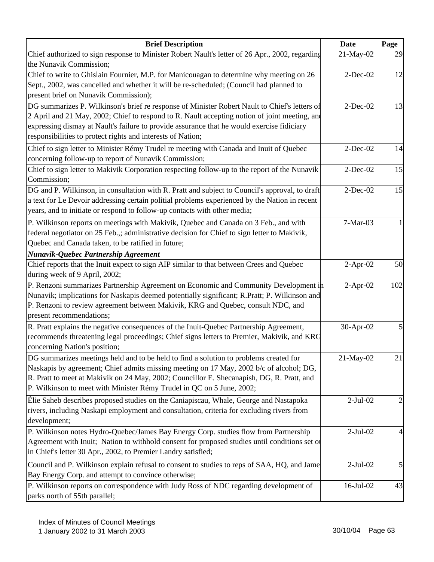| Chief authorized to sign response to Minister Robert Nault's letter of 26 Apr., 2002, regarding<br>21-May-02<br>29<br>the Nunavik Commission;<br>Chief to write to Ghislain Fournier, M.P. for Manicouagan to determine why meeting on 26<br>$2-Dec-02$<br>12<br>Sept., 2002, was cancelled and whether it will be re-scheduled; (Council had planned to<br>present brief on Nunavik Commission);<br>DG summarizes P. Wilkinson's brief re response of Minister Robert Nault to Chief's letters of<br>$2$ -Dec-02<br>13<br>2 April and 21 May, 2002; Chief to respond to R. Nault accepting notion of joint meeting, and<br>expressing dismay at Nault's failure to provide assurance that he would exercise fidiciary<br>responsibilities to protect rights and interests of Nation;<br>Chief to sign letter to Minister Rémy Trudel re meeting with Canada and Inuit of Quebec<br>$2$ -Dec-02<br>concerning follow-up to report of Nunavik Commission;<br>Chief to sign letter to Makivik Corporation respecting follow-up to the report of the Nunavik<br>$2$ -Dec-02<br>15<br>Commission;<br>15<br>$2-Dec-02$<br>a text for Le Devoir addressing certain politial problems experienced by the Nation in recent<br>years, and to initiate or respond to follow-up contacts with other media;<br>$7-Mar-03$<br>federal negotiator on 25 Feb.,; administrative decision for Chief to sign letter to Makivik,<br>Quebec and Canada taken, to be ratified in future;<br>Nunavik-Quebec Partnership Agreement<br>Chief reports that the Inuit expect to sign AIP similar to that between Crees and Quebec<br>$2-Apr-02$<br>during week of 9 April, 2002;<br>P. Renzoni summarizes Partnership Agreement on Economic and Community Development in<br>102<br>$2$ -Apr-02<br>30-Apr-02<br>5<br>recommends threatening legal proceedings; Chief signs letters to Premier, Makivik, and KRG<br>concerning Nation's position;<br>$21$ -May-02<br>$2-Jul-02$<br>$\overline{c}$<br>rivers, including Naskapi employment and consultation, criteria for excluding rivers from<br>development;<br>$2-Jul-02$<br>4<br>Agreement with Inuit; Nation to withhold consent for proposed studies until conditions set of<br>$\mathfrak{h}$<br>$2-Jul-02$<br>Bay Energy Corp. and attempt to convince otherwise;<br>16-Jul-02<br>43 | <b>Brief Description</b>                                                                       | <b>Date</b> | Page |
|------------------------------------------------------------------------------------------------------------------------------------------------------------------------------------------------------------------------------------------------------------------------------------------------------------------------------------------------------------------------------------------------------------------------------------------------------------------------------------------------------------------------------------------------------------------------------------------------------------------------------------------------------------------------------------------------------------------------------------------------------------------------------------------------------------------------------------------------------------------------------------------------------------------------------------------------------------------------------------------------------------------------------------------------------------------------------------------------------------------------------------------------------------------------------------------------------------------------------------------------------------------------------------------------------------------------------------------------------------------------------------------------------------------------------------------------------------------------------------------------------------------------------------------------------------------------------------------------------------------------------------------------------------------------------------------------------------------------------------------------------------------------------------------------------------------------------------------------------------------------------------------------------------------------------------------------------------------------------------------------------------------------------------------------------------------------------------------------------------------------------------------------------------------------------------------------------------------------------------------------------------------------------------------------------------------|------------------------------------------------------------------------------------------------|-------------|------|
| P. Wilkinson reports on meetings with Makivik, Quebec and Canada on 3 Feb., and with<br>Nunavik; implications for Naskapis deemed potentially significant; R.Pratt; P. Wilkinson and<br>P. Renzoni to review agreement between Makivik, KRG and Quebec, consult NDC, and<br>R. Pratt explains the negative consequences of the Inuit-Quebec Partnership Agreement,<br>DG summarizes meetings held and to be held to find a solution to problems created for<br>Naskapis by agreement; Chief admits missing meeting on 17 May, 2002 b/c of alcohol; DG,<br>R. Pratt to meet at Makivik on 24 May, 2002; Councillor E. Shecanapish, DG, R. Pratt, and<br>Elie Saheb describes proposed studies on the Caniapiscau, Whale, George and Nastapoka<br>P. Wilkinson notes Hydro-Quebec/James Bay Energy Corp. studies flow from Partnership<br>in Chief's letter 30 Apr., 2002, to Premier Landry satisfied;<br>Council and P. Wilkinson explain refusal to consent to studies to reps of SAA, HQ, and Jame<br>P. Wilkinson reports on correspondence with Judy Ross of NDC regarding development of                                                                                                                                                                                                                                                                                                                                                                                                                                                                                                                                                                                                                                                                                                                                                                                                                                                                                                                                                                                                                                                                                                                                                                                                                    |                                                                                                |             |      |
| 14<br>50                                                                                                                                                                                                                                                                                                                                                                                                                                                                                                                                                                                                                                                                                                                                                                                                                                                                                                                                                                                                                                                                                                                                                                                                                                                                                                                                                                                                                                                                                                                                                                                                                                                                                                                                                                                                                                                                                                                                                                                                                                                                                                                                                                                                                                                                                                         |                                                                                                |             |      |
|                                                                                                                                                                                                                                                                                                                                                                                                                                                                                                                                                                                                                                                                                                                                                                                                                                                                                                                                                                                                                                                                                                                                                                                                                                                                                                                                                                                                                                                                                                                                                                                                                                                                                                                                                                                                                                                                                                                                                                                                                                                                                                                                                                                                                                                                                                                  |                                                                                                |             |      |
| 21                                                                                                                                                                                                                                                                                                                                                                                                                                                                                                                                                                                                                                                                                                                                                                                                                                                                                                                                                                                                                                                                                                                                                                                                                                                                                                                                                                                                                                                                                                                                                                                                                                                                                                                                                                                                                                                                                                                                                                                                                                                                                                                                                                                                                                                                                                               |                                                                                                |             |      |
|                                                                                                                                                                                                                                                                                                                                                                                                                                                                                                                                                                                                                                                                                                                                                                                                                                                                                                                                                                                                                                                                                                                                                                                                                                                                                                                                                                                                                                                                                                                                                                                                                                                                                                                                                                                                                                                                                                                                                                                                                                                                                                                                                                                                                                                                                                                  |                                                                                                |             |      |
|                                                                                                                                                                                                                                                                                                                                                                                                                                                                                                                                                                                                                                                                                                                                                                                                                                                                                                                                                                                                                                                                                                                                                                                                                                                                                                                                                                                                                                                                                                                                                                                                                                                                                                                                                                                                                                                                                                                                                                                                                                                                                                                                                                                                                                                                                                                  |                                                                                                |             |      |
|                                                                                                                                                                                                                                                                                                                                                                                                                                                                                                                                                                                                                                                                                                                                                                                                                                                                                                                                                                                                                                                                                                                                                                                                                                                                                                                                                                                                                                                                                                                                                                                                                                                                                                                                                                                                                                                                                                                                                                                                                                                                                                                                                                                                                                                                                                                  |                                                                                                |             |      |
|                                                                                                                                                                                                                                                                                                                                                                                                                                                                                                                                                                                                                                                                                                                                                                                                                                                                                                                                                                                                                                                                                                                                                                                                                                                                                                                                                                                                                                                                                                                                                                                                                                                                                                                                                                                                                                                                                                                                                                                                                                                                                                                                                                                                                                                                                                                  |                                                                                                |             |      |
|                                                                                                                                                                                                                                                                                                                                                                                                                                                                                                                                                                                                                                                                                                                                                                                                                                                                                                                                                                                                                                                                                                                                                                                                                                                                                                                                                                                                                                                                                                                                                                                                                                                                                                                                                                                                                                                                                                                                                                                                                                                                                                                                                                                                                                                                                                                  |                                                                                                |             |      |
|                                                                                                                                                                                                                                                                                                                                                                                                                                                                                                                                                                                                                                                                                                                                                                                                                                                                                                                                                                                                                                                                                                                                                                                                                                                                                                                                                                                                                                                                                                                                                                                                                                                                                                                                                                                                                                                                                                                                                                                                                                                                                                                                                                                                                                                                                                                  |                                                                                                |             |      |
|                                                                                                                                                                                                                                                                                                                                                                                                                                                                                                                                                                                                                                                                                                                                                                                                                                                                                                                                                                                                                                                                                                                                                                                                                                                                                                                                                                                                                                                                                                                                                                                                                                                                                                                                                                                                                                                                                                                                                                                                                                                                                                                                                                                                                                                                                                                  |                                                                                                |             |      |
|                                                                                                                                                                                                                                                                                                                                                                                                                                                                                                                                                                                                                                                                                                                                                                                                                                                                                                                                                                                                                                                                                                                                                                                                                                                                                                                                                                                                                                                                                                                                                                                                                                                                                                                                                                                                                                                                                                                                                                                                                                                                                                                                                                                                                                                                                                                  |                                                                                                |             |      |
|                                                                                                                                                                                                                                                                                                                                                                                                                                                                                                                                                                                                                                                                                                                                                                                                                                                                                                                                                                                                                                                                                                                                                                                                                                                                                                                                                                                                                                                                                                                                                                                                                                                                                                                                                                                                                                                                                                                                                                                                                                                                                                                                                                                                                                                                                                                  |                                                                                                |             |      |
|                                                                                                                                                                                                                                                                                                                                                                                                                                                                                                                                                                                                                                                                                                                                                                                                                                                                                                                                                                                                                                                                                                                                                                                                                                                                                                                                                                                                                                                                                                                                                                                                                                                                                                                                                                                                                                                                                                                                                                                                                                                                                                                                                                                                                                                                                                                  | DG and P. Wilkinson, in consultation with R. Pratt and subject to Council's approval, to draft |             |      |
|                                                                                                                                                                                                                                                                                                                                                                                                                                                                                                                                                                                                                                                                                                                                                                                                                                                                                                                                                                                                                                                                                                                                                                                                                                                                                                                                                                                                                                                                                                                                                                                                                                                                                                                                                                                                                                                                                                                                                                                                                                                                                                                                                                                                                                                                                                                  |                                                                                                |             |      |
|                                                                                                                                                                                                                                                                                                                                                                                                                                                                                                                                                                                                                                                                                                                                                                                                                                                                                                                                                                                                                                                                                                                                                                                                                                                                                                                                                                                                                                                                                                                                                                                                                                                                                                                                                                                                                                                                                                                                                                                                                                                                                                                                                                                                                                                                                                                  |                                                                                                |             |      |
|                                                                                                                                                                                                                                                                                                                                                                                                                                                                                                                                                                                                                                                                                                                                                                                                                                                                                                                                                                                                                                                                                                                                                                                                                                                                                                                                                                                                                                                                                                                                                                                                                                                                                                                                                                                                                                                                                                                                                                                                                                                                                                                                                                                                                                                                                                                  |                                                                                                |             |      |
|                                                                                                                                                                                                                                                                                                                                                                                                                                                                                                                                                                                                                                                                                                                                                                                                                                                                                                                                                                                                                                                                                                                                                                                                                                                                                                                                                                                                                                                                                                                                                                                                                                                                                                                                                                                                                                                                                                                                                                                                                                                                                                                                                                                                                                                                                                                  |                                                                                                |             |      |
|                                                                                                                                                                                                                                                                                                                                                                                                                                                                                                                                                                                                                                                                                                                                                                                                                                                                                                                                                                                                                                                                                                                                                                                                                                                                                                                                                                                                                                                                                                                                                                                                                                                                                                                                                                                                                                                                                                                                                                                                                                                                                                                                                                                                                                                                                                                  |                                                                                                |             |      |
|                                                                                                                                                                                                                                                                                                                                                                                                                                                                                                                                                                                                                                                                                                                                                                                                                                                                                                                                                                                                                                                                                                                                                                                                                                                                                                                                                                                                                                                                                                                                                                                                                                                                                                                                                                                                                                                                                                                                                                                                                                                                                                                                                                                                                                                                                                                  |                                                                                                |             |      |
|                                                                                                                                                                                                                                                                                                                                                                                                                                                                                                                                                                                                                                                                                                                                                                                                                                                                                                                                                                                                                                                                                                                                                                                                                                                                                                                                                                                                                                                                                                                                                                                                                                                                                                                                                                                                                                                                                                                                                                                                                                                                                                                                                                                                                                                                                                                  |                                                                                                |             |      |
|                                                                                                                                                                                                                                                                                                                                                                                                                                                                                                                                                                                                                                                                                                                                                                                                                                                                                                                                                                                                                                                                                                                                                                                                                                                                                                                                                                                                                                                                                                                                                                                                                                                                                                                                                                                                                                                                                                                                                                                                                                                                                                                                                                                                                                                                                                                  |                                                                                                |             |      |
|                                                                                                                                                                                                                                                                                                                                                                                                                                                                                                                                                                                                                                                                                                                                                                                                                                                                                                                                                                                                                                                                                                                                                                                                                                                                                                                                                                                                                                                                                                                                                                                                                                                                                                                                                                                                                                                                                                                                                                                                                                                                                                                                                                                                                                                                                                                  |                                                                                                |             |      |
|                                                                                                                                                                                                                                                                                                                                                                                                                                                                                                                                                                                                                                                                                                                                                                                                                                                                                                                                                                                                                                                                                                                                                                                                                                                                                                                                                                                                                                                                                                                                                                                                                                                                                                                                                                                                                                                                                                                                                                                                                                                                                                                                                                                                                                                                                                                  |                                                                                                |             |      |
|                                                                                                                                                                                                                                                                                                                                                                                                                                                                                                                                                                                                                                                                                                                                                                                                                                                                                                                                                                                                                                                                                                                                                                                                                                                                                                                                                                                                                                                                                                                                                                                                                                                                                                                                                                                                                                                                                                                                                                                                                                                                                                                                                                                                                                                                                                                  |                                                                                                |             |      |
|                                                                                                                                                                                                                                                                                                                                                                                                                                                                                                                                                                                                                                                                                                                                                                                                                                                                                                                                                                                                                                                                                                                                                                                                                                                                                                                                                                                                                                                                                                                                                                                                                                                                                                                                                                                                                                                                                                                                                                                                                                                                                                                                                                                                                                                                                                                  | present recommendations;                                                                       |             |      |
|                                                                                                                                                                                                                                                                                                                                                                                                                                                                                                                                                                                                                                                                                                                                                                                                                                                                                                                                                                                                                                                                                                                                                                                                                                                                                                                                                                                                                                                                                                                                                                                                                                                                                                                                                                                                                                                                                                                                                                                                                                                                                                                                                                                                                                                                                                                  |                                                                                                |             |      |
|                                                                                                                                                                                                                                                                                                                                                                                                                                                                                                                                                                                                                                                                                                                                                                                                                                                                                                                                                                                                                                                                                                                                                                                                                                                                                                                                                                                                                                                                                                                                                                                                                                                                                                                                                                                                                                                                                                                                                                                                                                                                                                                                                                                                                                                                                                                  |                                                                                                |             |      |
|                                                                                                                                                                                                                                                                                                                                                                                                                                                                                                                                                                                                                                                                                                                                                                                                                                                                                                                                                                                                                                                                                                                                                                                                                                                                                                                                                                                                                                                                                                                                                                                                                                                                                                                                                                                                                                                                                                                                                                                                                                                                                                                                                                                                                                                                                                                  |                                                                                                |             |      |
|                                                                                                                                                                                                                                                                                                                                                                                                                                                                                                                                                                                                                                                                                                                                                                                                                                                                                                                                                                                                                                                                                                                                                                                                                                                                                                                                                                                                                                                                                                                                                                                                                                                                                                                                                                                                                                                                                                                                                                                                                                                                                                                                                                                                                                                                                                                  |                                                                                                |             |      |
|                                                                                                                                                                                                                                                                                                                                                                                                                                                                                                                                                                                                                                                                                                                                                                                                                                                                                                                                                                                                                                                                                                                                                                                                                                                                                                                                                                                                                                                                                                                                                                                                                                                                                                                                                                                                                                                                                                                                                                                                                                                                                                                                                                                                                                                                                                                  |                                                                                                |             |      |
|                                                                                                                                                                                                                                                                                                                                                                                                                                                                                                                                                                                                                                                                                                                                                                                                                                                                                                                                                                                                                                                                                                                                                                                                                                                                                                                                                                                                                                                                                                                                                                                                                                                                                                                                                                                                                                                                                                                                                                                                                                                                                                                                                                                                                                                                                                                  |                                                                                                |             |      |
|                                                                                                                                                                                                                                                                                                                                                                                                                                                                                                                                                                                                                                                                                                                                                                                                                                                                                                                                                                                                                                                                                                                                                                                                                                                                                                                                                                                                                                                                                                                                                                                                                                                                                                                                                                                                                                                                                                                                                                                                                                                                                                                                                                                                                                                                                                                  | P. Wilkinson to meet with Minister Rémy Trudel in QC on 5 June, 2002;                          |             |      |
|                                                                                                                                                                                                                                                                                                                                                                                                                                                                                                                                                                                                                                                                                                                                                                                                                                                                                                                                                                                                                                                                                                                                                                                                                                                                                                                                                                                                                                                                                                                                                                                                                                                                                                                                                                                                                                                                                                                                                                                                                                                                                                                                                                                                                                                                                                                  |                                                                                                |             |      |
|                                                                                                                                                                                                                                                                                                                                                                                                                                                                                                                                                                                                                                                                                                                                                                                                                                                                                                                                                                                                                                                                                                                                                                                                                                                                                                                                                                                                                                                                                                                                                                                                                                                                                                                                                                                                                                                                                                                                                                                                                                                                                                                                                                                                                                                                                                                  |                                                                                                |             |      |
|                                                                                                                                                                                                                                                                                                                                                                                                                                                                                                                                                                                                                                                                                                                                                                                                                                                                                                                                                                                                                                                                                                                                                                                                                                                                                                                                                                                                                                                                                                                                                                                                                                                                                                                                                                                                                                                                                                                                                                                                                                                                                                                                                                                                                                                                                                                  |                                                                                                |             |      |
|                                                                                                                                                                                                                                                                                                                                                                                                                                                                                                                                                                                                                                                                                                                                                                                                                                                                                                                                                                                                                                                                                                                                                                                                                                                                                                                                                                                                                                                                                                                                                                                                                                                                                                                                                                                                                                                                                                                                                                                                                                                                                                                                                                                                                                                                                                                  |                                                                                                |             |      |
|                                                                                                                                                                                                                                                                                                                                                                                                                                                                                                                                                                                                                                                                                                                                                                                                                                                                                                                                                                                                                                                                                                                                                                                                                                                                                                                                                                                                                                                                                                                                                                                                                                                                                                                                                                                                                                                                                                                                                                                                                                                                                                                                                                                                                                                                                                                  |                                                                                                |             |      |
|                                                                                                                                                                                                                                                                                                                                                                                                                                                                                                                                                                                                                                                                                                                                                                                                                                                                                                                                                                                                                                                                                                                                                                                                                                                                                                                                                                                                                                                                                                                                                                                                                                                                                                                                                                                                                                                                                                                                                                                                                                                                                                                                                                                                                                                                                                                  |                                                                                                |             |      |
|                                                                                                                                                                                                                                                                                                                                                                                                                                                                                                                                                                                                                                                                                                                                                                                                                                                                                                                                                                                                                                                                                                                                                                                                                                                                                                                                                                                                                                                                                                                                                                                                                                                                                                                                                                                                                                                                                                                                                                                                                                                                                                                                                                                                                                                                                                                  |                                                                                                |             |      |
|                                                                                                                                                                                                                                                                                                                                                                                                                                                                                                                                                                                                                                                                                                                                                                                                                                                                                                                                                                                                                                                                                                                                                                                                                                                                                                                                                                                                                                                                                                                                                                                                                                                                                                                                                                                                                                                                                                                                                                                                                                                                                                                                                                                                                                                                                                                  |                                                                                                |             |      |
|                                                                                                                                                                                                                                                                                                                                                                                                                                                                                                                                                                                                                                                                                                                                                                                                                                                                                                                                                                                                                                                                                                                                                                                                                                                                                                                                                                                                                                                                                                                                                                                                                                                                                                                                                                                                                                                                                                                                                                                                                                                                                                                                                                                                                                                                                                                  |                                                                                                |             |      |
|                                                                                                                                                                                                                                                                                                                                                                                                                                                                                                                                                                                                                                                                                                                                                                                                                                                                                                                                                                                                                                                                                                                                                                                                                                                                                                                                                                                                                                                                                                                                                                                                                                                                                                                                                                                                                                                                                                                                                                                                                                                                                                                                                                                                                                                                                                                  | parks north of 55th parallel;                                                                  |             |      |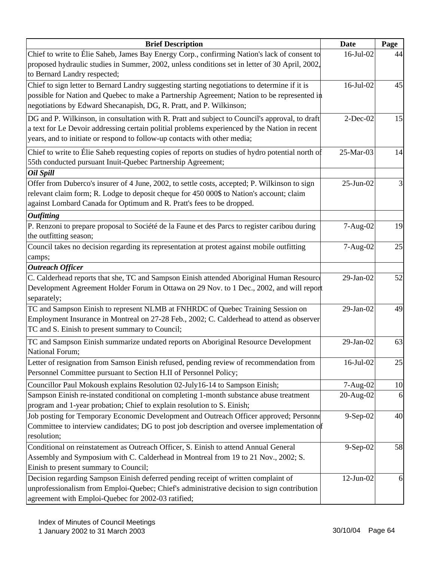| Page<br>Chief to write to Élie Saheb, James Bay Energy Corp., confirming Nation's lack of consent to<br>16-Jul-02<br>44<br>proposed hydraulic studies in Summer, 2002, unless conditions set in letter of 30 April, 2002,<br>to Bernard Landry respected;<br>Chief to sign letter to Bernard Landry suggesting starting negotiations to determine if it is<br>16-Jul-02<br>45<br>possible for Nation and Quebec to make a Partnership Agreement; Nation to be represented in<br>negotiations by Edward Shecanapish, DG, R. Pratt, and P. Wilkinson;<br>$2$ -Dec-02<br>DG and P. Wilkinson, in consultation with R. Pratt and subject to Council's approval, to draft<br>15<br>a text for Le Devoir addressing certain politial problems experienced by the Nation in recent<br>years, and to initiate or respond to follow-up contacts with other media;<br>Chief to write to Elie Saheb requesting copies of reports on studies of hydro potential north of<br>25-Mar-03<br>14<br>55th conducted pursuant Inuit-Quebec Partnership Agreement;<br>Oil Spill<br>Offer from Duberco's insurer of 4 June, 2002, to settle costs, accepted; P. Wilkinson to sign<br>$25-Jun-02$<br>$\mathfrak{Z}$<br>relevant claim form; R. Lodge to deposit cheque for 450 000\$ to Nation's account; claim<br>against Lombard Canada for Optimum and R. Pratt's fees to be dropped.<br><b>Outfitting</b><br>P. Renzoni to prepare proposal to Société de la Faune et des Parcs to register caribou during<br>$7-Aug-02$<br>the outfitting season;<br>Council takes no decision regarding its representation at protest against mobile outfitting<br>7-Aug-02<br>25<br>camps;<br><b>Outreach Officer</b><br>C. Calderhead reports that she, TC and Sampson Einish attended Aboriginal Human Resource<br>29-Jan-02<br>52<br>Development Agreement Holder Forum in Ottawa on 29 Nov. to 1 Dec., 2002, and will report<br>separately; |
|------------------------------------------------------------------------------------------------------------------------------------------------------------------------------------------------------------------------------------------------------------------------------------------------------------------------------------------------------------------------------------------------------------------------------------------------------------------------------------------------------------------------------------------------------------------------------------------------------------------------------------------------------------------------------------------------------------------------------------------------------------------------------------------------------------------------------------------------------------------------------------------------------------------------------------------------------------------------------------------------------------------------------------------------------------------------------------------------------------------------------------------------------------------------------------------------------------------------------------------------------------------------------------------------------------------------------------------------------------------------------------------------------------------------------------------------------------------------------------------------------------------------------------------------------------------------------------------------------------------------------------------------------------------------------------------------------------------------------------------------------------------------------------------------------------------------------------------------------------------------------------------------------------------|
| 19                                                                                                                                                                                                                                                                                                                                                                                                                                                                                                                                                                                                                                                                                                                                                                                                                                                                                                                                                                                                                                                                                                                                                                                                                                                                                                                                                                                                                                                                                                                                                                                                                                                                                                                                                                                                                                                                                                               |
|                                                                                                                                                                                                                                                                                                                                                                                                                                                                                                                                                                                                                                                                                                                                                                                                                                                                                                                                                                                                                                                                                                                                                                                                                                                                                                                                                                                                                                                                                                                                                                                                                                                                                                                                                                                                                                                                                                                  |
|                                                                                                                                                                                                                                                                                                                                                                                                                                                                                                                                                                                                                                                                                                                                                                                                                                                                                                                                                                                                                                                                                                                                                                                                                                                                                                                                                                                                                                                                                                                                                                                                                                                                                                                                                                                                                                                                                                                  |
|                                                                                                                                                                                                                                                                                                                                                                                                                                                                                                                                                                                                                                                                                                                                                                                                                                                                                                                                                                                                                                                                                                                                                                                                                                                                                                                                                                                                                                                                                                                                                                                                                                                                                                                                                                                                                                                                                                                  |
|                                                                                                                                                                                                                                                                                                                                                                                                                                                                                                                                                                                                                                                                                                                                                                                                                                                                                                                                                                                                                                                                                                                                                                                                                                                                                                                                                                                                                                                                                                                                                                                                                                                                                                                                                                                                                                                                                                                  |
|                                                                                                                                                                                                                                                                                                                                                                                                                                                                                                                                                                                                                                                                                                                                                                                                                                                                                                                                                                                                                                                                                                                                                                                                                                                                                                                                                                                                                                                                                                                                                                                                                                                                                                                                                                                                                                                                                                                  |
|                                                                                                                                                                                                                                                                                                                                                                                                                                                                                                                                                                                                                                                                                                                                                                                                                                                                                                                                                                                                                                                                                                                                                                                                                                                                                                                                                                                                                                                                                                                                                                                                                                                                                                                                                                                                                                                                                                                  |
|                                                                                                                                                                                                                                                                                                                                                                                                                                                                                                                                                                                                                                                                                                                                                                                                                                                                                                                                                                                                                                                                                                                                                                                                                                                                                                                                                                                                                                                                                                                                                                                                                                                                                                                                                                                                                                                                                                                  |
|                                                                                                                                                                                                                                                                                                                                                                                                                                                                                                                                                                                                                                                                                                                                                                                                                                                                                                                                                                                                                                                                                                                                                                                                                                                                                                                                                                                                                                                                                                                                                                                                                                                                                                                                                                                                                                                                                                                  |
|                                                                                                                                                                                                                                                                                                                                                                                                                                                                                                                                                                                                                                                                                                                                                                                                                                                                                                                                                                                                                                                                                                                                                                                                                                                                                                                                                                                                                                                                                                                                                                                                                                                                                                                                                                                                                                                                                                                  |
|                                                                                                                                                                                                                                                                                                                                                                                                                                                                                                                                                                                                                                                                                                                                                                                                                                                                                                                                                                                                                                                                                                                                                                                                                                                                                                                                                                                                                                                                                                                                                                                                                                                                                                                                                                                                                                                                                                                  |
|                                                                                                                                                                                                                                                                                                                                                                                                                                                                                                                                                                                                                                                                                                                                                                                                                                                                                                                                                                                                                                                                                                                                                                                                                                                                                                                                                                                                                                                                                                                                                                                                                                                                                                                                                                                                                                                                                                                  |
|                                                                                                                                                                                                                                                                                                                                                                                                                                                                                                                                                                                                                                                                                                                                                                                                                                                                                                                                                                                                                                                                                                                                                                                                                                                                                                                                                                                                                                                                                                                                                                                                                                                                                                                                                                                                                                                                                                                  |
|                                                                                                                                                                                                                                                                                                                                                                                                                                                                                                                                                                                                                                                                                                                                                                                                                                                                                                                                                                                                                                                                                                                                                                                                                                                                                                                                                                                                                                                                                                                                                                                                                                                                                                                                                                                                                                                                                                                  |
|                                                                                                                                                                                                                                                                                                                                                                                                                                                                                                                                                                                                                                                                                                                                                                                                                                                                                                                                                                                                                                                                                                                                                                                                                                                                                                                                                                                                                                                                                                                                                                                                                                                                                                                                                                                                                                                                                                                  |
|                                                                                                                                                                                                                                                                                                                                                                                                                                                                                                                                                                                                                                                                                                                                                                                                                                                                                                                                                                                                                                                                                                                                                                                                                                                                                                                                                                                                                                                                                                                                                                                                                                                                                                                                                                                                                                                                                                                  |
|                                                                                                                                                                                                                                                                                                                                                                                                                                                                                                                                                                                                                                                                                                                                                                                                                                                                                                                                                                                                                                                                                                                                                                                                                                                                                                                                                                                                                                                                                                                                                                                                                                                                                                                                                                                                                                                                                                                  |
|                                                                                                                                                                                                                                                                                                                                                                                                                                                                                                                                                                                                                                                                                                                                                                                                                                                                                                                                                                                                                                                                                                                                                                                                                                                                                                                                                                                                                                                                                                                                                                                                                                                                                                                                                                                                                                                                                                                  |
|                                                                                                                                                                                                                                                                                                                                                                                                                                                                                                                                                                                                                                                                                                                                                                                                                                                                                                                                                                                                                                                                                                                                                                                                                                                                                                                                                                                                                                                                                                                                                                                                                                                                                                                                                                                                                                                                                                                  |
|                                                                                                                                                                                                                                                                                                                                                                                                                                                                                                                                                                                                                                                                                                                                                                                                                                                                                                                                                                                                                                                                                                                                                                                                                                                                                                                                                                                                                                                                                                                                                                                                                                                                                                                                                                                                                                                                                                                  |
|                                                                                                                                                                                                                                                                                                                                                                                                                                                                                                                                                                                                                                                                                                                                                                                                                                                                                                                                                                                                                                                                                                                                                                                                                                                                                                                                                                                                                                                                                                                                                                                                                                                                                                                                                                                                                                                                                                                  |
|                                                                                                                                                                                                                                                                                                                                                                                                                                                                                                                                                                                                                                                                                                                                                                                                                                                                                                                                                                                                                                                                                                                                                                                                                                                                                                                                                                                                                                                                                                                                                                                                                                                                                                                                                                                                                                                                                                                  |
|                                                                                                                                                                                                                                                                                                                                                                                                                                                                                                                                                                                                                                                                                                                                                                                                                                                                                                                                                                                                                                                                                                                                                                                                                                                                                                                                                                                                                                                                                                                                                                                                                                                                                                                                                                                                                                                                                                                  |
|                                                                                                                                                                                                                                                                                                                                                                                                                                                                                                                                                                                                                                                                                                                                                                                                                                                                                                                                                                                                                                                                                                                                                                                                                                                                                                                                                                                                                                                                                                                                                                                                                                                                                                                                                                                                                                                                                                                  |
| TC and Sampson Einish to represent NLMB at FNHRDC of Quebec Training Session on<br>29-Jan-02<br>49                                                                                                                                                                                                                                                                                                                                                                                                                                                                                                                                                                                                                                                                                                                                                                                                                                                                                                                                                                                                                                                                                                                                                                                                                                                                                                                                                                                                                                                                                                                                                                                                                                                                                                                                                                                                               |
| Employment Insurance in Montreal on 27-28 Feb., 2002; C. Calderhead to attend as observer                                                                                                                                                                                                                                                                                                                                                                                                                                                                                                                                                                                                                                                                                                                                                                                                                                                                                                                                                                                                                                                                                                                                                                                                                                                                                                                                                                                                                                                                                                                                                                                                                                                                                                                                                                                                                        |
| TC and S. Einish to present summary to Council;                                                                                                                                                                                                                                                                                                                                                                                                                                                                                                                                                                                                                                                                                                                                                                                                                                                                                                                                                                                                                                                                                                                                                                                                                                                                                                                                                                                                                                                                                                                                                                                                                                                                                                                                                                                                                                                                  |
| TC and Sampson Einish summarize undated reports on Aboriginal Resource Development<br>29-Jan-02<br>63                                                                                                                                                                                                                                                                                                                                                                                                                                                                                                                                                                                                                                                                                                                                                                                                                                                                                                                                                                                                                                                                                                                                                                                                                                                                                                                                                                                                                                                                                                                                                                                                                                                                                                                                                                                                            |
| National Forum;                                                                                                                                                                                                                                                                                                                                                                                                                                                                                                                                                                                                                                                                                                                                                                                                                                                                                                                                                                                                                                                                                                                                                                                                                                                                                                                                                                                                                                                                                                                                                                                                                                                                                                                                                                                                                                                                                                  |
| Letter of resignation from Samson Einish refused, pending review of recommendation from<br>25<br>16-Jul-02                                                                                                                                                                                                                                                                                                                                                                                                                                                                                                                                                                                                                                                                                                                                                                                                                                                                                                                                                                                                                                                                                                                                                                                                                                                                                                                                                                                                                                                                                                                                                                                                                                                                                                                                                                                                       |
| Personnel Committee pursuant to Section H.II of Personnel Policy;                                                                                                                                                                                                                                                                                                                                                                                                                                                                                                                                                                                                                                                                                                                                                                                                                                                                                                                                                                                                                                                                                                                                                                                                                                                                                                                                                                                                                                                                                                                                                                                                                                                                                                                                                                                                                                                |
| Councillor Paul Mokoush explains Resolution 02-July16-14 to Sampson Einish;<br>7-Aug-02<br>10                                                                                                                                                                                                                                                                                                                                                                                                                                                                                                                                                                                                                                                                                                                                                                                                                                                                                                                                                                                                                                                                                                                                                                                                                                                                                                                                                                                                                                                                                                                                                                                                                                                                                                                                                                                                                    |
| Sampson Einish re-instated conditional on completing 1-month substance abuse treatment<br>20-Aug-02<br>6                                                                                                                                                                                                                                                                                                                                                                                                                                                                                                                                                                                                                                                                                                                                                                                                                                                                                                                                                                                                                                                                                                                                                                                                                                                                                                                                                                                                                                                                                                                                                                                                                                                                                                                                                                                                         |
| program and 1-year probation; Chief to explain resolution to S. Einish;                                                                                                                                                                                                                                                                                                                                                                                                                                                                                                                                                                                                                                                                                                                                                                                                                                                                                                                                                                                                                                                                                                                                                                                                                                                                                                                                                                                                                                                                                                                                                                                                                                                                                                                                                                                                                                          |
| Job posting for Temporary Economic Development and Outreach Officer approved; Personne<br>9-Sep-02<br>40                                                                                                                                                                                                                                                                                                                                                                                                                                                                                                                                                                                                                                                                                                                                                                                                                                                                                                                                                                                                                                                                                                                                                                                                                                                                                                                                                                                                                                                                                                                                                                                                                                                                                                                                                                                                         |
| Committee to interview candidates; DG to post job description and oversee implementation of<br>resolution;                                                                                                                                                                                                                                                                                                                                                                                                                                                                                                                                                                                                                                                                                                                                                                                                                                                                                                                                                                                                                                                                                                                                                                                                                                                                                                                                                                                                                                                                                                                                                                                                                                                                                                                                                                                                       |
| Conditional on reinstatement as Outreach Officer, S. Einish to attend Annual General                                                                                                                                                                                                                                                                                                                                                                                                                                                                                                                                                                                                                                                                                                                                                                                                                                                                                                                                                                                                                                                                                                                                                                                                                                                                                                                                                                                                                                                                                                                                                                                                                                                                                                                                                                                                                             |
| 9-Sep-02<br>58<br>Assembly and Symposium with C. Calderhead in Montreal from 19 to 21 Nov., 2002; S.                                                                                                                                                                                                                                                                                                                                                                                                                                                                                                                                                                                                                                                                                                                                                                                                                                                                                                                                                                                                                                                                                                                                                                                                                                                                                                                                                                                                                                                                                                                                                                                                                                                                                                                                                                                                             |
| Einish to present summary to Council;                                                                                                                                                                                                                                                                                                                                                                                                                                                                                                                                                                                                                                                                                                                                                                                                                                                                                                                                                                                                                                                                                                                                                                                                                                                                                                                                                                                                                                                                                                                                                                                                                                                                                                                                                                                                                                                                            |
| Decision regarding Sampson Einish deferred pending receipt of written complaint of<br>$12$ -Jun-02<br>6                                                                                                                                                                                                                                                                                                                                                                                                                                                                                                                                                                                                                                                                                                                                                                                                                                                                                                                                                                                                                                                                                                                                                                                                                                                                                                                                                                                                                                                                                                                                                                                                                                                                                                                                                                                                          |
| unprofessionalism from Emploi-Quebec; Chief's administrative decision to sign contribution                                                                                                                                                                                                                                                                                                                                                                                                                                                                                                                                                                                                                                                                                                                                                                                                                                                                                                                                                                                                                                                                                                                                                                                                                                                                                                                                                                                                                                                                                                                                                                                                                                                                                                                                                                                                                       |
| agreement with Emploi-Quebec for 2002-03 ratified;                                                                                                                                                                                                                                                                                                                                                                                                                                                                                                                                                                                                                                                                                                                                                                                                                                                                                                                                                                                                                                                                                                                                                                                                                                                                                                                                                                                                                                                                                                                                                                                                                                                                                                                                                                                                                                                               |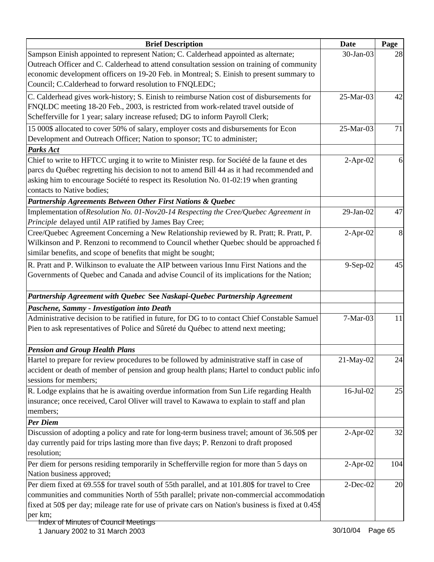| <b>Brief Description</b>                                                                            | <b>Date</b> | Page |
|-----------------------------------------------------------------------------------------------------|-------------|------|
| Sampson Einish appointed to represent Nation; C. Calderhead appointed as alternate;                 | 30-Jan-03   | 28   |
| Outreach Officer and C. Calderhead to attend consultation session on training of community          |             |      |
| economic development officers on 19-20 Feb. in Montreal; S. Einish to present summary to            |             |      |
| Council; C.Calderhead to forward resolution to FNQLEDC;                                             |             |      |
| C. Calderhead gives work-history; S. Einish to reimburse Nation cost of disbursements for           | 25-Mar-03   | 42   |
| FNQLDC meeting 18-20 Feb., 2003, is restricted from work-related travel outside of                  |             |      |
| Schefferville for 1 year; salary increase refused; DG to inform Payroll Clerk;                      |             |      |
| 15 000\$ allocated to cover 50% of salary, employer costs and disbursements for Econ                | 25-Mar-03   | 71   |
| Development and Outreach Officer; Nation to sponsor; TC to administer;                              |             |      |
| Parks Act                                                                                           |             |      |
| Chief to write to HFTCC urging it to write to Minister resp. for Société de la faune et des         | $2-Apr-02$  | 6    |
| parcs du Québec regretting his decision to not to amend Bill 44 as it had recommended and           |             |      |
| asking him to encourage Société to respect its Resolution No. 01-02:19 when granting                |             |      |
| contacts to Native bodies;                                                                          |             |      |
| Partnership Agreements Between Other First Nations & Quebec                                         |             |      |
| Implementation of Resolution No. 01-Nov20-14 Respecting the Cree/Quebec Agreement in                | 29-Jan-02   | 47   |
| Principle delayed until AIP ratified by James Bay Cree;                                             |             |      |
| Cree/Quebec Agreement Concerning a New Relationship reviewed by R. Pratt; R. Pratt, P.              | $2-Apr-02$  | 8    |
| Wilkinson and P. Renzoni to recommend to Council whether Quebec should be approached fo             |             |      |
| similar benefits, and scope of benefits that might be sought;                                       |             |      |
| R. Pratt and P. Wilkinson to evaluate the AIP between various Innu First Nations and the            | 9-Sep-02    | 45   |
| Governments of Quebec and Canada and advise Council of its implications for the Nation;             |             |      |
|                                                                                                     |             |      |
| Partnership Agreement with Quebec See Naskapi-Quebec Partnership Agreement                          |             |      |
| Paschene, Sammy - Investigation into Death                                                          |             |      |
| Administrative decision to be ratified in future, for DG to to contact Chief Constable Samuel       | 7-Mar-03    | 11   |
| Pien to ask representatives of Police and Sûreté du Québec to attend next meeting;                  |             |      |
| <b>Pension and Group Health Plans</b>                                                               |             |      |
| Hartel to prepare for review procedures to be followed by administrative staff in case of           | 21-May-02   | 24   |
| accident or death of member of pension and group health plans; Hartel to conduct public info        |             |      |
| sessions for members;                                                                               |             |      |
| R. Lodge explains that he is awaiting overdue information from Sun Life regarding Health            | 16-Jul-02   | 25   |
| insurance; once received, Carol Oliver will travel to Kawawa to explain to staff and plan           |             |      |
| members;                                                                                            |             |      |
| <b>Per Diem</b>                                                                                     |             |      |
| Discussion of adopting a policy and rate for long-term business travel; amount of 36.50\$ per       | $2-Apr-02$  | 32   |
| day currently paid for trips lasting more than five days; P. Renzoni to draft proposed              |             |      |
| resolution;                                                                                         |             |      |
| Per diem for persons residing temporarily in Schefferville region for more than 5 days on           | $2-Apr-02$  | 104  |
| Nation business approved;                                                                           |             |      |
| Per diem fixed at 69.55\$ for travel south of 55th parallel, and at 101.80\$ for travel to Cree     | $2$ -Dec-02 | 20   |
| communities and communities North of 55th parallel; private non-commercial accommodation            |             |      |
| fixed at 50\$ per day; mileage rate for use of private cars on Nation's business is fixed at 0.45\$ |             |      |
| per km;                                                                                             |             |      |
| Index of Minutes of Council Meetings                                                                |             |      |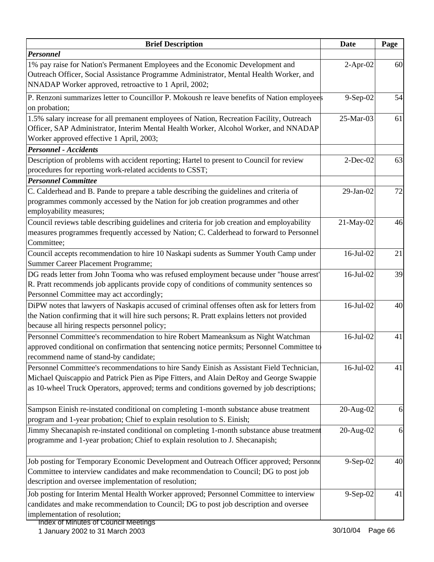| <b>Brief Description</b>                                                                                                                                                                                                                                                          | <b>Date</b>    | Page |
|-----------------------------------------------------------------------------------------------------------------------------------------------------------------------------------------------------------------------------------------------------------------------------------|----------------|------|
| <b>Personnel</b>                                                                                                                                                                                                                                                                  |                |      |
| 1% pay raise for Nation's Permanent Employees and the Economic Development and<br>Outreach Officer, Social Assistance Programme Administrator, Mental Health Worker, and<br>NNADAP Worker approved, retroactive to 1 April, 2002;                                                 | $2-Apr-02$     | 60   |
| P. Renzoni summarizes letter to Councillor P. Mokoush re leave benefits of Nation employees<br>on probation;                                                                                                                                                                      | $9-Sep-02$     | 54   |
| 1.5% salary increase for all premanent employees of Nation, Recreation Facility, Outreach<br>Officer, SAP Administrator, Interim Mental Health Worker, Alcohol Worker, and NNADAP<br>Worker approved effective 1 April, 2003;                                                     | 25-Mar-03      | 61   |
| <b>Personnel - Accidents</b>                                                                                                                                                                                                                                                      |                |      |
| Description of problems with accident reporting; Hartel to present to Council for review<br>procedures for reporting work-related accidents to CSST;                                                                                                                              | $2$ -Dec-02    | 63   |
| <b>Personnel Committee</b>                                                                                                                                                                                                                                                        |                |      |
| C. Calderhead and B. Pande to prepare a table describing the guidelines and criteria of<br>programmes commonly accessed by the Nation for job creation programmes and other<br>employability measures;                                                                            | 29-Jan-02      | 72   |
| Council reviews table describing guidelines and criteria for job creation and employability<br>measures programmes frequently accessed by Nation; C. Calderhead to forward to Personnel<br>Committee;                                                                             | 21-May-02      | 46   |
| Council accepts recommendation to hire 10 Naskapi sudents as Summer Youth Camp under<br>Summer Career Placement Programme;                                                                                                                                                        | 16-Jul-02      | 21   |
| DG reads letter from John Tooma who was refused employment because under "house arrest"<br>R. Pratt recommends job applicants provide copy of conditions of community sentences so<br>Personnel Committee may act accordingly;                                                    | $16$ -Jul-02   | 39   |
| DiPW notes that lawyers of Naskapis accused of criminal offenses often ask for letters from<br>the Nation confirming that it will hire such persons; R. Pratt explains letters not provided<br>because all hiring respects personnel policy;                                      | 16-Jul-02      | 40   |
| Personnel Committee's recommendation to hire Robert Mameanksum as Night Watchman<br>approved conditional on confirmation that sentencing notice permits; Personnel Committee to<br>recommend name of stand-by candidate;                                                          | 16-Jul-02      | 41   |
| Personnel Committee's recommendations to hire Sandy Einish as Assistant Field Technician,<br>Michael Quiscappio and Patrick Pien as Pipe Fitters, and Alain DeRoy and George Swappie<br>as 10-wheel Truck Operators, approved; terms and conditions governed by job descriptions; | $16$ -Jul-02   | 41   |
| Sampson Einish re-instated conditional on completing 1-month substance abuse treatment<br>program and 1-year probation; Chief to explain resolution to S. Einish;                                                                                                                 | 20-Aug-02      | 6    |
| Jimmy Shecanapish re-instated conditional on completing 1-month substance abuse treatment<br>programme and 1-year probation; Chief to explain resolution to J. Shecanapish;                                                                                                       | 20-Aug-02      | 6    |
| Job posting for Temporary Economic Development and Outreach Officer approved; Personne<br>Committee to interview candidates and make recommendation to Council; DG to post job<br>description and oversee implementation of resolution;                                           | $9-$ Sep $-02$ | 40   |
| Job posting for Interim Mental Health Worker approved; Personnel Committee to interview<br>candidates and make recommendation to Council; DG to post job description and oversee<br>implementation of resolution;<br>epaileaM lines of Council Meetings                           | $9-$ Sep $-02$ | 41   |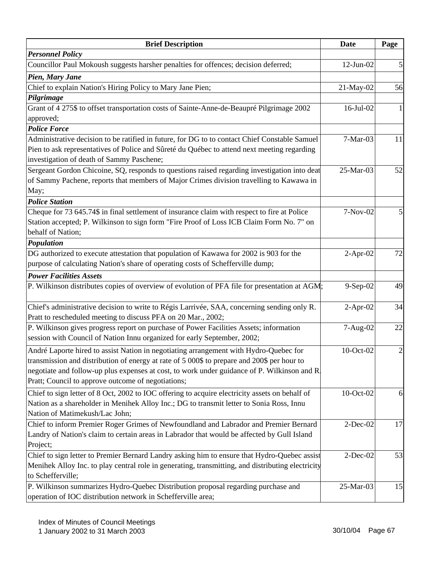| <b>Brief Description</b>                                                                          | <b>Date</b>     | Page                    |
|---------------------------------------------------------------------------------------------------|-----------------|-------------------------|
| <b>Personnel Policy</b>                                                                           |                 |                         |
| Councillor Paul Mokoush suggests harsher penalties for offences; decision deferred;               | $12$ -Jun- $02$ | 5                       |
| Pien, Mary Jane                                                                                   |                 |                         |
| Chief to explain Nation's Hiring Policy to Mary Jane Pien;                                        | 21-May-02       | 56                      |
| Pilgrimage                                                                                        |                 |                         |
| Grant of 4 275\$ to offset transportation costs of Sainte-Anne-de-Beaupré Pilgrimage 2002         | 16-Jul-02       | 1                       |
| approved;                                                                                         |                 |                         |
| <b>Police Force</b>                                                                               |                 |                         |
| Administrative decision to be ratified in future, for DG to to contact Chief Constable Samuel     | $7-Mar-03$      | 11                      |
| Pien to ask representatives of Police and Sûreté du Québec to attend next meeting regarding       |                 |                         |
| investigation of death of Sammy Paschene;                                                         |                 |                         |
| Sergeant Gordon Chicoine, SQ, responds to questions raised regarding investigation into deat      | 25-Mar-03       | 52                      |
| of Sammy Pachene, reports that members of Major Crimes division travelling to Kawawa in           |                 |                         |
| May;                                                                                              |                 |                         |
| <b>Police Station</b>                                                                             |                 |                         |
| Cheque for 73 645.74\$ in final settlement of insurance claim with respect to fire at Police      | 7-Nov-02        | 5                       |
| Station accepted; P. Wilkinson to sign form "Fire Proof of Loss ICB Claim Form No. 7" on          |                 |                         |
| behalf of Nation;                                                                                 |                 |                         |
| Population                                                                                        |                 |                         |
| DG authorized to execute attestation that population of Kawawa for 2002 is 903 for the            | $2$ -Apr-02     | 72                      |
| purpose of calculating Nation's share of operating costs of Schefferville dump;                   |                 |                         |
| <b>Power Facilities Assets</b>                                                                    |                 |                         |
| P. Wilkinson distributes copies of overview of evolution of PFA file for presentation at AGM;     | $9-Sep-02$      | 49                      |
|                                                                                                   |                 |                         |
| Chief's administrative decision to write to Régis Larrivée, SAA, concerning sending only R.       | $2-Apr-02$      | 34                      |
| Pratt to rescheduled meeting to discuss PFA on 20 Mar., 2002;                                     |                 |                         |
| P. Wilkinson gives progress report on purchase of Power Facilities Assets; information            | 7-Aug-02        | 22                      |
| session with Council of Nation Innu organized for early September, 2002;                          |                 |                         |
| André Laporte hired to assist Nation in negotiating arrangement with Hydro-Quebec for             | 10-Oct-02       | $\overline{\mathbf{c}}$ |
| transmission and distribution of energy at rate of 5 000\$ to prepare and 200\$ per hour to       |                 |                         |
| negotiate and follow-up plus expenses at cost, to work under guidance of P. Wilkinson and R.      |                 |                         |
| Pratt; Council to approve outcome of negotiations;                                                |                 |                         |
| Chief to sign letter of 8 Oct, 2002 to IOC offering to acquire electricity assets on behalf of    | 10-Oct-02       | 6                       |
| Nation as a shareholder in Menihek Alloy Inc.; DG to transmit letter to Sonia Ross, Innu          |                 |                         |
| Nation of Matimekush/Lac John;                                                                    |                 |                         |
| Chief to inform Premier Roger Grimes of Newfoundland and Labrador and Premier Bernard             | $2$ -Dec-02     | 17                      |
| Landry of Nation's claim to certain areas in Labrador that would be affected by Gull Island       |                 |                         |
| Project;                                                                                          |                 |                         |
| Chief to sign letter to Premier Bernard Landry asking him to ensure that Hydro-Quebec assist      | $2$ -Dec-02     | 53                      |
| Menihek Alloy Inc. to play central role in generating, transmitting, and distributing electricity |                 |                         |
| to Schefferville;                                                                                 |                 |                         |
| P. Wilkinson summarizes Hydro-Quebec Distribution proposal regarding purchase and                 | 25-Mar-03       | 15                      |
| operation of IOC distribution network in Schefferville area;                                      |                 |                         |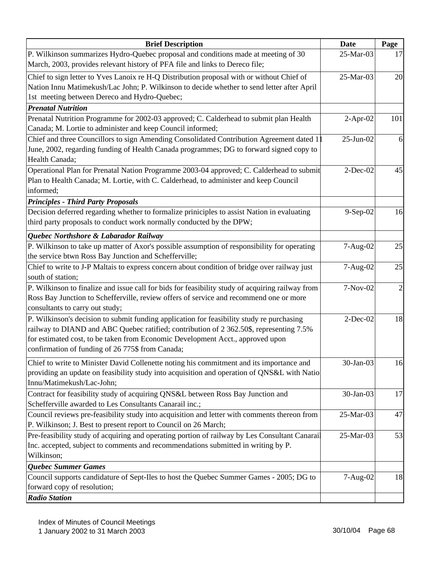| <b>Brief Description</b>                                                                                                 | <b>Date</b> | Page           |
|--------------------------------------------------------------------------------------------------------------------------|-------------|----------------|
| P. Wilkinson summarizes Hydro-Quebec proposal and conditions made at meeting of 30                                       | 25-Mar-03   | 17             |
| March, 2003, provides relevant history of PFA file and links to Dereco file;                                             |             |                |
| Chief to sign letter to Yves Lanoix re H-Q Distribution proposal with or without Chief of                                | 25-Mar-03   | 20             |
| Nation Innu Matimekush/Lac John; P. Wilkinson to decide whether to send letter after April                               |             |                |
| 1st meeting between Dereco and Hydro-Quebec;                                                                             |             |                |
| <b>Prenatal Nutrition</b>                                                                                                |             |                |
| Prenatal Nutrition Programme for 2002-03 approved; C. Calderhead to submit plan Health                                   | $2-Apr-02$  | 101            |
| Canada; M. Lortie to administer and keep Council informed;                                                               |             |                |
| Chief and three Councillors to sign Amending Consolidated Contribution Agreement dated 1                                 | $25-Jun-02$ | 6              |
| June, 2002, regarding funding of Health Canada programmes; DG to forward signed copy to                                  |             |                |
| Health Canada;                                                                                                           |             |                |
| Operational Plan for Prenatal Nation Programme 2003-04 approved; C. Calderhead to submit                                 | $2$ -Dec-02 | 45             |
| Plan to Health Canada; M. Lortie, with C. Calderhead, to administer and keep Council                                     |             |                |
| informed;                                                                                                                |             |                |
| <b>Principles - Third Party Proposals</b>                                                                                |             |                |
| Decision deferred regarding whether to formalize priniciples to assist Nation in evaluating                              | $9-Sep-02$  | 16             |
| third party proposals to conduct work normally conducted by the DPW;                                                     |             |                |
| Quebec Northshore & Labarador Railway                                                                                    |             |                |
| P. Wilkinson to take up matter of Axor's possible assumption of responsibility for operating                             | 7-Aug-02    | 25             |
| the service btwn Ross Bay Junction and Schefferville;                                                                    |             |                |
| Chief to write to J-P Maltais to express concern about condition of bridge over railway just                             | 7-Aug-02    | 25             |
| south of station;                                                                                                        |             |                |
| P. Wilkinson to finalize and issue call for bids for feasibility study of acquiring railway from                         | 7-Nov-02    | $\overline{c}$ |
| Ross Bay Junction to Schefferville, review offers of service and recommend one or more                                   |             |                |
| consultants to carry out study;                                                                                          |             |                |
| P. Wilkinson's decision to submit funding application for feasibility study re purchasing                                | $2$ -Dec-02 | 18             |
| railway to DIAND and ABC Quebec ratified; contribution of 2 362.50\$, representing 7.5%                                  |             |                |
| for estimated cost, to be taken from Economic Development Acct., approved upon                                           |             |                |
| confirmation of funding of 26 775\$ from Canada;                                                                         |             |                |
|                                                                                                                          | 30-Jan-03   |                |
| Chief to write to Minister David Collenette noting his commitment and its importance and                                 |             | 16             |
| providing an update on feasibility study into acquisition and operation of QNS&L with Natio<br>Innu/Matimekush/Lac-John; |             |                |
| Contract for feasibility study of acquiring QNS&L between Ross Bay Junction and                                          | 30-Jan-03   | 17             |
| Schefferville awarded to Les Consultants Canarail inc.;                                                                  |             |                |
| Council reviews pre-feasibility study into acquisition and letter with comments thereon from                             | 25-Mar-03   | 47             |
| P. Wilkinson; J. Best to present report to Council on 26 March;                                                          |             |                |
| Pre-feasibility study of acquiring and operating portion of railway by Les Consultant Canarail                           | 25-Mar-03   | 53             |
| Inc. accepted, subject to comments and recommendations submitted in writing by P.                                        |             |                |
| Wilkinson;                                                                                                               |             |                |
| <b>Quebec Summer Games</b>                                                                                               |             |                |
| Council supports candidature of Sept-Iles to host the Quebec Summer Games - 2005; DG to                                  | 7-Aug-02    | 18             |
| forward copy of resolution;                                                                                              |             |                |
| <b>Radio Station</b>                                                                                                     |             |                |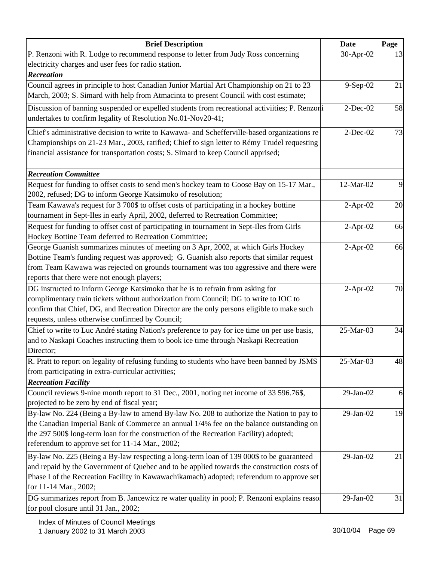| <b>Brief Description</b>                                                                       | Date        | Page |
|------------------------------------------------------------------------------------------------|-------------|------|
| P. Renzoni with R. Lodge to recommend response to letter from Judy Ross concerning             | 30-Apr-02   | 13   |
| electricity charges and user fees for radio station.                                           |             |      |
| <b>Recreation</b>                                                                              |             |      |
| Council agrees in principle to host Canadian Junior Martial Art Championship on 21 to 23       | 9-Sep-02    | 21   |
| March, 2003; S. Simard with help from Atmacinta to present Council with cost estimate;         |             |      |
| Discussion of banning suspended or expelled students from recreational activiities; P. Renzoni | $2$ -Dec-02 | 58   |
| undertakes to confirm legality of Resolution No.01-Nov20-41;                                   |             |      |
| Chief's administrative decision to write to Kawawa- and Schefferville-based organizations re   | $2-Dec-02$  | 73   |
| Championships on 21-23 Mar., 2003, ratified; Chief to sign letter to Rémy Trudel requesting    |             |      |
| financial assistance for transportation costs; S. Simard to keep Council apprised;             |             |      |
| <b>Recreation Committee</b>                                                                    |             |      |
| Request for funding to offset costs to send men's hockey team to Goose Bay on 15-17 Mar.,      | 12-Mar-02   | 9    |
| 2002, refused; DG to inform George Katsimoko of resolution;                                    |             |      |
| Team Kawawa's request for 3 700\$ to offset costs of participating in a hockey bottine         | $2-Apr-02$  | 20   |
| tournament in Sept-Iles in early April, 2002, deferred to Recreation Committee;                |             |      |
| Request for funding to offset cost of participating in tournament in Sept-Iles from Girls      | $2$ -Apr-02 | 66   |
| Hockey Bottine Team deferred to Recreation Committee;                                          |             |      |
| George Guanish summarizes minutes of meeting on 3 Apr, 2002, at which Girls Hockey             | $2-Apr-02$  | 66   |
| Bottine Team's funding request was approved; G. Guanish also reports that similar request      |             |      |
| from Team Kawawa was rejected on grounds tournament was too aggressive and there were          |             |      |
| reports that there were not enough players;                                                    |             |      |
| DG instructed to inform George Katsimoko that he is to refrain from asking for                 | $2-Apr-02$  | 70   |
| complimentary train tickets without authorization from Council; DG to write to IOC to          |             |      |
| confirm that Chief, DG, and Recreation Director are the only persons eligible to make such     |             |      |
| requests, unless otherwise confirmed by Council;                                               |             |      |
| Chief to write to Luc André stating Nation's preference to pay for ice time on per use basis,  | 25-Mar-03   | 34   |
| and to Naskapi Coaches instructing them to book ice time through Naskapi Recreation            |             |      |
| Director;                                                                                      |             |      |
| R. Pratt to report on legality of refusing funding to students who have been banned by JSMS    | 25-Mar-03   | 48   |
| from participating in extra-curricular activities;                                             |             |      |
| <b>Recreation Facility</b>                                                                     |             |      |
| Council reviews 9-nine month report to 31 Dec., 2001, noting net income of 33 596.76\$,        | 29-Jan-02   | 6    |
| projected to be zero by end of fiscal year;                                                    |             |      |
| By-law No. 224 (Being a By-law to amend By-law No. 208 to authorize the Nation to pay to       | 29-Jan-02   | 19   |
| the Canadian Imperial Bank of Commerce an annual 1/4% fee on the balance outstanding on        |             |      |
| the 297 500\$ long-term loan for the construction of the Recreation Facility) adopted;         |             |      |
| referendum to approve set for 11-14 Mar., 2002;                                                |             |      |
| By-law No. 225 (Being a By-law respecting a long-term loan of 139 000\$ to be guaranteed       | 29-Jan-02   | 21   |
| and repaid by the Government of Quebec and to be applied towards the construction costs of     |             |      |
| Phase I of the Recreation Facility in Kawawachikamach) adopted; referendum to approve set      |             |      |
| for 11-14 Mar., 2002;                                                                          |             |      |
| DG summarizes report from B. Jancewicz re water quality in pool; P. Renzoni explains reaso     | 29-Jan-02   | 31   |
| for pool closure until 31 Jan., 2002;                                                          |             |      |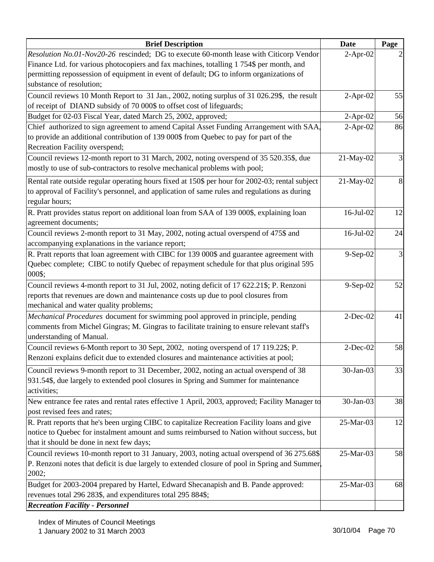| <b>Brief Description</b>                                                                        | <b>Date</b>     | Page |
|-------------------------------------------------------------------------------------------------|-----------------|------|
| Resolution No.01-Nov20-26 rescinded; DG to execute 60-month lease with Citicorp Vendor          | $2-Apr-02$      |      |
| Finance Ltd. for various photocopiers and fax machines, totalling 1754\$ per month, and         |                 |      |
| permitting repossession of equipment in event of default; DG to inform organizations of         |                 |      |
| substance of resolution;                                                                        |                 |      |
| Council reviews 10 Month Report to 31 Jan., 2002, noting surplus of 31 026.29\$, the result     | $2-Apr-02$      | 55   |
| of receipt of DIAND subsidy of 70 000\$ to offset cost of lifeguards;                           |                 |      |
| Budget for 02-03 Fiscal Year, dated March 25, 2002, approved;                                   | $2$ -Apr-02     | 56   |
| Chief authorized to sign agreement to amend Capital Asset Funding Arrangement with SAA.         | $2-Apr-02$      | 86   |
| to provide an additional contribution of 139 000\$ from Quebec to pay for part of the           |                 |      |
| Recreation Facility overspend;                                                                  |                 |      |
| Council reviews 12-month report to 31 March, 2002, noting overspend of 35 520.35\$, due         | 21-May-02       | 3    |
| mostly to use of sub-contractors to resolve mechanical problems with pool;                      |                 |      |
| Rental rate outside regular operating hours fixed at 150\$ per hour for 2002-03; rental subject | 21-May-02       | 8    |
| to approval of Facility's personnel, and application of same rules and regulations as during    |                 |      |
| regular hours;                                                                                  |                 |      |
| R. Pratt provides status report on additional loan from SAA of 139 000\$, explaining loan       | $16$ -Jul- $02$ | 12   |
| agreement documents;                                                                            |                 |      |
| Council reviews 2-month report to 31 May, 2002, noting actual overspend of 475\$ and            | 16-Jul-02       | 24   |
| accompanying explanations in the variance report;                                               |                 |      |
| R. Pratt reports that loan agreement with CIBC for 139 000\$ and guarantee agreement with       | 9-Sep-02        |      |
| Quebec complete; CIBC to notify Quebec of repayment schedule for that plus original 595         |                 |      |
| 000\$;                                                                                          |                 |      |
| Council reviews 4-month report to 31 Jul, 2002, noting deficit of 17 622.21\$; P. Renzoni       | 9-Sep-02        | 52   |
| reports that revenues are down and maintenance costs up due to pool closures from               |                 |      |
| mechanical and water quality problems;                                                          |                 |      |
| Mechanical Procedures document for swimming pool approved in principle, pending                 | $2$ -Dec-02     | 41   |
| comments from Michel Gingras; M. Gingras to facilitate training to ensure relevant staff's      |                 |      |
| understanding of Manual.                                                                        |                 |      |
| Council reviews 6-Month report to 30 Sept, 2002, noting overspend of 17 119.22\$; P.            | $2$ -Dec-02     | 58   |
| Renzoni explains deficit due to extended closures and maintenance activities at pool;           |                 |      |
| Council reviews 9-month report to 31 December, 2002, noting an actual overspend of 38           | 30-Jan-03       | 33   |
| 931.54\$, due largely to extended pool closures in Spring and Summer for maintenance            |                 |      |
| activities;                                                                                     |                 |      |
| New entrance fee rates and rental rates effective 1 April, 2003, approved; Facility Manager to  | 30-Jan-03       | 38   |
| post revised fees and rates;                                                                    |                 |      |
| R. Pratt reports that he's been urging CIBC to capitalize Recreation Facility loans and give    | 25-Mar-03       | 12   |
| notice to Quebec for instalment amount and sums reimbursed to Nation without success, but       |                 |      |
| that it should be done in next few days;                                                        |                 |      |
| Council reviews 10-month report to 31 January, 2003, noting actual overspend of 36 275.68\$     | 25-Mar-03       | 58   |
| P. Renzoni notes that deficit is due largely to extended closure of pool in Spring and Summer.  |                 |      |
| 2002;                                                                                           |                 |      |
| Budget for 2003-2004 prepared by Hartel, Edward Shecanapish and B. Pande approved:              | 25-Mar-03       | 68   |
| revenues total 296 283\$, and expenditures total 295 884\$;                                     |                 |      |
| <b>Recreation Facility - Personnel</b>                                                          |                 |      |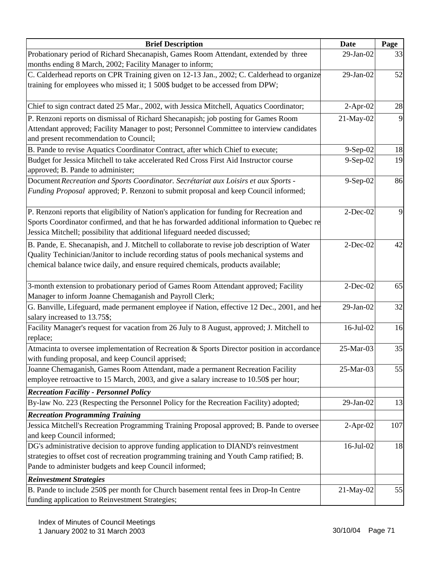| <b>Brief Description</b>                                                                    | <b>Date</b>     | Page |
|---------------------------------------------------------------------------------------------|-----------------|------|
| Probationary period of Richard Shecanapish, Games Room Attendant, extended by three         | 29-Jan-02       | 33   |
| months ending 8 March, 2002; Facility Manager to inform;                                    |                 |      |
| C. Calderhead reports on CPR Training given on 12-13 Jan., 2002; C. Calderhead to organize  | 29-Jan-02       | 52   |
| training for employees who missed it; 1 500\$ budget to be accessed from DPW;               |                 |      |
|                                                                                             |                 |      |
| Chief to sign contract dated 25 Mar., 2002, with Jessica Mitchell, Aquatics Coordinator;    | $2-Apr-02$      | 28   |
| P. Renzoni reports on dismissal of Richard Shecanapish; job posting for Games Room          | 21-May-02       | 9    |
| Attendant approved; Facility Manager to post; Personnel Committee to interview candidates   |                 |      |
| and present recommendation to Council;                                                      |                 |      |
| B. Pande to revise Aquatics Coordinator Contract, after which Chief to execute;             | 9-Sep-02        | 18   |
| Budget for Jessica Mitchell to take accelerated Red Cross First Aid Instructor course       | 9-Sep-02        | 19   |
| approved; B. Pande to administer;                                                           |                 |      |
| Document Recreation and Sports Coordinator. Secrétariat aux Loisirs et aux Sports -         | 9-Sep-02        | 86   |
| Funding Proposal approved; P. Renzoni to submit proposal and keep Council informed;         |                 |      |
|                                                                                             |                 |      |
| P. Renzoni reports that eligibility of Nation's application for funding for Recreation and  | $2$ -Dec-02     | 9    |
| Sports Coordinator confirmed, and that he has forwarded additional information to Quebec re |                 |      |
| Jessica Mitchell; possibility that additional lifeguard needed discussed;                   |                 |      |
| B. Pande, E. Shecanapish, and J. Mitchell to collaborate to revise job description of Water | $2-Dec-02$      | 42   |
| Quality Techinician/Janitor to include recording status of pools mechanical systems and     |                 |      |
| chemical balance twice daily, and ensure required chemicals, products available;            |                 |      |
|                                                                                             |                 |      |
| 3-month extension to probationary period of Games Room Attendant approved; Facility         | $2$ -Dec-02     | 65   |
| Manager to inform Joanne Chemaganish and Payroll Clerk;                                     |                 |      |
| G. Banville, Lifeguard, made permanent employee if Nation, effective 12 Dec., 2001, and her | 29-Jan-02       | 32   |
| salary increased to 13.75\$;                                                                |                 |      |
| Facility Manager's request for vacation from 26 July to 8 August, approved; J. Mitchell to  | 16-Jul-02       | 16   |
| replace;                                                                                    |                 |      |
| Atmacinta to oversee implementation of Recreation & Sports Director position in accordance  | 25-Mar-03       | 35   |
| with funding proposal, and keep Council apprised;                                           |                 |      |
| Joanne Chemaganish, Games Room Attendant, made a permanent Recreation Facility              | 25-Mar-03       | 55   |
| employee retroactive to 15 March, 2003, and give a salary increase to 10.50\$ per hour;     |                 |      |
| <b>Recreation Facility - Personnel Policy</b>                                               |                 |      |
| By-law No. 223 (Respecting the Personnel Policy for the Recreation Facility) adopted;       | 29-Jan-02       | 13   |
| <b>Recreation Programming Training</b>                                                      |                 |      |
| Jessica Mitchell's Recreation Programming Training Proposal approved; B. Pande to oversee   | $2-Apr-02$      | 107  |
| and keep Council informed;                                                                  |                 |      |
| DG's administrative decision to approve funding application to DIAND's reinvestment         | $16$ -Jul- $02$ | 18   |
| strategies to offset cost of recreation programming training and Youth Camp ratified; B.    |                 |      |
| Pande to administer budgets and keep Council informed;                                      |                 |      |
| <b>Reinvestment Strategies</b>                                                              |                 |      |
| B. Pande to include 250\$ per month for Church basement rental fees in Drop-In Centre       | 21-May-02       | 55   |
| funding application to Reinvestment Strategies;                                             |                 |      |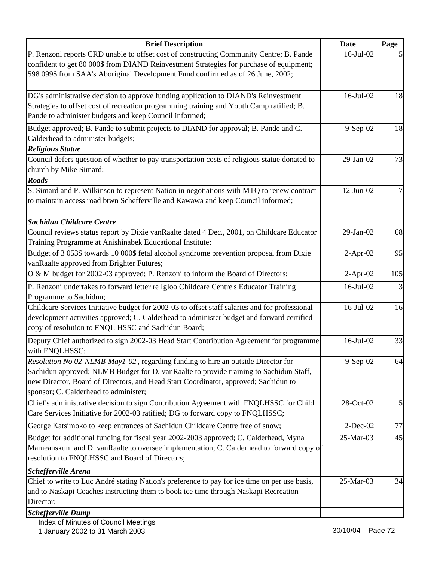| <b>Brief Description</b>                                                                                                                                                             | Date            | Page |
|--------------------------------------------------------------------------------------------------------------------------------------------------------------------------------------|-----------------|------|
| P. Renzoni reports CRD unable to offset cost of constructing Community Centre; B. Pande                                                                                              | $16$ -Jul- $02$ |      |
| confident to get 80 000\$ from DIAND Reinvestment Strategies for purchase of equipment;                                                                                              |                 |      |
| 598 099\$ from SAA's Aboriginal Development Fund confirmed as of 26 June, 2002;                                                                                                      |                 |      |
| DG's administrative decision to approve funding application to DIAND's Reinvestment                                                                                                  | 16-Jul-02       | 18   |
| Strategies to offset cost of recreation programming training and Youth Camp ratified; B.                                                                                             |                 |      |
| Pande to administer budgets and keep Council informed;                                                                                                                               |                 |      |
| Budget approved; B. Pande to submit projects to DIAND for approval; B. Pande and C.                                                                                                  | $9-Sep-02$      | 18   |
| Calderhead to administer budgets;                                                                                                                                                    |                 |      |
| <b>Religious Statue</b>                                                                                                                                                              |                 |      |
| Council defers question of whether to pay transportation costs of religious statue donated to                                                                                        | 29-Jan-02       | 73   |
| church by Mike Simard;                                                                                                                                                               |                 |      |
| <b>Roads</b>                                                                                                                                                                         |                 |      |
| S. Simard and P. Wilkinson to represent Nation in negotiations with MTQ to renew contract                                                                                            | $12-Jun-02$     | 7    |
| to maintain access road btwn Schefferville and Kawawa and keep Council informed;                                                                                                     |                 |      |
| <b>Sachidun Childcare Centre</b>                                                                                                                                                     |                 |      |
| Council reviews status report by Dixie vanRaalte dated 4 Dec., 2001, on Childcare Educator                                                                                           | 29-Jan-02       | 68   |
| Training Programme at Anishinabek Educational Institute;                                                                                                                             |                 |      |
| Budget of 3 053\$ towards 10 000\$ fetal alcohol syndrome prevention proposal from Dixie                                                                                             | $2-Apr-02$      | 95   |
| vanRaalte approved from Brighter Futures;                                                                                                                                            |                 |      |
| O & M budget for 2002-03 approved; P. Renzoni to inform the Board of Directors;                                                                                                      | $2-Apr-02$      | 105  |
| P. Renzoni undertakes to forward letter re Igloo Childcare Centre's Educator Training                                                                                                | 16-Jul-02       | 3    |
| Programme to Sachidun;                                                                                                                                                               |                 |      |
| Childcare Services Initiative budget for 2002-03 to offset staff salaries and for professional                                                                                       | $16$ -Jul- $02$ | 16   |
| development activities approved; C. Calderhead to administer budget and forward certified                                                                                            |                 |      |
| copy of resolution to FNQL HSSC and Sachidun Board;                                                                                                                                  |                 |      |
| Deputy Chief authorized to sign 2002-03 Head Start Contribution Agreement for programme                                                                                              | 16-Jul-02       | 33   |
| with FNQLHSSC;                                                                                                                                                                       |                 |      |
| Resolution No 02-NLMB-May1-02, regarding funding to hire an outside Director for                                                                                                     | 9-Sep-02        | 64   |
| Sachidun approved; NLMB Budget for D. vanRaalte to provide training to Sachidun Staff,                                                                                               |                 |      |
| new Director, Board of Directors, and Head Start Coordinator, approved; Sachidun to                                                                                                  |                 |      |
| sponsor; C. Calderhead to administer;                                                                                                                                                |                 |      |
| Chief's administrative decision to sign Contribution Agreement with FNQLHSSC for Child<br>Care Services Initiative for 2002-03 ratified; DG to forward copy to FNQLHSSC;             | 28-Oct-02       |      |
| George Katsimoko to keep entrances of Sachidun Childcare Centre free of snow;                                                                                                        | $2$ -Dec-02     | 77   |
|                                                                                                                                                                                      |                 |      |
| Budget for additional funding for fiscal year 2002-2003 approved; C. Calderhead, Myna                                                                                                | 25-Mar-03       | 45   |
| Mameanskum and D. vanRaalte to oversee implementation; C. Calderhead to forward copy of<br>resolution to FNQLHSSC and Board of Directors;                                            |                 |      |
|                                                                                                                                                                                      |                 |      |
| <b>Schefferville Arena</b>                                                                                                                                                           |                 |      |
| Chief to write to Luc André stating Nation's preference to pay for ice time on per use basis,<br>and to Naskapi Coaches instructing them to book ice time through Naskapi Recreation | 25-Mar-03       | 34   |
| Director;                                                                                                                                                                            |                 |      |
| <b>Schefferville Dump</b>                                                                                                                                                            |                 |      |
|                                                                                                                                                                                      |                 |      |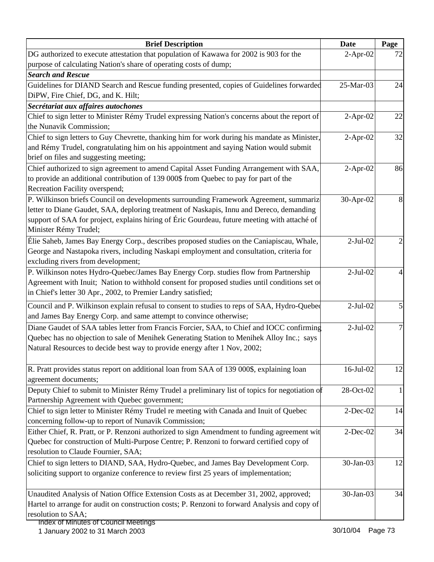| <b>Brief Description</b>                                                                                                                                                           | <b>Date</b> | Page |
|------------------------------------------------------------------------------------------------------------------------------------------------------------------------------------|-------------|------|
| DG authorized to execute attestation that population of Kawawa for 2002 is 903 for the                                                                                             | $2-Apr-02$  | 72   |
| purpose of calculating Nation's share of operating costs of dump;                                                                                                                  |             |      |
| <b>Search and Rescue</b>                                                                                                                                                           |             |      |
| Guidelines for DIAND Search and Rescue funding presented, copies of Guidelines forwarded                                                                                           | 25-Mar-03   | 24   |
| DiPW, Fire Chief, DG, and K. Hilt;                                                                                                                                                 |             |      |
| Secrétariat aux affaires autochones                                                                                                                                                |             |      |
| Chief to sign letter to Minister Rémy Trudel expressing Nation's concerns about the report of                                                                                      | $2-Apr-02$  | 22   |
| the Nunavik Commission;                                                                                                                                                            |             |      |
| Chief to sign letters to Guy Chevrette, thanking him for work during his mandate as Minister,                                                                                      | $2-Apr-02$  | 32   |
| and Rémy Trudel, congratulating him on his appointment and saying Nation would submit                                                                                              |             |      |
| brief on files and suggesting meeting;                                                                                                                                             |             |      |
| Chief authorized to sign agreement to amend Capital Asset Funding Arrangement with SAA,                                                                                            | $2-Apr-02$  | 86   |
| to provide an additional contribution of 139 000\$ from Quebec to pay for part of the<br>Recreation Facility overspend;                                                            |             |      |
|                                                                                                                                                                                    |             |      |
| P. Wilkinson briefs Council on developments surrounding Framework Agreement, summarize<br>letter to Diane Gaudet, SAA, deploring treatment of Naskapis, Innu and Dereco, demanding | 30-Apr-02   | 8    |
| support of SAA for project, explains hiring of Éric Gourdeau, future meeting with attaché of                                                                                       |             |      |
| Minister Rémy Trudel;                                                                                                                                                              |             |      |
| Élie Saheb, James Bay Energy Corp., describes proposed studies on the Caniapiscau, Whale,                                                                                          | $2-Jul-02$  |      |
| George and Nastapoka rivers, including Naskapi employment and consultation, criteria for                                                                                           |             |      |
| excluding rivers from development;                                                                                                                                                 |             |      |
| P. Wilkinson notes Hydro-Quebec/James Bay Energy Corp. studies flow from Partnership                                                                                               | $2-Jul-02$  |      |
| Agreement with Inuit; Nation to withhold consent for proposed studies until conditions set of                                                                                      |             |      |
| in Chief's letter 30 Apr., 2002, to Premier Landry satisfied;                                                                                                                      |             |      |
| Council and P. Wilkinson explain refusal to consent to studies to reps of SAA, Hydro-Quebed                                                                                        | $2-Jul-02$  |      |
| and James Bay Energy Corp. and same attempt to convince otherwise;                                                                                                                 |             |      |
| Diane Gaudet of SAA tables letter from Francis Forcier, SAA, to Chief and IOCC confirming                                                                                          | $2-Jul-02$  |      |
| Quebec has no objection to sale of Menihek Generating Station to Menihek Alloy Inc.; says                                                                                          |             |      |
| Natural Resources to decide best way to provide energy after 1 Nov, 2002;                                                                                                          |             |      |
|                                                                                                                                                                                    |             |      |
| R. Pratt provides status report on additional loan from SAA of 139 000\$, explaining loan                                                                                          | 16-Jul-02   | 12   |
| agreement documents;                                                                                                                                                               |             |      |
| Deputy Chief to submit to Minister Rémy Trudel a preliminary list of topics for negotiation of                                                                                     | 28-Oct-02   |      |
| Partnership Agreement with Quebec government;                                                                                                                                      |             |      |
| Chief to sign letter to Minister Rémy Trudel re meeting with Canada and Inuit of Quebec                                                                                            | $2$ -Dec-02 | 14   |
| concerning follow-up to report of Nunavik Commission;                                                                                                                              |             |      |
| Either Chief, R. Pratt, or P. Renzoni authorized to sign Amendment to funding agreement wit                                                                                        | $2$ -Dec-02 | 34   |
| Quebec for construction of Multi-Purpose Centre; P. Renzoni to forward certified copy of                                                                                           |             |      |
| resolution to Claude Fournier, SAA;                                                                                                                                                |             |      |
| Chief to sign letters to DIAND, SAA, Hydro-Quebec, and James Bay Development Corp.                                                                                                 | 30-Jan-03   | 12   |
| soliciting support to organize conference to review first 25 years of implementation;                                                                                              |             |      |
|                                                                                                                                                                                    |             |      |
| Unaudited Analysis of Nation Office Extension Costs as at December 31, 2002, approved;                                                                                             | 30-Jan-03   | 34   |
| Hartel to arrange for audit on construction costs; P. Renzoni to forward Analysis and copy of                                                                                      |             |      |
| resolution to SAA;<br>st Minutos of Council                                                                                                                                        |             |      |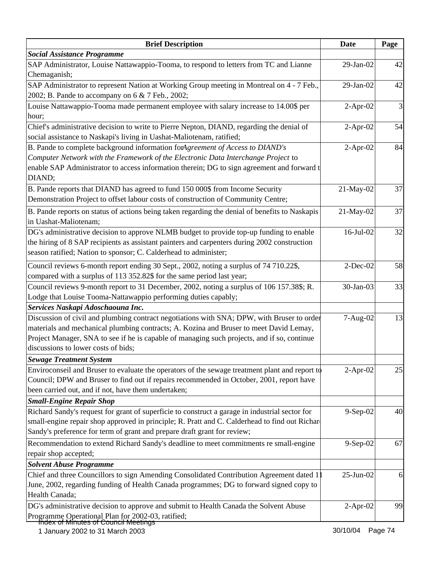| <b>Brief Description</b>                                                                       | <b>Date</b>    | Page |
|------------------------------------------------------------------------------------------------|----------------|------|
| <b>Social Assistance Programme</b>                                                             |                |      |
| SAP Administrator, Louise Nattawappio-Tooma, to respond to letters from TC and Lianne          | 29-Jan-02      | 42   |
| Chemaganish;                                                                                   |                |      |
| SAP Administrator to represent Nation at Working Group meeting in Montreal on 4 - 7 Feb.,      | 29-Jan-02      | 42   |
| 2002; B. Pande to accompany on 6 & 7 Feb., 2002;                                               |                |      |
| Louise Nattawappio-Tooma made permanent employee with salary increase to 14.00\$ per           | $2-Apr-02$     | 3    |
| hour;                                                                                          |                |      |
| Chief's administrative decision to write to Pierre Nepton, DIAND, regarding the denial of      | $2-Apr-02$     | 54   |
| social assistance to Naskapi's living in Uashat-Maliotenam, ratified;                          |                |      |
| B. Pande to complete background information forAgreement of Access to DIAND's                  | $2$ -Apr-02    | 84   |
| Computer Network with the Framework of the Electronic Data Interchange Project to              |                |      |
| enable SAP Administrator to access information therein; DG to sign agreement and forward t     |                |      |
| DIAND;                                                                                         |                |      |
| B. Pande reports that DIAND has agreed to fund 150 000\$ from Income Security                  | 21-May-02      | 37   |
| Demonstration Project to offset labour costs of construction of Community Centre;              |                |      |
| B. Pande reports on status of actions being taken regarding the denial of benefits to Naskapis | 21-May-02      | 37   |
| in Uashat-Maliotenam;                                                                          |                |      |
| DG's administrative decision to approve NLMB budget to provide top-up funding to enable        | 16-Jul-02      | 32   |
| the hiring of 8 SAP recipients as assistant painters and carpenters during 2002 construction   |                |      |
| season ratified; Nation to sponsor; C. Calderhead to administer;                               |                |      |
|                                                                                                |                |      |
| Council reviews 6-month report ending 30 Sept., 2002, noting a surplus of 74 710.22\$,         | $2$ -Dec-02    | 58   |
| compared with a surplus of 113 352.82\$ for the same period last year;                         |                |      |
| Council reviews 9-month report to 31 December, 2002, noting a surplus of 106 157.38\$; R.      | 30-Jan-03      | 33   |
| Lodge that Louise Tooma-Nattawappio performing duties capably;                                 |                |      |
| Services Naskapi Adoschaouna Inc.                                                              |                |      |
| Discussion of civil and plumbing contract negotiations with SNA; DPW, with Bruser to order     | 7-Aug-02       | 13   |
| materials and mechanical plumbing contracts; A. Kozina and Bruser to meet David Lemay,         |                |      |
| Project Manager, SNA to see if he is capable of managing such projects, and if so, continue    |                |      |
| discussions to lower costs of bids;                                                            |                |      |
| <b>Sewage Treatment System</b>                                                                 |                |      |
| Enviroconseil and Bruser to evaluate the operators of the sewage treatment plant and report to | $2-Apr-02$     | 25   |
| Council; DPW and Bruser to find out if repairs recommended in October, 2001, report have       |                |      |
| been carried out, and if not, have them undertaken;                                            |                |      |
| <b>Small-Engine Repair Shop</b>                                                                |                |      |
| Richard Sandy's request for grant of superficie to construct a garage in industrial sector for | 9-Sep-02       | 40   |
| small-engine repair shop approved in principle; R. Pratt and C. Calderhead to find out Richar  |                |      |
| Sandy's preference for term of grant and prepare draft grant for review;                       |                |      |
| Recommendation to extend Richard Sandy's deadline to meet commitments re small-engine          | $9-$ Sep $-02$ | 67   |
| repair shop accepted;                                                                          |                |      |
| <b>Solvent Abuse Programme</b>                                                                 |                |      |
| Chief and three Councillors to sign Amending Consolidated Contribution Agreement dated 1       | 25-Jun-02      | 6    |
| June, 2002, regarding funding of Health Canada programmes; DG to forward signed copy to        |                |      |
| Health Canada;                                                                                 |                |      |
| DG's administrative decision to approve and submit to Health Canada the Solvent Abuse          | $2-Apr-02$     | 99   |
| Programme Operational Plan for 2002-03, ratified;                                              |                |      |
| <del>lindex of Minutes of Council Meetings</del>                                               |                |      |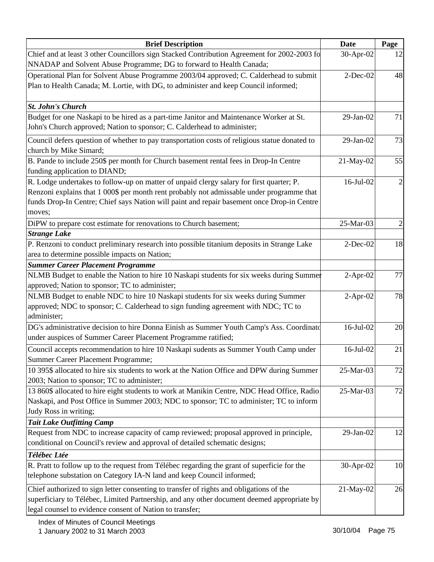| <b>Brief Description</b>                                                                      | <b>Date</b>     | Page           |
|-----------------------------------------------------------------------------------------------|-----------------|----------------|
| Chief and at least 3 other Councillors sign Stacked Contribution Agreement for 2002-2003 fo   | 30-Apr-02       | 12             |
| NNADAP and Solvent Abuse Programme; DG to forward to Health Canada;                           |                 |                |
| Operational Plan for Solvent Abuse Programme 2003/04 approved; C. Calderhead to submit        | $2$ -Dec-02     | 48             |
| Plan to Health Canada; M. Lortie, with DG, to administer and keep Council informed;           |                 |                |
|                                                                                               |                 |                |
| <b>St. John's Church</b>                                                                      |                 |                |
| Budget for one Naskapi to be hired as a part-time Janitor and Maintenance Worker at St.       | 29-Jan-02       | 71             |
| John's Church approved; Nation to sponsor; C. Calderhead to administer;                       |                 |                |
| Council defers question of whether to pay transportation costs of religious statue donated to | 29-Jan-02       | 73             |
| church by Mike Simard;                                                                        |                 |                |
| B. Pande to include 250\$ per month for Church basement rental fees in Drop-In Centre         | 21-May-02       | 55             |
| funding application to DIAND;                                                                 |                 |                |
| R. Lodge undertakes to follow-up on matter of unpaid clergy salary for first quarter; P.      | $16$ -Jul- $02$ | $\overline{2}$ |
| Renzoni explains that 1 000\$ per month rent probably not admissable under programme that     |                 |                |
| funds Drop-In Centre; Chief says Nation will paint and repair basement once Drop-in Centre    |                 |                |
| moves;                                                                                        |                 |                |
| DiPW to prepare cost estimate for renovations to Church basement;                             | 25-Mar-03       | $\overline{c}$ |
| <b>Strange Lake</b>                                                                           |                 |                |
| P. Renzoni to conduct preliminary research into possible titanium deposits in Strange Lake    | $2$ -Dec-02     | 18             |
| area to determine possible impacts on Nation;                                                 |                 |                |
| <b>Summer Career Placement Programme</b>                                                      |                 |                |
| NLMB Budget to enable the Nation to hire 10 Naskapi students for six weeks during Summer      | $2-Apr-02$      | 77             |
| approved; Nation to sponsor; TC to administer;                                                |                 |                |
| NLMB Budget to enable NDC to hire 10 Naskapi students for six weeks during Summer             | $2-Apr-02$      | 78             |
| approved; NDC to sponsor; C. Calderhead to sign funding agreement with NDC; TC to             |                 |                |
| administer;                                                                                   |                 |                |
| DG's administrative decision to hire Donna Einish as Summer Youth Camp's Ass. Coordinate      | 16-Jul-02       | 20             |
| under auspices of Summer Career Placement Programme ratified;                                 |                 |                |
| Council accepts recommendation to hire 10 Naskapi sudents as Summer Youth Camp under          | 16-Jul-02       | 21             |
| Summer Career Placement Programme;                                                            |                 |                |
| 10 395\$ allocated to hire six students to work at the Nation Office and DPW during Summer    | 25-Mar-03       | 72             |
| 2003; Nation to sponsor; TC to administer;                                                    |                 |                |
| 13 860\$ allocated to hire eight students to work at Manikin Centre, NDC Head Office, Radio   | 25-Mar-03       | 72             |
| Naskapi, and Post Office in Summer 2003; NDC to sponsor; TC to administer; TC to inform       |                 |                |
| Judy Ross in writing;                                                                         |                 |                |
| <b>Tait Lake Outfitting Camp</b>                                                              |                 |                |
| Request from NDC to increase capacity of camp reviewed; proposal approved in principle,       | 29-Jan-02       | 12             |
| conditional on Council's review and approval of detailed schematic designs;                   |                 |                |
| Télébec Ltée                                                                                  |                 |                |
| R. Pratt to follow up to the request from Télébec regarding the grant of superficie for the   | 30-Apr-02       | 10             |
| telephone substation on Category IA-N land and keep Council informed;                         |                 |                |
| Chief authorized to sign letter consenting to transfer of rights and obligations of the       | 21-May-02       | 26             |
| superficiary to Télébec, Limited Partnership, and any other document deemed appropriate by    |                 |                |
| legal counsel to evidence consent of Nation to transfer;                                      |                 |                |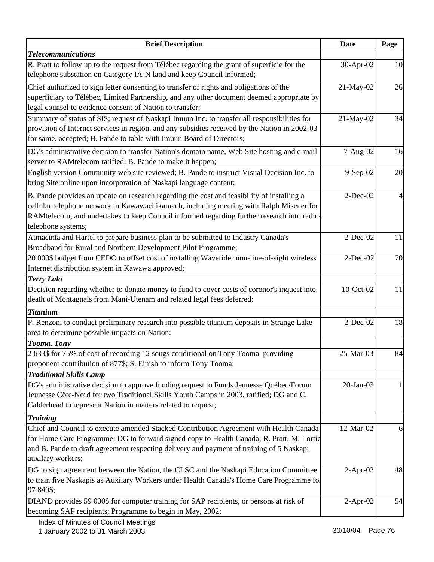| <b>Brief Description</b>                                                                                                                                                                                                                                                                                  | <b>Date</b>  | Page           |
|-----------------------------------------------------------------------------------------------------------------------------------------------------------------------------------------------------------------------------------------------------------------------------------------------------------|--------------|----------------|
| <b>Telecommunications</b>                                                                                                                                                                                                                                                                                 |              |                |
| R. Pratt to follow up to the request from Télébec regarding the grant of superficie for the<br>telephone substation on Category IA-N land and keep Council informed;                                                                                                                                      | 30-Apr-02    | 10             |
| Chief authorized to sign letter consenting to transfer of rights and obligations of the<br>superficiary to Télébec, Limited Partnership, and any other document deemed appropriate by<br>legal counsel to evidence consent of Nation to transfer;                                                         | 21-May-02    | 26             |
| Summary of status of SIS; request of Naskapi Imuun Inc. to transfer all responsibilities for<br>provision of Internet services in region, and any subsidies received by the Nation in 2002-03<br>for same, accepted; B. Pande to table with Imuun Board of Directors;                                     | 21-May-02    | 34             |
| DG's administrative decision to transfer Nation's domain name, Web Site hosting and e-mail<br>server to RAMtelecom ratified; B. Pande to make it happen;                                                                                                                                                  | 7-Aug-02     | 16             |
| English version Community web site reviewed; B. Pande to instruct Visual Decision Inc. to<br>bring Site online upon incorporation of Naskapi language content;                                                                                                                                            | 9-Sep-02     | 20             |
| B. Pande provides an update on research regarding the cost and feasibility of installing a<br>cellular telephone network in Kawawachikamach, including meeting with Ralph Misener for<br>RAMtelecom, and undertakes to keep Council informed regarding further research into radio-<br>telephone systems; | $2$ -Dec-02  | $\overline{4}$ |
| Atmacinta and Hartel to prepare business plan to be submitted to Industry Canada's<br>Broadband for Rural and Northern Development Pilot Programme;                                                                                                                                                       | $2$ -Dec-02  | 11             |
| 20 000\$ budget from CEDO to offset cost of installing Waverider non-line-of-sight wireless<br>Internet distribution system in Kawawa approved;                                                                                                                                                           | $2$ -Dec-02  | 70             |
| <b>Terry Lalo</b>                                                                                                                                                                                                                                                                                         |              |                |
| Decision regarding whether to donate money to fund to cover costs of coronor's inquest into<br>death of Montagnais from Mani-Utenam and related legal fees deferred;                                                                                                                                      | 10-Oct-02    | 11             |
| <b>Titanium</b>                                                                                                                                                                                                                                                                                           |              |                |
| P. Renzoni to conduct preliminary research into possible titanium deposits in Strange Lake<br>area to determine possible impacts on Nation;                                                                                                                                                               | $2$ -Dec-02  | 18             |
| Tooma, Tony                                                                                                                                                                                                                                                                                               |              |                |
| 2 633\$ for 75% of cost of recording 12 songs conditional on Tony Tooma providing<br>proponent contribution of 877\$; S. Einish to inform Tony Tooma;<br><b>Traditional Skills Camp</b>                                                                                                                   | 25-Mar-03    | 84             |
| DG's administrative decision to approve funding request to Fonds Jeunesse Québec/Forum<br>Jeunesse Côte-Nord for two Traditional Skills Youth Camps in 2003, ratified; DG and C.<br>Calderhead to represent Nation in matters related to request;                                                         | $20$ -Jan-03 |                |
| <b>Training</b>                                                                                                                                                                                                                                                                                           |              |                |
| Chief and Council to execute amended Stacked Contribution Agreement with Health Canada<br>for Home Care Programme; DG to forward signed copy to Health Canada; R. Pratt, M. Lortie<br>and B. Pande to draft agreement respecting delivery and payment of training of 5 Naskapi<br>auxilary workers;       | 12-Mar-02    | 6              |
| DG to sign agreement between the Nation, the CLSC and the Naskapi Education Committee<br>to train five Naskapis as Auxilary Workers under Health Canada's Home Care Programme fo<br>97 849\$;                                                                                                             | $2-Apr-02$   | 48             |
| DIAND provides 59 000\$ for computer training for SAP recipients, or persons at risk of<br>becoming SAP recipients; Programme to begin in May, 2002;                                                                                                                                                      | $2-Apr-02$   | 54             |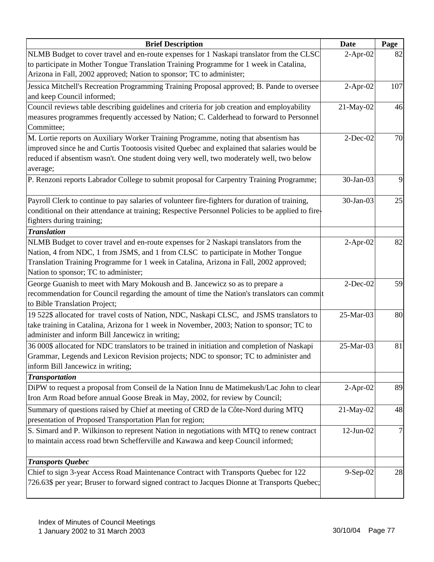| <b>Brief Description</b>                                                                          | <b>Date</b>     | Page |
|---------------------------------------------------------------------------------------------------|-----------------|------|
| NLMB Budget to cover travel and en-route expenses for 1 Naskapi translator from the CLSC          | $2-Apr-02$      | 82   |
| to participate in Mother Tongue Translation Training Programme for 1 week in Catalina,            |                 |      |
| Arizona in Fall, 2002 approved; Nation to sponsor; TC to administer;                              |                 |      |
| Jessica Mitchell's Recreation Programming Training Proposal approved; B. Pande to oversee         | $2-Apr-02$      | 107  |
| and keep Council informed;                                                                        |                 |      |
| Council reviews table describing guidelines and criteria for job creation and employability       | 21-May-02       | 46   |
| measures programmes frequently accessed by Nation; C. Calderhead to forward to Personnel          |                 |      |
| Committee;                                                                                        |                 |      |
| M. Lortie reports on Auxiliary Worker Training Programme, noting that absentism has               | $2$ -Dec-02     | 70   |
| improved since he and Curtis Tootoosis visited Quebec and explained that salaries would be        |                 |      |
| reduced if absentism wasn't. One student doing very well, two moderately well, two below          |                 |      |
| average;                                                                                          |                 |      |
| P. Renzoni reports Labrador College to submit proposal for Carpentry Training Programme;          | 30-Jan-03       | 9    |
|                                                                                                   |                 |      |
| Payroll Clerk to continue to pay salaries of volunteer fire-fighters for duration of training,    | 30-Jan-03       | 25   |
| conditional on their attendance at training; Respective Personnel Policies to be applied to fire- |                 |      |
| fighters during training;                                                                         |                 |      |
| <b>Translation</b>                                                                                |                 |      |
| NLMB Budget to cover travel and en-route expenses for 2 Naskapi translators from the              | $2-Apr-02$      | 82   |
| Nation, 4 from NDC, 1 from JSMS, and 1 from CLSC to participate in Mother Tongue                  |                 |      |
| Translation Training Programme for 1 week in Catalina, Arizona in Fall, 2002 approved;            |                 |      |
| Nation to sponsor; TC to administer;                                                              |                 |      |
| George Guanish to meet with Mary Mokoush and B. Jancewicz so as to prepare a                      | $2$ -Dec-02     | 59   |
| recommendation for Council regarding the amount of time the Nation's translators can commit       |                 |      |
| to Bible Translation Project;                                                                     |                 |      |
| 19 522\$ allocated for travel costs of Nation, NDC, Naskapi CLSC, and JSMS translators to         | 25-Mar-03       | 80   |
| take training in Catalina, Arizona for 1 week in November, 2003; Nation to sponsor; TC to         |                 |      |
| administer and inform Bill Jancewicz in writing;                                                  |                 |      |
| 36 000\$ allocated for NDC translators to be trained in initiation and completion of Naskapi      | 25-Mar-03       | 81   |
| Grammar, Legends and Lexicon Revision projects; NDC to sponsor; TC to administer and              |                 |      |
| inform Bill Jancewicz in writing;                                                                 |                 |      |
| <b>Transportation</b>                                                                             |                 |      |
| DiPW to request a proposal from Conseil de la Nation Innu de Matimekush/Lac John to clear         | $2-Apr-02$      | 89   |
| Iron Arm Road before annual Goose Break in May, 2002, for review by Council;                      |                 |      |
| Summary of questions raised by Chief at meeting of CRD de la Côte-Nord during MTQ                 | 21-May-02       | 48   |
| presentation of Proposed Transportation Plan for region;                                          |                 |      |
| S. Simard and P. Wilkinson to represent Nation in negotiations with MTQ to renew contract         | $12$ -Jun- $02$ |      |
| to maintain access road btwn Schefferville and Kawawa and keep Council informed;                  |                 |      |
|                                                                                                   |                 |      |
| <b>Transports Quebec</b>                                                                          |                 |      |
| Chief to sign 3-year Access Road Maintenance Contract with Transports Quebec for 122              | $9-Sep-02$      | 28   |
| 726.63\$ per year; Bruser to forward signed contract to Jacques Dionne at Transports Quebec;      |                 |      |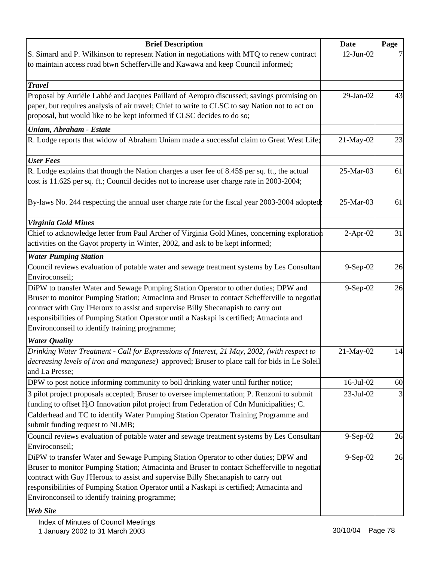| <b>Brief Description</b>                                                                                                                                                                                                                                                                                                                                                                                               | Date            | Page |
|------------------------------------------------------------------------------------------------------------------------------------------------------------------------------------------------------------------------------------------------------------------------------------------------------------------------------------------------------------------------------------------------------------------------|-----------------|------|
| S. Simard and P. Wilkinson to represent Nation in negotiations with MTQ to renew contract<br>to maintain access road btwn Schefferville and Kawawa and keep Council informed;                                                                                                                                                                                                                                          | $12$ -Jun- $02$ |      |
| <b>Travel</b>                                                                                                                                                                                                                                                                                                                                                                                                          |                 |      |
| Proposal by Aurièle Labbé and Jacques Paillard of Aeropro discussed; savings promising on<br>paper, but requires analysis of air travel; Chief to write to CLSC to say Nation not to act on<br>proposal, but would like to be kept informed if CLSC decides to do so;                                                                                                                                                  | 29-Jan-02       | 43   |
| Uniam, Abraham - Estate                                                                                                                                                                                                                                                                                                                                                                                                |                 |      |
| R. Lodge reports that widow of Abraham Uniam made a successful claim to Great West Life;                                                                                                                                                                                                                                                                                                                               | 21-May-02       | 23   |
| <b>User Fees</b>                                                                                                                                                                                                                                                                                                                                                                                                       |                 |      |
| R. Lodge explains that though the Nation charges a user fee of 8.45\$ per sq. ft., the actual<br>cost is 11.62\$ per sq. ft.; Council decides not to increase user charge rate in 2003-2004;                                                                                                                                                                                                                           | 25-Mar-03       | 61   |
| By-laws No. 244 respecting the annual user charge rate for the fiscal year 2003-2004 adopted;                                                                                                                                                                                                                                                                                                                          | 25-Mar-03       | 61   |
| <b>Virginia Gold Mines</b>                                                                                                                                                                                                                                                                                                                                                                                             |                 |      |
| Chief to acknowledge letter from Paul Archer of Virginia Gold Mines, concerning exploration<br>activities on the Gayot property in Winter, 2002, and ask to be kept informed;                                                                                                                                                                                                                                          | $2-Apr-02$      | 31   |
| <b>Water Pumping Station</b>                                                                                                                                                                                                                                                                                                                                                                                           |                 |      |
| Council reviews evaluation of potable water and sewage treatment systems by Les Consultan<br>Enviroconseil;                                                                                                                                                                                                                                                                                                            | 9-Sep-02        | 26   |
| DiPW to transfer Water and Sewage Pumping Station Operator to other duties; DPW and<br>Bruser to monitor Pumping Station; Atmacinta and Bruser to contact Schefferville to negotiat<br>contract with Guy l'Heroux to assist and supervise Billy Shecanapish to carry out<br>responsibilities of Pumping Station Operator until a Naskapi is certified; Atmacinta and<br>Environconseil to identify training programme; | 9-Sep-02        | 26   |
| <b>Water Quality</b>                                                                                                                                                                                                                                                                                                                                                                                                   |                 |      |
| Drinking Water Treatment - Call for Expressions of Interest, 21 May, 2002, (with respect to<br>decreasing levels of iron and manganese) approved; Bruser to place call for bids in Le Soleil<br>and La Presse;                                                                                                                                                                                                         | 21-May-02       | 14   |
| DPW to post notice informing community to boil drinking water until further notice;                                                                                                                                                                                                                                                                                                                                    | $16$ -Jul- $02$ | 60   |
| 3 pilot project proposals accepted; Bruser to oversee implementation; P. Renzoni to submit<br>funding to offset H <sub>2</sub> O Innovation pilot project from Federation of Cdn Municipalities; C.<br>Calderhead and TC to identify Water Pumping Station Operator Training Programme and<br>submit funding request to NLMB;                                                                                          | $23-Jul-02$     | 3    |
| Council reviews evaluation of potable water and sewage treatment systems by Les Consultan<br>Enviroconseil;                                                                                                                                                                                                                                                                                                            | 9-Sep-02        | 26   |
| DiPW to transfer Water and Sewage Pumping Station Operator to other duties; DPW and<br>Bruser to monitor Pumping Station; Atmacinta and Bruser to contact Schefferville to negotiat<br>contract with Guy l'Heroux to assist and supervise Billy Shecanapish to carry out<br>responsibilities of Pumping Station Operator until a Naskapi is certified; Atmacinta and<br>Environconseil to identify training programme; | $9-Sep-02$      | 26   |
| <b>Web Site</b>                                                                                                                                                                                                                                                                                                                                                                                                        |                 |      |